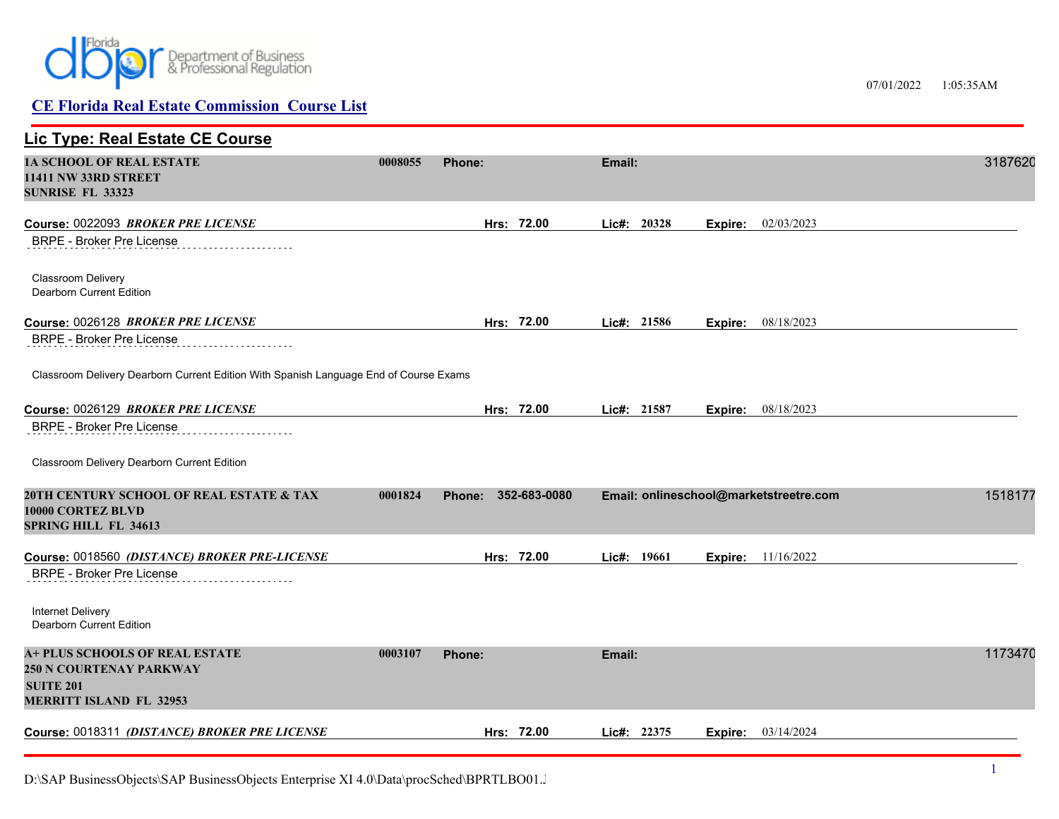

| <b>Lic Type: Real Estate CE Course</b>                                                       |         |                     |               |                                        |         |
|----------------------------------------------------------------------------------------------|---------|---------------------|---------------|----------------------------------------|---------|
| <b>1A SCHOOL OF REAL ESTATE</b><br>11411 NW 33RD STREET<br><b>SUNRISE FL 33323</b>           | 0008055 | Phone:              | Email:        |                                        | 3187620 |
| Course: 0022093 BROKER PRE LICENSE                                                           |         | Hrs: 72.00          | Lic#: 20328   | 02/03/2023<br>Expire:                  |         |
| <b>BRPE - Broker Pre License</b>                                                             |         |                     |               |                                        |         |
| Classroom Delivery<br><b>Dearborn Current Edition</b>                                        |         |                     |               |                                        |         |
| Course: 0026128 BROKER PRE LICENSE                                                           |         | Hrs: 72.00          | Lic#: 21586   | <b>Expire:</b> 08/18/2023              |         |
| <b>BRPE - Broker Pre License</b>                                                             |         |                     |               |                                        |         |
| Classroom Delivery Dearborn Current Edition With Spanish Language End of Course Exams        |         |                     |               |                                        |         |
| Course: 0026129 BROKER PRE LICENSE                                                           |         | Hrs: 72.00          | Lic#: 21587   | <b>Expire:</b> 08/18/2023              |         |
| <b>BRPE - Broker Pre License</b>                                                             |         |                     |               |                                        |         |
| Classroom Delivery Dearborn Current Edition                                                  |         |                     |               |                                        |         |
| 20TH CENTURY SCHOOL OF REAL ESTATE & TAX<br>10000 CORTEZ BLVD<br><b>SPRING HILL FL 34613</b> | 0001824 | Phone: 352-683-0080 |               | Email: onlineschool@marketstreetre.com | 1518177 |
| Course: 0018560 (DISTANCE) BROKER PRE-LICENSE                                                |         | Hrs: 72.00          | Lic#: 19661   | 11/16/2022<br>Expire:                  |         |
| <b>BRPE - Broker Pre License</b>                                                             |         |                     |               |                                        |         |
| <b>Internet Delivery</b><br><b>Dearborn Current Edition</b>                                  |         |                     |               |                                        |         |
| A+ PLUS SCHOOLS OF REAL ESTATE                                                               | 0003107 | Phone:              | Email:        |                                        | 1173470 |
| <b>250 N COURTENAY PARKWAY</b><br><b>SUITE 201</b>                                           |         |                     |               |                                        |         |
| <b>MERRITT ISLAND FL 32953</b>                                                               |         |                     |               |                                        |         |
| Course: 0018311 (DISTANCE) BROKER PRE LICENSE                                                |         | Hrs: 72.00          | Lic#: $22375$ | 03/14/2024<br>Expire:                  |         |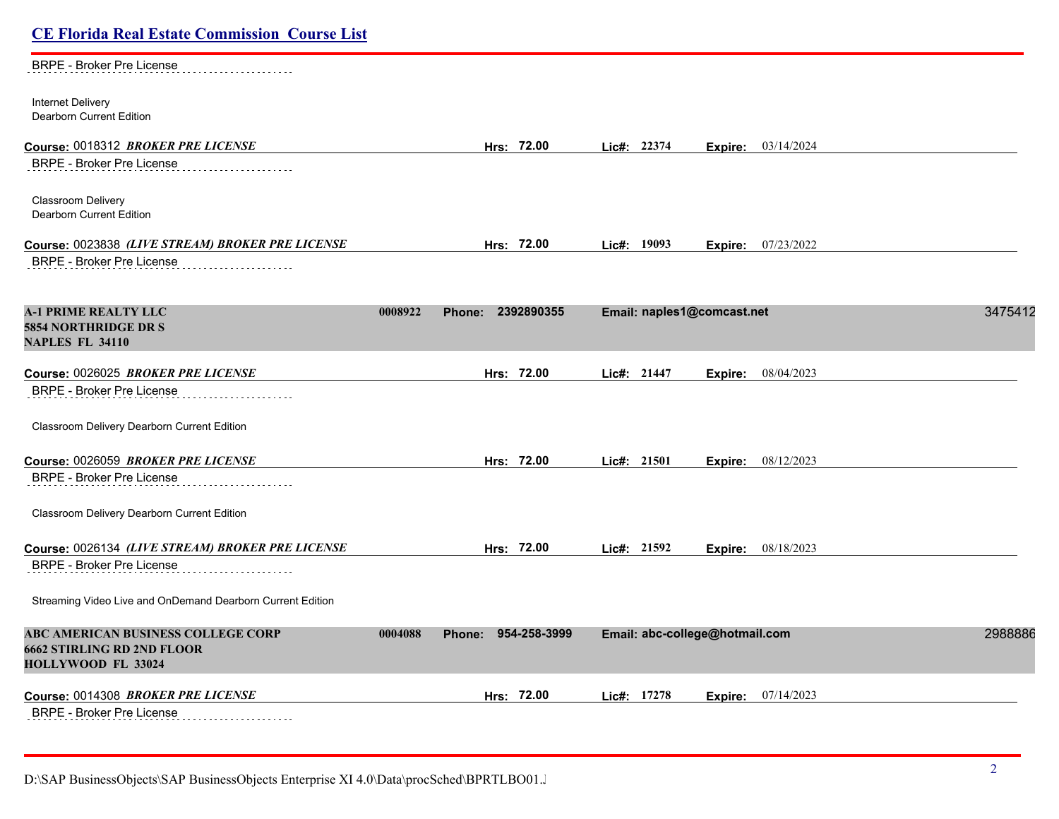| <b>CE Florida Real Estate Commission Course List</b>                                                 |         |                      |               |                                |                           |         |
|------------------------------------------------------------------------------------------------------|---------|----------------------|---------------|--------------------------------|---------------------------|---------|
| <b>BRPE - Broker Pre License</b>                                                                     |         |                      |               |                                |                           |         |
| Internet Delivery<br>Dearborn Current Edition                                                        |         |                      |               |                                |                           |         |
| Course: 0018312 BROKER PRE LICENSE                                                                   |         | Hrs: 72.00           | Lic#: 22374   |                                | <b>Expire:</b> 03/14/2024 |         |
| <b>BRPE - Broker Pre License</b>                                                                     |         |                      |               |                                |                           |         |
| Classroom Delivery<br>Dearborn Current Edition                                                       |         |                      |               |                                |                           |         |
| Course: 0023838 (LIVE STREAM) BROKER PRE LICENSE                                                     |         | Hrs: 72.00           | Lic#: 19093   |                                | <b>Expire:</b> 07/23/2022 |         |
| <b>BRPE - Broker Pre License</b>                                                                     |         |                      |               |                                |                           |         |
| <b>A-1 PRIME REALTY LLC</b><br><b>5854 NORTHRIDGE DR S</b><br><b>NAPLES FL 34110</b>                 | 0008922 | 2392890355<br>Phone: |               | Email: naples1@comcast.net     |                           | 3475412 |
| Course: 0026025 BROKER PRE LICENSE                                                                   |         | Hrs: 72.00           | Lic#: 21447   | Expire:                        | 08/04/2023                |         |
| <b>BRPE - Broker Pre License</b>                                                                     |         |                      |               |                                |                           |         |
| Classroom Delivery Dearborn Current Edition                                                          |         |                      |               |                                |                           |         |
| Course: 0026059 BROKER PRE LICENSE                                                                   |         | Hrs: 72.00           | Lic#: 21501   | Expire:                        | 08/12/2023                |         |
| <b>BRPE - Broker Pre License</b>                                                                     |         |                      |               |                                |                           |         |
| Classroom Delivery Dearborn Current Edition                                                          |         |                      |               |                                |                           |         |
| Course: 0026134 (LIVE STREAM) BROKER PRE LICENSE                                                     |         | Hrs: 72.00           | Lic#: $21592$ |                                | Expire: 08/18/2023        |         |
| <b>BRPE - Broker Pre License</b>                                                                     |         |                      |               |                                |                           |         |
| Streaming Video Live and OnDemand Dearborn Current Edition                                           |         |                      |               |                                |                           |         |
| <b>ABC AMERICAN BUSINESS COLLEGE CORP</b><br><b>6662 STIRLING RD 2ND FLOOR</b><br>HOLLYWOOD FL 33024 | 0004088 | Phone: 954-258-3999  |               | Email: abc-college@hotmail.com |                           | 2988886 |
| Course: 0014308 BROKER PRE LICENSE                                                                   |         | Hrs: 72.00           | Lic#: 17278   | Expire:                        | 07/14/2023                |         |
| <b>BRPE - Broker Pre License</b>                                                                     |         |                      |               |                                |                           |         |

D:\SAP BusinessObjects\SAP BusinessObjects Enterprise XI 4.0\Data\procSched\BPRTLBO01.Jobserver2\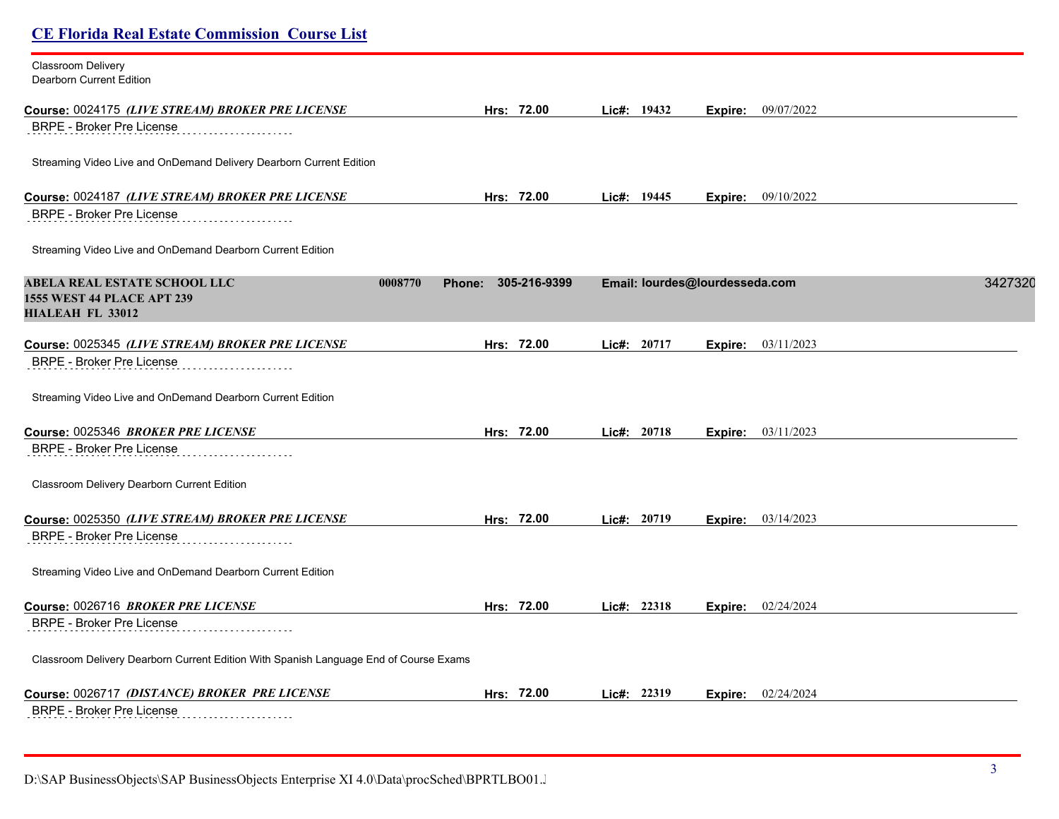Classroom Delivery

| Dearborn Current Edition                                                              |                     |                                |                       |         |
|---------------------------------------------------------------------------------------|---------------------|--------------------------------|-----------------------|---------|
| Course: 0024175 (LIVE STREAM) BROKER PRE LICENSE                                      | Hrs: 72.00          | Lic#: 19432                    | 09/07/2022<br>Expire: |         |
| <b>BRPE - Broker Pre License</b>                                                      |                     |                                |                       |         |
| Streaming Video Live and OnDemand Delivery Dearborn Current Edition                   |                     |                                |                       |         |
| Course: 0024187 (LIVE STREAM) BROKER PRE LICENSE                                      | Hrs: 72.00          | Lic#: 19445                    | 09/10/2022<br>Expire: |         |
| <b>BRPE - Broker Pre License</b>                                                      |                     |                                |                       |         |
| Streaming Video Live and OnDemand Dearborn Current Edition                            |                     |                                |                       |         |
| ABELA REAL ESTATE SCHOOL LLC<br>0008770                                               | Phone: 305-216-9399 | Email: lourdes@lourdesseda.com |                       | 3427320 |
| <b>1555 WEST 44 PLACE APT 239</b><br>HIALEAH FL 33012                                 |                     |                                |                       |         |
| Course: 0025345 (LIVE STREAM) BROKER PRE LICENSE                                      | Hrs: 72.00          | Lic#: 20717                    | 03/11/2023<br>Expire: |         |
| <b>BRPE - Broker Pre License</b>                                                      |                     |                                |                       |         |
| Streaming Video Live and OnDemand Dearborn Current Edition                            |                     |                                |                       |         |
| Course: 0025346 BROKER PRE LICENSE                                                    | Hrs: 72.00          | Lic#: 20718                    | 03/11/2023<br>Expire: |         |
| <b>BRPE - Broker Pre License</b>                                                      |                     |                                |                       |         |
| Classroom Delivery Dearborn Current Edition                                           |                     |                                |                       |         |
| Course: 0025350 (LIVE STREAM) BROKER PRE LICENSE                                      | Hrs: 72.00          | Lic#: 20719                    | 03/14/2023<br>Expire: |         |
| <b>BRPE - Broker Pre License</b>                                                      |                     |                                |                       |         |
| Streaming Video Live and OnDemand Dearborn Current Edition                            |                     |                                |                       |         |
| Course: 0026716 BROKER PRE LICENSE                                                    | Hrs: 72.00          | Lic#: 22318                    | 02/24/2024<br>Expire: |         |
| <b>BRPE - Broker Pre License</b>                                                      |                     |                                |                       |         |
| Classroom Delivery Dearborn Current Edition With Spanish Language End of Course Exams |                     |                                |                       |         |
| Course: 0026717 (DISTANCE) BROKER PRE LICENSE                                         | Hrs: 72.00          | Lic#: 22319                    | 02/24/2024<br>Expire: |         |
| <b>BRPE - Broker Pre License</b>                                                      |                     |                                |                       |         |

D:\SAP BusinessObjects\SAP BusinessObjects Enterprise XI 4.0\Data\procSched\BPRTLBO01.Jobserver2\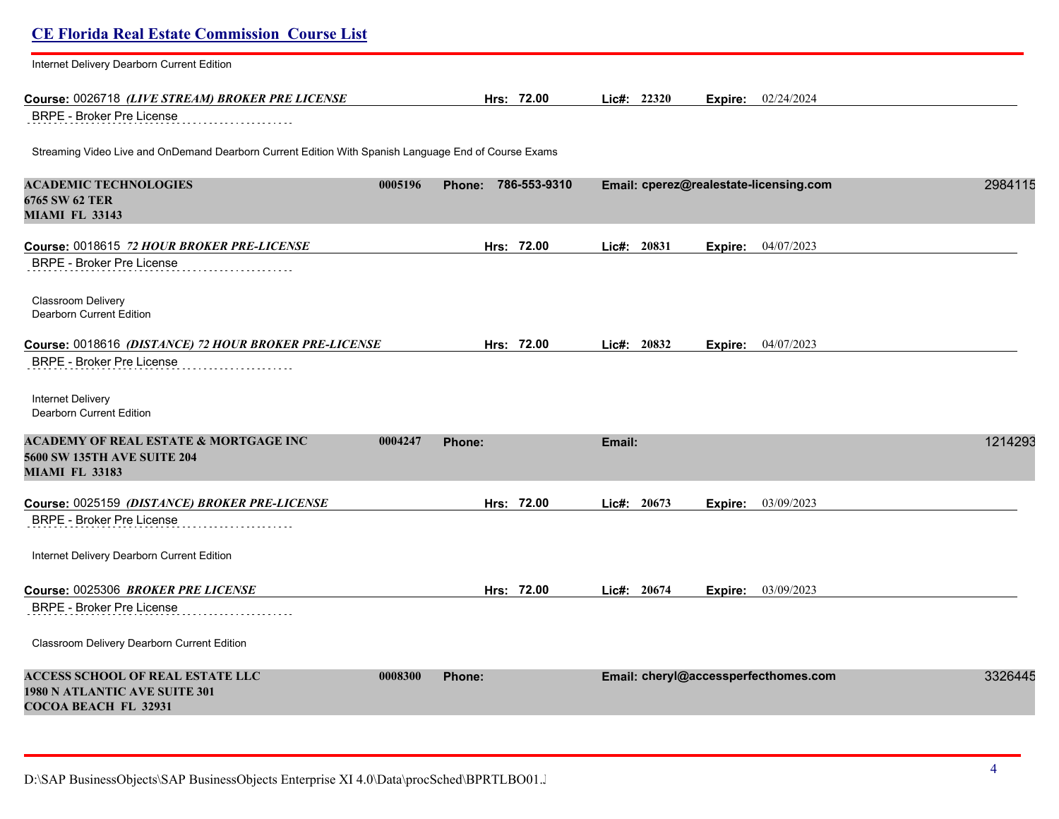| <b>CE Florida Real Estate Commission Course List</b>                                                                                              |               |              |               |                                        |         |
|---------------------------------------------------------------------------------------------------------------------------------------------------|---------------|--------------|---------------|----------------------------------------|---------|
| Internet Delivery Dearborn Current Edition                                                                                                        |               |              |               |                                        |         |
| Course: 0026718 (LIVE STREAM) BROKER PRE LICENSE<br><b>BRPE - Broker Pre License</b>                                                              |               | Hrs: 72.00   | Lic#: 22320   | Expire: 02/24/2024                     |         |
| Streaming Video Live and OnDemand Dearborn Current Edition With Spanish Language End of Course Exams                                              |               |              |               |                                        |         |
| <b>ACADEMIC TECHNOLOGIES</b><br>0005196<br>6765 SW 62 TER<br><b>MIAMI FL 33143</b>                                                                | <b>Phone:</b> | 786-553-9310 |               | Email: cperez@realestate-licensing.com | 2984115 |
| Course: 0018615 72 HOUR BROKER PRE-LICENSE                                                                                                        |               | Hrs: 72.00   | Lic#: 20831   | Expire: 04/07/2023                     |         |
| <b>BRPE - Broker Pre License</b><br>Classroom Delivery<br>Dearborn Current Edition                                                                |               |              |               |                                        |         |
| Course: 0018616 (DISTANCE) 72 HOUR BROKER PRE-LICENSE<br><b>BRPE - Broker Pre License</b><br><b>Internet Delivery</b><br>Dearborn Current Edition |               | Hrs: 72.00   | Lie#: 20832   | 04/07/2023<br>Expire:                  |         |
| ACADEMY OF REAL ESTATE & MORTGAGE INC<br>0004247<br><b>5600 SW 135TH AVE SUITE 204</b><br><b>MIAMI FL 33183</b>                                   | Phone:        | Email:       |               |                                        | 1214293 |
| Course: 0025159 (DISTANCE) BROKER PRE-LICENSE                                                                                                     |               | Hrs: 72.00   | Lic#: $20673$ | 03/09/2023<br>Expire:                  |         |
| <b>BRPE - Broker Pre License</b><br>Internet Delivery Dearborn Current Edition                                                                    |               |              |               |                                        |         |
| Course: 0025306 BROKER PRE LICENSE                                                                                                                |               | Hrs: 72.00   | Lic#: 20674   | 03/09/2023<br>Expire:                  |         |
| <b>BRPE - Broker Pre License</b><br>Classroom Delivery Dearborn Current Edition                                                                   |               |              |               |                                        |         |
| <b>ACCESS SCHOOL OF REAL ESTATE LLC</b><br>0008300<br>1980 N ATLANTIC AVE SUITE 301<br>COCOA BEACH FL 32931                                       | Phone:        |              |               | Email: cheryl@accessperfecthomes.com   | 3326445 |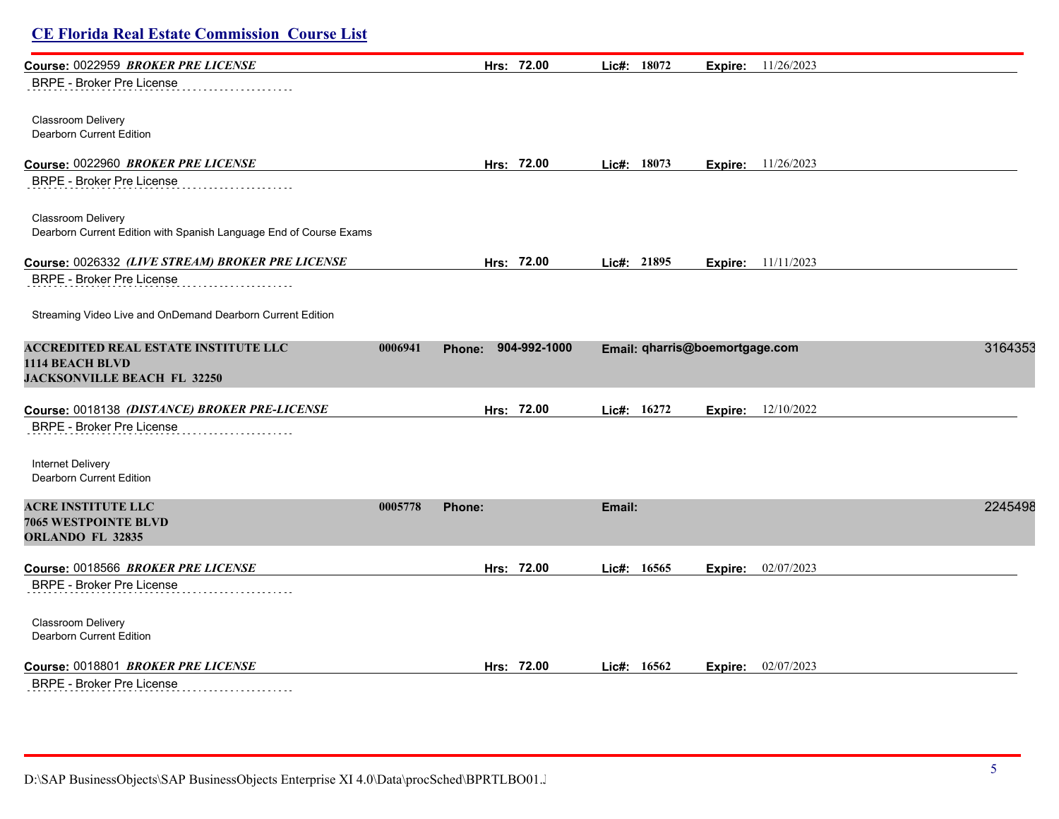| Course: 0022959 BROKER PRE LICENSE                                 |         | Hrs: 72.00                    |        | Lic#: 18072 | Expire:                        | 11/26/2023                |         |
|--------------------------------------------------------------------|---------|-------------------------------|--------|-------------|--------------------------------|---------------------------|---------|
| <b>BRPE - Broker Pre License</b>                                   |         |                               |        |             |                                |                           |         |
| Classroom Delivery                                                 |         |                               |        |             |                                |                           |         |
| Dearborn Current Edition                                           |         |                               |        |             |                                |                           |         |
| Course: 0022960 BROKER PRE LICENSE                                 |         | Hrs: 72.00                    |        | Lic#: 18073 |                                | <b>Expire:</b> 11/26/2023 |         |
| <b>BRPE - Broker Pre License</b>                                   |         |                               |        |             |                                |                           |         |
| Classroom Delivery                                                 |         |                               |        |             |                                |                           |         |
| Dearborn Current Edition with Spanish Language End of Course Exams |         |                               |        |             |                                |                           |         |
| Course: 0026332 (LIVE STREAM) BROKER PRE LICENSE                   |         | Hrs: 72.00                    |        | Lic#: 21895 |                                | <b>Expire:</b> 11/11/2023 |         |
| <b>BRPE - Broker Pre License</b>                                   |         |                               |        |             |                                |                           |         |
| Streaming Video Live and OnDemand Dearborn Current Edition         |         |                               |        |             |                                |                           |         |
| ACCREDITED REAL ESTATE INSTITUTE LLC                               | 0006941 | 904-992-1000<br><b>Phone:</b> |        |             | Email: qharris@boemortgage.com |                           | 3164353 |
| <b>1114 BEACH BLVD</b><br><b>JACKSONVILLE BEACH FL 32250</b>       |         |                               |        |             |                                |                           |         |
|                                                                    |         |                               |        |             |                                |                           |         |
| Course: 0018138 (DISTANCE) BROKER PRE-LICENSE                      |         | Hrs: 72.00                    |        | Lic#: 16272 | Expire:                        | 12/10/2022                |         |
| <b>BRPE - Broker Pre License</b>                                   |         |                               |        |             |                                |                           |         |
| Internet Delivery                                                  |         |                               |        |             |                                |                           |         |
| Dearborn Current Edition                                           |         |                               |        |             |                                |                           |         |
| <b>ACRE INSTITUTE LLC</b>                                          | 0005778 | Phone:                        | Email: |             |                                |                           | 2245498 |
| <b>7065 WESTPOINTE BLVD</b><br>ORLANDO FL 32835                    |         |                               |        |             |                                |                           |         |
|                                                                    |         |                               |        |             |                                |                           |         |
| Course: 0018566 BROKER PRE LICENSE                                 |         | Hrs: 72.00                    |        | Lic#: 16565 | Expire:                        | 02/07/2023                |         |
| <b>BRPE - Broker Pre License</b>                                   |         |                               |        |             |                                |                           |         |
| Classroom Delivery                                                 |         |                               |        |             |                                |                           |         |
| Dearborn Current Edition                                           |         |                               |        |             |                                |                           |         |
| Course: 0018801 BROKER PRE LICENSE                                 |         | Hrs: 72.00                    |        | Lic#: 16562 | Expire:                        | 02/07/2023                |         |
| RRPF - Rroker Pre License                                          |         |                               |        |             |                                |                           |         |

BRPE - Broker Pre License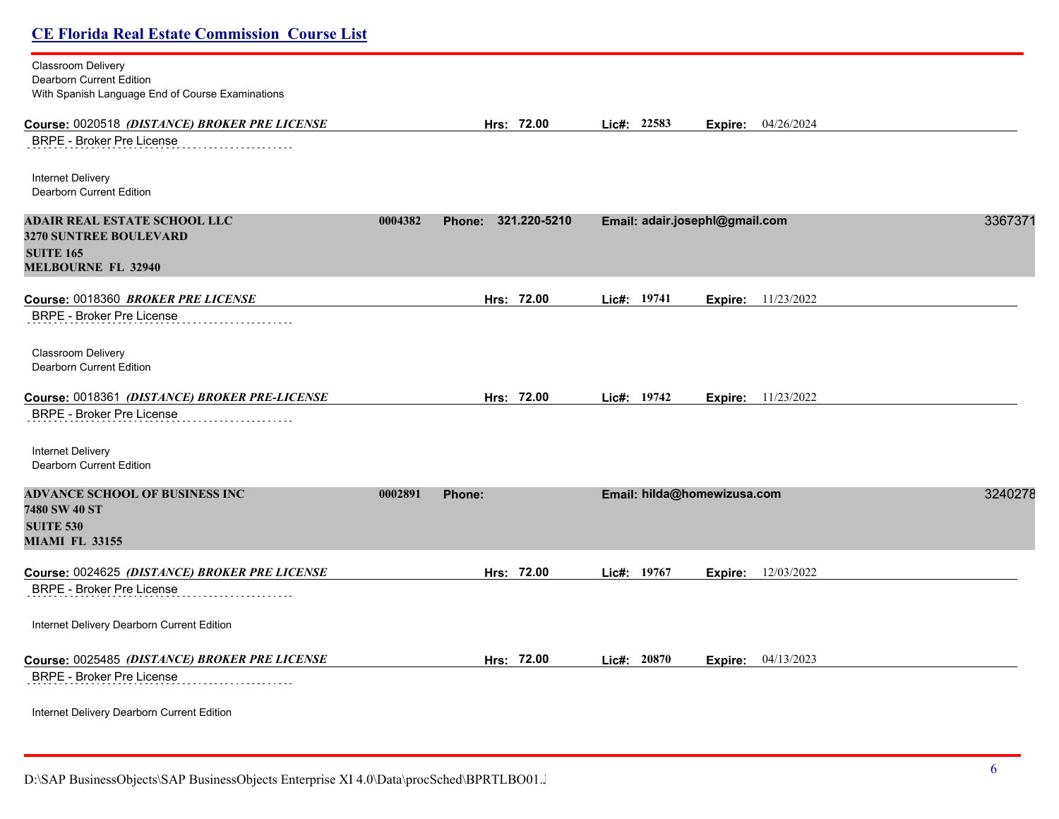## **CE Florida Real Estate Commission Course List** Classroom Delivery Dearborn Current Edition With Spanish Language End of Course Examinations **Course:** 0020518 *(DISTANCE) BROKER PRE LICENSE* **Hrs: 72.00 Lic#: 22583 Expire:** 04/26/2024 BRPE - Broker Pre License Internet Delivery Dearborn Current Edition **ADAIR REAL ESTATE SCHOOL LLC 0004382 Phone: 321.220-5210 Email: adair.josephl@gmail.com** 33673711 **3270 SUNTREE BOULEVARD SUITE 165 MELBOURNE FL 32940 Course:** 0018360 *BROKER PRE LICENSE* **Hrs: 72.00 Lic#: 19741 Expire:** 11/23/2022 BRPE - Broker Pre License Classroom Delivery Dearborn Current Edition **Course:** 0018361 *(DISTANCE) BROKER PRE-LICENSE* **Hrs: 72.00 Lic#: 19742 Expire:** 11/23/2022 BRPE - Broker Pre License Internet Delivery Dearborn Current Edition **ADVANCE SCHOOL OF BUSINESS INC 0002891 Phone: Email: hilda@homewizusa.com** 32402781 **7480 SW 40 ST SUITE 530 MIAMI FL 33155 Course:** 0024625 *(DISTANCE) BROKER PRE LICENSE* **Hrs: 72.00 Lic#: 19767 Expire:** 12/03/2022 BRPE - Broker Pre License Internet Delivery Dearborn Current Edition **Course:** 0025485 *(DISTANCE) BROKER PRE LICENSE* **Hrs: 72.00 Lic#: 20870 Expire:** 04/13/2023 BRPE - Broker Pre License Internet Delivery Dearborn Current Edition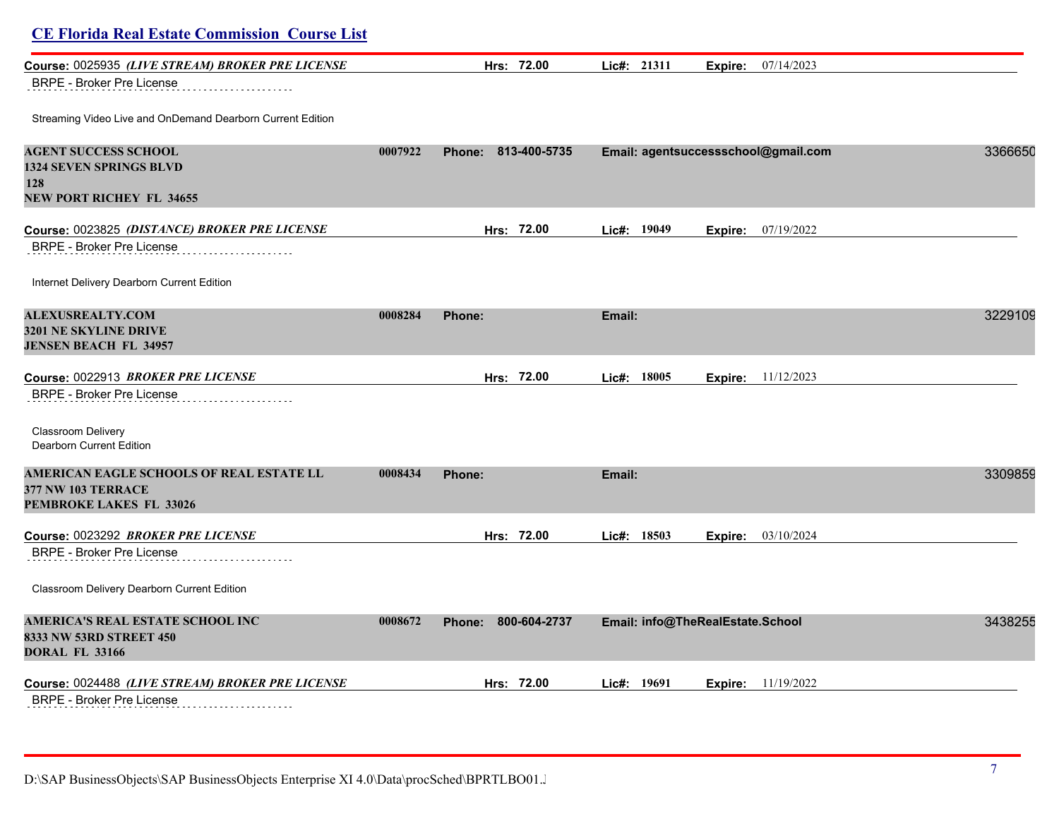| Course: 0025935 (LIVE STREAM) BROKER PRE LICENSE                                                        |         | Hrs: 72.00          | Lic#: 21311 | Expire:                          | 07/14/2023                          |         |
|---------------------------------------------------------------------------------------------------------|---------|---------------------|-------------|----------------------------------|-------------------------------------|---------|
| <b>BRPE - Broker Pre License</b>                                                                        |         |                     |             |                                  |                                     |         |
| Streaming Video Live and OnDemand Dearborn Current Edition                                              |         |                     |             |                                  |                                     |         |
| <b>AGENT SUCCESS SCHOOL</b><br><b>1324 SEVEN SPRINGS BLVD</b><br>128<br><b>NEW PORT RICHEY FL 34655</b> | 0007922 | Phone: 813-400-5735 |             |                                  | Email: agentsuccessschool@gmail.com | 3366650 |
| Course: 0023825 (DISTANCE) BROKER PRE LICENSE                                                           |         | Hrs: 72.00          | Lic#: 19049 | Expire:                          | 07/19/2022                          |         |
| <b>BRPE - Broker Pre License</b>                                                                        |         |                     |             |                                  |                                     |         |
| Internet Delivery Dearborn Current Edition                                                              |         |                     |             |                                  |                                     |         |
| <b>ALEXUSREALTY.COM</b><br><b>3201 NE SKYLINE DRIVE</b><br><b>JENSEN BEACH FL 34957</b>                 | 0008284 | Phone:              | Email:      |                                  |                                     | 3229109 |
| Course: 0022913 BROKER PRE LICENSE                                                                      |         | Hrs: 72.00          | Lic#: 18005 | Expire:                          | 11/12/2023                          |         |
| <b>BRPE - Broker Pre License</b>                                                                        |         |                     |             |                                  |                                     |         |
| Classroom Delivery<br>Dearborn Current Edition                                                          |         |                     |             |                                  |                                     |         |
| AMERICAN EAGLE SCHOOLS OF REAL ESTATE LL                                                                | 0008434 | Phone:              | Email:      |                                  |                                     | 3309859 |
| <b>377 NW 103 TERRACE</b><br>PEMBROKE LAKES FL 33026                                                    |         |                     |             |                                  |                                     |         |
| Course: 0023292 BROKER PRE LICENSE                                                                      |         | Hrs: 72.00          | Lie#: 18503 | Expire:                          | 03/10/2024                          |         |
| <b>BRPE - Broker Pre License</b>                                                                        |         |                     |             |                                  |                                     |         |
| Classroom Delivery Dearborn Current Edition                                                             |         |                     |             |                                  |                                     |         |
| AMERICA'S REAL ESTATE SCHOOL INC                                                                        | 0008672 | Phone: 800-604-2737 |             | Email: info@TheRealEstate.School |                                     | 3438255 |
| 8333 NW 53RD STREET 450<br><b>DORAL FL 33166</b>                                                        |         |                     |             |                                  |                                     |         |
| Course: 0024488 (LIVE STREAM) BROKER PRE LICENSE                                                        |         | Hrs: 72.00          | Lic#: 19691 |                                  | <b>Expire:</b> $11/19/2022$         |         |
| <b>BRPE - Broker Pre License</b>                                                                        |         |                     |             |                                  |                                     |         |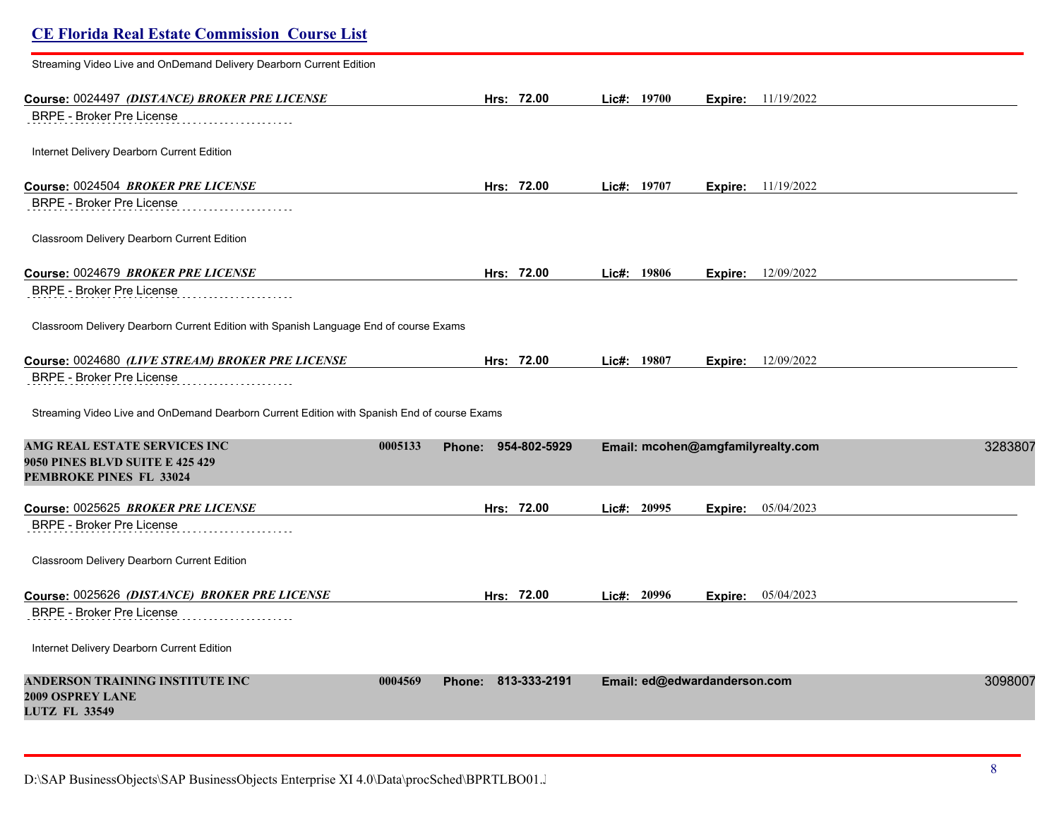# **CE Florida Real Estate Commission Course List** Streaming Video Live and OnDemand Delivery Dearborn Current Edition **Course:** 0024497 *(DISTANCE) BROKER PRE LICENSE* **Hrs: 72.00 Lic#: 19700 Expire:** 11/19/2022 BRPE - Broker Pre License Internet Delivery Dearborn Current Edition **Course:** 0024504 *BROKER PRE LICENSE* **Hrs: 72.00 Lic#: 19707 Expire:** 11/19/2022 BRPE - Broker Pre License Classroom Delivery Dearborn Current Edition **Course:** 0024679 *BROKER PRE LICENSE* **Hrs: 72.00 Lic#: 19806 Expire:** 12/09/2022 BRPE - Broker Pre License Classroom Delivery Dearborn Current Edition with Spanish Language End of course Exams **Course:** 0024680 *(LIVE STREAM) BROKER PRE LICENSE* **Hrs: 72.00 Lic#: 19807 Expire:** 12/09/2022 BRPE - Broker Pre License Streaming Video Live and OnDemand Dearborn Current Edition with Spanish End of course Exams **AMG REAL ESTATE SERVICES INC 0005133 Phone: 954-802-5929 Email: mcohen@amgfamilyrealty.com** 32838076 **9050 PINES BLVD SUITE E 425 429 PEMBROKE PINES FL 33024 Course:** 0025625 *BROKER PRE LICENSE* **Hrs: 72.00 Lic#: 20995 Expire:** 05/04/2023 BRPE - Broker Pre License Classroom Delivery Dearborn Current Edition **Course:** 0025626 *(DISTANCE) BROKER PRE LICENSE* **Hrs: 72.00 Lic#: 20996 Expire:** 05/04/2023 BRPE - Broker Pre License Internet Delivery Dearborn Current Edition **ANDERSON TRAINING INSTITUTE INC 0004569 Phone: 813-333-2191 Email: ed@edwardanderson.com** 30980070 **2009 OSPREY LANE LUTZ FL 33549**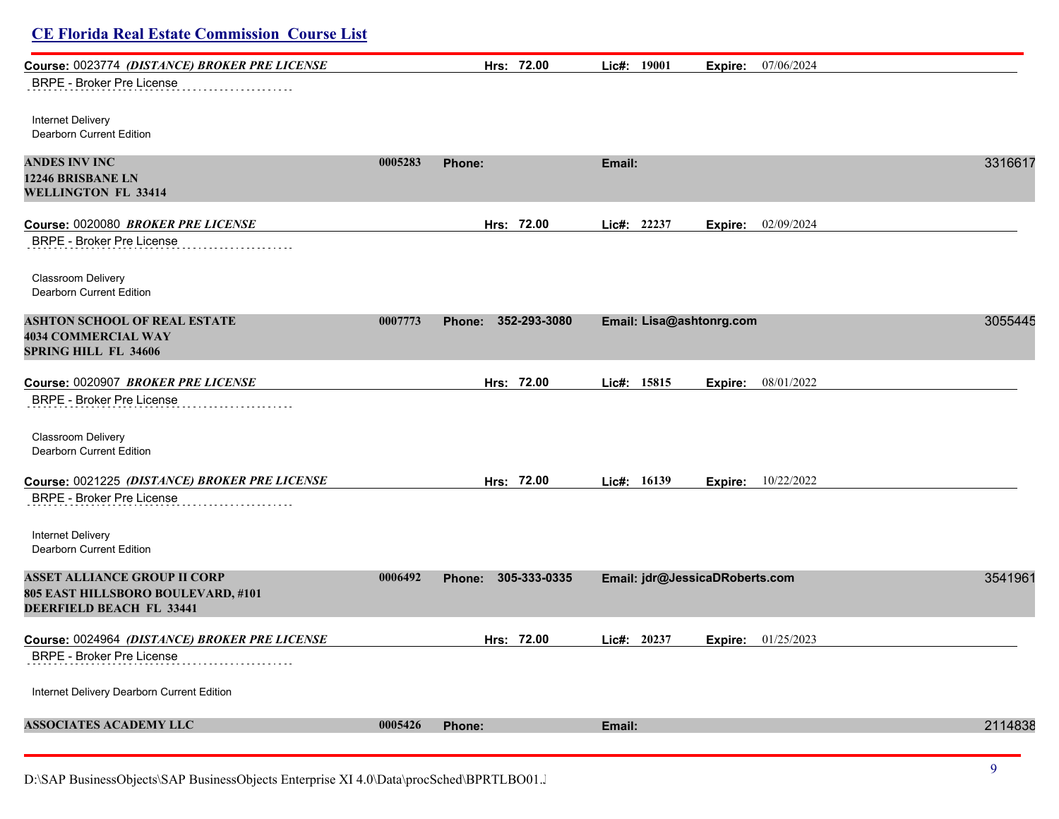| Course: 0023774 (DISTANCE) BROKER PRE LICENSE                          |         | Hrs: 72.00                    | Lie#: 19001              | <b>Expire:</b> 07/06/2024      |         |
|------------------------------------------------------------------------|---------|-------------------------------|--------------------------|--------------------------------|---------|
| <b>BRPE - Broker Pre License</b>                                       |         |                               |                          |                                |         |
|                                                                        |         |                               |                          |                                |         |
| Internet Delivery<br>Dearborn Current Edition                          |         |                               |                          |                                |         |
|                                                                        |         |                               |                          |                                |         |
| ANDES INV INC<br>12246 BRISBANE LN                                     | 0005283 | <b>Phone:</b>                 | Email:                   |                                | 3316617 |
| <b>WELLINGTON FL 33414</b>                                             |         |                               |                          |                                |         |
|                                                                        |         |                               |                          |                                |         |
| Course: 0020080 BROKER PRE LICENSE<br><b>BRPE - Broker Pre License</b> |         | Hrs: 72.00                    | $Lic\#: 22237$           | 02/09/2024<br>Expire:          |         |
|                                                                        |         |                               |                          |                                |         |
| Classroom Delivery                                                     |         |                               |                          |                                |         |
| Dearborn Current Edition                                               |         |                               |                          |                                |         |
| ASHTON SCHOOL OF REAL ESTATE                                           | 0007773 | 352-293-3080<br>Phone:        | Email: Lisa@ashtonrg.com |                                | 3055445 |
| <b>4034 COMMERCIAL WAY</b>                                             |         |                               |                          |                                |         |
| <b>SPRING HILL FL 34606</b>                                            |         |                               |                          |                                |         |
| Course: 0020907 <i>BROKER PRE LICENSE</i>                              |         | Hrs: 72.00                    | Lic#: 15815              | 08/01/2022<br>Expire:          |         |
| <b>BRPE - Broker Pre License</b>                                       |         |                               |                          |                                |         |
|                                                                        |         |                               |                          |                                |         |
| Classroom Delivery                                                     |         |                               |                          |                                |         |
| Dearborn Current Edition                                               |         |                               |                          |                                |         |
| Course: 0021225 <i>(DISTANCE) BROKER PRE LICENSE</i>                   |         | Hrs: 72.00                    | Lie#: 16139              | <b>Expire:</b> 10/22/2022      |         |
| <b>BRPE - Broker Pre License</b>                                       |         |                               |                          |                                |         |
|                                                                        |         |                               |                          |                                |         |
| Internet Delivery<br>Dearborn Current Edition                          |         |                               |                          |                                |         |
|                                                                        |         |                               |                          |                                |         |
| ASSET ALLIANCE GROUP II CORP                                           | 0006492 | 305-333-0335<br><b>Phone:</b> |                          | Email: jdr@JessicaDRoberts.com | 3541961 |
| 805 EAST HILLSBORO BOULEVARD, #101<br><b>DEERFIELD BEACH FL 33441</b>  |         |                               |                          |                                |         |
|                                                                        |         |                               |                          |                                |         |
| Course: 0024964 (DISTANCE) BROKER PRE LICENSE                          |         | Hrs: 72.00                    | Lic#: 20237              | 01/25/2023<br>Expire:          |         |
| BRPE - Broker Pre License                                              |         |                               |                          |                                |         |
| Internet Delivery Dearborn Current Edition                             |         |                               |                          |                                |         |
|                                                                        |         |                               |                          |                                |         |
| <b>ASSOCIATES ACADEMY LLC</b>                                          | 0005426 | Phone:                        | Email:                   |                                | 2114838 |
|                                                                        |         |                               |                          |                                |         |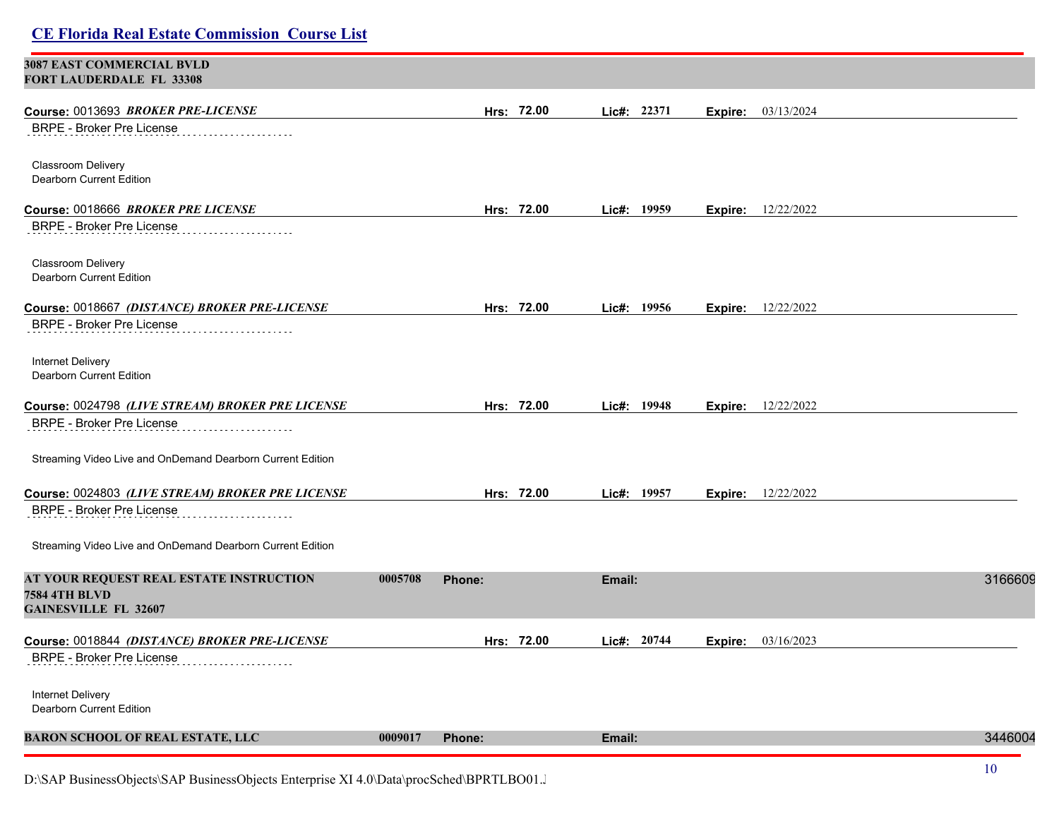| <b>3087 EAST COMMERCIAL BVLD</b><br><b>FORT LAUDERDALE FL 33308</b>                     |         |               |            |        |               |         |                           |         |
|-----------------------------------------------------------------------------------------|---------|---------------|------------|--------|---------------|---------|---------------------------|---------|
| Course: 0013693 BROKER PRE-LICENSE                                                      |         |               | Hrs: 72.00 |        | Lic#: 22371   | Expire: | 03/13/2024                |         |
| <b>BRPE - Broker Pre License</b>                                                        |         |               |            |        |               |         |                           |         |
| Classroom Delivery<br>Dearborn Current Edition                                          |         |               |            |        |               |         |                           |         |
| Course: 0018666 BROKER PRE LICENSE                                                      |         |               | Hrs: 72.00 |        | Lic#: 19959   | Expire: | 12/22/2022                |         |
| <b>BRPE - Broker Pre License</b>                                                        |         |               |            |        |               |         |                           |         |
| Classroom Delivery<br>Dearborn Current Edition                                          |         |               |            |        |               |         |                           |         |
| Course: 0018667 (DISTANCE) BROKER PRE-LICENSE                                           |         |               | Hrs: 72.00 |        | Lic#: 19956   | Expire: | 12/22/2022                |         |
| <b>BRPE - Broker Pre License</b>                                                        |         |               |            |        |               |         |                           |         |
| Internet Delivery<br>Dearborn Current Edition                                           |         |               |            |        |               |         |                           |         |
| Course: 0024798 (LIVE STREAM) BROKER PRE LICENSE                                        |         |               | Hrs: 72.00 |        | Lic#: 19948   |         | <b>Expire:</b> 12/22/2022 |         |
| <b>BRPE - Broker Pre License</b>                                                        |         |               |            |        |               |         |                           |         |
| Streaming Video Live and OnDemand Dearborn Current Edition                              |         |               |            |        |               |         |                           |         |
| Course: 0024803 (LIVE STREAM) BROKER PRE LICENSE                                        |         |               | Hrs: 72.00 |        | Lic#: $19957$ |         | <b>Expire:</b> 12/22/2022 |         |
| <b>BRPE - Broker Pre License</b>                                                        |         |               |            |        |               |         |                           |         |
| Streaming Video Live and OnDemand Dearborn Current Edition                              |         |               |            |        |               |         |                           |         |
| AT YOUR REQUEST REAL ESTATE INSTRUCTION<br>7584 4TH BLVD<br><b>GAINESVILLE FL 32607</b> | 0005708 | Phone:        |            | Email: |               |         |                           | 3166609 |
| Course: 0018844 (DISTANCE) BROKER PRE-LICENSE<br><b>BRPE - Broker Pre License</b>       |         |               | Hrs: 72.00 |        | Lic#: 20744   | Expire: | 03/16/2023                |         |
| <b>Internet Delivery</b><br>Dearborn Current Edition                                    |         |               |            |        |               |         |                           |         |
| <b>BARON SCHOOL OF REAL ESTATE, LLC</b>                                                 | 0009017 | <b>Phone:</b> |            | Email: |               |         |                           | 3446004 |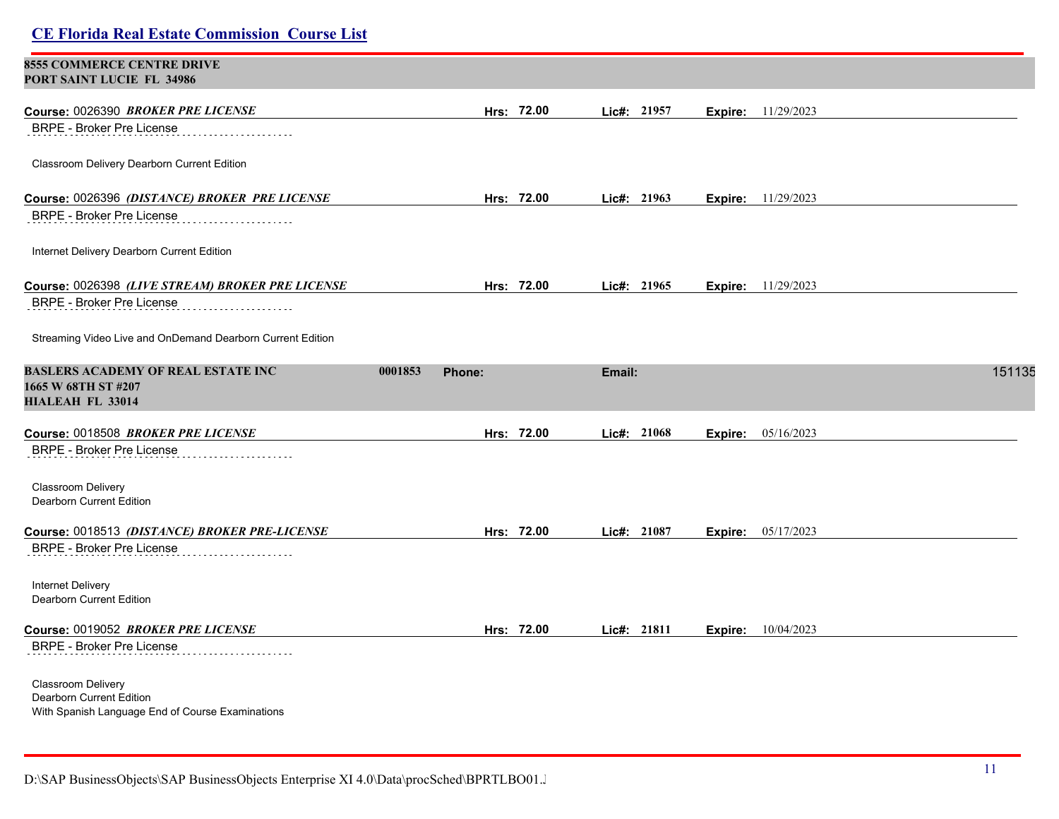| <b>CE Florida Real Estate Commission Course List</b>                                               |         |        |            |        |               |         |                           |        |
|----------------------------------------------------------------------------------------------------|---------|--------|------------|--------|---------------|---------|---------------------------|--------|
| <b>8555 COMMERCE CENTRE DRIVE</b><br>PORT SAINT LUCIE FL 34986                                     |         |        |            |        |               |         |                           |        |
| Course: 0026390 BROKER PRE LICENSE                                                                 |         |        | Hrs: 72.00 |        | Lic#: 21957   | Expire: | 11/29/2023                |        |
| <b>BRPE - Broker Pre License</b>                                                                   |         |        |            |        |               |         |                           |        |
| Classroom Delivery Dearborn Current Edition                                                        |         |        |            |        |               |         |                           |        |
| Course: 0026396 (DISTANCE) BROKER PRE LICENSE                                                      |         |        | Hrs: 72.00 |        | Lic#: 21963   |         | <b>Expire:</b> 11/29/2023 |        |
| <b>BRPE - Broker Pre License</b>                                                                   |         |        |            |        |               |         |                           |        |
| Internet Delivery Dearborn Current Edition                                                         |         |        |            |        |               |         |                           |        |
| Course: 0026398 (LIVE STREAM) BROKER PRE LICENSE                                                   |         |        | Hrs: 72.00 |        | Lic#: 21965   |         | <b>Expire:</b> 11/29/2023 |        |
| <b>BRPE - Broker Pre License</b>                                                                   |         |        |            |        |               |         |                           |        |
| Streaming Video Live and OnDemand Dearborn Current Edition                                         |         |        |            |        |               |         |                           |        |
| <b>BASLERS ACADEMY OF REAL ESTATE INC</b><br>1665 W 68TH ST #207<br>HIALEAH FL 33014               | 0001853 | Phone: |            | Email: |               |         |                           | 151135 |
| Course: 0018508 BROKER PRE LICENSE                                                                 |         |        | Hrs: 72.00 |        | Lie#: 21068   |         | <b>Expire:</b> 05/16/2023 |        |
| <b>BRPE - Broker Pre License</b>                                                                   |         |        |            |        |               |         |                           |        |
| Classroom Delivery<br>Dearborn Current Edition                                                     |         |        |            |        |               |         |                           |        |
| Course: 0018513 (DISTANCE) BROKER PRE-LICENSE                                                      |         |        | Hrs: 72.00 |        | Lic#: $21087$ | Expire: | 05/17/2023                |        |
| <b>BRPE - Broker Pre License</b>                                                                   |         |        |            |        |               |         |                           |        |
| Internet Delivery<br>Dearborn Current Edition                                                      |         |        |            |        |               |         |                           |        |
| Course: 0019052 BROKER PRE LICENSE                                                                 |         |        | Hrs: 72.00 |        | Lie#: 21811   | Expire: | 10/04/2023                |        |
| <b>BRPE - Broker Pre License</b>                                                                   |         |        |            |        |               |         |                           |        |
| Classroom Delivery<br>Dearborn Current Edition<br>With Spanish Language End of Course Examinations |         |        |            |        |               |         |                           |        |

D:\SAP BusinessObjects\SAP BusinessObjects Enterprise XI 4.0\Data\procSched\BPRTLBO01.J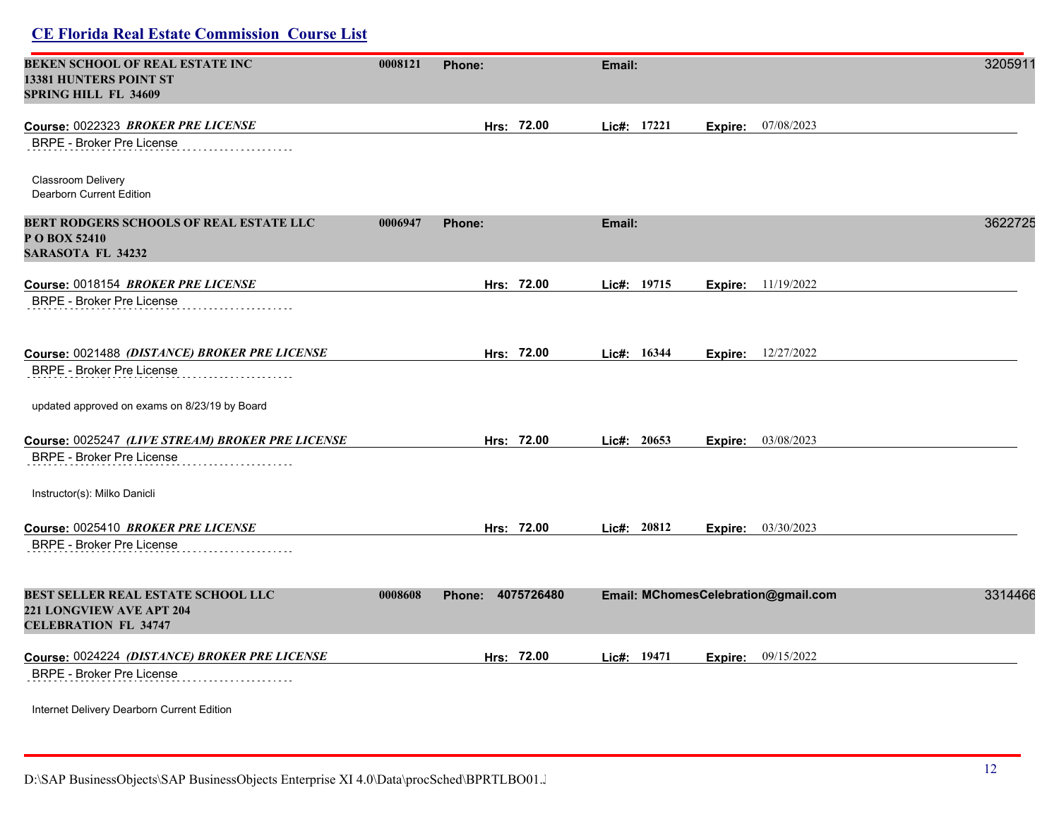| BEKEN SCHOOL OF REAL ESTATE INC<br><b>13381 HUNTERS POINT ST</b><br><b>SPRING HILL FL 34609</b>             | 0008121 | Phone:               | Email:                                   | 3205911 |
|-------------------------------------------------------------------------------------------------------------|---------|----------------------|------------------------------------------|---------|
| Course: 0022323 BROKER PRE LICENSE                                                                          |         | Hrs: 72.00           | Lic#: 17221<br>07/08/2023<br>Expire:     |         |
| <b>BRPE - Broker Pre License</b>                                                                            |         |                      |                                          |         |
| Classroom Delivery<br>Dearborn Current Edition                                                              |         |                      |                                          |         |
| BERT RODGERS SCHOOLS OF REAL ESTATE LLC<br>PO BOX 52410<br>SARASOTA FL 34232                                | 0006947 | <b>Phone:</b>        | Email:                                   | 3622725 |
| Course: 0018154 BROKER PRE LICENSE                                                                          |         | Hrs: 72.00           | Lic#: 19715<br><b>Expire:</b> 11/19/2022 |         |
| <b>BRPE - Broker Pre License</b>                                                                            |         |                      |                                          |         |
| Course: 0021488 (DISTANCE) BROKER PRE LICENSE<br><b>BRPE - Broker Pre License</b>                           |         | Hrs: 72.00           | Lic#: 16344<br>12/27/2022<br>Expire:     |         |
| updated approved on exams on 8/23/19 by Board                                                               |         |                      |                                          |         |
| Course: 0025247 (LIVE STREAM) BROKER PRE LICENSE                                                            |         | Hrs: 72.00           | Lic#: 20653<br>Expire: 03/08/2023        |         |
| <b>BRPE - Broker Pre License</b>                                                                            |         |                      |                                          |         |
| Instructor(s): Milko Danicli                                                                                |         |                      |                                          |         |
| Course: 0025410 BROKER PRE LICENSE                                                                          |         | Hrs: 72.00           | Lic#: 20812<br>03/30/2023<br>Expire:     |         |
| <b>BRPE - Broker Pre License</b>                                                                            |         |                      |                                          |         |
| <b>BEST SELLER REAL ESTATE SCHOOL LLC</b><br><b>221 LONGVIEW AVE APT 204</b><br><b>CELEBRATION FL 34747</b> | 0008608 | 4075726480<br>Phone: | Email: MChomesCelebration@gmail.com      | 3314466 |
| Course: 0024224 (DISTANCE) BROKER PRE LICENSE<br><b>BRPE - Broker Pre License</b>                           |         | Hrs: 72.00           | Lic#: 19471<br><b>Expire:</b> 09/15/2022 |         |

Internet Delivery Dearborn Current Edition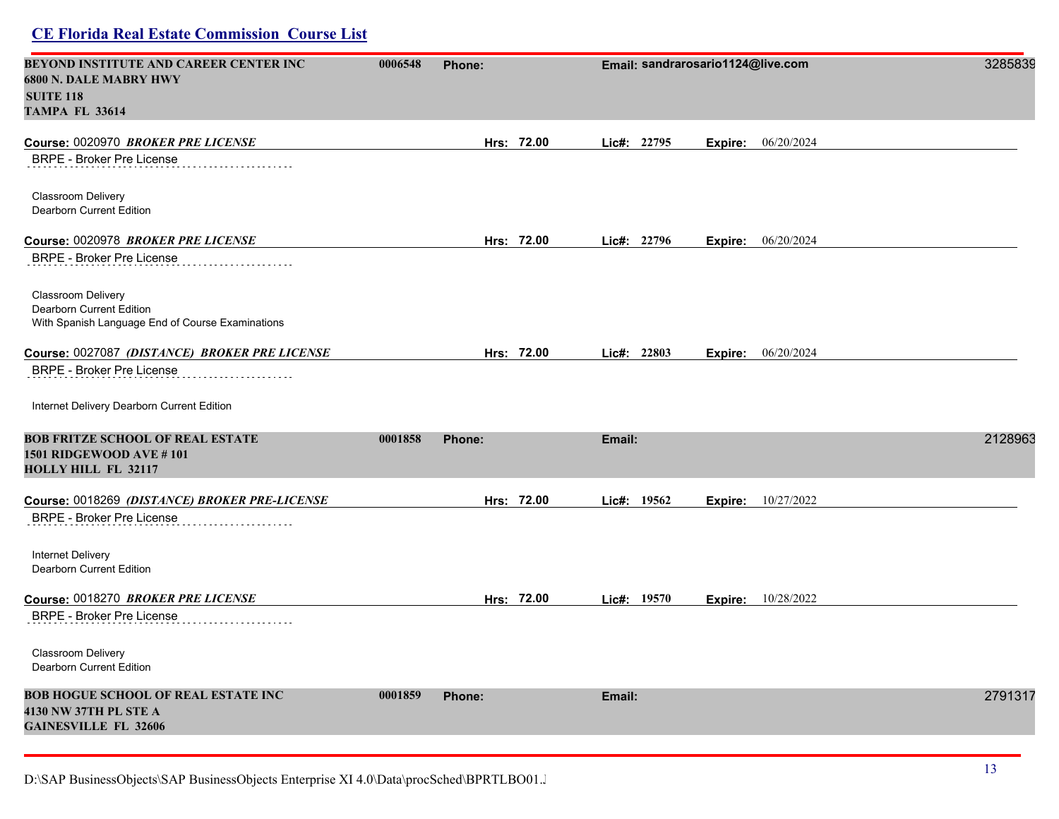| BEYOND INSTITUTE AND CAREER CENTER INC<br><b>6800 N. DALE MABRY HWY</b><br><b>SUITE 118</b><br><b>TAMPA FL 33614</b> | 0006548 | Phone:        | Email: sandrarosario1124@live.com      | 3285839 |
|----------------------------------------------------------------------------------------------------------------------|---------|---------------|----------------------------------------|---------|
| Course: 0020970 BROKER PRE LICENSE                                                                                   |         | Hrs: 72.00    | Lic#: 22795<br>Expire: 06/20/2024      |         |
| <b>BRPE - Broker Pre License</b>                                                                                     |         |               |                                        |         |
| Classroom Delivery<br>Dearborn Current Edition                                                                       |         |               |                                        |         |
| Course: 0020978 BROKER PRE LICENSE                                                                                   |         | Hrs: 72.00    | Lic#: 22796<br>06/20/2024<br>Expire:   |         |
| BRPE - Broker Pre License                                                                                            |         |               |                                        |         |
| Classroom Delivery<br>Dearborn Current Edition<br>With Spanish Language End of Course Examinations                   |         |               |                                        |         |
| Course: 0027087 (DISTANCE) BROKER PRE LICENSE                                                                        |         | Hrs: 72.00    | Lic#: 22803<br>06/20/2024<br>Expire:   |         |
| BRPE - Broker Pre License                                                                                            |         |               |                                        |         |
| Internet Delivery Dearborn Current Edition                                                                           |         |               |                                        |         |
| <b>BOB FRITZE SCHOOL OF REAL ESTATE</b><br><b>1501 RIDGEWOOD AVE #101</b><br><b>HOLLY HILL FL 32117</b>              | 0001858 | <b>Phone:</b> | Email:                                 | 2128963 |
| Course: 0018269 (DISTANCE) BROKER PRE-LICENSE                                                                        |         | Hrs: 72.00    | Lic#: $19562$<br>10/27/2022<br>Expire: |         |
| BRPE - Broker Pre License                                                                                            |         |               |                                        |         |
| Internet Delivery<br>Dearborn Current Edition                                                                        |         |               |                                        |         |
| Course: 0018270 BROKER PRE LICENSE                                                                                   |         | Hrs: 72.00    | Lic#: 19570<br>10/28/2022<br>Expire:   |         |
| <b>BRPE - Broker Pre License</b>                                                                                     |         |               |                                        |         |
| Classroom Delivery<br>Dearborn Current Edition                                                                       |         |               |                                        |         |
| <b>BOB HOGUE SCHOOL OF REAL ESTATE INC</b><br>4130 NW 37TH PL STE A<br><b>GAINESVILLE FL 32606</b>                   | 0001859 | Phone:        | Email:                                 | 2791317 |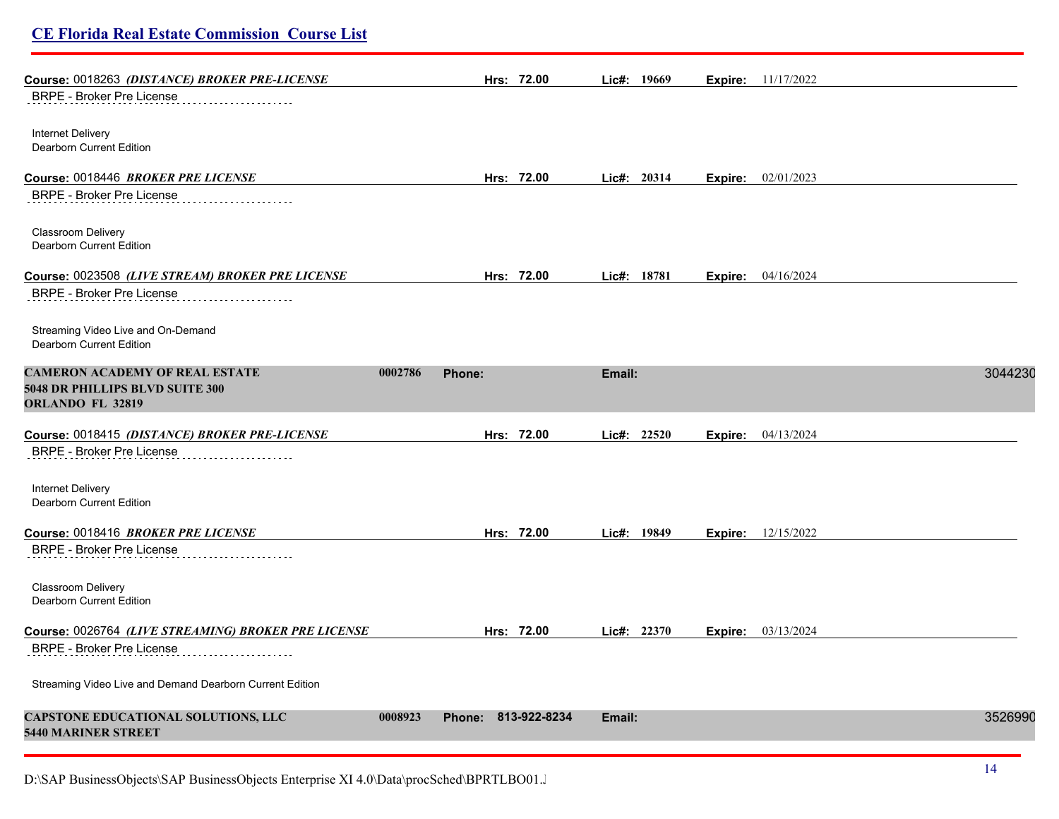| <b>CE Florida Real Estate Commission Course List</b>                                         |         |        |              |        |             |         |                           |         |
|----------------------------------------------------------------------------------------------|---------|--------|--------------|--------|-------------|---------|---------------------------|---------|
| Course: 0018263 (DISTANCE) BROKER PRE-LICENSE                                                |         |        | Hrs: 72.00   |        | Lic#: 19669 | Expire: | 11/17/2022                |         |
| <b>BRPE - Broker Pre License</b>                                                             |         |        |              |        |             |         |                           |         |
| Internet Delivery<br><b>Dearborn Current Edition</b>                                         |         |        |              |        |             |         |                           |         |
| Course: 0018446 BROKER PRE LICENSE                                                           |         |        | Hrs: 72.00   |        | Lic#: 20314 | Expire: | 02/01/2023                |         |
| <b>BRPE - Broker Pre License</b>                                                             |         |        |              |        |             |         |                           |         |
| Classroom Delivery<br>Dearborn Current Edition                                               |         |        |              |        |             |         |                           |         |
| Course: 0023508 (LIVE STREAM) BROKER PRE LICENSE                                             |         |        | Hrs: 72.00   |        | Lic#: 18781 |         | <b>Expire:</b> 04/16/2024 |         |
| <b>BRPE - Broker Pre License</b>                                                             |         |        |              |        |             |         |                           |         |
| Streaming Video Live and On-Demand<br><b>Dearborn Current Edition</b>                        |         |        |              |        |             |         |                           |         |
| <b>CAMERON ACADEMY OF REAL ESTATE</b><br>5048 DR PHILLIPS BLVD SUITE 300<br>ORLANDO FL 32819 | 0002786 | Phone: |              | Email: |             |         |                           | 3044230 |
| Course: 0018415 (DISTANCE) BROKER PRE-LICENSE                                                |         |        | Hrs: 72.00   |        | Lic#: 22520 | Expire: | 04/13/2024                |         |
| <b>BRPE - Broker Pre License</b>                                                             |         |        |              |        |             |         |                           |         |
| Internet Delivery<br><b>Dearborn Current Edition</b>                                         |         |        |              |        |             |         |                           |         |
| Course: 0018416 BROKER PRE LICENSE                                                           |         |        | Hrs: 72.00   |        | Lic#: 19849 | Expire: | 12/15/2022                |         |
| <b>BRPE - Broker Pre License</b>                                                             |         |        |              |        |             |         |                           |         |
| Classroom Delivery<br><b>Dearborn Current Edition</b>                                        |         |        |              |        |             |         |                           |         |
| Course: 0026764 (LIVE STREAMING) BROKER PRE LICENSE                                          |         |        | Hrs: 72.00   |        | Lic#: 22370 | Expire: | 03/13/2024                |         |
| BRPE - Broker Pre License                                                                    |         |        |              |        |             |         |                           |         |
| Streaming Video Live and Demand Dearborn Current Edition                                     |         |        |              |        |             |         |                           |         |
| CAPSTONE EDUCATIONAL SOLUTIONS, LLC<br>5440 MARINER STREET                                   | 0008923 | Phone: | 813-922-8234 | Email: |             |         |                           | 3526990 |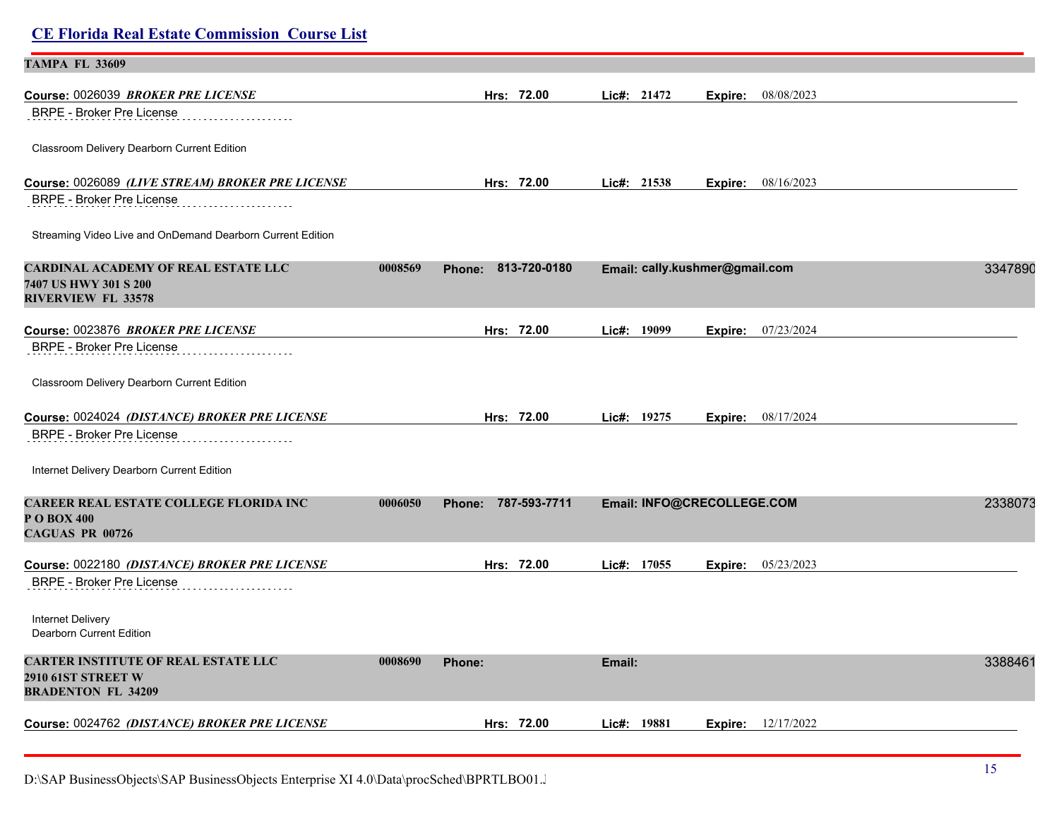| <b>TAMPA FL 33609</b>                                                                         |         |                               |                                |         |                           |         |
|-----------------------------------------------------------------------------------------------|---------|-------------------------------|--------------------------------|---------|---------------------------|---------|
| Course: 0026039 BROKER PRE LICENSE<br><b>BRPE - Broker Pre License</b>                        |         | Hrs: 72.00                    | Lic#: 21472                    | Expire: | 08/08/2023                |         |
| Classroom Delivery Dearborn Current Edition                                                   |         |                               |                                |         |                           |         |
| Course: 0026089 (LIVE STREAM) BROKER PRE LICENSE<br><b>BRPE - Broker Pre License</b>          |         | Hrs: 72.00                    | Lic#: 21538                    | Expire: | 08/16/2023                |         |
| Streaming Video Live and OnDemand Dearborn Current Edition                                    |         |                               |                                |         |                           |         |
| CARDINAL ACADEMY OF REAL ESTATE LLC<br>7407 US HWY 301 S 200<br><b>RIVERVIEW FL 33578</b>     | 0008569 | 813-720-0180<br><b>Phone:</b> | Email: cally.kushmer@gmail.com |         |                           | 3347890 |
| Course: 0023876 BROKER PRE LICENSE                                                            |         | Hrs: 72.00                    | Lic#: 19099                    | Expire: | 07/23/2024                |         |
| <b>BRPE - Broker Pre License</b>                                                              |         |                               |                                |         |                           |         |
| Classroom Delivery Dearborn Current Edition                                                   |         |                               |                                |         |                           |         |
| Course: 0024024 (DISTANCE) BROKER PRE LICENSE                                                 |         | Hrs: 72.00                    | Lic#: 19275                    |         | Expire: 08/17/2024        |         |
| <b>BRPE - Broker Pre License</b>                                                              |         |                               |                                |         |                           |         |
| Internet Delivery Dearborn Current Edition                                                    |         |                               |                                |         |                           |         |
| <b>CAREER REAL ESTATE COLLEGE FLORIDA INC</b><br><b>P O BOX 400</b><br><b>CAGUAS PR 00726</b> | 0006050 | Phone: 787-593-7711           | Email: INFO@CRECOLLEGE.COM     |         |                           | 2338073 |
| Course: 0022180 (DISTANCE) BROKER PRE LICENSE                                                 |         | Hrs: 72.00                    | Lic#: 17055                    |         | <b>Expire:</b> 05/23/2023 |         |
| <b>BRPE - Broker Pre License</b>                                                              |         |                               |                                |         |                           |         |
| <b>Internet Delivery</b><br>Dearborn Current Edition                                          |         |                               |                                |         |                           |         |
| CARTER INSTITUTE OF REAL ESTATE LLC<br><b>2910 61ST STREET W</b><br><b>BRADENTON FL 34209</b> | 0008690 | Phone:                        | Email:                         |         |                           | 3388461 |
| Course: 0024762 (DISTANCE) BROKER PRE LICENSE                                                 |         | Hrs: 72.00                    | Lic#: 19881                    |         | <b>Expire:</b> 12/17/2022 |         |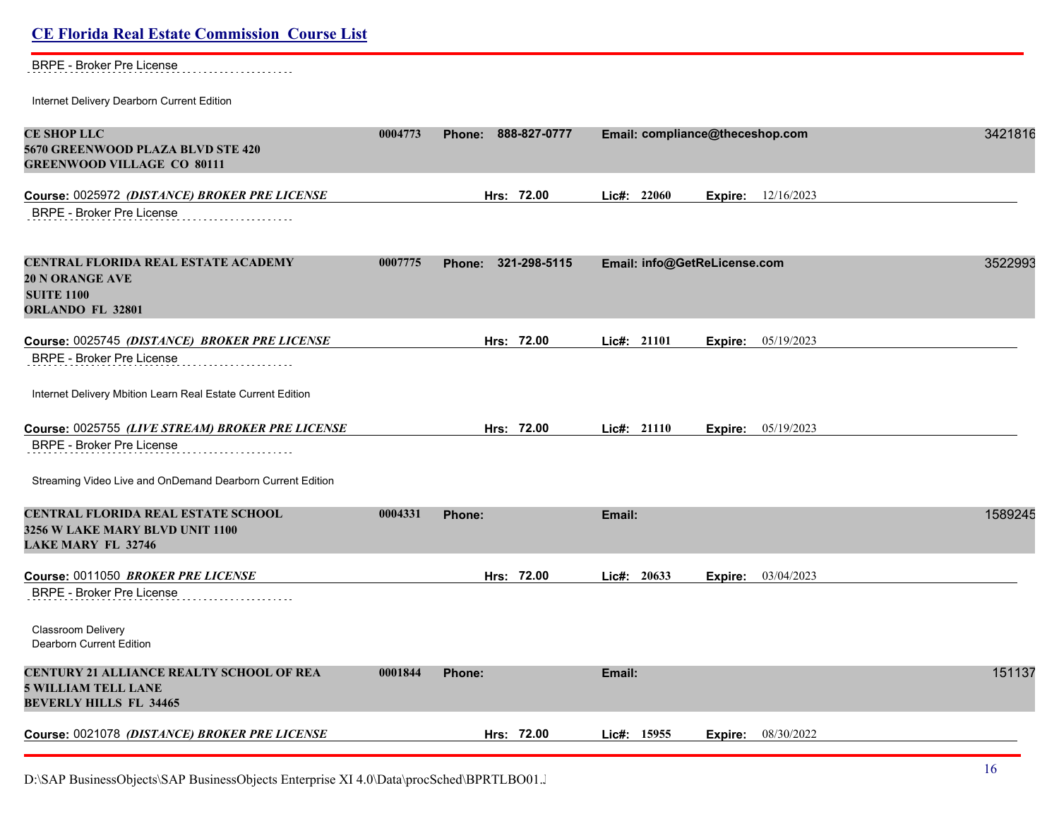|  |  | <b>CE Florida Real Estate Commission Course List</b> |  |
|--|--|------------------------------------------------------|--|
|  |  |                                                      |  |

#### BRPE - Broker Pre License . . . . . . . . . . .

Internet Delivery Dearborn Current Edition

| <b>CE SHOP LLC</b><br>5670 GREENWOOD PLAZA BLVD STE 420<br><b>GREENWOOD VILLAGE CO 80111</b>                   | 0004773 | 888-827-0777<br>Phone:        | Email: compliance@theceshop.com          | 3421816 |
|----------------------------------------------------------------------------------------------------------------|---------|-------------------------------|------------------------------------------|---------|
| Course: 0025972 (DISTANCE) BROKER PRE LICENSE                                                                  |         | Hrs: 72.00                    | Lic#: 22060<br><b>Expire:</b> 12/16/2023 |         |
| <b>BRPE - Broker Pre License</b>                                                                               |         |                               |                                          |         |
| CENTRAL FLORIDA REAL ESTATE ACADEMY<br><b>20 N ORANGE AVE</b><br><b>SUITE 1100</b><br>ORLANDO FL 32801         | 0007775 | 321-298-5115<br><b>Phone:</b> | Email: info@GetReLicense.com             | 3522993 |
| Course: 0025745 (DISTANCE) BROKER PRE LICENSE                                                                  |         | Hrs: 72.00                    | Lic#: 21101<br>05/19/2023<br>Expire:     |         |
| <b>BRPE - Broker Pre License</b>                                                                               |         |                               |                                          |         |
| Internet Delivery Mbition Learn Real Estate Current Edition                                                    |         |                               |                                          |         |
| Course: 0025755 (LIVE STREAM) BROKER PRE LICENSE                                                               |         | Hrs: 72.00                    | Lic#: 21110<br>Expire: 05/19/2023        |         |
| <b>BRPE - Broker Pre License</b>                                                                               |         |                               |                                          |         |
| Streaming Video Live and OnDemand Dearborn Current Edition                                                     |         |                               |                                          |         |
| <b>CENTRAL FLORIDA REAL ESTATE SCHOOL</b><br>3256 W LAKE MARY BLVD UNIT 1100<br><b>LAKE MARY FL 32746</b>      | 0004331 | <b>Phone:</b>                 | Email:                                   | 1589245 |
| Course: 0011050 BROKER PRE LICENSE                                                                             |         | Hrs: 72.00                    | Lic#: 20633<br>03/04/2023<br>Expire:     |         |
| <b>BRPE - Broker Pre License</b>                                                                               |         |                               |                                          |         |
| Classroom Delivery<br>Dearborn Current Edition                                                                 |         |                               |                                          |         |
| <b>CENTURY 21 ALLIANCE REALTY SCHOOL OF REA</b><br><b>5 WILLIAM TELL LANE</b><br><b>BEVERLY HILLS FL 34465</b> | 0001844 | Phone:                        | Email:                                   | 151137  |
| Course: 0021078 (DISTANCE) BROKER PRE LICENSE                                                                  |         | Hrs: 72.00                    | Lic#: 15955<br><b>Expire:</b> 08/30/2022 |         |

D:\SAP BusinessObjects\SAP BusinessObjects Enterprise XI 4.0\Data\procSched\BPRTLBO01.Jobserver2\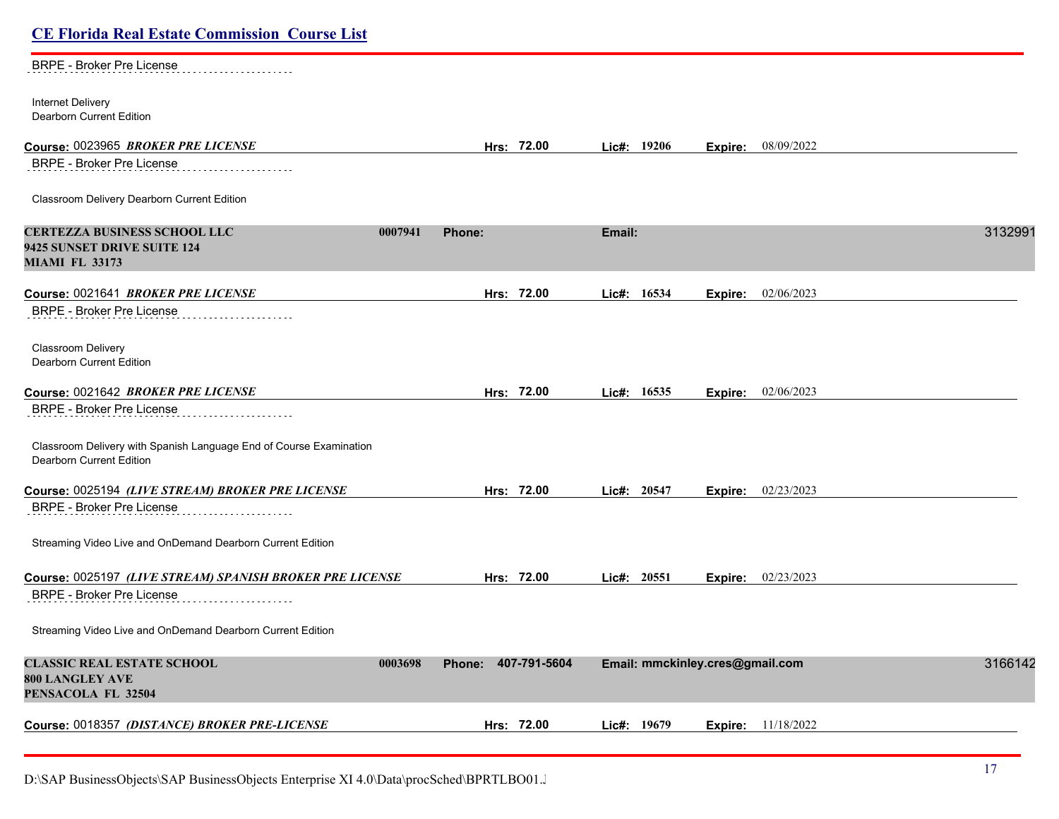| <b>BRPE - Broker Pre License</b>                                                                   |         |        |              |               |             |                                 |                             |         |
|----------------------------------------------------------------------------------------------------|---------|--------|--------------|---------------|-------------|---------------------------------|-----------------------------|---------|
| <b>Internet Delivery</b><br>Dearborn Current Edition                                               |         |        |              |               |             |                                 |                             |         |
| Course: 0023965 BROKER PRE LICENSE                                                                 |         |        | Hrs: 72.00   |               | Lie#: 19206 |                                 | <b>Expire:</b> 08/09/2022   |         |
| <b>BRPE - Broker Pre License</b>                                                                   |         |        |              |               |             |                                 |                             |         |
| Classroom Delivery Dearborn Current Edition                                                        |         |        |              |               |             |                                 |                             |         |
| <b>CERTEZZA BUSINESS SCHOOL LLC</b><br><b>9425 SUNSET DRIVE SUITE 124</b><br><b>MIAMI FL 33173</b> | 0007941 | Phone: |              | Email:        |             |                                 |                             | 3132991 |
| Course: 0021641 <i>BROKER PRE LICENSE</i>                                                          |         |        | Hrs: 72.00   | Lic#: 16534   |             | Expire:                         | 02/06/2023                  |         |
| <b>BRPE - Broker Pre License</b>                                                                   |         |        |              |               |             |                                 |                             |         |
| <b>Classroom Delivery</b><br>Dearborn Current Edition                                              |         |        |              |               |             |                                 |                             |         |
| Course: 0021642 BROKER PRE LICENSE                                                                 |         |        | Hrs: 72.00   | Lic#: $16535$ |             |                                 | <b>Expire:</b> 02/06/2023   |         |
| <b>BRPE - Broker Pre License</b>                                                                   |         |        |              |               |             |                                 |                             |         |
| Classroom Delivery with Spanish Language End of Course Examination<br>Dearborn Current Edition     |         |        |              |               |             |                                 |                             |         |
| Course: 0025194 (LIVE STREAM) BROKER PRE LICENSE                                                   |         |        | Hrs: 72.00   | Lic#: 20547   |             |                                 | <b>Expire:</b> $02/23/2023$ |         |
| <b>BRPE - Broker Pre License</b>                                                                   |         |        |              |               |             |                                 |                             |         |
| Streaming Video Live and OnDemand Dearborn Current Edition                                         |         |        |              |               |             |                                 |                             |         |
| Course: 0025197 (LIVE STREAM) SPANISH BROKER PRE LICENSE                                           |         |        | Hrs: 72.00   | Lie#: 20551   |             |                                 | <b>Expire:</b> $02/23/2023$ |         |
| <b>BRPE - Broker Pre License</b>                                                                   |         |        |              |               |             |                                 |                             |         |
| Streaming Video Live and OnDemand Dearborn Current Edition                                         |         |        |              |               |             |                                 |                             |         |
| <b>CLASSIC REAL ESTATE SCHOOL</b><br><b>800 LANGLEY AVE</b><br>PENSACOLA FL 32504                  | 0003698 | Phone: | 407-791-5604 |               |             | Email: mmckinley.cres@gmail.com |                             | 3166142 |
| Course: 0018357 (DISTANCE) BROKER PRE-LICENSE                                                      |         |        | Hrs: 72.00   | Lic#: 19679   |             |                                 | Expire: 11/18/2022          |         |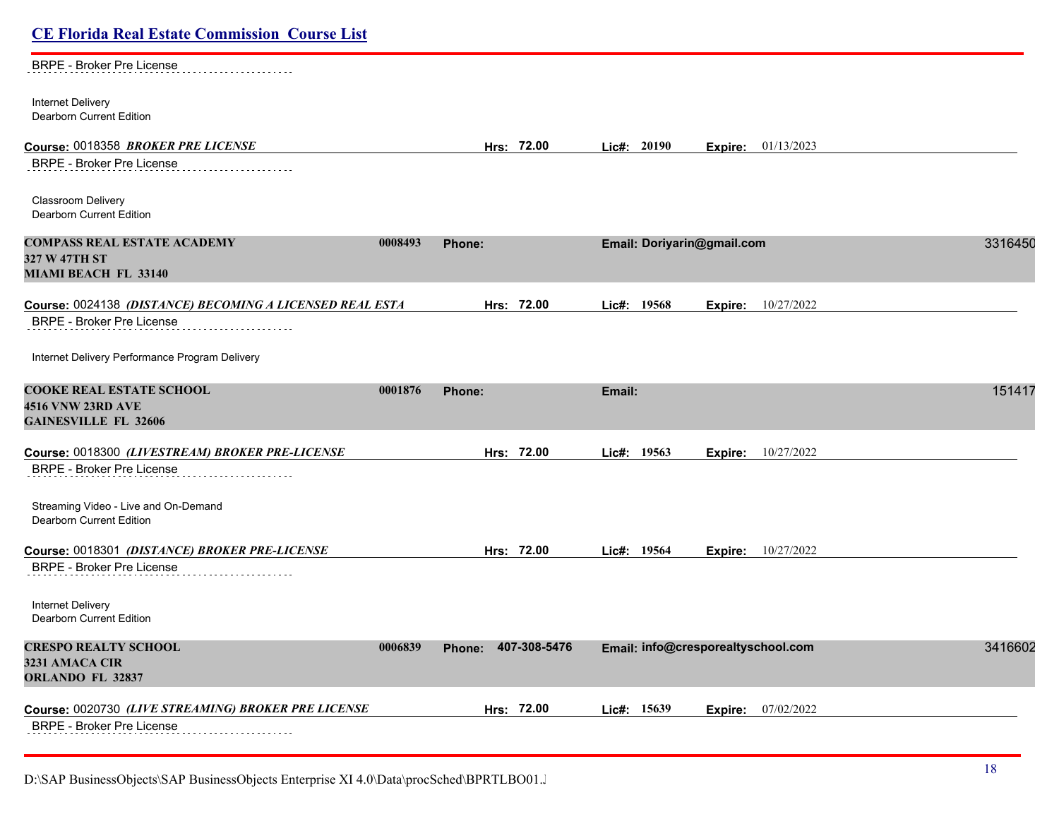| <b>CE Florida Real Estate Commission Course List</b>                                       |         |                     |        |             |                            |                                    |         |
|--------------------------------------------------------------------------------------------|---------|---------------------|--------|-------------|----------------------------|------------------------------------|---------|
| <b>BRPE - Broker Pre License</b>                                                           |         |                     |        |             |                            |                                    |         |
| Internet Delivery<br>Dearborn Current Edition                                              |         |                     |        |             |                            |                                    |         |
| Course: 0018358 BROKER PRE LICENSE                                                         |         | Hrs: 72.00          |        | Lic#: 20190 |                            | <b>Expire:</b> 01/13/2023          |         |
| <b>BRPE - Broker Pre License</b>                                                           |         |                     |        |             |                            |                                    |         |
| Classroom Delivery<br>Dearborn Current Edition                                             |         |                     |        |             |                            |                                    |         |
| <b>COMPASS REAL ESTATE ACADEMY</b>                                                         | 0008493 | Phone:              |        |             | Email: Doriyarin@gmail.com |                                    | 3316450 |
| 327 W 47TH ST<br>MIAMI BEACH FL 33140                                                      |         |                     |        |             |                            |                                    |         |
| Course: 0024138 (DISTANCE) BECOMING A LICENSED REAL ESTA                                   |         | Hrs: 72.00          |        | Lic#: 19568 | Expire:                    | 10/27/2022                         |         |
| <b>BRPE - Broker Pre License</b>                                                           |         |                     |        |             |                            |                                    |         |
| Internet Delivery Performance Program Delivery                                             |         |                     |        |             |                            |                                    |         |
| <b>COOKE REAL ESTATE SCHOOL</b><br><b>4516 VNW 23RD AVE</b><br><b>GAINESVILLE FL 32606</b> | 0001876 | Phone:              | Email: |             |                            |                                    | 151417  |
| Course: 0018300 (LIVESTREAM) BROKER PRE-LICENSE                                            |         | Hrs: 72.00          |        | Lic#: 19563 | Expire:                    | 10/27/2022                         |         |
| <b>BRPE - Broker Pre License</b>                                                           |         |                     |        |             |                            |                                    |         |
| Streaming Video - Live and On-Demand<br><b>Dearborn Current Edition</b>                    |         |                     |        |             |                            |                                    |         |
| Course: 0018301 (DISTANCE) BROKER PRE-LICENSE                                              |         | Hrs: 72.00          |        | Lie#: 19564 | Expire:                    | 10/27/2022                         |         |
| <b>BRPE - Broker Pre License</b>                                                           |         |                     |        |             |                            |                                    |         |
| Internet Delivery<br>Dearborn Current Edition                                              |         |                     |        |             |                            |                                    |         |
| <b>CRESPO REALTY SCHOOL</b>                                                                | 0006839 | Phone: 407-308-5476 |        |             |                            | Email: info@cresporealtyschool.com | 3416602 |
| 3231 AMACA CIR<br>ORLANDO FL 32837                                                         |         |                     |        |             |                            |                                    |         |
| Course: 0020730 (LIVE STREAMING) BROKER PRE LICENSE                                        |         | Hrs: 72.00          |        | Lic#: 15639 | Expire:                    | 07/02/2022                         |         |
| <b>BRPE - Broker Pre License</b>                                                           |         |                     |        |             |                            |                                    |         |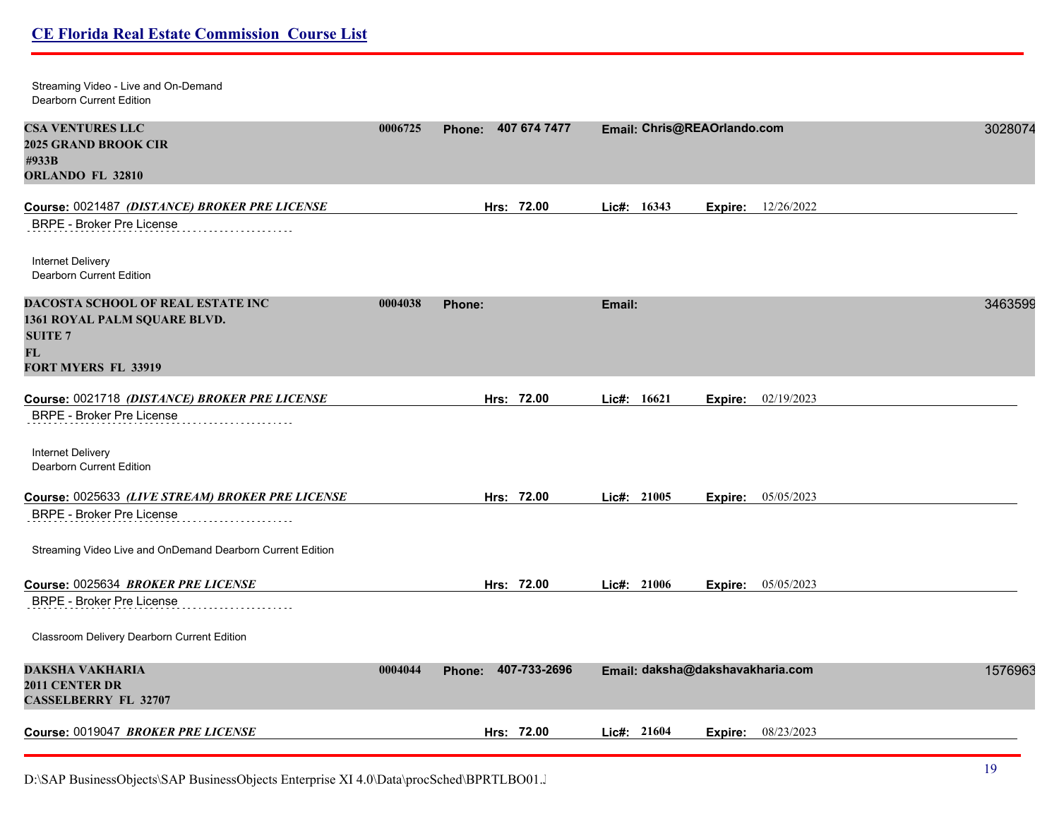| Streaming Video - Live and On-Demand<br>Dearborn Current Edition                                                        |         |                     |                             |                                  |         |
|-------------------------------------------------------------------------------------------------------------------------|---------|---------------------|-----------------------------|----------------------------------|---------|
| <b>CSA VENTURES LLC</b><br><b>2025 GRAND BROOK CIR</b><br>#933B<br><b>ORLANDO FL 32810</b>                              | 0006725 | Phone: 407 674 7477 | Email: Chris@REAOrlando.com |                                  | 3028074 |
| Course: 0021487 (DISTANCE) BROKER PRE LICENSE                                                                           |         | Hrs: 72.00          | Lic#: 16343                 | 12/26/2022<br>Expire:            |         |
| <b>BRPE - Broker Pre License</b>                                                                                        |         |                     |                             |                                  |         |
| <b>Internet Delivery</b><br>Dearborn Current Edition                                                                    |         |                     |                             |                                  |         |
| DACOSTA SCHOOL OF REAL ESTATE INC<br>1361 ROYAL PALM SQUARE BLVD.<br><b>SUITE 7</b><br>FL<br><b>FORT MYERS FL 33919</b> | 0004038 | <b>Phone:</b>       | Email:                      |                                  | 3463599 |
| Course: 0021718 (DISTANCE) BROKER PRE LICENSE<br><b>BRPE - Broker Pre License</b>                                       |         | Hrs: 72.00          | Lic#: 16621                 | 02/19/2023<br>Expire:            |         |
| Internet Delivery<br>Dearborn Current Edition                                                                           |         |                     |                             |                                  |         |
| Course: 0025633 (LIVE STREAM) BROKER PRE LICENSE                                                                        |         | Hrs: 72.00          | Lie#: 21005                 | <b>Expire:</b> 05/05/2023        |         |
| <b>BRPE - Broker Pre License</b>                                                                                        |         |                     |                             |                                  |         |
| Streaming Video Live and OnDemand Dearborn Current Edition                                                              |         |                     |                             |                                  |         |
| Course: 0025634 BROKER PRE LICENSE                                                                                      |         | Hrs: 72.00          | Lic#: 21006                 | Expire: 05/05/2023               |         |
| <b>BRPE - Broker Pre License</b>                                                                                        |         |                     |                             |                                  |         |
| Classroom Delivery Dearborn Current Edition                                                                             |         |                     |                             |                                  |         |
| DAKSHA VAKHARIA<br>2011 CENTER DR<br><b>CASSELBERRY FL 32707</b>                                                        | 0004044 | Phone: 407-733-2696 |                             | Email: daksha@dakshavakharia.com | 1576963 |
| Course: 0019047 BROKER PRE LICENSE                                                                                      |         | Hrs: 72.00          | Lic#: 21604                 | Expire: 08/23/2023               |         |

D:\SAP BusinessObjects\SAP BusinessObjects Enterprise XI 4.0\Data\procSched\BPRTLBO01.Jobserver2\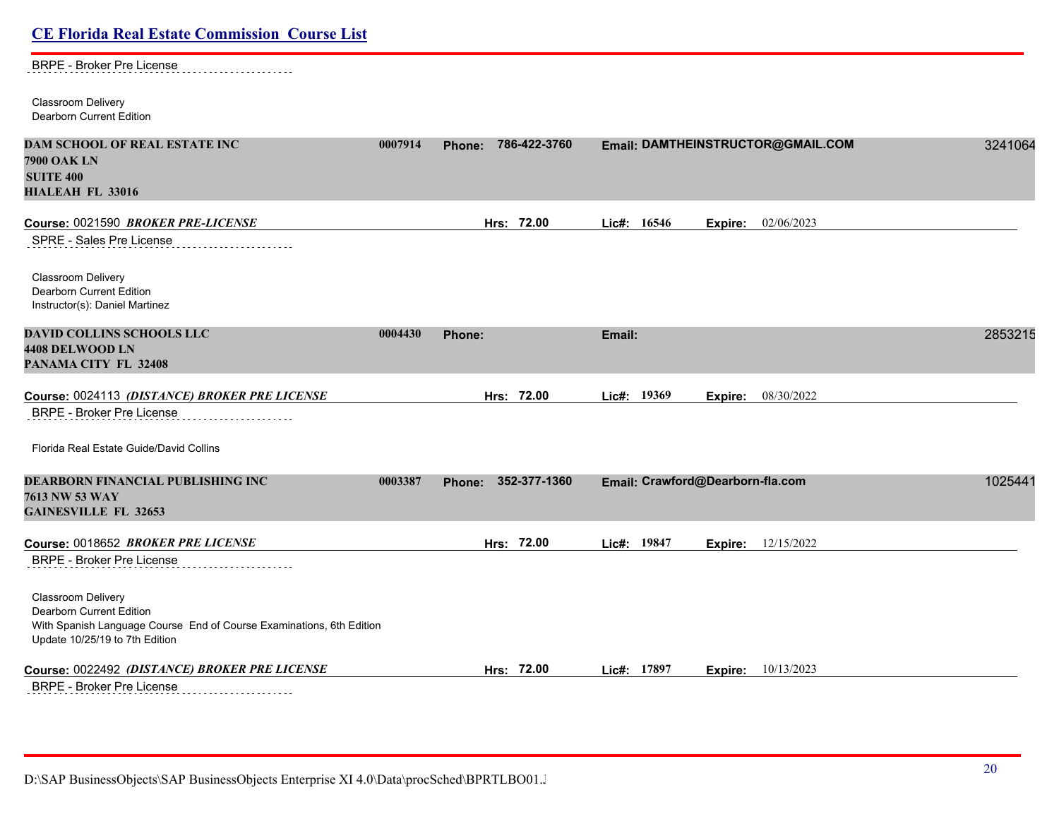| <b>CE Florida Real Estate Commission Course List</b>                                                                                                     |         |                     |             |                                  |         |                                   |         |
|----------------------------------------------------------------------------------------------------------------------------------------------------------|---------|---------------------|-------------|----------------------------------|---------|-----------------------------------|---------|
| <b>BRPE - Broker Pre License</b>                                                                                                                         |         |                     |             |                                  |         |                                   |         |
| Classroom Delivery<br>Dearborn Current Edition                                                                                                           |         |                     |             |                                  |         |                                   |         |
| DAM SCHOOL OF REAL ESTATE INC<br>7900 OAK LN<br><b>SUITE 400</b><br>HIALEAH FL 33016                                                                     | 0007914 | Phone: 786-422-3760 |             |                                  |         | Email: DAMTHEINSTRUCTOR@GMAIL.COM | 3241064 |
| Course: 0021590 BROKER PRE-LICENSE<br>SPRE - Sales Pre License                                                                                           |         | Hrs: 72.00          |             | Lic#: 16546                      | Expire: | 02/06/2023                        |         |
| <b>Classroom Delivery</b><br>Dearborn Current Edition<br>Instructor(s): Daniel Martinez                                                                  |         |                     |             |                                  |         |                                   |         |
| DAVID COLLINS SCHOOLS LLC<br><b>4408 DELWOOD LN</b><br>PANAMA CITY FL 32408                                                                              | 0004430 | Phone:              | Email:      |                                  |         |                                   | 2853215 |
| Course: 0024113 (DISTANCE) BROKER PRE LICENSE                                                                                                            |         | Hrs: 72.00          | Lic#: 19369 |                                  | Expire: | 08/30/2022                        |         |
| <b>BRPE - Broker Pre License</b>                                                                                                                         |         |                     |             |                                  |         |                                   |         |
| Florida Real Estate Guide/David Collins                                                                                                                  |         |                     |             |                                  |         |                                   |         |
| DEARBORN FINANCIAL PUBLISHING INC<br><b>7613 NW 53 WAY</b><br><b>GAINESVILLE FL 32653</b>                                                                | 0003387 | Phone: 352-377-1360 |             | Email: Crawford@Dearborn-fla.com |         |                                   | 1025441 |
| Course: 0018652 BROKER PRE LICENSE<br><b>BRPE - Broker Pre License</b>                                                                                   |         | Hrs: 72.00          | Lic#: 19847 |                                  |         | <b>Expire:</b> 12/15/2022         |         |
| Classroom Delivery<br>Dearborn Current Edition<br>With Spanish Language Course End of Course Examinations, 6th Edition<br>Update 10/25/19 to 7th Edition |         |                     |             |                                  |         |                                   |         |
| Course: 0022492 (DISTANCE) BROKER PRE LICENSE<br><b>BRPE - Broker Pre License</b>                                                                        |         | Hrs: 72.00          | Lic#: 17897 |                                  |         | <b>Expire:</b> 10/13/2023         |         |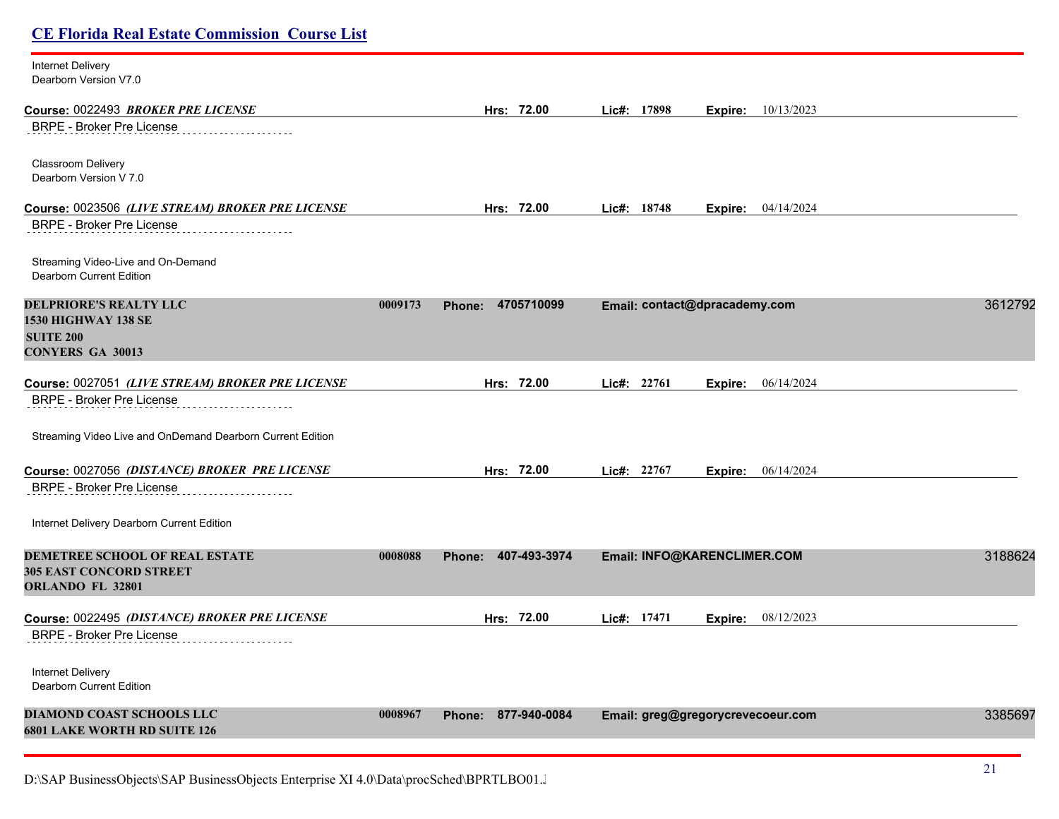| <b>CE Florida Real Estate Commission Course List</b>                                        |         |                     |               |                                   |         |
|---------------------------------------------------------------------------------------------|---------|---------------------|---------------|-----------------------------------|---------|
| Internet Delivery<br>Dearborn Version V7.0                                                  |         |                     |               |                                   |         |
| Course: 0022493 BROKER PRE LICENSE                                                          |         | Hrs: 72.00          | Lic#: 17898   | 10/13/2023<br>Expire:             |         |
| <b>BRPE - Broker Pre License</b>                                                            |         |                     |               |                                   |         |
| Classroom Delivery<br>Dearborn Version V 7.0                                                |         |                     |               |                                   |         |
| Course: 0023506 (LIVE STREAM) BROKER PRE LICENSE<br><b>BRPE - Broker Pre License</b>        |         | Hrs: 72.00          | Lic#: 18748   | 04/14/2024<br>Expire:             |         |
| Streaming Video-Live and On-Demand<br>Dearborn Current Edition                              |         |                     |               |                                   |         |
| <b>DELPRIORE'S REALTY LLC</b><br><b>1530 HIGHWAY 138 SE</b>                                 | 0009173 | Phone: 4705710099   |               | Email: contact@dpracademy.com     | 3612792 |
| <b>SUITE 200</b><br><b>CONYERS GA 30013</b>                                                 |         |                     |               |                                   |         |
| Course: 0027051 (LIVE STREAM) BROKER PRE LICENSE                                            |         | Hrs: 72.00          | Lic#: $22761$ | 06/14/2024<br>Expire:             |         |
| <b>BRPE - Broker Pre License</b>                                                            |         |                     |               |                                   |         |
| Streaming Video Live and OnDemand Dearborn Current Edition                                  |         |                     |               |                                   |         |
| Course: 0027056 (DISTANCE) BROKER PRE LICENSE                                               |         | Hrs: 72.00          | Lic#: 22767   | 06/14/2024<br>Expire:             |         |
| <b>BRPE - Broker Pre License</b>                                                            |         |                     |               |                                   |         |
| Internet Delivery Dearborn Current Edition                                                  |         |                     |               |                                   |         |
| <b>DEMETREE SCHOOL OF REAL ESTATE</b><br><b>305 EAST CONCORD STREET</b><br>ORLANDO FL 32801 | 0008088 | Phone: 407-493-3974 |               | Email: INFO@KARENCLIMER.COM       | 3188624 |
| Course: 0022495 (DISTANCE) BROKER PRE LICENSE                                               |         | Hrs: 72.00          | Lic#: 17471   | 08/12/2023<br>Expire:             |         |
| BRPE - Broker Pre License                                                                   |         |                     |               |                                   |         |
| Internet Delivery<br>Dearborn Current Edition                                               |         |                     |               |                                   |         |
| DIAMOND COAST SCHOOLS LLC<br><b>6801 LAKE WORTH RD SUITE 126</b>                            | 0008967 | Phone: 877-940-0084 |               | Email: greg@gregorycrevecoeur.com | 3385697 |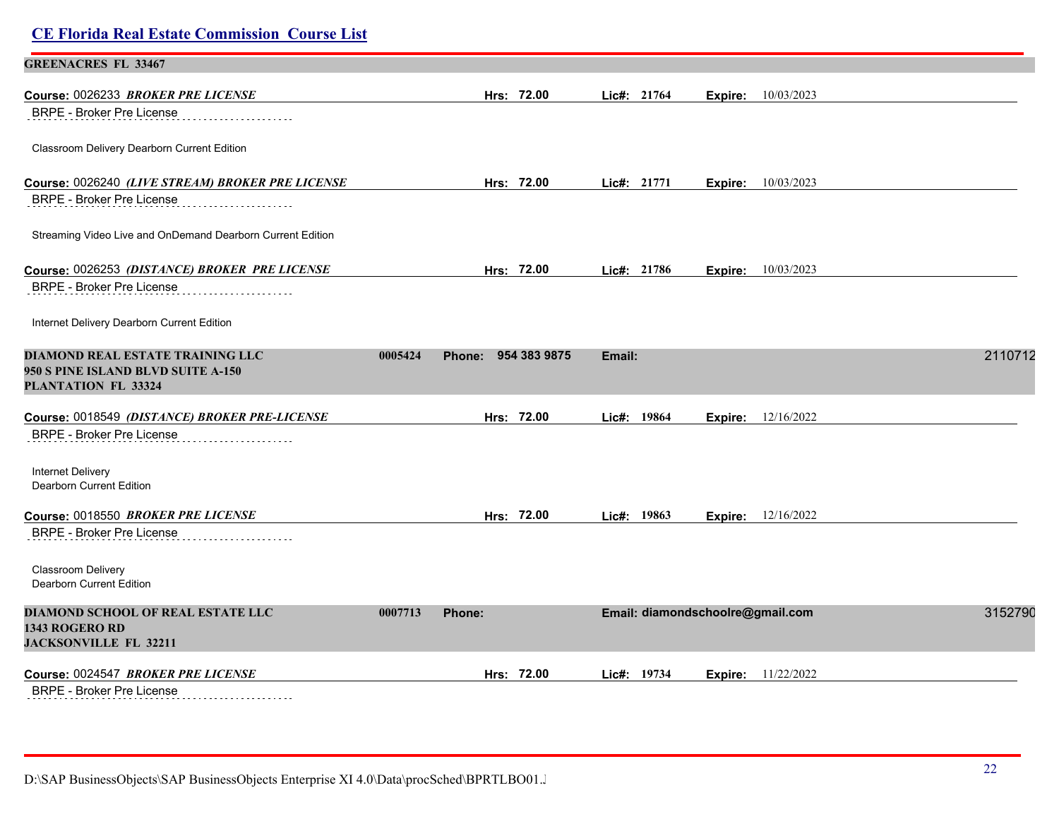| <b>GREENACRES FL 33467</b>                                 |         |                     |        |             |                                  |                           |         |
|------------------------------------------------------------|---------|---------------------|--------|-------------|----------------------------------|---------------------------|---------|
| Course: 0026233 BROKER PRE LICENSE                         |         | Hrs: 72.00          |        | Lic#: 21764 | Expire:                          | 10/03/2023                |         |
| <b>BRPE - Broker Pre License</b>                           |         |                     |        |             |                                  |                           |         |
| Classroom Delivery Dearborn Current Edition                |         |                     |        |             |                                  |                           |         |
| Course: 0026240 (LIVE STREAM) BROKER PRE LICENSE           |         | Hrs: 72.00          |        | Lic#: 21771 | Expire:                          | 10/03/2023                |         |
| <b>BRPE - Broker Pre License</b>                           |         |                     |        |             |                                  |                           |         |
| Streaming Video Live and OnDemand Dearborn Current Edition |         |                     |        |             |                                  |                           |         |
| Course: 0026253 (DISTANCE) BROKER PRE LICENSE              |         | Hrs: 72.00          |        | Lic#: 21786 | Expire:                          | 10/03/2023                |         |
| <b>BRPE - Broker Pre License</b>                           |         |                     |        |             |                                  |                           |         |
| Internet Delivery Dearborn Current Edition                 |         |                     |        |             |                                  |                           |         |
| DIAMOND REAL ESTATE TRAINING LLC                           | 0005424 | Phone: 954 383 9875 | Email: |             |                                  |                           | 2110712 |
| 950 S PINE ISLAND BLVD SUITE A-150<br>PLANTATION FL 33324  |         |                     |        |             |                                  |                           |         |
| Course: 0018549 (DISTANCE) BROKER PRE-LICENSE              |         | Hrs: 72.00          |        | Lic#: 19864 | Expire:                          | 12/16/2022                |         |
| <b>BRPE - Broker Pre License</b>                           |         |                     |        |             |                                  |                           |         |
| Internet Delivery<br>Dearborn Current Edition              |         |                     |        |             |                                  |                           |         |
| Course: 0018550 BROKER PRE LICENSE                         |         | Hrs: 72.00          |        | Lic#: 19863 | Expire:                          | 12/16/2022                |         |
| <b>BRPE - Broker Pre License</b>                           |         |                     |        |             |                                  |                           |         |
| Classroom Delivery                                         |         |                     |        |             |                                  |                           |         |
| Dearborn Current Edition                                   |         |                     |        |             |                                  |                           |         |
| DIAMOND SCHOOL OF REAL ESTATE LLC<br>1343 ROGERO RD        | 0007713 | Phone:              |        |             | Email: diamondschoolre@gmail.com |                           | 3152790 |
| <b>JACKSONVILLE FL 32211</b>                               |         |                     |        |             |                                  |                           |         |
| Course: 0024547 BROKER PRE LICENSE                         |         | Hrs: 72.00          |        | Lic#: 19734 |                                  | <b>Expire:</b> 11/22/2022 |         |
| <b>BRPE - Broker Pre License</b>                           |         |                     |        |             |                                  |                           |         |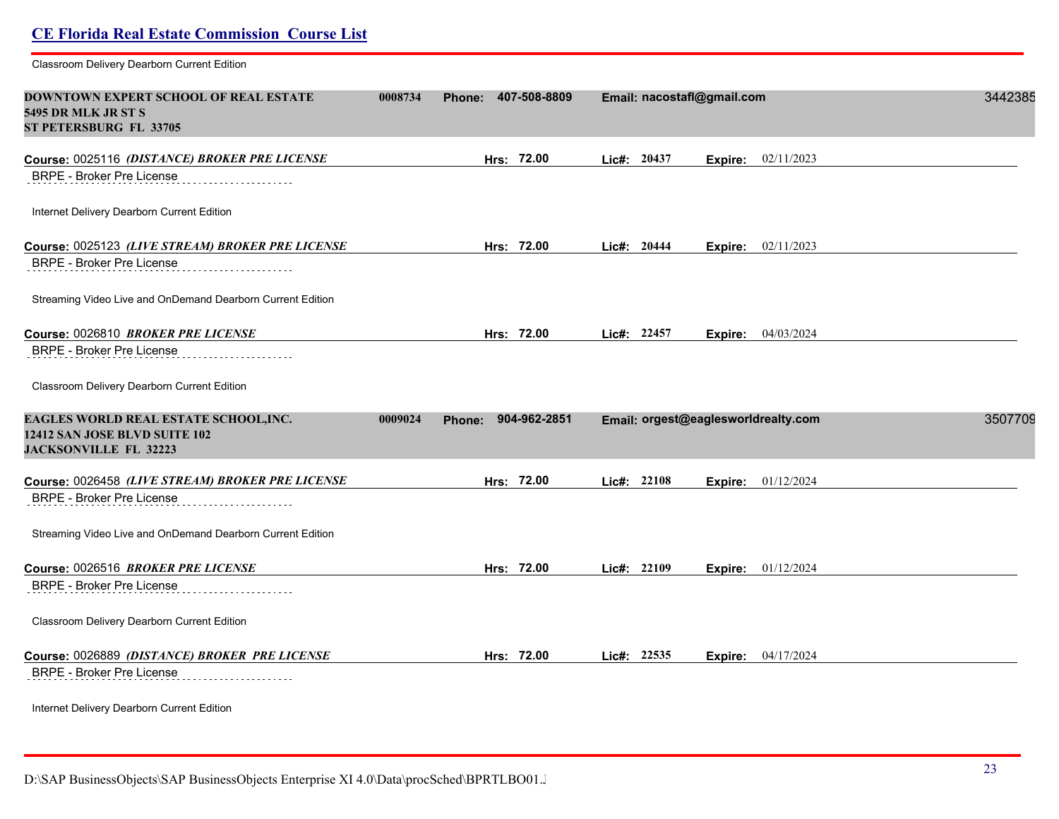| <b>CE Florida Real Estate Commission Course List</b>                                                   |         |                     |                            |                                     |         |
|--------------------------------------------------------------------------------------------------------|---------|---------------------|----------------------------|-------------------------------------|---------|
| Classroom Delivery Dearborn Current Edition                                                            |         |                     |                            |                                     |         |
| <b>DOWNTOWN EXPERT SCHOOL OF REAL ESTATE</b><br><b>5495 DR MLK JR ST S</b><br>ST PETERSBURG FL 33705   | 0008734 | Phone: 407-508-8809 | Email: nacostafl@gmail.com |                                     | 3442385 |
| Course: 0025116 (DISTANCE) BROKER PRE LICENSE                                                          |         | Hrs: 72.00          | Lic#: 20437                | 02/11/2023<br>Expire:               |         |
| <b>BRPE - Broker Pre License</b>                                                                       |         |                     |                            |                                     |         |
| Internet Delivery Dearborn Current Edition                                                             |         |                     |                            |                                     |         |
| Course: 0025123 (LIVE STREAM) BROKER PRE LICENSE                                                       |         | Hrs: 72.00          | $Lic\#: 20444$             | <b>Expire:</b> 02/11/2023           |         |
| <b>BRPE - Broker Pre License</b>                                                                       |         |                     |                            |                                     |         |
| Streaming Video Live and OnDemand Dearborn Current Edition                                             |         |                     |                            |                                     |         |
| Course: 0026810 BROKER PRE LICENSE                                                                     |         | Hrs: 72.00          | Lic#: 22457                | <b>Expire:</b> 04/03/2024           |         |
| BRPE - Broker Pre License                                                                              |         |                     |                            |                                     |         |
| Classroom Delivery Dearborn Current Edition                                                            |         |                     |                            |                                     |         |
| EAGLES WORLD REAL ESTATE SCHOOL, INC.<br>12412 SAN JOSE BLVD SUITE 102<br><b>JACKSONVILLE FL 32223</b> | 0009024 | Phone: 904-962-2851 |                            | Email: orgest@eaglesworldrealty.com | 3507709 |
| Course: 0026458 (LIVE STREAM) BROKER PRE LICENSE                                                       |         | Hrs: 72.00          | Lie#: 22108                | <b>Expire:</b> 01/12/2024           |         |
| <b>BRPE - Broker Pre License</b>                                                                       |         |                     |                            |                                     |         |
| Streaming Video Live and OnDemand Dearborn Current Edition                                             |         |                     |                            |                                     |         |
| Course: 0026516 BROKER PRE LICENSE                                                                     |         | Hrs: 72.00          | Lie#: 22109                | Expire: 01/12/2024                  |         |
| <b>BRPE - Broker Pre License</b>                                                                       |         |                     |                            |                                     |         |
| Classroom Delivery Dearborn Current Edition                                                            |         |                     |                            |                                     |         |
| Course: 0026889 (DISTANCE) BROKER PRE LICENSE                                                          |         | Hrs: 72.00          | Lic#: 22535                | <b>Expire:</b> $04/17/2024$         |         |
| <b>BRPE - Broker Pre License</b>                                                                       |         |                     |                            |                                     |         |
| Internet Delivery Dearborn Current Edition                                                             |         |                     |                            |                                     |         |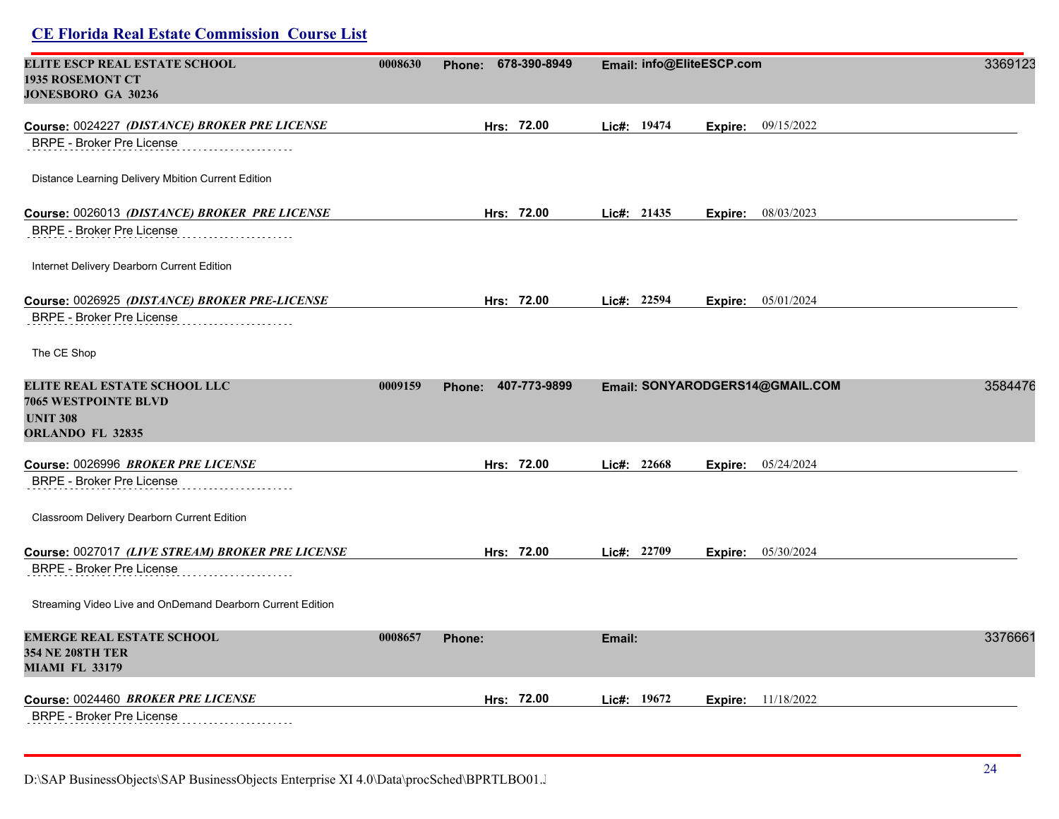## **CE Florida Real Estate Commission Course List ELITE ESCP REAL ESTATE SCHOOL 0008630 Phone: 678-390-8949 Email: info@EliteESCP.com** 33691235 **1935 ROSEMONT CT JONESBORO GA 30236 Course:** 0024227 *(DISTANCE) BROKER PRE LICENSE* **Hrs: 72.00 Lic#: 19474 Expire:** 09/15/2022 BRPE - Broker Pre License Distance Learning Delivery Mbition Current Edition **Course:** 0026013 *(DISTANCE) BROKER PRE LICENSE* **Hrs: 72.00 Lic#: 21435 Expire:** 08/03/2023 BRPE - Broker Pre License Internet Delivery Dearborn Current Edition **Course:** 0026925 *(DISTANCE) BROKER PRE-LICENSE* **Hrs: 72.00 Lic#: 22594 Expire:** 05/01/2024 BRPE - Broker Pre License The CE Shop **ELITE REAL ESTATE SCHOOL LLC 0009159 Phone: 407-773-9899 Email: SONYARODGERS14@GMAIL.COM** 35844765 **7065 WESTPOINTE BLVD UNIT 308 ORLANDO FL 32835 Course:** 0026996 *BROKER PRE LICENSE* **Hrs: 72.00 Lic#: 22668 Expire:** 05/24/2024 BRPE - Broker Pre License Classroom Delivery Dearborn Current Edition **Course:** 0027017 *(LIVE STREAM) BROKER PRE LICENSE* **Hrs: 72.00 Lic#: 22709 Expire:** 05/30/2024 BRPE - Broker Pre License Streaming Video Live and OnDemand Dearborn Current Edition **EMERGE REAL ESTATE SCHOOL 0008657 Phone: Email:** 33766616 **354 NE 208TH TER MIAMI FL 33179 Course:** 0024460 *BROKER PRE LICENSE* **Hrs: 72.00 Lic#: 19672 Expire:** 11/18/2022 BRPE - Broker Pre License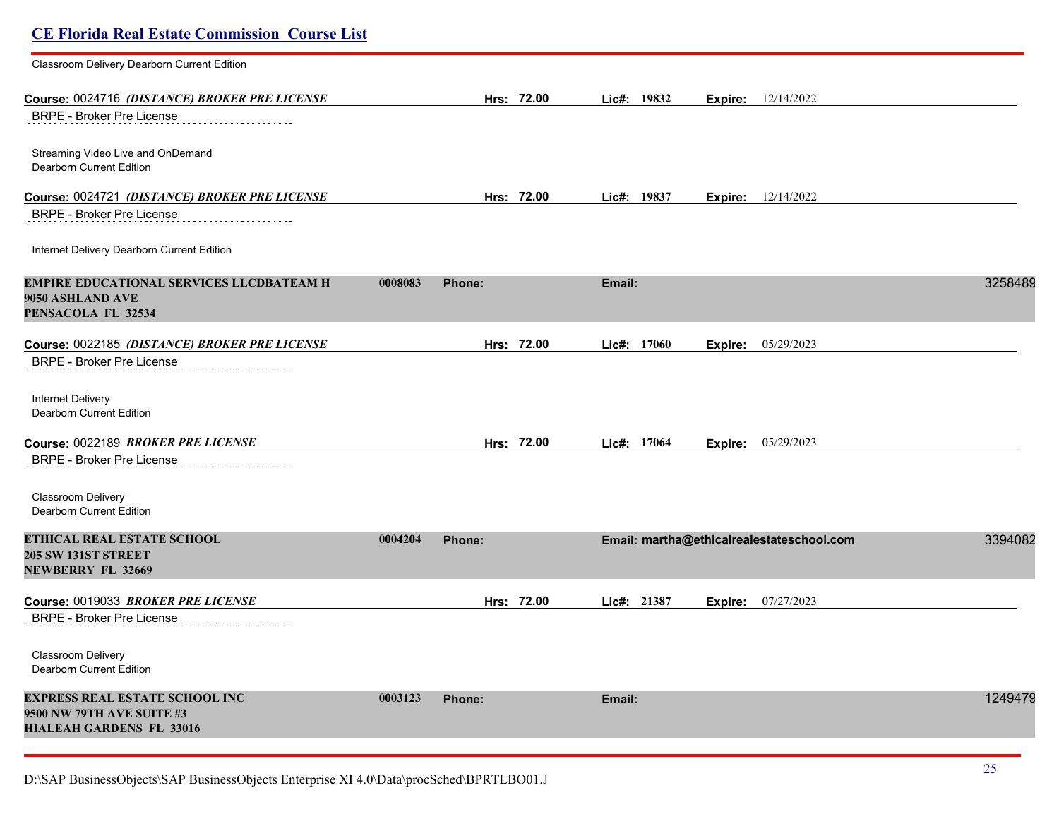| Classroom Delivery Dearborn Current Edition                                        |         |               |            |             |             |         |                                           |         |
|------------------------------------------------------------------------------------|---------|---------------|------------|-------------|-------------|---------|-------------------------------------------|---------|
| Course: 0024716 (DISTANCE) BROKER PRE LICENSE                                      |         |               | Hrs: 72.00 |             | Lic#: 19832 |         | <b>Expire:</b> 12/14/2022                 |         |
| <b>BRPE - Broker Pre License</b>                                                   |         |               |            |             |             |         |                                           |         |
| Streaming Video Live and OnDemand<br>Dearborn Current Edition                      |         |               |            |             |             |         |                                           |         |
| Course: 0024721 (DISTANCE) BROKER PRE LICENSE                                      |         |               | Hrs: 72.00 |             | Lic#: 19837 |         | <b>Expire:</b> $12/14/2022$               |         |
| <b>BRPE - Broker Pre License</b>                                                   |         |               |            |             |             |         |                                           |         |
| Internet Delivery Dearborn Current Edition                                         |         |               |            |             |             |         |                                           |         |
| EMPIRE EDUCATIONAL SERVICES LLCDBATEAM H<br>9050 ASHLAND AVE<br>PENSACOLA FL 32534 | 0008083 | <b>Phone:</b> |            | Email:      |             |         |                                           | 3258489 |
| Course: 0022185 (DISTANCE) BROKER PRE LICENSE                                      |         |               | Hrs: 72.00 | Lic#: 17060 |             | Expire: | 05/29/2023                                |         |
| <b>BRPE - Broker Pre License</b>                                                   |         |               |            |             |             |         |                                           |         |
| <b>Internet Delivery</b><br>Dearborn Current Edition                               |         |               |            |             |             |         |                                           |         |
| Course: 0022189 BROKER PRE LICENSE                                                 |         |               | Hrs: 72.00 | Lic#: 17064 |             | Expire: | 05/29/2023                                |         |
| <b>BRPE - Broker Pre License</b>                                                   |         |               |            |             |             |         |                                           |         |
| Classroom Delivery<br>Dearborn Current Edition                                     |         |               |            |             |             |         |                                           |         |
| ETHICAL REAL ESTATE SCHOOL                                                         | 0004204 | Phone:        |            |             |             |         | Email: martha@ethicalrealestateschool.com | 3394082 |
| <b>205 SW 131ST STREET</b><br><b>NEWBERRY FL 32669</b>                             |         |               |            |             |             |         |                                           |         |
| Course: 0019033 BROKER PRE LICENSE                                                 |         |               | Hrs: 72.00 | Lic#: 21387 |             | Expire: | 07/27/2023                                |         |
| <b>BRPE - Broker Pre License</b>                                                   |         |               |            |             |             |         |                                           |         |
| Classroom Delivery<br>Dearborn Current Edition                                     |         |               |            |             |             |         |                                           |         |
| <b>EXPRESS REAL ESTATE SCHOOL INC</b>                                              | 0003123 | <b>Phone:</b> |            | Email:      |             |         |                                           | 1249479 |
| 9500 NW 79TH AVE SUITE #3<br><b>HIALEAH GARDENS FL 33016</b>                       |         |               |            |             |             |         |                                           |         |
|                                                                                    |         |               |            |             |             |         |                                           |         |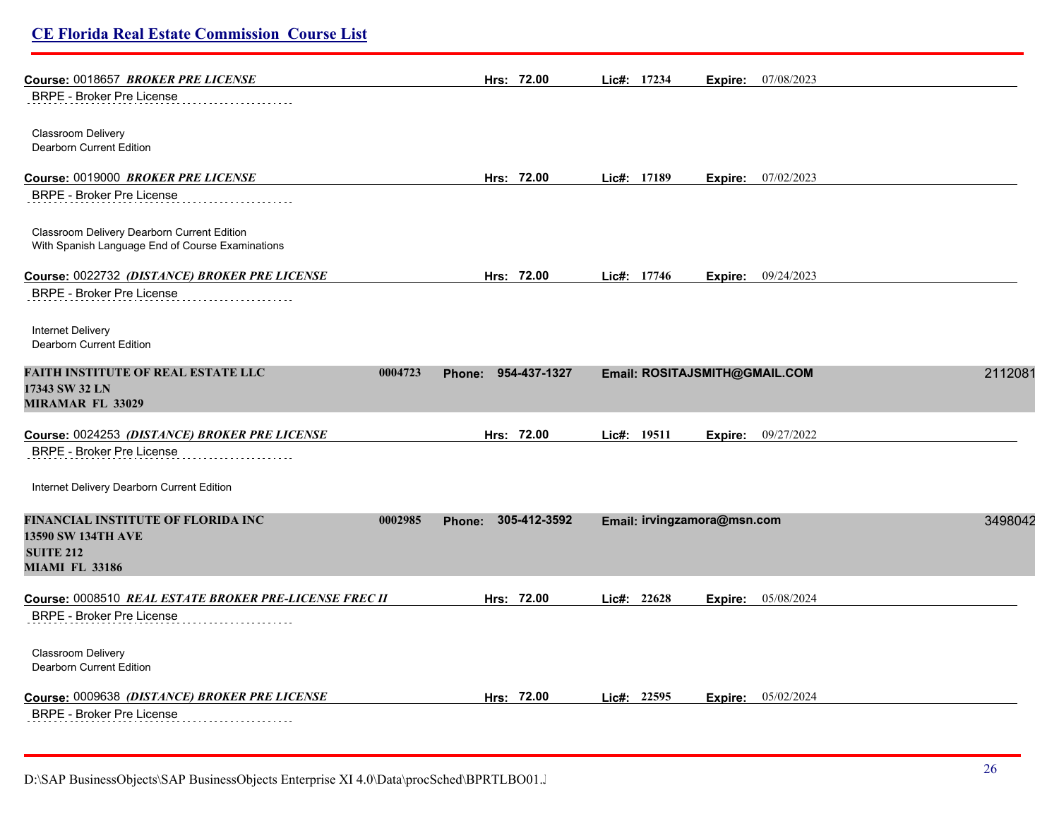| Course: 0018657 BROKER PRE LICENSE                                                                    |         | Hrs: 72.00             | Lic#: 17234 | Expire:                       | 07/08/2023                |         |
|-------------------------------------------------------------------------------------------------------|---------|------------------------|-------------|-------------------------------|---------------------------|---------|
| <b>BRPE - Broker Pre License</b>                                                                      |         |                        |             |                               |                           |         |
| Classroom Delivery<br>Dearborn Current Edition                                                        |         |                        |             |                               |                           |         |
| Course: 0019000 BROKER PRE LICENSE                                                                    |         | Hrs: 72.00             | Lic#: 17189 | Expire:                       | 07/02/2023                |         |
| <b>BRPE - Broker Pre License</b>                                                                      |         |                        |             |                               |                           |         |
| Classroom Delivery Dearborn Current Edition<br>With Spanish Language End of Course Examinations       |         |                        |             |                               |                           |         |
| Course: 0022732 (DISTANCE) BROKER PRE LICENSE                                                         |         | Hrs: 72.00             | Lic#: 17746 | Expire:                       | 09/24/2023                |         |
| <b>BRPE - Broker Pre License</b>                                                                      |         |                        |             |                               |                           |         |
| <b>Internet Delivery</b><br>Dearborn Current Edition                                                  |         |                        |             |                               |                           |         |
| FAITH INSTITUTE OF REAL ESTATE LLC                                                                    | 0004723 | Phone: 954-437-1327    |             | Email: ROSITAJSMITH@GMAIL.COM |                           | 2112081 |
| 17343 SW 32 LN<br><b>MIRAMAR FL 33029</b>                                                             |         |                        |             |                               |                           |         |
| Course: 0024253 (DISTANCE) BROKER PRE LICENSE                                                         |         | Hrs: 72.00             | Lie#: 19511 |                               | <b>Expire: 09/27/2022</b> |         |
| <b>BRPE - Broker Pre License</b>                                                                      |         |                        |             |                               |                           |         |
| Internet Delivery Dearborn Current Edition                                                            |         |                        |             |                               |                           |         |
| FINANCIAL INSTITUTE OF FLORIDA INC<br>13590 SW 134TH AVE<br><b>SUITE 212</b><br><b>MIAMI FL 33186</b> | 0002985 | 305-412-3592<br>Phone: |             | Email: irvingzamora@msn.com   |                           | 3498042 |
| Course: 0008510 REAL ESTATE BROKER PRE-LICENSE FREC II                                                |         | Hrs: 72.00             | Lie#: 22628 | Expire:                       | 05/08/2024                |         |
| <b>BRPE - Broker Pre License</b>                                                                      |         |                        |             |                               |                           |         |
| Classroom Delivery<br>Dearborn Current Edition                                                        |         |                        |             |                               |                           |         |
| Course: 0009638 (DISTANCE) BROKER PRE LICENSE                                                         |         | Hrs: 72.00             | Lic#: 22595 |                               | Expire: 05/02/2024        |         |
| <b>BRPE - Broker Pre License</b>                                                                      |         |                        |             |                               |                           |         |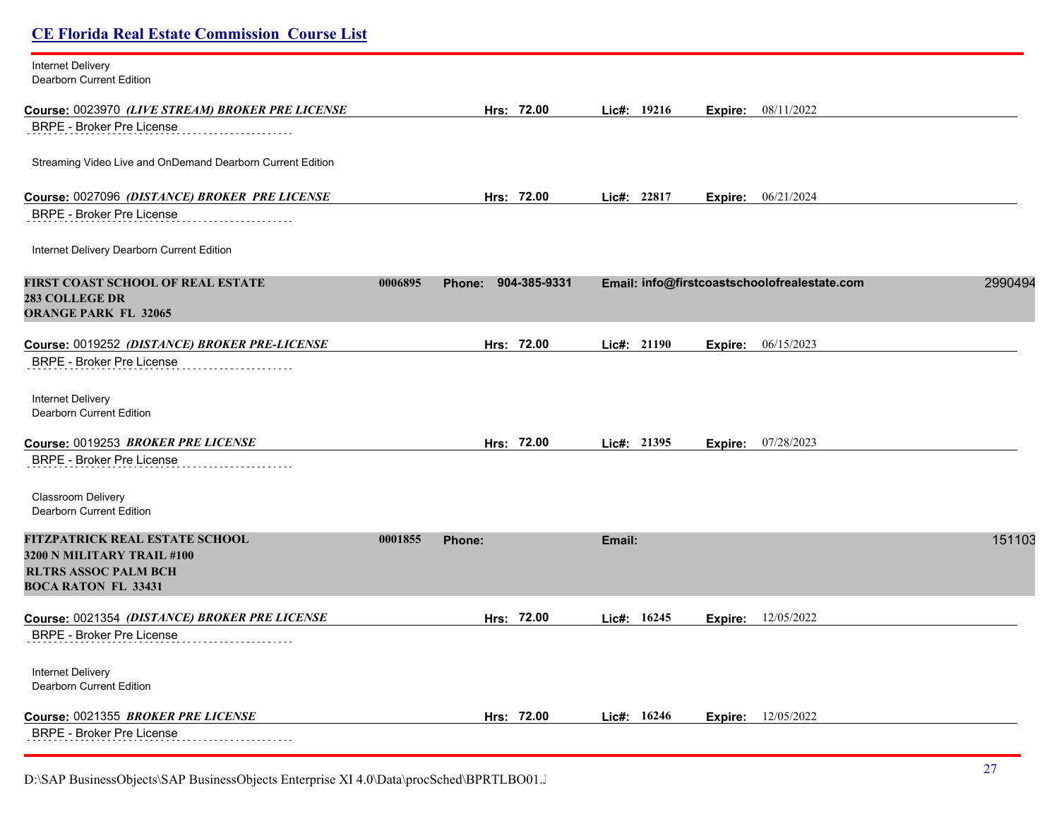## **CE Florida Real Estate Commission Course List** Internet Delivery Dearborn Current Edition **Course:** 0023970 *(LIVE STREAM) BROKER PRE LICENSE* **Hrs: 72.00 Lic#: 19216 Expire:** 08/11/2022 BRPE - Broker Pre License Streaming Video Live and OnDemand Dearborn Current Edition **Course:** 0027096 *(DISTANCE) BROKER PRE LICENSE* **Hrs: 72.00 Lic#: 22817 Expire:** 06/21/2024 BRPE - Broker Pre License Internet Delivery Dearborn Current Edition **FIRST COAST SCHOOL OF REAL ESTATE 0006895 Phone: 904-385-9331 Email: info@firstcoastschoolofrealestate.com** 29904947 **283 COLLEGE DR ORANGE PARK FL 32065 Course:** 0019252 *(DISTANCE) BROKER PRE-LICENSE* **Hrs: 72.00 Lic#: 21190 Expire:** 06/15/2023 BRPE - Broker Pre License Internet Delivery Dearborn Current Edition **Course:** 0019253 *BROKER PRE LICENSE* **Hrs: 72.00 Lic#: 21395 Expire:** 07/28/2023 BRPE - Broker Pre License Classroom Delivery Dearborn Current Edition **FITZPATRICK REAL ESTATE SCHOOL 0001855 Phone: Email:** 1511031 **3200 N MILITARY TRAIL #100 RLTRS ASSOC PALM BCH BOCA RATON FL 33431 Course:** 0021354 *(DISTANCE) BROKER PRE LICENSE* **Hrs: 72.00 Lic#: 16245 Expire:** 12/05/2022 BRPE - Broker Pre License Internet Delivery Dearborn Current Edition **Course:** 0021355 *BROKER PRE LICENSE* **Hrs: 72.00 Lic#: 16246 Expire:** 12/05/2022 BRPE - Broker Pre License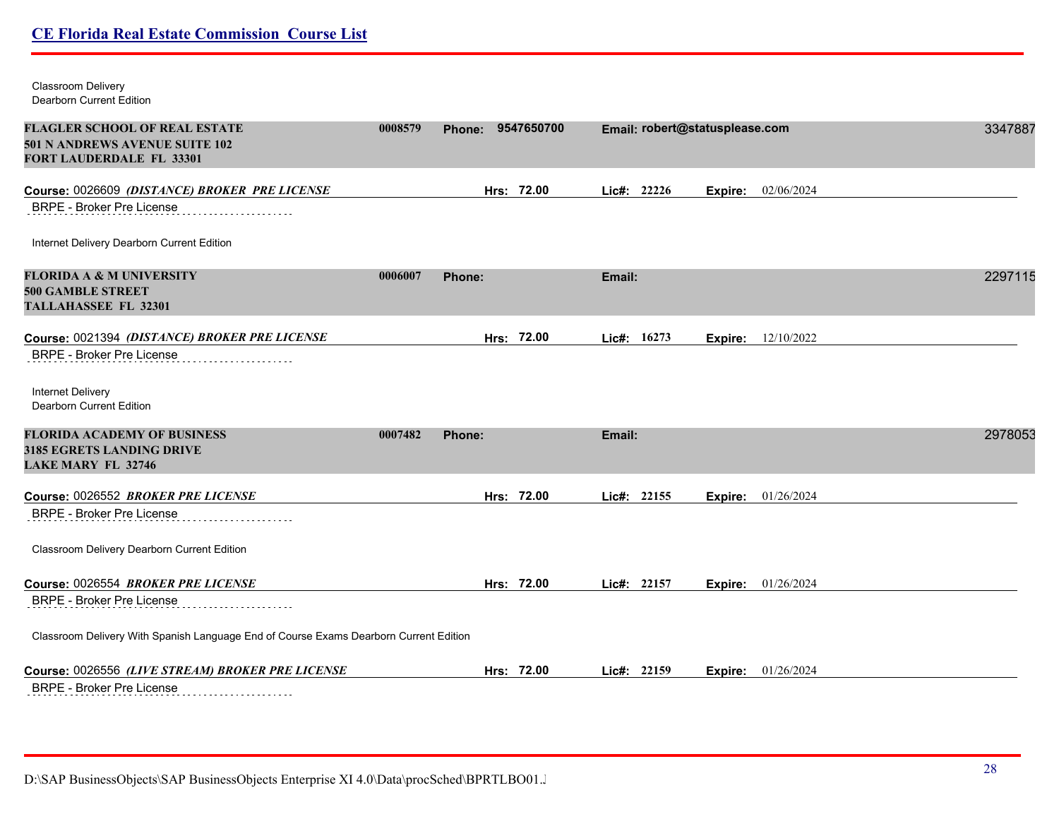Classroom Delivery Dearborn Current Edition

| <b>FLAGLER SCHOOL OF REAL ESTATE</b><br><b>501 N ANDREWS AVENUE SUITE 102</b><br><b>FORT LAUDERDALE FL 33301</b> | 0008579 | Phone: 9547650700 |            |        |             | Email: robert@statusplease.com |            | 3347887 |
|------------------------------------------------------------------------------------------------------------------|---------|-------------------|------------|--------|-------------|--------------------------------|------------|---------|
| Course: 0026609 (DISTANCE) BROKER PRE LICENSE<br><b>BRPE - Broker Pre License</b>                                |         |                   | Hrs: 72.00 |        | Lic#: 22226 | Expire:                        | 02/06/2024 |         |
| Internet Delivery Dearborn Current Edition                                                                       |         |                   |            |        |             |                                |            |         |
| <b>FLORIDA A &amp; M UNIVERSITY</b><br><b>500 GAMBLE STREET</b><br>TALLAHASSEE FL 32301                          | 0006007 | Phone:            |            | Email: |             |                                |            | 2297115 |
| Course: 0021394 (DISTANCE) BROKER PRE LICENSE<br><b>BRPE - Broker Pre License</b>                                |         |                   | Hrs: 72.00 |        | Lic#: 16273 | Expire:                        | 12/10/2022 |         |
| Internet Delivery<br>Dearborn Current Edition                                                                    |         |                   |            |        |             |                                |            |         |
| <b>FLORIDA ACADEMY OF BUSINESS</b><br>3185 EGRETS LANDING DRIVE<br><b>LAKE MARY FL 32746</b>                     | 0007482 | Phone:            |            | Email: |             |                                |            | 2978053 |
| Course: 0026552 BROKER PRE LICENSE                                                                               |         |                   | Hrs: 72.00 |        | Lic#: 22155 | Expire:                        | 01/26/2024 |         |
| <b>BRPE - Broker Pre License</b>                                                                                 |         |                   |            |        |             |                                |            |         |
| Classroom Delivery Dearborn Current Edition                                                                      |         |                   |            |        |             |                                |            |         |
| Course: 0026554 BROKER PRE LICENSE                                                                               |         |                   | Hrs: 72.00 |        | Lic#: 22157 | Expire:                        | 01/26/2024 |         |
| <b>BRPE - Broker Pre License</b>                                                                                 |         |                   |            |        |             |                                |            |         |
| Classroom Delivery With Spanish Language End of Course Exams Dearborn Current Edition                            |         |                   |            |        |             |                                |            |         |
| Course: 0026556 (LIVE STREAM) BROKER PRE LICENSE                                                                 |         |                   | Hrs: 72.00 |        | Lic#: 22159 | Expire:                        | 01/26/2024 |         |
| <b>BRPE - Broker Pre License</b>                                                                                 |         |                   |            |        |             |                                |            |         |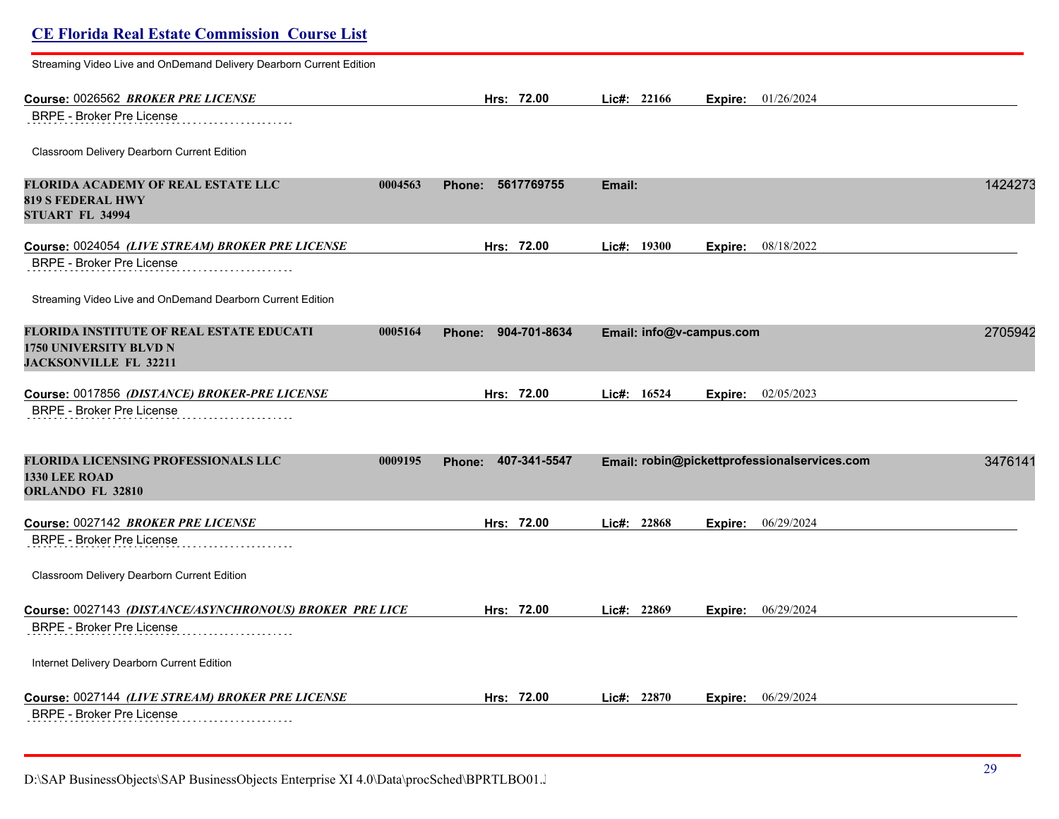| Streaming Video Live and OnDemand Delivery Dearborn Current Edition                                           |                               |             |                                              |         |
|---------------------------------------------------------------------------------------------------------------|-------------------------------|-------------|----------------------------------------------|---------|
| Course: 0026562 BROKER PRE LICENSE                                                                            | Hrs: 72.00                    | Lie#: 22166 | <b>Expire:</b> 01/26/2024                    |         |
| <b>BRPE - Broker Pre License</b>                                                                              |                               |             |                                              |         |
| Classroom Delivery Dearborn Current Edition                                                                   |                               |             |                                              |         |
| FLORIDA ACADEMY OF REAL ESTATE LLC<br>0004563<br><b>819 S FEDERAL HWY</b><br><b>STUART FL 34994</b>           | 5617769755<br><b>Phone:</b>   | Email:      |                                              | 1424273 |
| Course: 0024054 (LIVE STREAM) BROKER PRE LICENSE<br><b>BRPE - Broker Pre License</b>                          | Hrs: 72.00                    | Lic#: 19300 | <b>Expire:</b> 08/18/2022                    |         |
| Streaming Video Live and OnDemand Dearborn Current Edition                                                    |                               |             |                                              |         |
| FLORIDA INSTITUTE OF REAL ESTATE EDUCATI<br>0005164<br>1750 UNIVERSITY BLVD N<br><b>JACKSONVILLE FL 32211</b> | 904-701-8634<br><b>Phone:</b> |             | Email: info@v-campus.com                     | 2705942 |
| Course: 0017856 (DISTANCE) BROKER-PRE LICENSE                                                                 | Hrs: 72.00                    | Lic#: 16524 | 02/05/2023<br>Expire:                        |         |
| <b>BRPE - Broker Pre License</b>                                                                              |                               |             |                                              |         |
| FLORIDA LICENSING PROFESSIONALS LLC<br>0009195<br><b>1330 LEE ROAD</b><br><b>ORLANDO FL 32810</b>             | 407-341-5547<br><b>Phone:</b> |             | Email: robin@pickettprofessionalservices.com | 3476141 |
| Course: 0027142 BROKER PRE LICENSE                                                                            | Hrs: 72.00                    | Lic#: 22868 | 06/29/2024<br>Expire:                        |         |
| <b>BRPE - Broker Pre License</b>                                                                              |                               |             |                                              |         |
| Classroom Delivery Dearborn Current Edition                                                                   |                               |             |                                              |         |
| Course: 0027143 (DISTANCE/ASYNCHRONOUS) BROKER PRE LICE                                                       | Hrs: 72.00                    | Lic#: 22869 | <b>Expire:</b> 06/29/2024                    |         |
| <b>BRPE - Broker Pre License</b>                                                                              |                               |             |                                              |         |
| Internet Delivery Dearborn Current Edition                                                                    |                               |             |                                              |         |
| Course: 0027144 (LIVE STREAM) BROKER PRE LICENSE                                                              | Hrs: 72.00                    | Lic#: 22870 | <b>Expire:</b> $06/29/2024$                  |         |
| <b>BRPE - Broker Pre License</b>                                                                              |                               |             |                                              |         |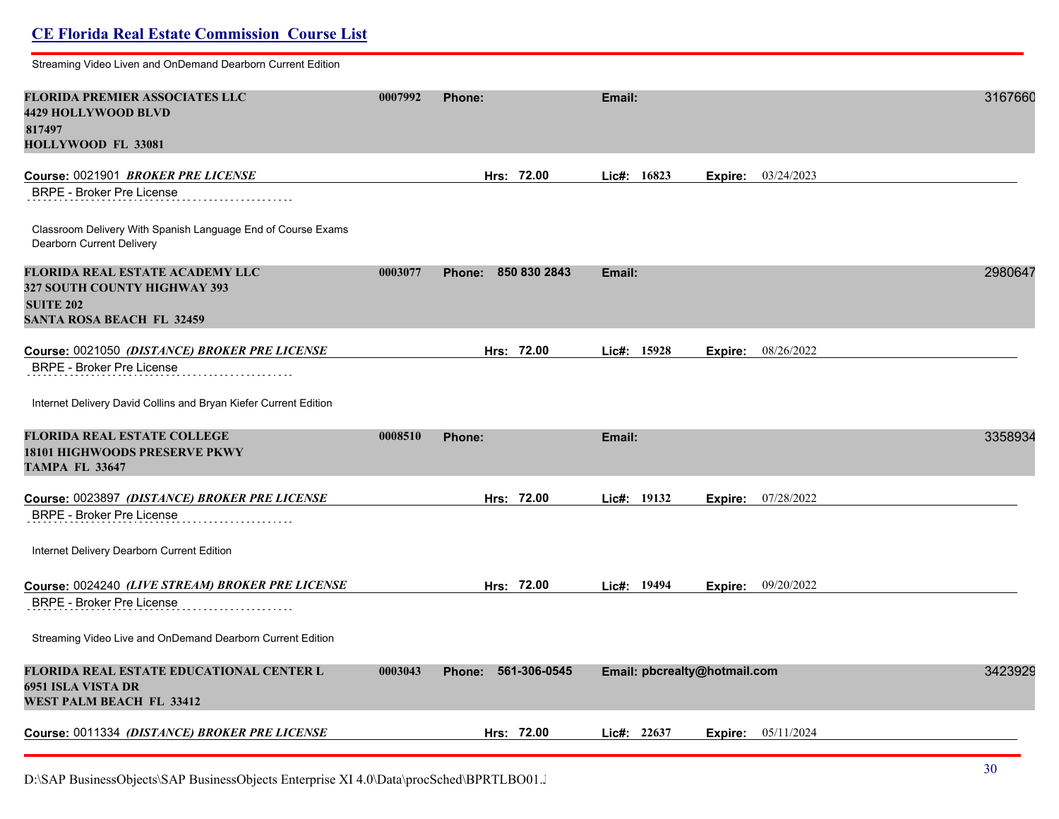| Streaming Video Liven and OnDemand Dearborn Current Edition                                         |         |                               |                              |                             |         |
|-----------------------------------------------------------------------------------------------------|---------|-------------------------------|------------------------------|-----------------------------|---------|
| FLORIDA PREMIER ASSOCIATES LLC<br><b>4429 HOLLYWOOD BLVD</b><br>817497<br><b>HOLLYWOOD FL 33081</b> | 0007992 | <b>Phone:</b>                 | Email:                       |                             | 3167660 |
| Course: 0021901 <i>BROKER PRE LICENSE</i>                                                           |         | Hrs: 72.00                    | Lic#: 16823                  | Expire: 03/24/2023          |         |
| <b>BRPE - Broker Pre License</b>                                                                    |         |                               |                              |                             |         |
| Classroom Delivery With Spanish Language End of Course Exams<br>Dearborn Current Delivery           |         |                               |                              |                             |         |
| FLORIDA REAL ESTATE ACADEMY LLC                                                                     | 0003077 | Phone: 850 830 2843           | Email:                       |                             | 2980647 |
| <b>327 SOUTH COUNTY HIGHWAY 393</b><br><b>SUITE 202</b>                                             |         |                               |                              |                             |         |
| SANTA ROSA BEACH FL 32459                                                                           |         |                               |                              |                             |         |
| Course: 0021050 (DISTANCE) BROKER PRE LICENSE                                                       |         | Hrs: 72.00                    | Lic#: 15928<br>Expire:       | 08/26/2022                  |         |
| <b>BRPE - Broker Pre License</b>                                                                    |         |                               |                              |                             |         |
| Internet Delivery David Collins and Bryan Kiefer Current Edition                                    |         |                               |                              |                             |         |
| FLORIDA REAL ESTATE COLLEGE<br>18101 HIGHWOODS PRESERVE PKWY<br>TAMPA FL 33647                      | 0008510 | <b>Phone:</b>                 | Email:                       |                             | 3358934 |
| Course: 0023897 <i>(DISTANCE) BROKER PRE LICENSE</i>                                                |         | Hrs: 72.00                    | Lic#: 19132<br>Expire:       | 07/28/2022                  |         |
| <b>BRPE - Broker Pre License</b>                                                                    |         |                               |                              |                             |         |
| Internet Delivery Dearborn Current Edition                                                          |         |                               |                              |                             |         |
| Course: 0024240 <i>(LIVE STREAM) BROKER PRE LICENSE</i>                                             |         | Hrs: 72.00                    | Lic#: 19494                  | <b>Expire:</b> 09/20/2022   |         |
| <b>BRPE - Broker Pre License</b>                                                                    |         |                               |                              |                             |         |
| Streaming Video Live and OnDemand Dearborn Current Edition                                          |         |                               |                              |                             |         |
| FLORIDA REAL ESTATE EDUCATIONAL CENTER L<br>6951 ISLA VISTA DR<br>WEST PALM BEACH FL 33412          | 0003043 | 561-306-0545<br><b>Phone:</b> | Email: pbcrealty@hotmail.com |                             | 3423929 |
| Course: 0011334 (DISTANCE) BROKER PRE LICENSE                                                       |         | Hrs: 72.00                    | Lic#: 22637                  | <b>Expire:</b> $05/11/2024$ |         |
|                                                                                                     |         |                               |                              |                             |         |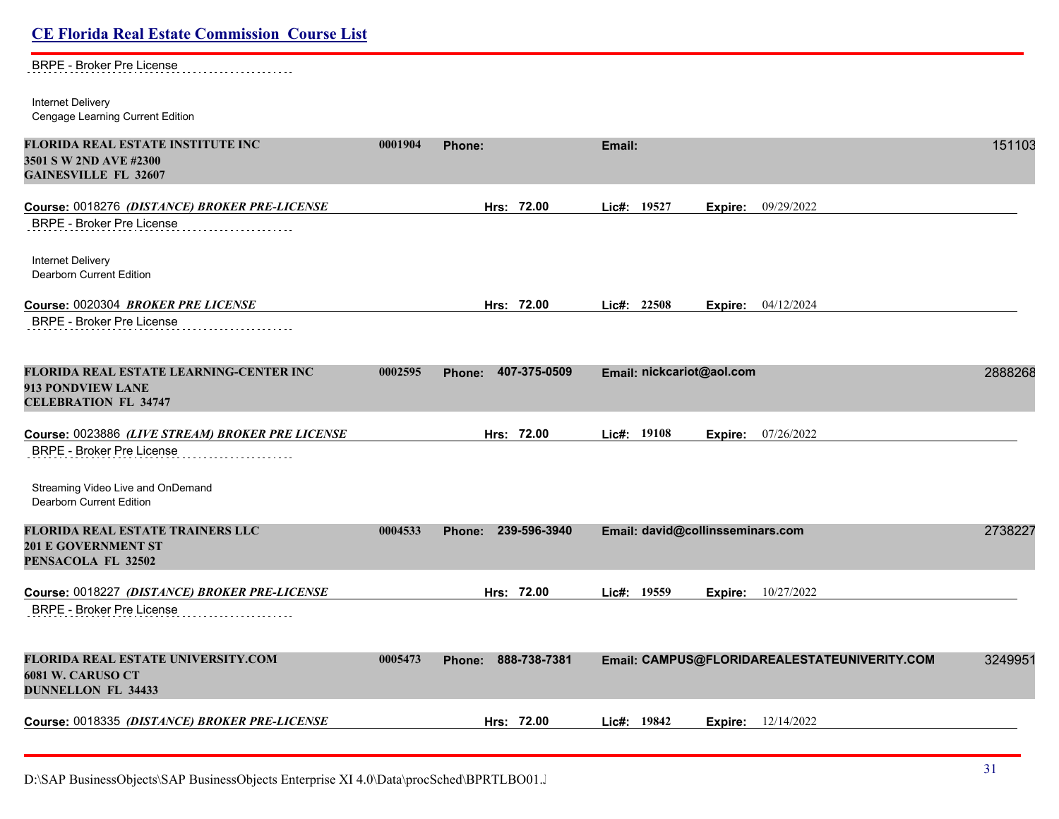## BRPE - Broker Pre License Internet Delivery Cengage Learning Current Edition **FLORIDA REAL ESTATE INSTITUTE INC 0001904 Phone: Email:** 1511038 **3501 S W 2ND AVE #2300 GAINESVILLE FL 32607 Course:** 0018276 *(DISTANCE) BROKER PRE-LICENSE* **Hrs: 72.00 Lic#: 19527 Expire:** 09/29/2022 BRPE - Broker Pre License Internet Delivery Dearborn Current Edition **Course:** 0020304 *BROKER PRE LICENSE* **Hrs: 72.00 Lic#: 22508 Expire:** 04/12/2024 BRPE - Broker Pre License **FLORIDA REAL ESTATE LEARNING-CENTER INC 0002595 Phone: 407-375-0509 Email: nickcariot@aol.com** 28882681 **913 PONDVIEW LANE CELEBRATION FL 34747 Course:** 0023886 *(LIVE STREAM) BROKER PRE LICENSE* **Hrs: 72.00 Lic#: 19108 Expire:** 07/26/2022 BRPE - Broker Pre License Streaming Video Live and OnDemand Dearborn Current Edition **FLORIDA REAL ESTATE TRAINERS LLC 0004533 Phone: 239-596-3940 Email: david@collinsseminars.com** 27382272 **201 E GOVERNMENT ST PENSACOLA FL 32502 Course:** 0018227 *(DISTANCE) BROKER PRE-LICENSE* **Hrs: 72.00 Lic#: 19559 Expire:** 10/27/2022 BRPE - Broker Pre License **FLORIDA REAL ESTATE UNIVERSITY.COM 0005473 Phone: 888-738-7381 Email: CAMPUS@FLORIDAREALESTATEUNIVERITY.COM** 32499514 **6081 W. CARUSO CT DUNNELLON FL 34433 Course:** 0018335 *(DISTANCE) BROKER PRE-LICENSE* **Hrs: 72.00 Lic#: 19842 Expire:** 12/14/2022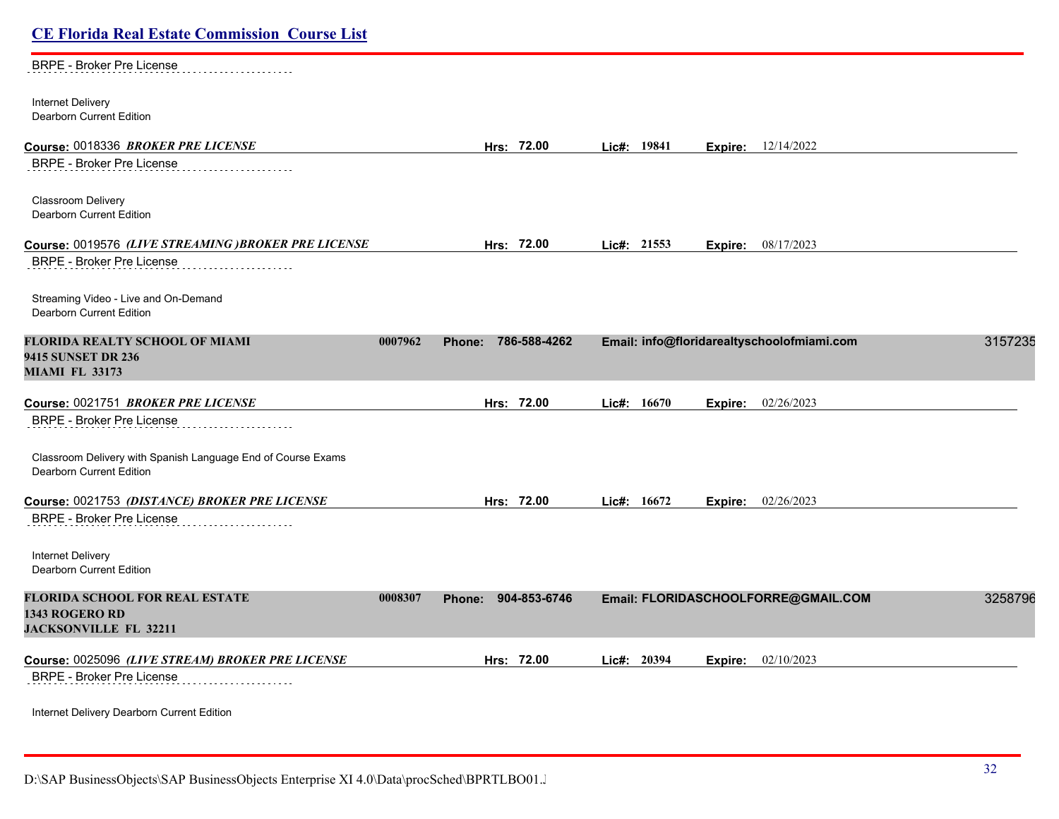## **CE Florida Real Estate Commission Course List** BRPE - Broker Pre License Internet Delivery Dearborn Current Edition **Course:** 0018336 *BROKER PRE LICENSE* **Hrs: 72.00 Lic#: 19841 Expire:** 12/14/2022 BRPE - Broker Pre License . . . . . . . . . . . . . . . . . . Classroom Delivery Dearborn Current Edition **Course:** 0019576 *(LIVE STREAMING )BROKER PRE LICENSE* **Hrs: 72.00 Lic#: 21553 Expire:** 08/17/2023 BRPE - Broker Pre License Streaming Video - Live and On-Demand Dearborn Current Edition **FLORIDA REALTY SCHOOL OF MIAMI 0007962 Phone: 786-588-4262 Email: info@floridarealtyschoolofmiami.com** 31572358 **9415 SUNSET DR 236 MIAMI FL 33173 Course:** 0021751 *BROKER PRE LICENSE* **Hrs: 72.00 Lic#: 16670 Expire:** 02/26/2023 BRPE - Broker Pre License Classroom Delivery with Spanish Language End of Course Exams Dearborn Current Edition **Course:** 0021753 *(DISTANCE) BROKER PRE LICENSE* **Hrs: 72.00 Lic#: 16672 Expire:** 02/26/2023 BRPE - Broker Pre License . . . . . . . . . . . . . . . . . . . Internet Delivery Dearborn Current Edition **FLORIDA SCHOOL FOR REAL ESTATE 0008307 Phone: 904-853-6746 Email: FLORIDASCHOOLFORRE@GMAIL.COM** 32587965 **1343 ROGERO RD JACKSONVILLE FL 32211 Course:** 0025096 *(LIVE STREAM) BROKER PRE LICENSE* **Hrs: 72.00 Lic#: 20394 Expire:** 02/10/2023 BRPE - Broker Pre License Internet Delivery Dearborn Current Edition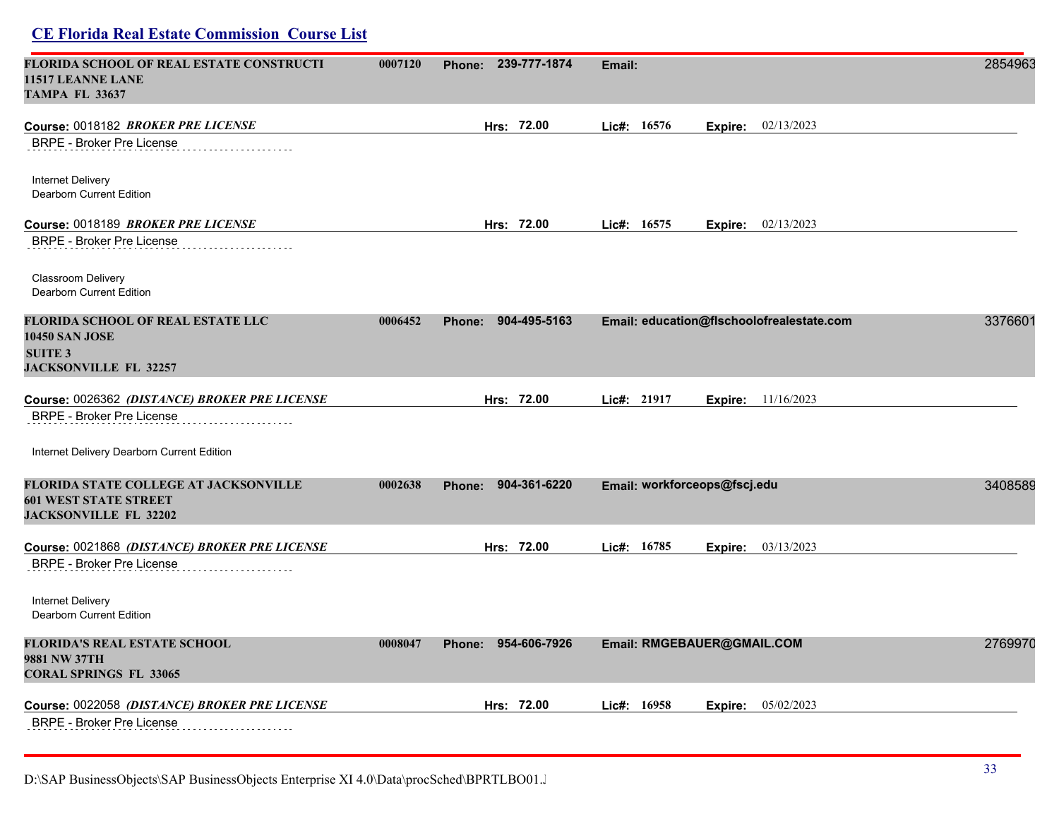| <b>CE Florida Real Estate Commission Course List</b>                                   |         |                        |                                           |         |
|----------------------------------------------------------------------------------------|---------|------------------------|-------------------------------------------|---------|
| FLORIDA SCHOOL OF REAL ESTATE CONSTRUCTI<br>11517 LEANNE LANE<br><b>TAMPA FL 33637</b> | 0007120 | 239-777-1874<br>Phone: | Email:                                    | 2854963 |
| Course: 0018182 BROKER PRE LICENSE                                                     |         | Hrs: 72.00             | Lic#: 16576<br>02/13/2023<br>Expire:      |         |
| <b>BRPE - Broker Pre License</b>                                                       |         |                        |                                           |         |
| Internet Delivery<br>Dearborn Current Edition                                          |         |                        |                                           |         |
| Course: 0018189 BROKER PRE LICENSE                                                     |         | Hrs: 72.00             | Lic#: 16575<br>02/13/2023<br>Expire:      |         |
| <b>BRPE - Broker Pre License</b>                                                       |         |                        |                                           |         |
| Classroom Delivery<br>Dearborn Current Edition                                         |         |                        |                                           |         |
| FLORIDA SCHOOL OF REAL ESTATE LLC<br><b>10450 SAN JOSE</b>                             | 0006452 | 904-495-5163<br>Phone: | Email: education@flschoolofrealestate.com | 3376601 |
| <b>SUITE 3</b><br><b>JACKSONVILLE FL 32257</b>                                         |         |                        |                                           |         |
|                                                                                        |         |                        |                                           |         |
| Course: 0026362 (DISTANCE) BROKER PRE LICENSE                                          |         | Hrs: 72.00             | Lic#: 21917<br>11/16/2023<br>Expire:      |         |
| <b>BRPE - Broker Pre License</b>                                                       |         |                        |                                           |         |
| Internet Delivery Dearborn Current Edition                                             |         |                        |                                           |         |
| FLORIDA STATE COLLEGE AT JACKSONVILLE                                                  | 0002638 | Phone: 904-361-6220    | Email: workforceops@fscj.edu              | 3408589 |
| <b>601 WEST STATE STREET</b><br><b>JACKSONVILLE FL 32202</b>                           |         |                        |                                           |         |
| Course: 0021868 (DISTANCE) BROKER PRE LICENSE                                          |         | Hrs: 72.00             | Lic#: 16785<br>03/13/2023<br>Expire:      |         |
| <b>BRPE - Broker Pre License</b>                                                       |         |                        |                                           |         |
| Internet Delivery                                                                      |         |                        |                                           |         |
| Dearborn Current Edition                                                               |         |                        |                                           |         |
| <b>FLORIDA'S REAL ESTATE SCHOOL</b><br>9881 NW 37TH                                    | 0008047 | Phone: 954-606-7926    | Email: RMGEBAUER@GMAIL.COM                | 2769970 |
| <b>CORAL SPRINGS FL 33065</b>                                                          |         |                        |                                           |         |
| Course: 0022058 (DISTANCE) BROKER PRE LICENSE                                          |         | Hrs: 72.00             | Lic#: 16958<br><b>Expire:</b> 05/02/2023  |         |
| <b>BRPE - Broker Pre License</b>                                                       |         |                        |                                           |         |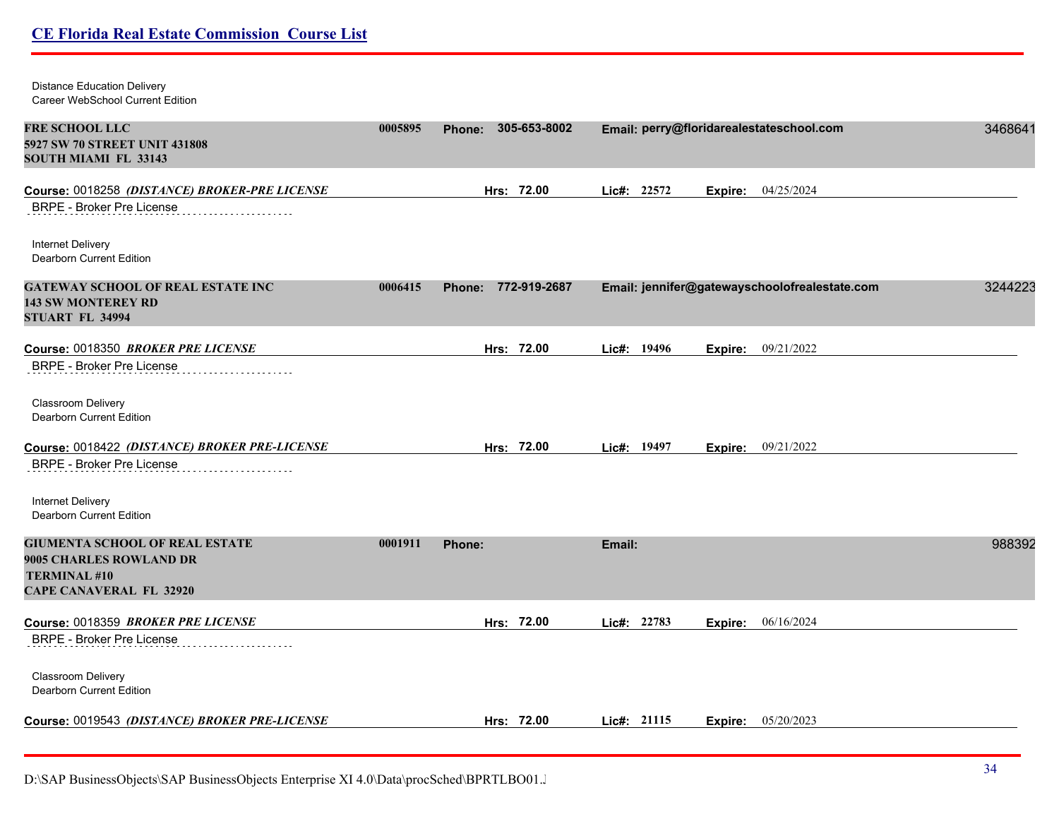Distance Education Delivery Career WebSchool Current Edition

| <b>FRE SCHOOL LLC</b><br>5927 SW 70 STREET UNIT 431808<br><b>SOUTH MIAMI FL 33143</b>           | 0005895 | 305-653-8002<br><b>Phone:</b> |             | Email: perry@floridarealestateschool.com      | 3468641 |
|-------------------------------------------------------------------------------------------------|---------|-------------------------------|-------------|-----------------------------------------------|---------|
| Course: 0018258 (DISTANCE) BROKER-PRE LICENSE                                                   |         | Hrs: 72.00                    | Lic#: 22572 | 04/25/2024<br>Expire:                         |         |
| <b>BRPE - Broker Pre License</b>                                                                |         |                               |             |                                               |         |
| <b>Internet Delivery</b><br>Dearborn Current Edition                                            |         |                               |             |                                               |         |
| <b>GATEWAY SCHOOL OF REAL ESTATE INC</b><br><b>143 SW MONTEREY RD</b><br><b>STUART FL 34994</b> | 0006415 | 772-919-2687<br>Phone:        |             | Email: jennifer@gatewayschoolofrealestate.com | 3244223 |
| Course: 0018350 BROKER PRE LICENSE                                                              |         | Hrs: 72.00                    | Lic#: 19496 | <b>Expire:</b> $09/21/2022$                   |         |
| <b>BRPE - Broker Pre License</b>                                                                |         |                               |             |                                               |         |
| Classroom Delivery<br>Dearborn Current Edition                                                  |         |                               |             |                                               |         |
| Course: 0018422 (DISTANCE) BROKER PRE-LICENSE                                                   |         | Hrs: 72.00                    | Lic#: 19497 | <b>Expire:</b> 09/21/2022                     |         |
| <b>BRPE - Broker Pre License</b>                                                                |         |                               |             |                                               |         |
| <b>Internet Delivery</b><br><b>Dearborn Current Edition</b>                                     |         |                               |             |                                               |         |
| <b>GIUMENTA SCHOOL OF REAL ESTATE</b>                                                           | 0001911 | <b>Phone:</b>                 | Email:      |                                               | 988392  |
| 9005 CHARLES ROWLAND DR<br>TERMINAL #10                                                         |         |                               |             |                                               |         |
| <b>CAPE CANAVERAL FL 32920</b>                                                                  |         |                               |             |                                               |         |
| Course: 0018359 BROKER PRE LICENSE                                                              |         | Hrs: 72.00                    | Lic#: 22783 | 06/16/2024<br>Expire:                         |         |
| <b>BRPE - Broker Pre License</b>                                                                |         |                               |             |                                               |         |
| Classroom Delivery<br>Dearborn Current Edition                                                  |         |                               |             |                                               |         |
| Course: 0019543 (DISTANCE) BROKER PRE-LICENSE                                                   |         | Hrs: 72.00                    | Lic#: 21115 | <b>Expire:</b> 05/20/2023                     |         |
|                                                                                                 |         |                               |             |                                               |         |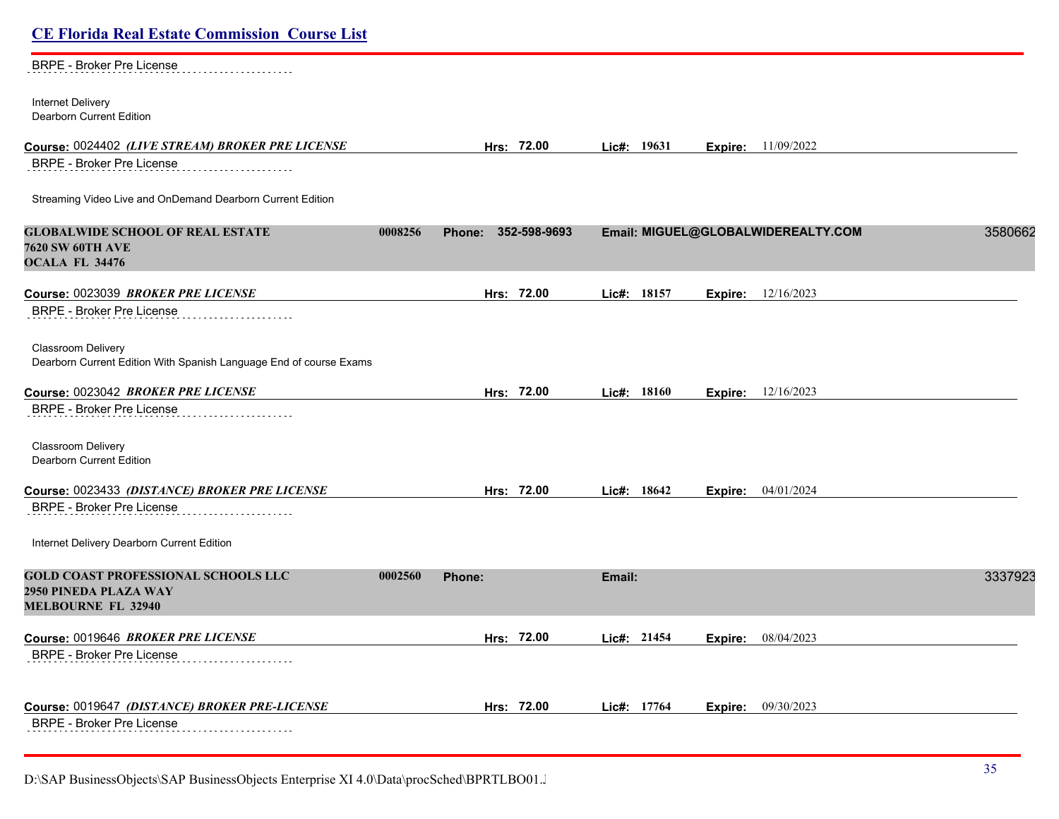| <b>CE Florida Real Estate Commission Course List</b>                                             |         |                     |            |        |             |         |                                    |         |
|--------------------------------------------------------------------------------------------------|---------|---------------------|------------|--------|-------------|---------|------------------------------------|---------|
| <b>BRPE - Broker Pre License</b>                                                                 |         |                     |            |        |             |         |                                    |         |
| Internet Delivery<br>Dearborn Current Edition                                                    |         |                     |            |        |             |         |                                    |         |
| Course: 0024402 (LIVE STREAM) BROKER PRE LICENSE<br><b>BRPE - Broker Pre License</b>             |         |                     | Hrs: 72.00 |        | Lic#: 19631 | Expire: | 11/09/2022                         |         |
| Streaming Video Live and OnDemand Dearborn Current Edition                                       |         |                     |            |        |             |         |                                    |         |
| <b>GLOBALWIDE SCHOOL OF REAL ESTATE</b><br><b>7620 SW 60TH AVE</b><br><b>OCALA FL 34476</b>      | 0008256 | Phone: 352-598-9693 |            |        |             |         | Email: MIGUEL@GLOBALWIDEREALTY.COM | 3580662 |
| Course: 0023039 BROKER PRE LICENSE                                                               |         |                     | Hrs: 72.00 |        | Lic#: 18157 | Expire: | 12/16/2023                         |         |
| <b>BRPE - Broker Pre License</b>                                                                 |         |                     |            |        |             |         |                                    |         |
| Classroom Delivery<br>Dearborn Current Edition With Spanish Language End of course Exams         |         |                     |            |        |             |         |                                    |         |
| Course: 0023042 BROKER PRE LICENSE                                                               |         |                     | Hrs: 72.00 |        | Lic#: 18160 | Expire: | 12/16/2023                         |         |
| <b>BRPE - Broker Pre License</b>                                                                 |         |                     |            |        |             |         |                                    |         |
| Classroom Delivery<br><b>Dearborn Current Edition</b>                                            |         |                     |            |        |             |         |                                    |         |
| Course: 0023433 (DISTANCE) BROKER PRE LICENSE                                                    |         |                     | Hrs: 72.00 |        | Lic#: 18642 | Expire: | 04/01/2024                         |         |
| <b>BRPE - Broker Pre License</b>                                                                 |         |                     |            |        |             |         |                                    |         |
| Internet Delivery Dearborn Current Edition                                                       |         |                     |            |        |             |         |                                    |         |
| <b>GOLD COAST PROFESSIONAL SCHOOLS LLC</b><br>2950 PINEDA PLAZA WAY<br><b>MELBOURNE FL 32940</b> | 0002560 | <b>Phone:</b>       |            | Email: |             |         |                                    | 3337923 |
| Course: 0019646 BROKER PRE LICENSE                                                               |         |                     | Hrs: 72.00 |        | Lic#: 21454 |         | <b>Expire:</b> 08/04/2023          |         |
| <b>BRPE - Broker Pre License</b>                                                                 |         |                     |            |        |             |         |                                    |         |
| Course: 0019647 (DISTANCE) BROKER PRE-LICENSE                                                    |         |                     | Hrs: 72.00 |        | Lic#: 17764 |         | Expire: 09/30/2023                 |         |
| BRPE - Broker Pre License                                                                        |         |                     |            |        |             |         |                                    |         |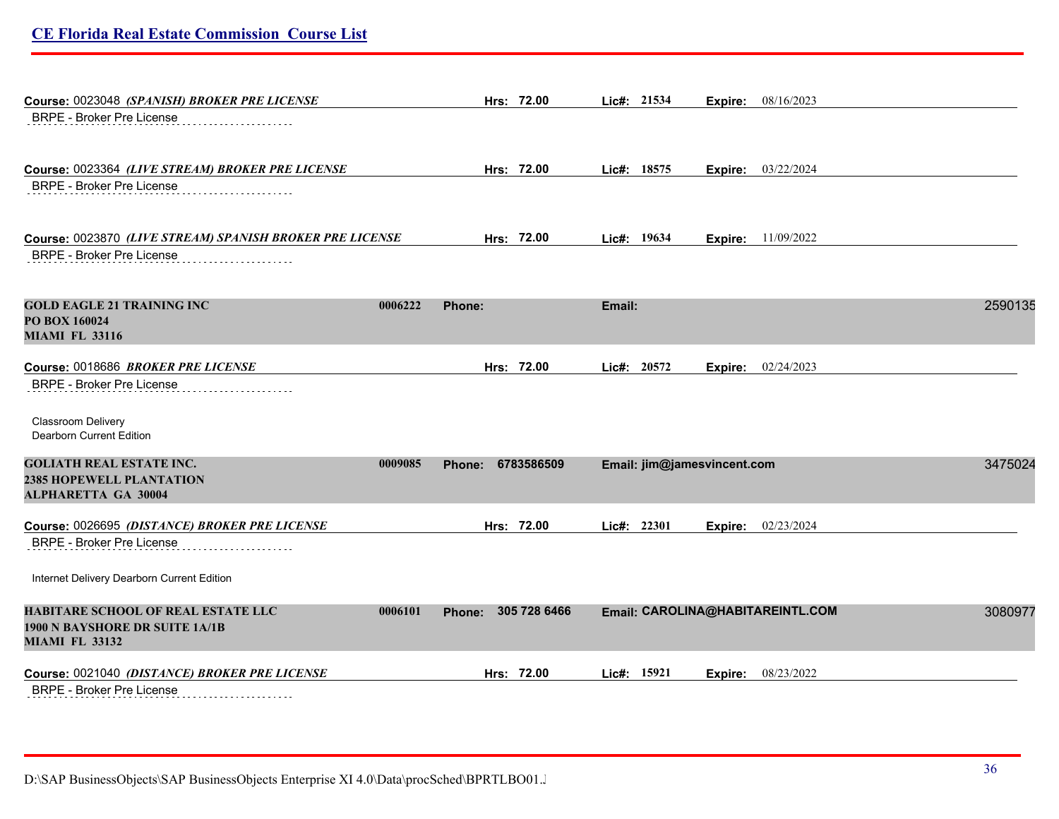| Course: 0023048 (SPANISH) BROKER PRE LICENSE                                                         |         |                     | Hrs: 72.00 |        | Lic#: 21534 |                             | <b>Expire:</b> 08/16/2023        |         |
|------------------------------------------------------------------------------------------------------|---------|---------------------|------------|--------|-------------|-----------------------------|----------------------------------|---------|
| <b>BRPE - Broker Pre License</b>                                                                     |         |                     |            |        |             |                             |                                  |         |
| Course: 0023364 (LIVE STREAM) BROKER PRE LICENSE                                                     |         |                     | Hrs: 72.00 |        | Lic#: 18575 |                             | <b>Expire:</b> 03/22/2024        |         |
| <b>BRPE - Broker Pre License</b>                                                                     |         |                     |            |        |             |                             |                                  |         |
| Course: 0023870 (LIVE STREAM) SPANISH BROKER PRE LICENSE<br><b>BRPE - Broker Pre License</b>         |         |                     | Hrs: 72.00 |        | Lic#: 19634 | Expire:                     | 11/09/2022                       |         |
| <b>GOLD EAGLE 21 TRAINING INC</b><br>PO BOX 160024<br><b>MIAMI FL 33116</b>                          | 0006222 | <b>Phone:</b>       |            | Email: |             |                             |                                  | 2590135 |
| Course: 0018686 BROKER PRE LICENSE<br><b>BRPE - Broker Pre License</b>                               |         |                     | Hrs: 72.00 |        | Lic#: 20572 | Expire:                     | 02/24/2023                       |         |
| Classroom Delivery<br><b>Dearborn Current Edition</b>                                                |         |                     |            |        |             |                             |                                  |         |
| <b>GOLIATH REAL ESTATE INC.</b><br><b>2385 HOPEWELL PLANTATION</b><br><b>ALPHARETTA GA 30004</b>     | 0009085 | Phone:              | 6783586509 |        |             | Email: jim@jamesvincent.com |                                  | 3475024 |
| Course: 0026695 (DISTANCE) BROKER PRE LICENSE<br><b>BRPE - Broker Pre License</b>                    |         |                     | Hrs: 72.00 |        | Lic#: 22301 | Expire:                     | 02/23/2024                       |         |
| Internet Delivery Dearborn Current Edition                                                           |         |                     |            |        |             |                             |                                  |         |
| HABITARE SCHOOL OF REAL ESTATE LLC<br><b>1900 N BAYSHORE DR SUITE 1A/1B</b><br><b>MIAMI FL 33132</b> | 0006101 | Phone: 305 728 6466 |            |        |             |                             | Email: CAROLINA@HABITAREINTL.COM | 3080977 |
| Course: 0021040 (DISTANCE) BROKER PRE LICENSE<br><b>BRPE - Broker Pre License</b>                    |         |                     | Hrs: 72.00 |        | Lic#: 15921 | Expire:                     | 08/23/2022                       |         |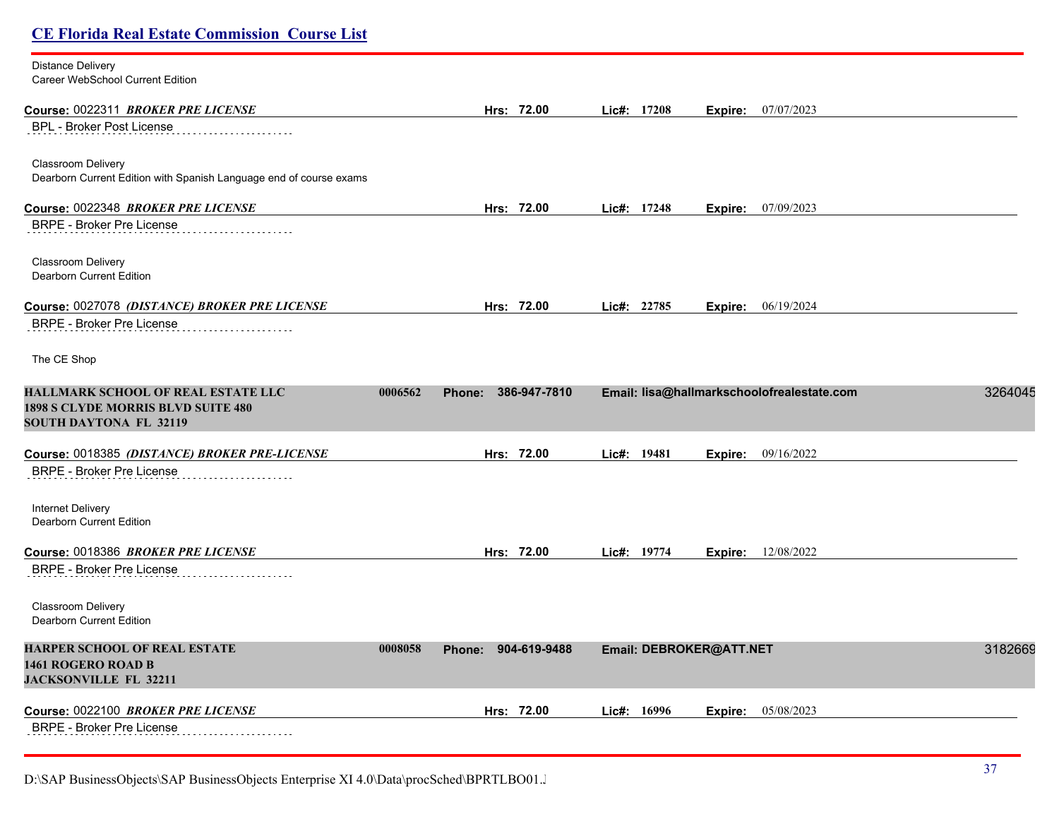| <b>CE Florida Real Estate Commission Course List</b>                                                             |         |                               |             |                         |                                            |         |
|------------------------------------------------------------------------------------------------------------------|---------|-------------------------------|-------------|-------------------------|--------------------------------------------|---------|
| <b>Distance Delivery</b><br>Career WebSchool Current Edition                                                     |         |                               |             |                         |                                            |         |
| Course: 0022311 BROKER PRE LICENSE                                                                               |         | Hrs: 72.00                    | Lic#: 17208 | Expire:                 | 07/07/2023                                 |         |
| <b>BPL - Broker Post License</b>                                                                                 |         |                               |             |                         |                                            |         |
| Classroom Delivery<br>Dearborn Current Edition with Spanish Language end of course exams                         |         |                               |             |                         |                                            |         |
| Course: 0022348 BROKER PRE LICENSE                                                                               |         | Hrs: 72.00                    | Lic#: 17248 | Expire:                 | 07/09/2023                                 |         |
| <b>BRPE - Broker Pre License</b>                                                                                 |         |                               |             |                         |                                            |         |
| Classroom Delivery<br><b>Dearborn Current Edition</b>                                                            |         |                               |             |                         |                                            |         |
| Course: 0027078 (DISTANCE) BROKER PRE LICENSE                                                                    |         | Hrs: 72.00                    | Lic#: 22785 | Expire:                 | 06/19/2024                                 |         |
| <b>BRPE - Broker Pre License</b>                                                                                 |         |                               |             |                         |                                            |         |
| The CE Shop                                                                                                      |         |                               |             |                         |                                            |         |
| <b>HALLMARK SCHOOL OF REAL ESTATE LLC</b><br>1898 S CLYDE MORRIS BLVD SUITE 480<br><b>SOUTH DAYTONA FL 32119</b> | 0006562 | 386-947-7810<br><b>Phone:</b> |             |                         | Email: lisa@hallmarkschoolofrealestate.com | 3264045 |
| Course: 0018385 (DISTANCE) BROKER PRE-LICENSE                                                                    |         | Hrs: 72.00                    | Lic#: 19481 | Expire:                 | 09/16/2022                                 |         |
| <b>BRPE - Broker Pre License</b>                                                                                 |         |                               |             |                         |                                            |         |
| Internet Delivery<br><b>Dearborn Current Edition</b>                                                             |         |                               |             |                         |                                            |         |
| Course: 0018386 BROKER PRE LICENSE                                                                               |         | Hrs: 72.00                    | Lic#: 19774 | Expire:                 | 12/08/2022                                 |         |
| <b>BRPE - Broker Pre License</b>                                                                                 |         |                               |             |                         |                                            |         |
| Classroom Delivery<br>Dearborn Current Edition                                                                   |         |                               |             |                         |                                            |         |
| <b>HARPER SCHOOL OF REAL ESTATE</b><br><b>1461 ROGERO ROAD B</b><br><b>JACKSONVILLE FL 32211</b>                 | 0008058 | Phone: 904-619-9488           |             | Email: DEBROKER@ATT.NET |                                            | 3182669 |
| Course: 0022100 BROKER PRE LICENSE                                                                               |         | Hrs: 72.00                    | Lic#: 16996 | Expire:                 | 05/08/2023                                 |         |
| <b>BRPE - Broker Pre License</b>                                                                                 |         |                               |             |                         |                                            |         |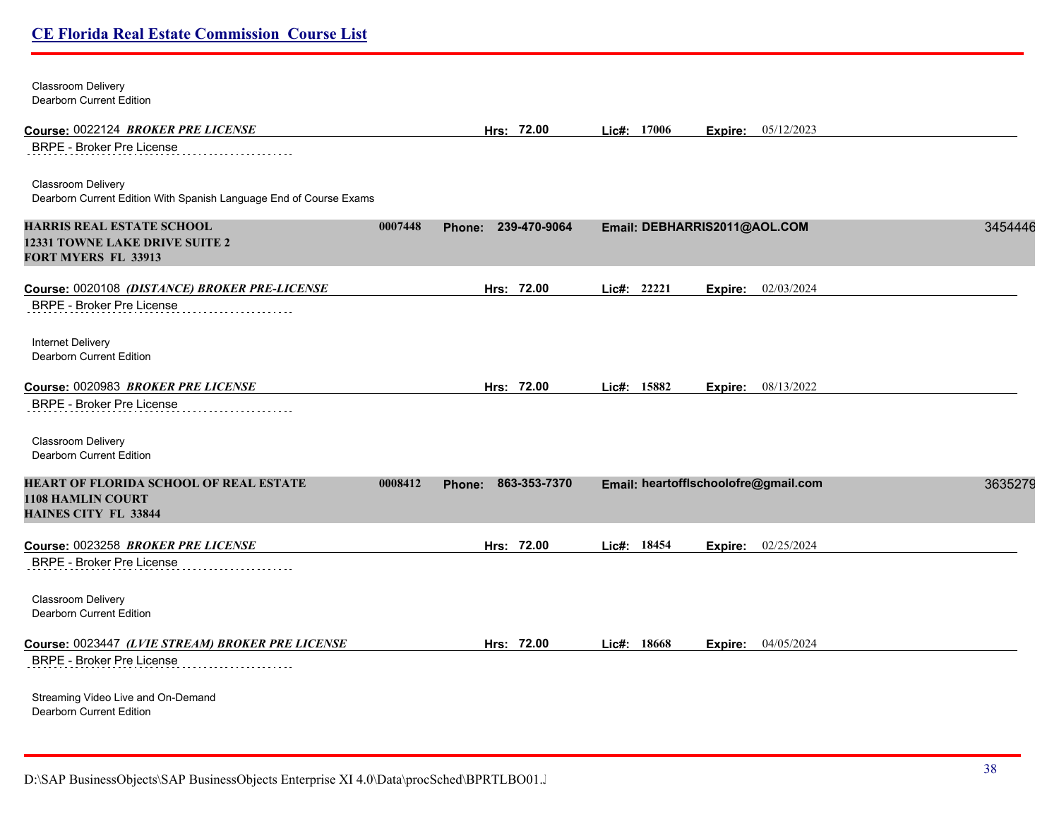| Classroom Delivery<br><b>Dearborn Current Edition</b>                                             |         |                        |             |                                      |         |
|---------------------------------------------------------------------------------------------------|---------|------------------------|-------------|--------------------------------------|---------|
| Course: 0022124 BROKER PRE LICENSE                                                                |         | Hrs: 72.00             | Lic#: 17006 | Expire: 05/12/2023                   |         |
| <b>BRPE - Broker Pre License</b>                                                                  |         |                        |             |                                      |         |
| <b>Classroom Delivery</b><br>Dearborn Current Edition With Spanish Language End of Course Exams   |         |                        |             |                                      |         |
| HARRIS REAL ESTATE SCHOOL                                                                         | 0007448 | Phone: 239-470-9064    |             | Email: DEBHARRIS2011@AOL.COM         | 3454446 |
| <b>12331 TOWNE LAKE DRIVE SUITE 2</b><br><b>FORT MYERS FL 33913</b>                               |         |                        |             |                                      |         |
| Course: 0020108 (DISTANCE) BROKER PRE-LICENSE                                                     |         | Hrs: 72.00             | Lic#: 22221 | 02/03/2024<br>Expire:                |         |
| <b>BRPE - Broker Pre License</b>                                                                  |         |                        |             |                                      |         |
| Internet Delivery<br>Dearborn Current Edition                                                     |         |                        |             |                                      |         |
| Course: 0020983 BROKER PRE LICENSE                                                                |         | Hrs: 72.00             | Lic#: 15882 | <b>Expire:</b> 08/13/2022            |         |
| <b>BRPE - Broker Pre License</b>                                                                  |         |                        |             |                                      |         |
| Classroom Delivery<br><b>Dearborn Current Edition</b>                                             |         |                        |             |                                      |         |
| HEART OF FLORIDA SCHOOL OF REAL ESTATE<br><b>1108 HAMLIN COURT</b><br><b>HAINES CITY FL 33844</b> | 0008412 | 863-353-7370<br>Phone: |             | Email: heartofflschoolofre@gmail.com | 3635279 |
| Course: 0023258 BROKER PRE LICENSE                                                                |         | Hrs: 72.00             | Lic#: 18454 | 02/25/2024<br>Expire:                |         |
| <b>BRPE - Broker Pre License</b>                                                                  |         |                        |             |                                      |         |
| Classroom Delivery<br>Dearborn Current Edition                                                    |         |                        |             |                                      |         |
| Course: 0023447 (LVIE STREAM) BROKER PRE LICENSE                                                  |         | Hrs: 72.00             | Lic#: 18668 | <b>Expire:</b> 04/05/2024            |         |
| <b>BRPE - Broker Pre License</b>                                                                  |         |                        |             |                                      |         |
| Streaming Video Live and On-Demand<br>Dearborn Current Edition                                    |         |                        |             |                                      |         |

D:\SAP BusinessObjects\SAP BusinessObjects Enterprise XI 4.0\Data\procSched\BPRTLBO01.Jobserver2\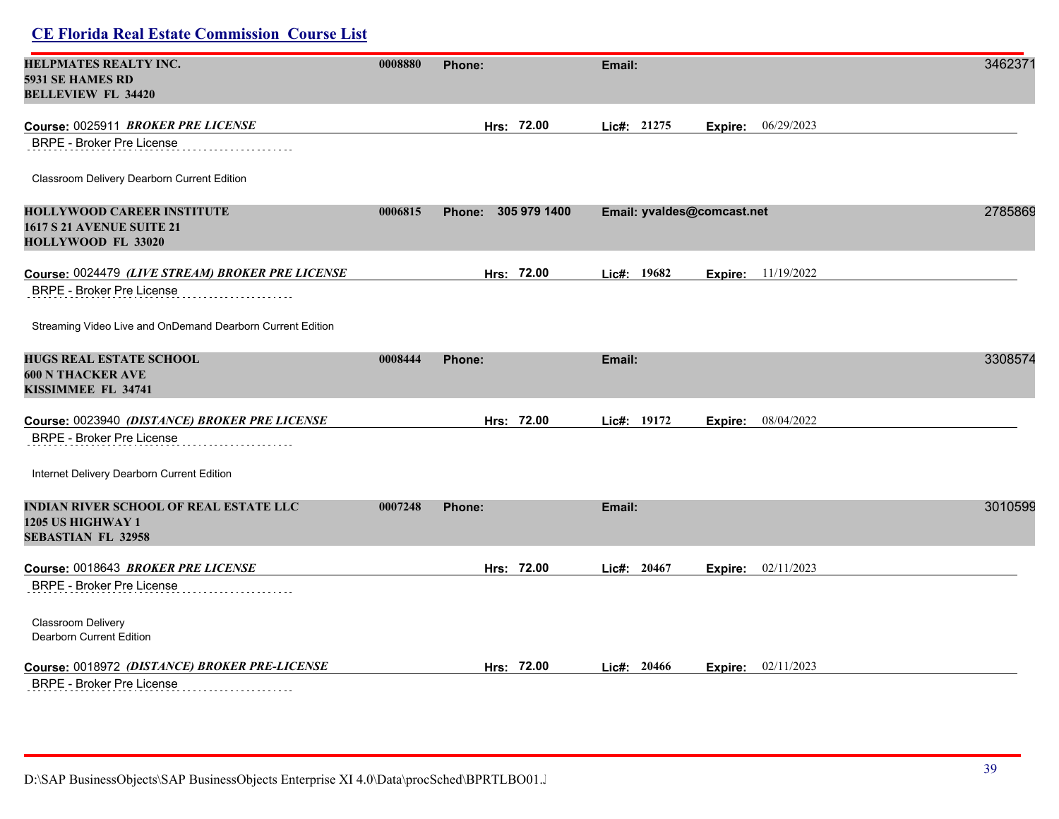| HELPMATES REALTY INC.<br>5931 SE HAMES RD<br><b>BELLEVIEW FL 34420</b>                             | 0008880 | Phone:              | Email:                                   | 3462371 |
|----------------------------------------------------------------------------------------------------|---------|---------------------|------------------------------------------|---------|
| Course: 0025911 BROKER PRE LICENSE                                                                 |         | Hrs: 72.00          | Lic#: 21275<br>06/29/2023<br>Expire:     |         |
| <b>BRPE - Broker Pre License</b>                                                                   |         |                     |                                          |         |
| Classroom Delivery Dearborn Current Edition                                                        |         |                     |                                          |         |
| <b>HOLLYWOOD CAREER INSTITUTE</b><br><b>1617 S 21 AVENUE SUITE 21</b><br><b>HOLLYWOOD FL 33020</b> | 0006815 | Phone: 305 979 1400 | Email: yvaldes@comcast.net               | 2785869 |
| Course: 0024479 (LIVE STREAM) BROKER PRE LICENSE                                                   |         | Hrs: 72.00          | Lic#: 19682<br><b>Expire:</b> 11/19/2022 |         |
| <b>BRPE - Broker Pre License</b>                                                                   |         |                     |                                          |         |
| Streaming Video Live and OnDemand Dearborn Current Edition                                         |         |                     |                                          |         |
| <b>HUGS REAL ESTATE SCHOOL</b><br><b>600 N THACKER AVE</b><br>KISSIMMEE FL 34741                   | 0008444 | Phone:              | Email:                                   | 3308574 |
| Course: 0023940 (DISTANCE) BROKER PRE LICENSE                                                      |         | Hrs: 72.00          | Lic#: 19172<br>08/04/2022<br>Expire:     |         |
| <b>BRPE - Broker Pre License</b>                                                                   |         |                     |                                          |         |
| Internet Delivery Dearborn Current Edition                                                         |         |                     |                                          |         |
| <b>INDIAN RIVER SCHOOL OF REAL ESTATE LLC</b><br>1205 US HIGHWAY 1<br><b>SEBASTIAN FL 32958</b>    | 0007248 | <b>Phone:</b>       | Email:                                   | 3010599 |
| Course: 0018643 BROKER PRE LICENSE                                                                 |         | Hrs: 72.00          | 02/11/2023<br>Lic#: 20467<br>Expire:     |         |
| <b>BRPE - Broker Pre License</b>                                                                   |         |                     |                                          |         |
| Classroom Delivery<br>Dearborn Current Edition                                                     |         |                     |                                          |         |
| Course: 0018972 (DISTANCE) BROKER PRE-LICENSE                                                      |         | Hrs: 72.00          | Lic#: 20466<br>Expire: 02/11/2023        |         |
| <b>BRPE - Broker Pre License</b>                                                                   |         |                     |                                          |         |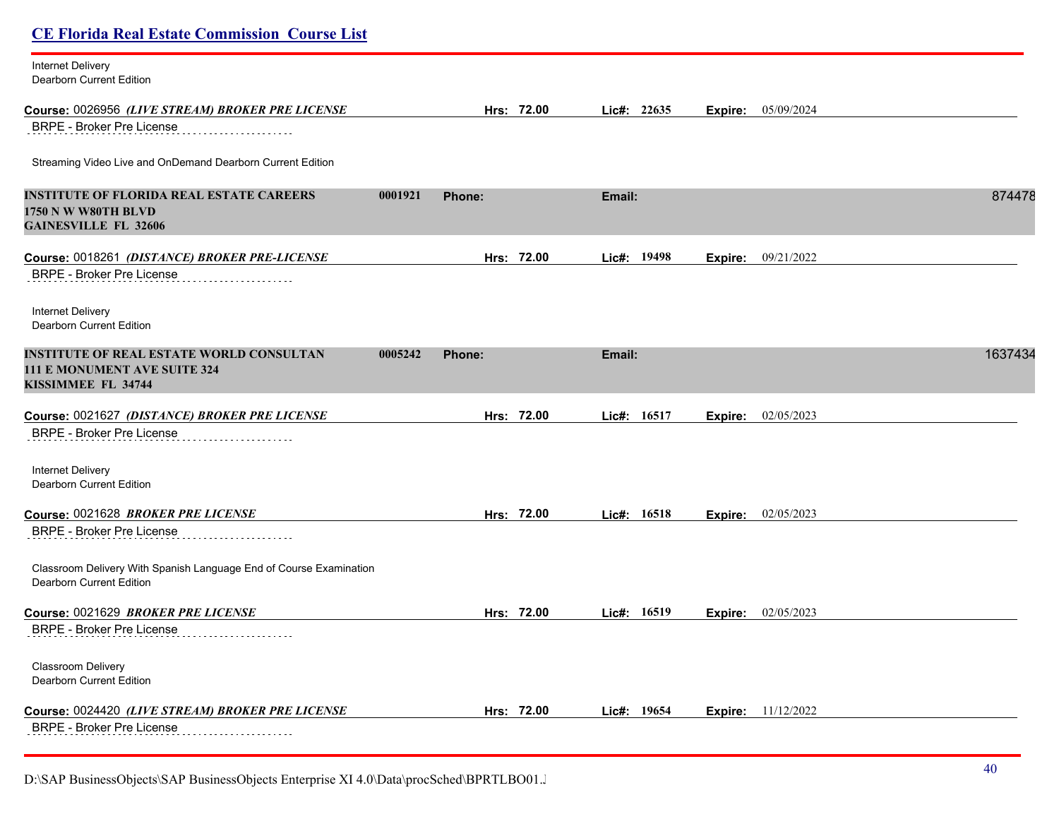| <b>CE Florida Real Estate Commission Course List</b>                                                         |         |        |            |             |         |                           |         |
|--------------------------------------------------------------------------------------------------------------|---------|--------|------------|-------------|---------|---------------------------|---------|
| Internet Delivery<br>Dearborn Current Edition                                                                |         |        |            |             |         |                           |         |
| Course: 0026956 (LIVE STREAM) BROKER PRE LICENSE                                                             |         |        | Hrs: 72.00 | Lic#: 22635 | Expire: | 05/09/2024                |         |
| <b>BRPE - Broker Pre License</b>                                                                             |         |        |            |             |         |                           |         |
| Streaming Video Live and OnDemand Dearborn Current Edition                                                   |         |        |            |             |         |                           |         |
| <b>INSTITUTE OF FLORIDA REAL ESTATE CAREERS</b><br><b>1750 N W W80TH BLVD</b><br><b>GAINESVILLE FL 32606</b> | 0001921 | Phone: |            | Email:      |         |                           | 874478  |
| Course: 0018261 (DISTANCE) BROKER PRE-LICENSE                                                                |         |        | Hrs: 72.00 | Lic#: 19498 | Expire: | 09/21/2022                |         |
| <b>BRPE - Broker Pre License</b>                                                                             |         |        |            |             |         |                           |         |
| Internet Delivery<br><b>Dearborn Current Edition</b>                                                         |         |        |            |             |         |                           |         |
| <b>INSTITUTE OF REAL ESTATE WORLD CONSULTAN</b><br><b>111 E MONUMENT AVE SUITE 324</b><br>KISSIMMEE FL 34744 | 0005242 | Phone: |            | Email:      |         |                           | 1637434 |
| Course: 0021627 (DISTANCE) BROKER PRE LICENSE                                                                |         |        | Hrs: 72.00 | Lic#: 16517 | Expire: | 02/05/2023                |         |
| <b>BRPE - Broker Pre License</b>                                                                             |         |        |            |             |         |                           |         |
| Internet Delivery<br>Dearborn Current Edition                                                                |         |        |            |             |         |                           |         |
| Course: 0021628 BROKER PRE LICENSE                                                                           |         |        | Hrs: 72.00 | Lic#: 16518 | Expire: | 02/05/2023                |         |
| <b>BRPE - Broker Pre License</b>                                                                             |         |        |            |             |         |                           |         |
| Classroom Delivery With Spanish Language End of Course Examination<br><b>Dearborn Current Edition</b>        |         |        |            |             |         |                           |         |
| Course: 0021629 BROKER PRE LICENSE                                                                           |         |        | Hrs: 72.00 | Lic#: 16519 |         | Expire: 02/05/2023        |         |
| <b>BRPE - Broker Pre License</b>                                                                             |         |        |            |             |         |                           |         |
| Classroom Delivery<br>Dearborn Current Edition                                                               |         |        |            |             |         |                           |         |
| Course: 0024420 (LIVE STREAM) BROKER PRE LICENSE                                                             |         |        | Hrs: 72.00 | Lic#: 19654 |         | <b>Expire:</b> 11/12/2022 |         |
| <b>BRPE - Broker Pre License</b>                                                                             |         |        |            |             |         |                           |         |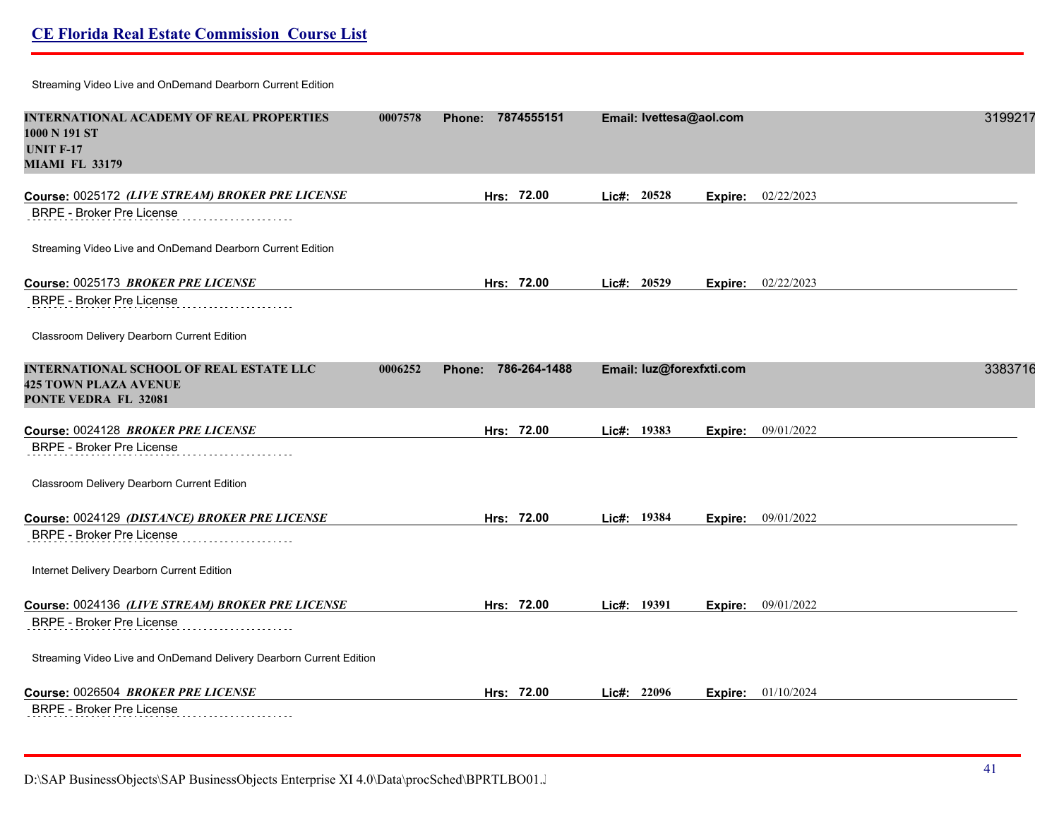Streaming Video Live and OnDemand Dearborn Current Edition

| <b>INTERNATIONAL ACADEMY OF REAL PROPERTIES</b><br>1000 N 191 ST<br><b>UNIT F-17</b><br><b>MIAMI FL 33179</b> | 0007578 | Phone: 7874555151             | Email: Ivettesa@aol.com  |         |                           | 3199217 |
|---------------------------------------------------------------------------------------------------------------|---------|-------------------------------|--------------------------|---------|---------------------------|---------|
| Course: 0025172 (LIVE STREAM) BROKER PRE LICENSE                                                              |         | Hrs: 72.00                    | Lic#: 20528              |         | <b>Expire:</b> 02/22/2023 |         |
| <b>BRPE - Broker Pre License</b>                                                                              |         |                               |                          |         |                           |         |
| Streaming Video Live and OnDemand Dearborn Current Edition                                                    |         |                               |                          |         |                           |         |
| Course: 0025173 BROKER PRE LICENSE                                                                            |         | Hrs: 72.00                    | Lic#: 20529              |         | <b>Expire:</b> 02/22/2023 |         |
| <b>BRPE - Broker Pre License</b>                                                                              |         |                               |                          |         |                           |         |
| Classroom Delivery Dearborn Current Edition                                                                   |         |                               |                          |         |                           |         |
| INTERNATIONAL SCHOOL OF REAL ESTATE LLC<br><b>425 TOWN PLAZA AVENUE</b><br><b>PONTE VEDRA FL 32081</b>        | 0006252 | 786-264-1488<br><b>Phone:</b> | Email: luz@forexfxti.com |         |                           | 3383716 |
| Course: 0024128 BROKER PRE LICENSE                                                                            |         | Hrs: 72.00                    | Lic#: 19383              | Expire: | 09/01/2022                |         |
| <b>BRPE - Broker Pre License</b>                                                                              |         |                               |                          |         |                           |         |
| Classroom Delivery Dearborn Current Edition                                                                   |         |                               |                          |         |                           |         |
| Course: 0024129 (DISTANCE) BROKER PRE LICENSE                                                                 |         | Hrs: 72.00                    | Lic#: 19384              |         | <b>Expire:</b> 09/01/2022 |         |
| <b>BRPE - Broker Pre License</b>                                                                              |         |                               |                          |         |                           |         |
| Internet Delivery Dearborn Current Edition                                                                    |         |                               |                          |         |                           |         |
| Course: 0024136 (LIVE STREAM) BROKER PRE LICENSE                                                              |         | Hrs: 72.00                    | Lic#: 19391              |         | <b>Expire:</b> 09/01/2022 |         |
| <b>BRPE - Broker Pre License</b>                                                                              |         |                               |                          |         |                           |         |
| Streaming Video Live and OnDemand Delivery Dearborn Current Edition                                           |         |                               |                          |         |                           |         |
| Course: 0026504 BROKER PRE LICENSE                                                                            |         | Hrs: 72.00                    | Lic#: 22096              |         | <b>Expire:</b> 01/10/2024 |         |
| <b>BRPE - Broker Pre License</b>                                                                              |         |                               |                          |         |                           |         |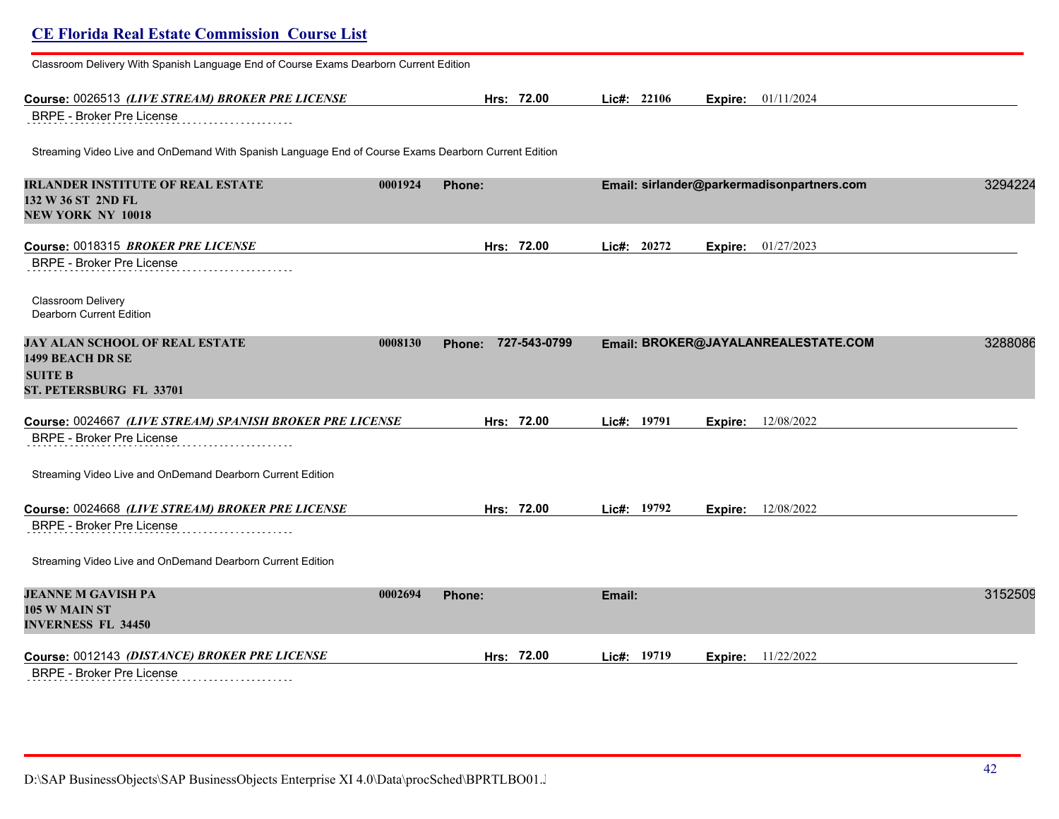| Classroom Delivery With Spanish Language End of Course Exams Dearborn Current Edition                |         |                     |             |                                            |         |
|------------------------------------------------------------------------------------------------------|---------|---------------------|-------------|--------------------------------------------|---------|
| Course: 0026513 (LIVE STREAM) BROKER PRE LICENSE<br><b>BRPE - Broker Pre License</b>                 |         | Hrs: 72.00          | Lie#: 22106 | <b>Expire:</b> 01/11/2024                  |         |
| Streaming Video Live and OnDemand With Spanish Language End of Course Exams Dearborn Current Edition |         |                     |             |                                            |         |
| <b>IRLANDER INSTITUTE OF REAL ESTATE</b><br>132 W 36 ST 2ND FL<br><b>NEW YORK NY 10018</b>           | 0001924 | Phone:              |             | Email: sirlander@parkermadisonpartners.com | 3294224 |
| Course: 0018315 BROKER PRE LICENSE                                                                   |         | Hrs: 72.00          | Lic#: 20272 | Expire: 01/27/2023                         |         |
| <b>BRPE - Broker Pre License</b>                                                                     |         |                     |             |                                            |         |
| Classroom Delivery<br>Dearborn Current Edition                                                       |         |                     |             |                                            |         |
| <b>JAY ALAN SCHOOL OF REAL ESTATE</b><br><b>1499 BEACH DR SE</b>                                     | 0008130 | Phone: 727-543-0799 |             | Email: BROKER@JAYALANREALESTATE.COM        | 3288086 |
| <b>SUITE B</b><br>ST. PETERSBURG FL 33701                                                            |         |                     |             |                                            |         |
| Course: 0024667 (LIVE STREAM) SPANISH BROKER PRE LICENSE                                             |         | Hrs: 72.00          | Lic#: 19791 | 12/08/2022<br>Expire:                      |         |
| <b>BRPE - Broker Pre License</b>                                                                     |         |                     |             |                                            |         |
| Streaming Video Live and OnDemand Dearborn Current Edition                                           |         |                     |             |                                            |         |
| Course: 0024668 (LIVE STREAM) BROKER PRE LICENSE                                                     |         | Hrs: 72.00          | Lic#: 19792 | 12/08/2022<br>Expire:                      |         |
| <b>BRPE - Broker Pre License</b>                                                                     |         |                     |             |                                            |         |
| Streaming Video Live and OnDemand Dearborn Current Edition                                           |         |                     |             |                                            |         |
| JEANNE M GAVISH PA<br>105 W MAIN ST<br><b>INVERNESS FL 34450</b>                                     | 0002694 | <b>Phone:</b>       | Email:      |                                            | 3152509 |
| Course: 0012143 <i>(DISTANCE) BROKER PRE LICENSE</i><br><b>BRPE - Broker Pre License</b>             |         | Hrs: 72.00          | Lic#: 19719 | 11/22/2022<br>Expire:                      |         |

<u>F. Prover Pre License</u>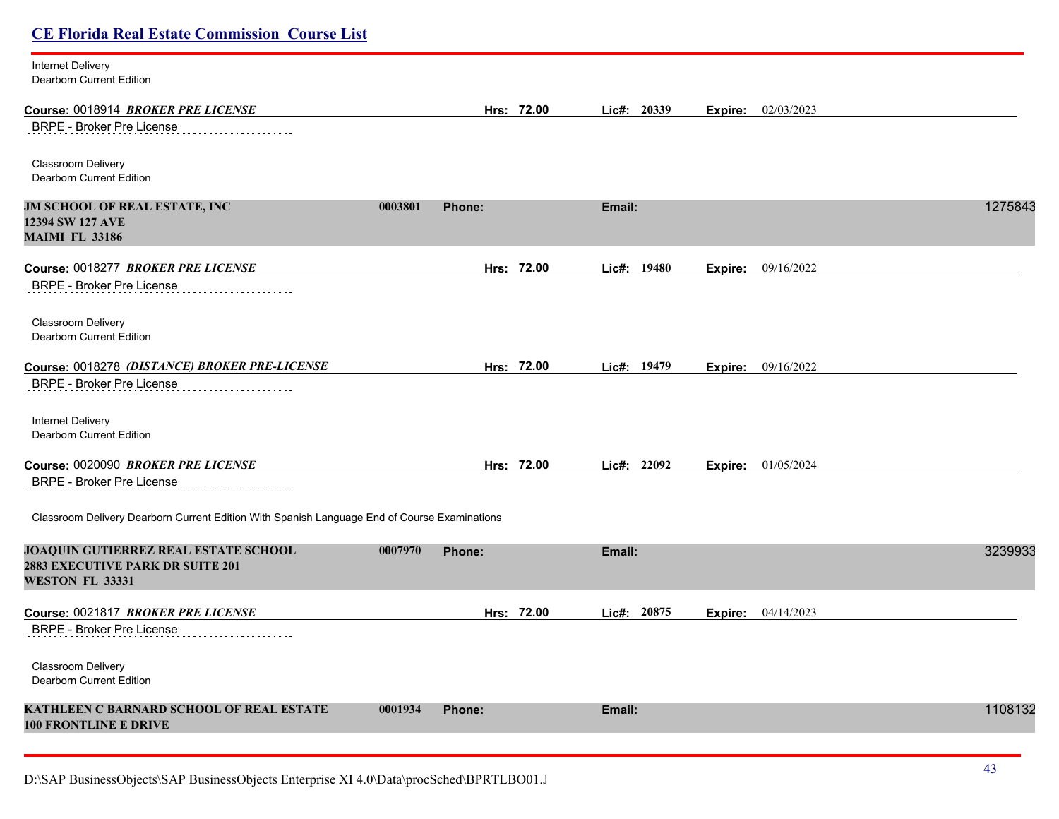| <b>CE Florida Real Estate Commission Course List</b>                                               |         |               |            |        |             |         |                    |         |
|----------------------------------------------------------------------------------------------------|---------|---------------|------------|--------|-------------|---------|--------------------|---------|
| Internet Delivery<br>Dearborn Current Edition                                                      |         |               |            |        |             |         |                    |         |
| Course: 0018914 BROKER PRE LICENSE                                                                 |         |               | Hrs: 72.00 |        | Lic#: 20339 | Expire: | 02/03/2023         |         |
| <b>BRPE - Broker Pre License</b>                                                                   |         |               |            |        |             |         |                    |         |
| Classroom Delivery<br>Dearborn Current Edition                                                     |         |               |            |        |             |         |                    |         |
| JM SCHOOL OF REAL ESTATE, INC<br>12394 SW 127 AVE<br><b>MAIMI FL 33186</b>                         | 0003801 | Phone:        |            | Email: |             |         |                    | 1275843 |
| Course: 0018277 BROKER PRE LICENSE<br><b>BRPE - Broker Pre License</b>                             |         |               | Hrs: 72.00 |        | Lic#: 19480 | Expire: | 09/16/2022         |         |
| Classroom Delivery<br>Dearborn Current Edition                                                     |         |               |            |        |             |         |                    |         |
| Course: 0018278 (DISTANCE) BROKER PRE-LICENSE                                                      |         |               | Hrs: 72.00 |        | Lic#: 19479 | Expire: | 09/16/2022         |         |
| <b>BRPE - Broker Pre License</b>                                                                   |         |               |            |        |             |         |                    |         |
| Internet Delivery<br>Dearborn Current Edition                                                      |         |               |            |        |             |         |                    |         |
| Course: 0020090 BROKER PRE LICENSE                                                                 |         |               | Hrs: 72.00 |        | Lic#: 22092 |         | Expire: 01/05/2024 |         |
| <b>BRPE - Broker Pre License</b>                                                                   |         |               |            |        |             |         |                    |         |
| Classroom Delivery Dearborn Current Edition With Spanish Language End of Course Examinations       |         |               |            |        |             |         |                    |         |
| JOAQUIN GUTIERREZ REAL ESTATE SCHOOL<br>2883 EXECUTIVE PARK DR SUITE 201<br><b>WESTON FL 33331</b> | 0007970 | <b>Phone:</b> |            | Email: |             |         |                    | 3239933 |
| Course: 0021817 BROKER PRE LICENSE                                                                 |         |               | Hrs: 72.00 |        | Lic#: 20875 |         | Expire: 04/14/2023 |         |
| <b>BRPE - Broker Pre License</b>                                                                   |         |               |            |        |             |         |                    |         |
| Classroom Delivery<br>Dearborn Current Edition                                                     |         |               |            |        |             |         |                    |         |
| KATHLEEN C BARNARD SCHOOL OF REAL ESTATE<br><b>100 FRONTLINE E DRIVE</b>                           | 0001934 | <b>Phone:</b> |            | Email: |             |         |                    | 1108132 |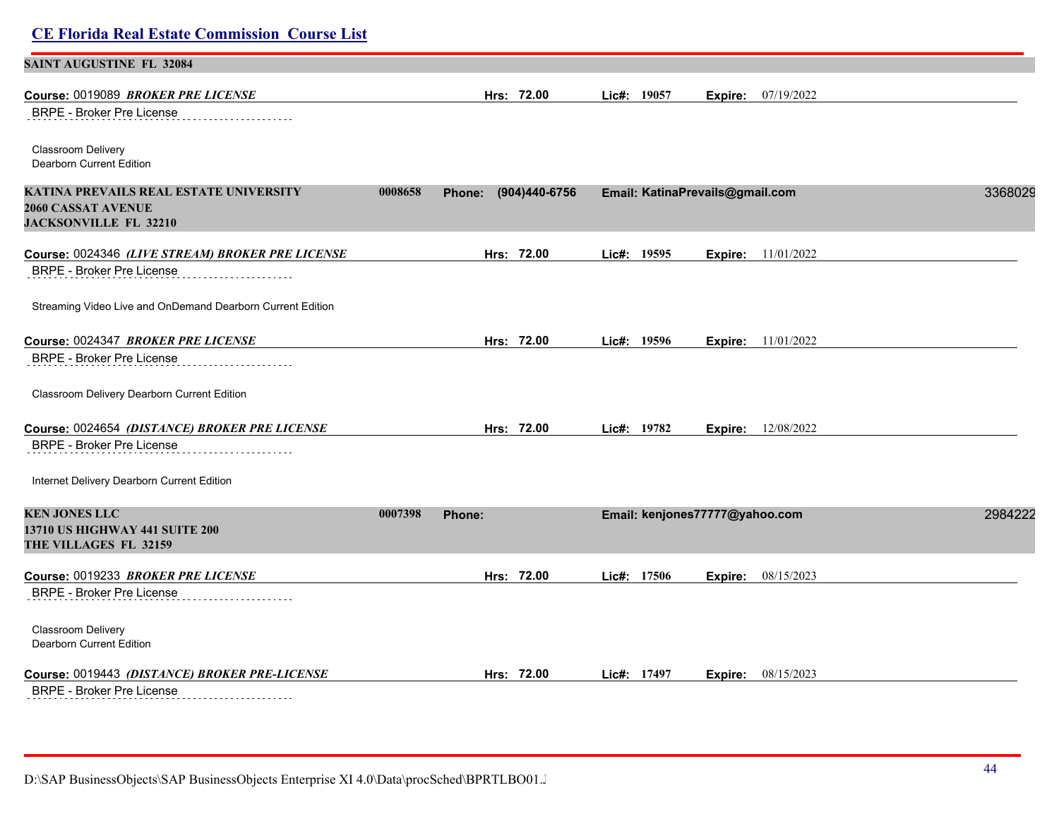| <b>SAINT AUGUSTINE FL 32084</b>                                                              |         |                                |             |                                 |                           |         |
|----------------------------------------------------------------------------------------------|---------|--------------------------------|-------------|---------------------------------|---------------------------|---------|
| Course: 0019089 BROKER PRE LICENSE                                                           |         | Hrs: 72.00                     | Lic#: 19057 | Expire:                         | 07/19/2022                |         |
| <b>BRPE - Broker Pre License</b>                                                             |         |                                |             |                                 |                           |         |
| Classroom Delivery<br>Dearborn Current Edition                                               |         |                                |             |                                 |                           |         |
| KATINA PREVAILS REAL ESTATE UNIVERSITY<br>2060 CASSAT AVENUE<br><b>JACKSONVILLE FL 32210</b> | 0008658 | (904)440-6756<br><b>Phone:</b> |             | Email: KatinaPrevails@gmail.com |                           | 3368029 |
| Course: 0024346 (LIVE STREAM) BROKER PRE LICENSE                                             |         | Hrs: 72.00                     | Lic#: 19595 |                                 | <b>Expire:</b> 11/01/2022 |         |
| <b>BRPE - Broker Pre License</b>                                                             |         |                                |             |                                 |                           |         |
| Streaming Video Live and OnDemand Dearborn Current Edition                                   |         |                                |             |                                 |                           |         |
| Course: 0024347 BROKER PRE LICENSE                                                           |         | Hrs: 72.00                     | Lic#: 19596 |                                 | <b>Expire:</b> 11/01/2022 |         |
| <b>BRPE - Broker Pre License</b>                                                             |         |                                |             |                                 |                           |         |
| Classroom Delivery Dearborn Current Edition                                                  |         |                                |             |                                 |                           |         |
| Course: 0024654 (DISTANCE) BROKER PRE LICENSE                                                |         | Hrs: 72.00                     | Lic#: 19782 | Expire:                         | 12/08/2022                |         |
| <b>BRPE - Broker Pre License</b>                                                             |         |                                |             |                                 |                           |         |
| Internet Delivery Dearborn Current Edition                                                   |         |                                |             |                                 |                           |         |
| <b>KEN JONES LLC</b>                                                                         | 0007398 | Phone:                         |             | Email: kenjones77777@yahoo.com  |                           | 2984222 |
| <b>13710 US HIGHWAY 441 SUITE 200</b><br>THE VILLAGES FL 32159                               |         |                                |             |                                 |                           |         |
| Course: 0019233 BROKER PRE LICENSE                                                           |         | Hrs: 72.00                     | Lic#: 17506 | Expire:                         | 08/15/2023                |         |
| <b>BRPE - Broker Pre License</b>                                                             |         |                                |             |                                 |                           |         |
| Classroom Delivery<br>Dearborn Current Edition                                               |         |                                |             |                                 |                           |         |
| Course: 0019443 (DISTANCE) BROKER PRE-LICENSE                                                |         | Hrs: 72.00                     | Lie#: 17497 | Expire:                         | 08/15/2023                |         |
| <b>BRPE - Broker Pre License</b><br>.                                                        |         |                                |             |                                 |                           |         |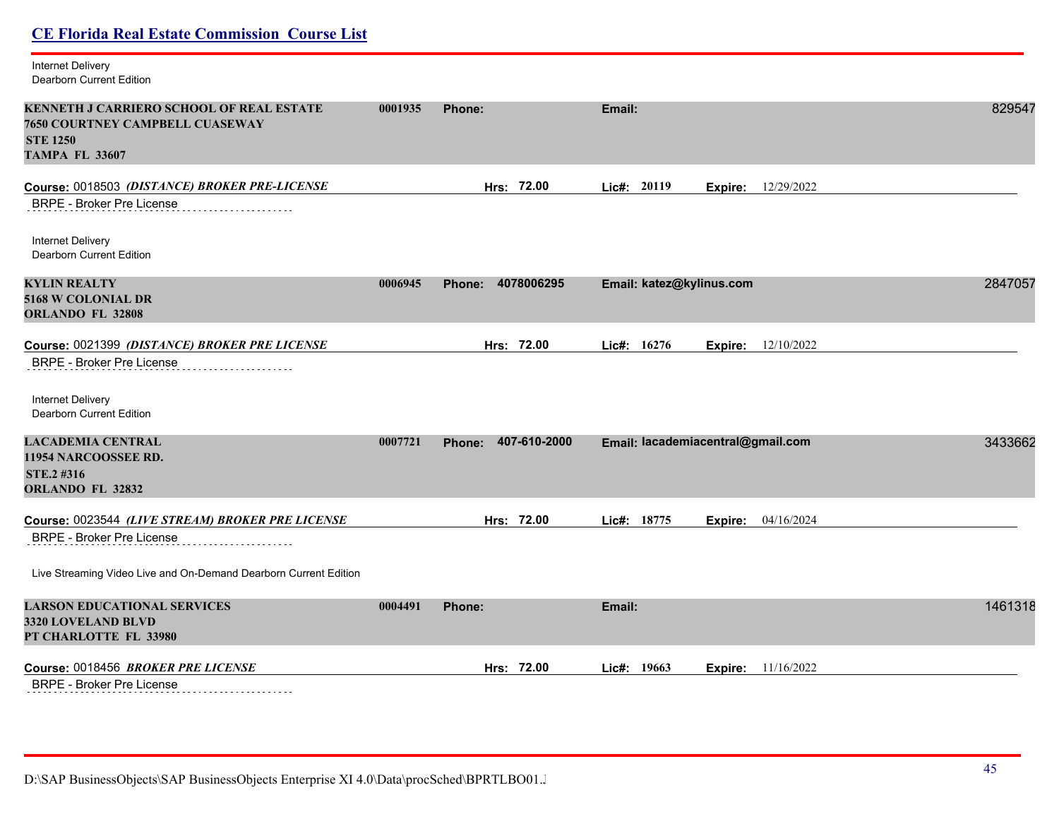| <b>CE Florida Real Estate Commission Course List</b>                                                                                  |         |                     |               |                                   |                           |         |
|---------------------------------------------------------------------------------------------------------------------------------------|---------|---------------------|---------------|-----------------------------------|---------------------------|---------|
| Internet Delivery<br><b>Dearborn Current Edition</b>                                                                                  |         |                     |               |                                   |                           |         |
| <b>KENNETH J CARRIERO SCHOOL OF REAL ESTATE</b><br><b>7650 COURTNEY CAMPBELL CUASEWAY</b><br><b>STE 1250</b><br><b>TAMPA FL 33607</b> | 0001935 | Phone:              | Email:        |                                   |                           | 829547  |
| Course: 0018503 (DISTANCE) BROKER PRE-LICENSE                                                                                         |         | Hrs: 72.00          | Lic#: 20119   | Expire:                           | 12/29/2022                |         |
| <b>BRPE - Broker Pre License</b>                                                                                                      |         |                     |               |                                   |                           |         |
| Internet Delivery<br>Dearborn Current Edition                                                                                         |         |                     |               |                                   |                           |         |
| <b>KYLIN REALTY</b><br>5168 W COLONIAL DR<br><b>ORLANDO FL 32808</b>                                                                  | 0006945 | Phone: 4078006295   |               | Email: katez@kylinus.com          |                           | 2847057 |
| Course: 0021399 (DISTANCE) BROKER PRE LICENSE                                                                                         |         | Hrs: 72.00          | Lic#: $16276$ |                                   | <b>Expire:</b> 12/10/2022 |         |
| <b>BRPE - Broker Pre License</b><br>Internet Delivery<br>Dearborn Current Edition                                                     |         |                     |               |                                   |                           |         |
| <b>LACADEMIA CENTRAL</b><br>11954 NARCOOSSEE RD.                                                                                      | 0007721 | Phone: 407-610-2000 |               | Email: lacademiacentral@gmail.com |                           | 3433662 |
| STE.2 #316<br><b>ORLANDO FL 32832</b>                                                                                                 |         |                     |               |                                   |                           |         |
| Course: 0023544 (LIVE STREAM) BROKER PRE LICENSE                                                                                      |         | Hrs: 72.00          | Lic#: 18775   | Expire:                           | 04/16/2024                |         |
| <b>BRPE - Broker Pre License</b>                                                                                                      |         |                     |               |                                   |                           |         |
| Live Streaming Video Live and On-Demand Dearborn Current Edition                                                                      |         |                     |               |                                   |                           |         |
| <b>LARSON EDUCATIONAL SERVICES</b>                                                                                                    | 0004491 | Phone:              | Email:        |                                   |                           | 1461318 |
| 3320 LOVELAND BLVD<br>PT CHARLOTTE FL 33980                                                                                           |         |                     |               |                                   |                           |         |
| Course: 0018456 BROKER PRE LICENSE<br><b>BRPE - Broker Pre License</b>                                                                |         | Hrs: 72.00          | Lic#: 19663   | Expire:                           | 11/16/2022                |         |
|                                                                                                                                       |         |                     |               |                                   |                           |         |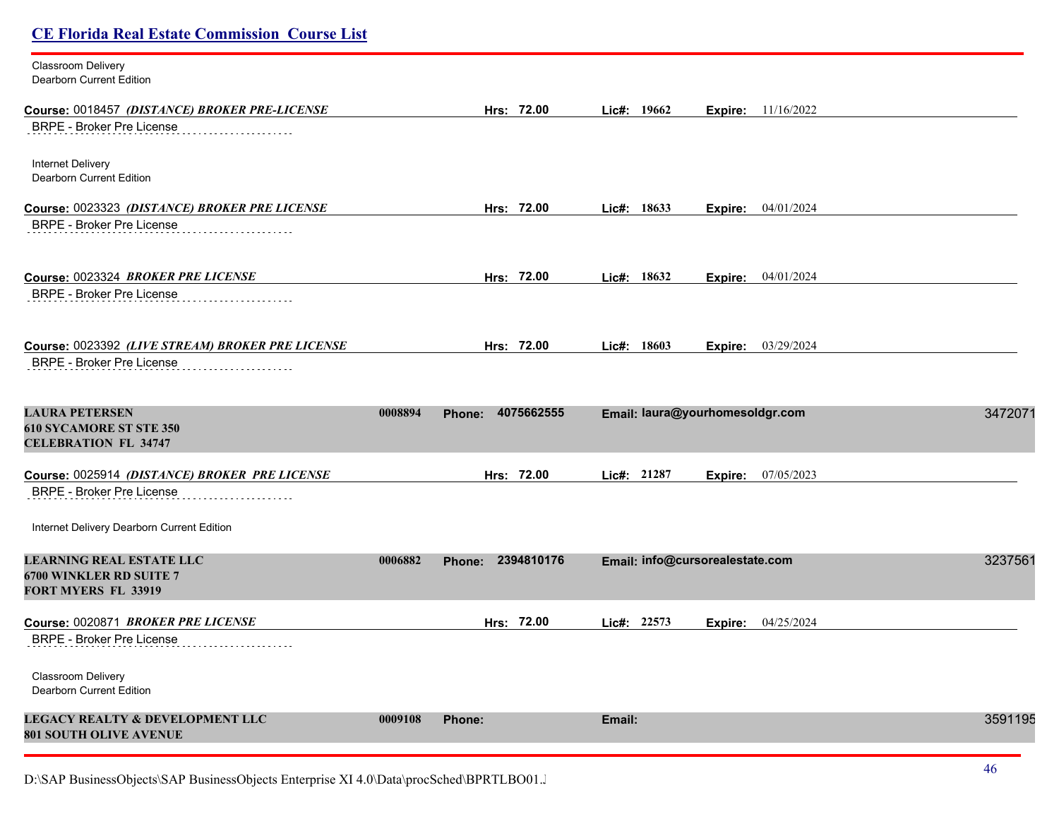Classroom Delivery

Dearborn Current Edition

| <b>But Down Strip Lumber</b>                                      |         |                   |             |             |                                 |                           |         |
|-------------------------------------------------------------------|---------|-------------------|-------------|-------------|---------------------------------|---------------------------|---------|
| Course: 0018457 (DISTANCE) BROKER PRE-LICENSE                     |         | Hrs: 72.00        |             | Lic#: 19662 |                                 | <b>Expire:</b> 11/16/2022 |         |
| <b>BRPE - Broker Pre License</b>                                  |         |                   |             |             |                                 |                           |         |
| <b>Internet Delivery</b>                                          |         |                   |             |             |                                 |                           |         |
| Dearborn Current Edition                                          |         |                   |             |             |                                 |                           |         |
| Course: 0023323 (DISTANCE) BROKER PRE LICENSE                     |         | Hrs: 72.00        | Lic#: 18633 |             |                                 | Expire: 04/01/2024        |         |
| <b>BRPE - Broker Pre License</b>                                  |         |                   |             |             |                                 |                           |         |
| Course: 0023324 BROKER PRE LICENSE                                |         | Hrs: 72.00        | Lic#: 18632 |             |                                 | Expire: 04/01/2024        |         |
| <b>BRPE - Broker Pre License</b>                                  |         |                   |             |             |                                 |                           |         |
| Course: 0023392 (LIVE STREAM) BROKER PRE LICENSE                  |         | Hrs: 72.00        |             | Lie#: 18603 |                                 | <b>Expire:</b> 03/29/2024 |         |
| <b>BRPE - Broker Pre License</b>                                  |         |                   |             |             |                                 |                           |         |
| <b>LAURA PETERSEN</b>                                             | 0008894 | Phone: 4075662555 |             |             | Email: laura@yourhomesoldgr.com |                           | 3472071 |
| <b>610 SYCAMORE ST STE 350</b><br><b>CELEBRATION FL 34747</b>     |         |                   |             |             |                                 |                           |         |
| Course: 0025914 (DISTANCE) BROKER PRE LICENSE                     |         | Hrs: 72.00        |             | Lic#: 21287 |                                 | <b>Expire:</b> 07/05/2023 |         |
| <b>BRPE - Broker Pre License</b>                                  |         |                   |             |             |                                 |                           |         |
| Internet Delivery Dearborn Current Edition                        |         |                   |             |             |                                 |                           |         |
| <b>LEARNING REAL ESTATE LLC</b><br><b>6700 WINKLER RD SUITE 7</b> | 0006882 | Phone: 2394810176 |             |             | Email: info@cursorealestate.com |                           | 3237561 |
| <b>FORT MYERS FL 33919</b>                                        |         |                   |             |             |                                 |                           |         |
| Course: 0020871 BROKER PRE LICENSE                                |         | Hrs: 72.00        | Lic#: 22573 |             | Expire:                         | 04/25/2024                |         |
| <b>BRPE - Broker Pre License</b>                                  |         |                   |             |             |                                 |                           |         |
| Classroom Delivery                                                |         |                   |             |             |                                 |                           |         |
| Dearborn Current Edition                                          |         |                   |             |             |                                 |                           |         |
| LEGACY REALTY & DEVELOPMENT LLC<br><b>801 SOUTH OLIVE AVENUE</b>  | 0009108 | <b>Phone:</b>     | Email:      |             |                                 |                           | 3591195 |
|                                                                   |         |                   |             |             |                                 |                           |         |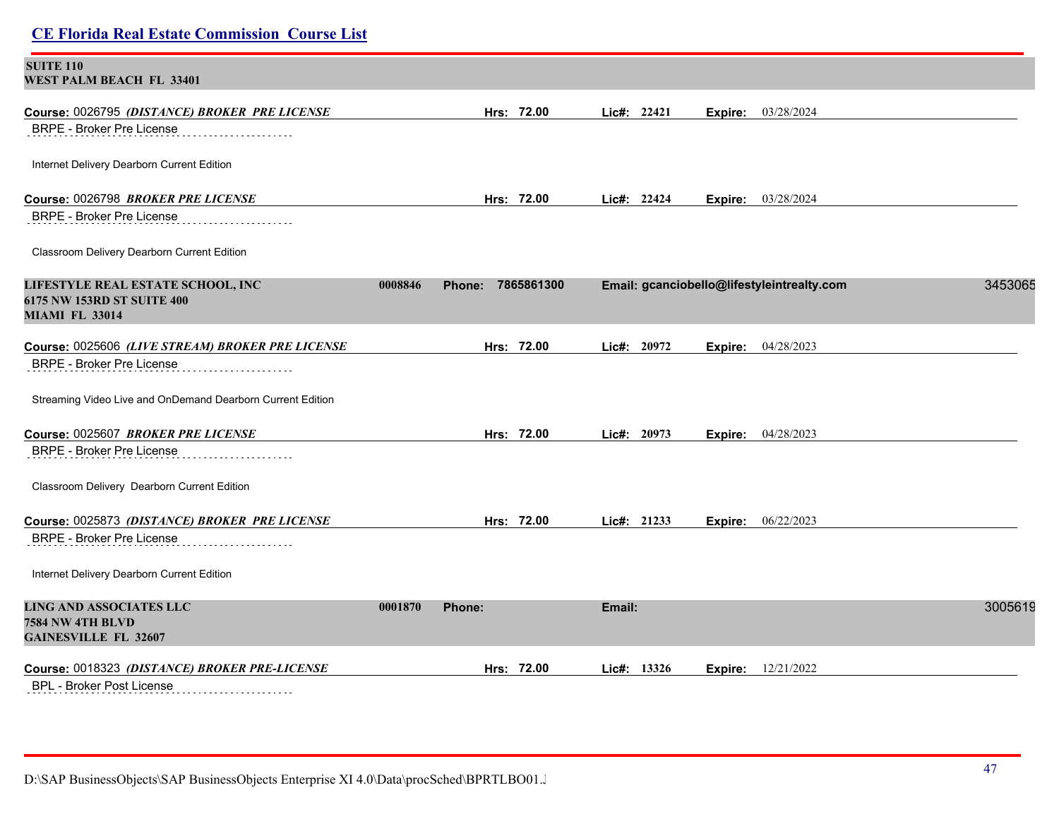| <b>SUITE 110</b><br>WEST PALM BEACH FL 33401                                      |         |                   |        |               |         |                                                       |
|-----------------------------------------------------------------------------------|---------|-------------------|--------|---------------|---------|-------------------------------------------------------|
|                                                                                   |         |                   |        |               |         |                                                       |
| Course: 0026795 (DISTANCE) BROKER PRE LICENSE                                     |         | Hrs: 72.00        |        | Lic#: 22421   | Expire: | 03/28/2024                                            |
| <b>BRPE - Broker Pre License</b>                                                  |         |                   |        |               |         |                                                       |
| Internet Delivery Dearborn Current Edition                                        |         |                   |        |               |         |                                                       |
| Course: 0026798 BROKER PRE LICENSE                                                |         | Hrs: 72.00        |        | Lic#: 22424   |         | Expire: 03/28/2024                                    |
| <b>BRPE - Broker Pre License</b>                                                  |         |                   |        |               |         |                                                       |
| Classroom Delivery Dearborn Current Edition                                       |         |                   |        |               |         |                                                       |
| LIFESTYLE REAL ESTATE SCHOOL, INC                                                 | 0008846 | Phone: 7865861300 |        |               |         | 3453065<br>Email: gcanciobello@lifestyleintrealty.com |
| 6175 NW 153RD ST SUITE 400<br><b>MIAMI FL 33014</b>                               |         |                   |        |               |         |                                                       |
|                                                                                   |         |                   |        |               |         |                                                       |
| Course: 0025606 (LIVE STREAM) BROKER PRE LICENSE                                  |         | Hrs: 72.00        |        | Lic#: 20972   | Expire: | 04/28/2023                                            |
| <b>BRPE - Broker Pre License</b>                                                  |         |                   |        |               |         |                                                       |
| Streaming Video Live and OnDemand Dearborn Current Edition                        |         |                   |        |               |         |                                                       |
| Course: 0025607 BROKER PRE LICENSE                                                |         | Hrs: 72.00        |        | Lic#: 20973   |         | Expire: 04/28/2023                                    |
| <b>BRPE - Broker Pre License</b>                                                  |         |                   |        |               |         |                                                       |
|                                                                                   |         |                   |        |               |         |                                                       |
| Classroom Delivery Dearborn Current Edition                                       |         |                   |        |               |         |                                                       |
| Course: 0025873 (DISTANCE) BROKER PRE LICENSE                                     |         | Hrs: 72.00        |        | Lic#: $21233$ | Expire: | 06/22/2023                                            |
| <b>BRPE - Broker Pre License</b>                                                  |         |                   |        |               |         |                                                       |
| Internet Delivery Dearborn Current Edition                                        |         |                   |        |               |         |                                                       |
|                                                                                   |         |                   |        |               |         |                                                       |
| LING AND ASSOCIATES LLC                                                           | 0001870 | Phone:            | Email: |               |         | 3005619                                               |
| <b>7584 NW 4TH BLVD</b><br><b>GAINESVILLE FL 32607</b>                            |         |                   |        |               |         |                                                       |
|                                                                                   |         |                   |        |               |         |                                                       |
| Course: 0018323 (DISTANCE) BROKER PRE-LICENSE<br><b>BPL - Broker Post License</b> |         | Hrs: 72.00        |        | Lic#: 13326   | Expire: | 12/21/2022                                            |

BPL - BIOKER POST LICENSE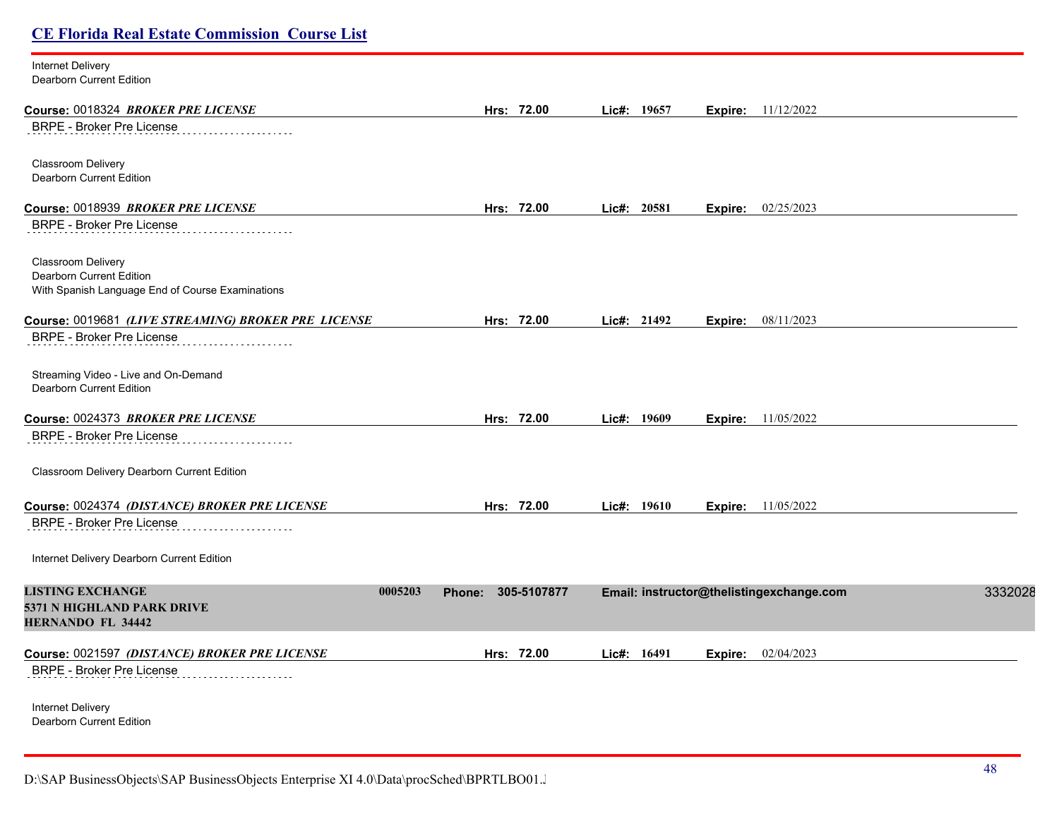| Internet Delivery<br>Dearborn Current Edition                                                      |                    |             |                                          |         |
|----------------------------------------------------------------------------------------------------|--------------------|-------------|------------------------------------------|---------|
| Course: 0018324 BROKER PRE LICENSE                                                                 | Hrs: 72.00         | Lic#: 19657 | <b>Expire:</b> 11/12/2022                |         |
| <b>BRPE - Broker Pre License</b>                                                                   |                    |             |                                          |         |
| Classroom Delivery<br>Dearborn Current Edition                                                     |                    |             |                                          |         |
| Course: 0018939 BROKER PRE LICENSE                                                                 | Hrs: 72.00         | Lic#: 20581 | <b>Expire:</b> 02/25/2023                |         |
| <b>BRPE - Broker Pre License</b>                                                                   |                    |             |                                          |         |
| Classroom Delivery<br>Dearborn Current Edition<br>With Spanish Language End of Course Examinations |                    |             |                                          |         |
| Course: 0019681 (LIVE STREAMING) BROKER PRE LICENSE                                                | Hrs: 72.00         | Lic#: 21492 | Expire: 08/11/2023                       |         |
| <b>BRPE - Broker Pre License</b>                                                                   |                    |             |                                          |         |
| Streaming Video - Live and On-Demand<br>Dearborn Current Edition                                   |                    |             |                                          |         |
| Course: 0024373 BROKER PRE LICENSE                                                                 | Hrs: 72.00         | Lic#: 19609 | <b>Expire:</b> 11/05/2022                |         |
| <b>BRPE - Broker Pre License</b>                                                                   |                    |             |                                          |         |
| Classroom Delivery Dearborn Current Edition                                                        |                    |             |                                          |         |
| Course: 0024374 (DISTANCE) BROKER PRE LICENSE                                                      | Hrs: 72.00         | Lic#: 19610 | <b>Expire:</b> 11/05/2022                |         |
| <b>BRPE - Broker Pre License</b>                                                                   |                    |             |                                          |         |
| Internet Delivery Dearborn Current Edition                                                         |                    |             |                                          |         |
| <b>LISTING EXCHANGE</b><br>0005203<br>5371 N HIGHLAND PARK DRIVE<br><b>HERNANDO FL 34442</b>       | Phone: 305-5107877 |             | Email: instructor@thelistingexchange.com | 3332028 |
| Course: 0021597 (DISTANCE) BROKER PRE LICENSE<br><b>BRPE - Broker Pre License</b>                  | Hrs: 72.00         | Lic#: 16491 | Expire: 02/04/2023                       |         |
| Internet Delivery<br>Dearborn Current Edition                                                      |                    |             |                                          |         |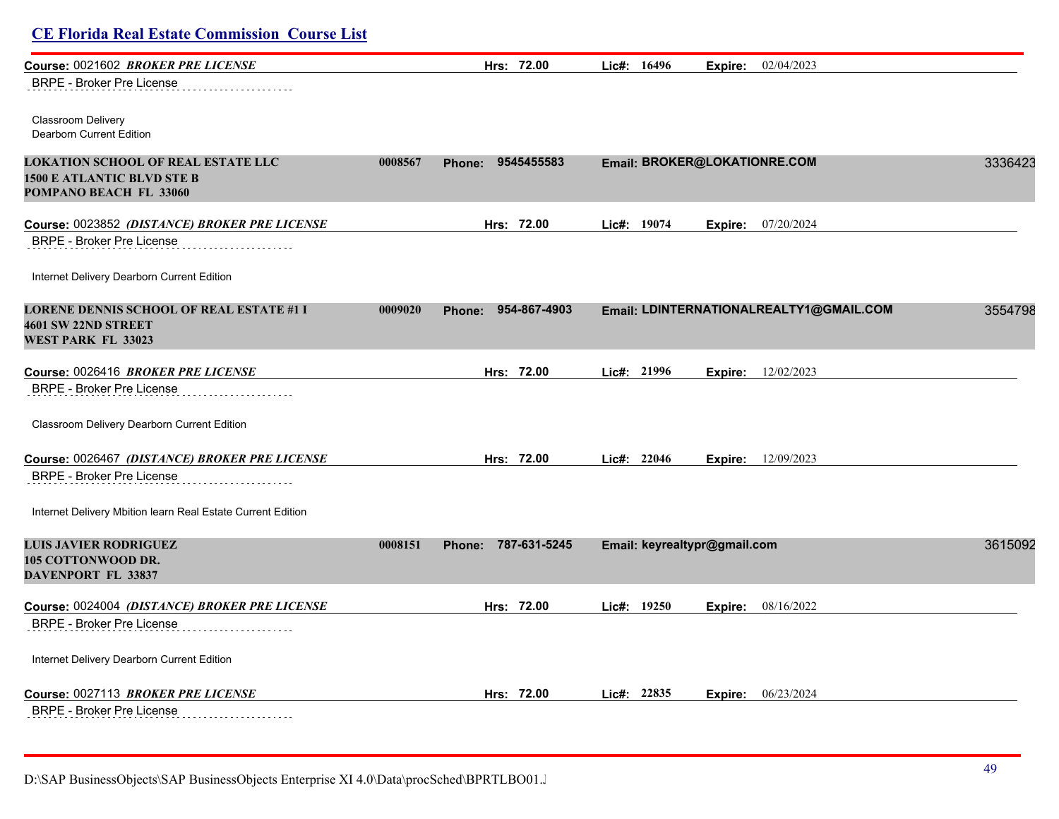| Course: 0021602 BROKER PRE LICENSE                                                           |         | Hrs: 72.00                  | Lic#: 16496    | Expire:                      | 02/04/2023                              |         |
|----------------------------------------------------------------------------------------------|---------|-----------------------------|----------------|------------------------------|-----------------------------------------|---------|
| <b>BRPE - Broker Pre License</b>                                                             |         |                             |                |                              |                                         |         |
| Classroom Delivery<br>Dearborn Current Edition                                               |         |                             |                |                              |                                         |         |
| <b>LOKATION SCHOOL OF REAL ESTATE LLC</b>                                                    | 0008567 | 9545455583<br><b>Phone:</b> |                |                              | Email: BROKER@LOKATIONRE.COM            | 3336423 |
| <b>1500 E ATLANTIC BLVD STE B</b><br>POMPANO BEACH FL 33060                                  |         |                             |                |                              |                                         |         |
| Course: 0023852 <i>(DISTANCE) BROKER PRE LICENSE</i>                                         |         | Hrs: 72.00                  | Lic#: 19074    | Expire:                      | 07/20/2024                              |         |
| <b>BRPE - Broker Pre License</b>                                                             |         |                             |                |                              |                                         |         |
| Internet Delivery Dearborn Current Edition                                                   |         |                             |                |                              |                                         |         |
| <b>LORENE DENNIS SCHOOL OF REAL ESTATE #1 I</b><br>4601 SW 22ND STREET<br>WEST PARK FL 33023 | 0009020 | 954-867-4903<br>Phone:      |                |                              | Email: LDINTERNATIONALREALTY1@GMAIL.COM | 3554798 |
| Course: 0026416 BROKER PRE LICENSE                                                           |         | Hrs: 72.00                  | Lic#: 21996    | Expire:                      | 12/02/2023                              |         |
| <b>BRPE - Broker Pre License</b>                                                             |         |                             |                |                              |                                         |         |
| Classroom Delivery Dearborn Current Edition                                                  |         |                             |                |                              |                                         |         |
| Course: 0026467 (DISTANCE) BROKER PRE LICENSE                                                |         | Hrs: 72.00                  | $Lic\#: 22046$ |                              | Expire: 12/09/2023                      |         |
| <b>BRPE - Broker Pre License</b>                                                             |         |                             |                |                              |                                         |         |
| Internet Delivery Mbition learn Real Estate Current Edition                                  |         |                             |                |                              |                                         |         |
| <b>LUIS JAVIER RODRIGUEZ</b><br>105 COTTONWOOD DR.<br>DAVENPORT FL 33837                     | 0008151 | Phone: 787-631-5245         |                | Email: keyrealtypr@gmail.com |                                         | 3615092 |
| Course: 0024004 (DISTANCE) BROKER PRE LICENSE                                                |         | Hrs: 72.00                  | Lie#: 19250    | Expire:                      | 08/16/2022                              |         |
| <b>BRPE - Broker Pre License</b>                                                             |         |                             |                |                              |                                         |         |
| Internet Delivery Dearborn Current Edition                                                   |         |                             |                |                              |                                         |         |
| Course: 0027113 BROKER PRE LICENSE                                                           |         | Hrs: 72.00                  | $Lic\#: 22835$ |                              | <b>Expire:</b> 06/23/2024               |         |
| <b>BRPE - Broker Pre License</b>                                                             |         |                             |                |                              |                                         |         |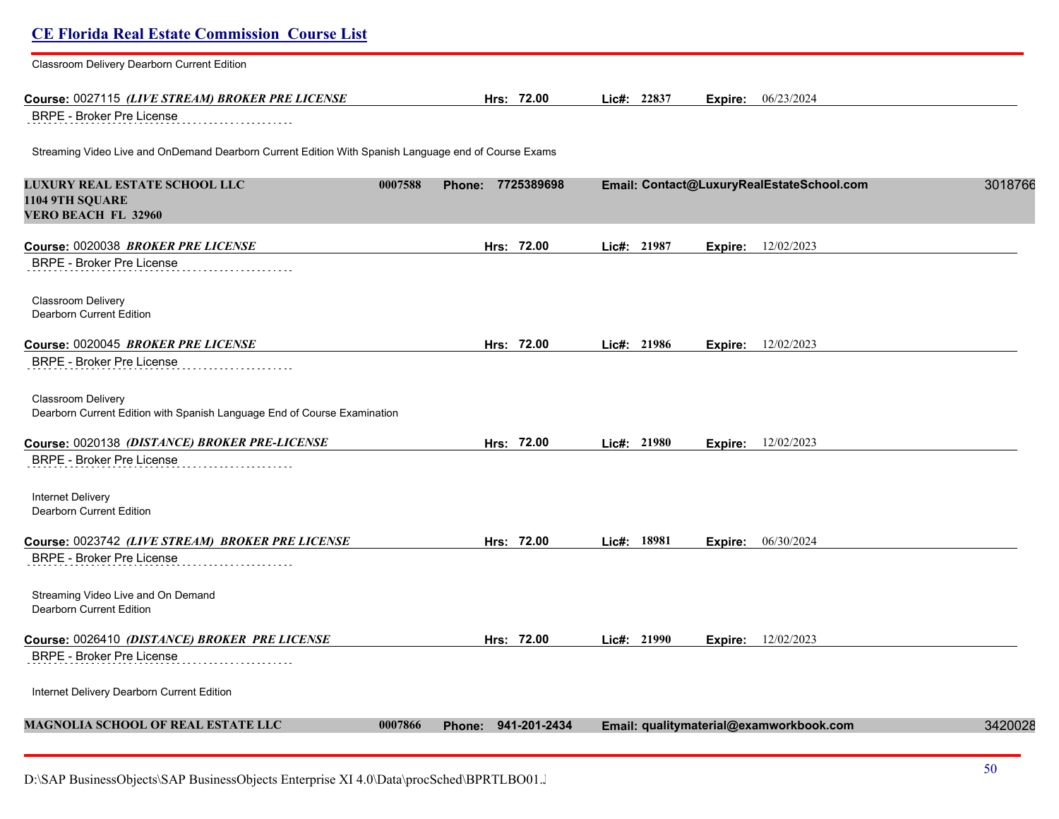| <b>CE Florida Real Estate Commission Course List</b>                                                 |                              |              |             |             |         |                                           |         |
|------------------------------------------------------------------------------------------------------|------------------------------|--------------|-------------|-------------|---------|-------------------------------------------|---------|
| Classroom Delivery Dearborn Current Edition                                                          |                              |              |             |             |         |                                           |         |
| Course: 0027115 (LIVE STREAM) BROKER PRE LICENSE                                                     |                              | Hrs: 72.00   | Lic#: 22837 |             | Expire: | 06/23/2024                                |         |
| <b>BRPE - Broker Pre License</b>                                                                     |                              |              |             |             |         |                                           |         |
| Streaming Video Live and OnDemand Dearborn Current Edition With Spanish Language end of Course Exams |                              |              |             |             |         |                                           |         |
| LUXURY REAL ESTATE SCHOOL LLC                                                                        | 0007588<br>Phone: 7725389698 |              |             |             |         | Email: Contact@LuxuryRealEstateSchool.com | 3018766 |
| 1104 9TH SQUARE<br><b>VERO BEACH FL 32960</b>                                                        |                              |              |             |             |         |                                           |         |
| Course: 0020038 BROKER PRE LICENSE                                                                   |                              | Hrs: 72.00   |             | Lic#: 21987 | Expire: | 12/02/2023                                |         |
| <b>BRPE - Broker Pre License</b>                                                                     |                              |              |             |             |         |                                           |         |
| Classroom Delivery<br><b>Dearborn Current Edition</b>                                                |                              |              |             |             |         |                                           |         |
| Course: 0020045 BROKER PRE LICENSE                                                                   |                              | Hrs: 72.00   |             | Lic#: 21986 | Expire: | 12/02/2023                                |         |
| <b>BRPE - Broker Pre License</b>                                                                     |                              |              |             |             |         |                                           |         |
| Classroom Delivery<br>Dearborn Current Edition with Spanish Language End of Course Examination       |                              |              |             |             |         |                                           |         |
| Course: 0020138 (DISTANCE) BROKER PRE-LICENSE                                                        |                              | Hrs: 72.00   |             | Lic#: 21980 | Expire: | 12/02/2023                                |         |
| <b>BRPE - Broker Pre License</b>                                                                     |                              |              |             |             |         |                                           |         |
| Internet Delivery<br><b>Dearborn Current Edition</b>                                                 |                              |              |             |             |         |                                           |         |
| Course: 0023742 (LIVE STREAM) BROKER PRE LICENSE                                                     |                              | Hrs: 72.00   | Lic#: 18981 |             | Expire: | 06/30/2024                                |         |
| <b>BRPE - Broker Pre License</b>                                                                     |                              |              |             |             |         |                                           |         |
| Streaming Video Live and On Demand<br>Dearborn Current Edition                                       |                              |              |             |             |         |                                           |         |
| Course: 0026410 (DISTANCE) BROKER PRE LICENSE                                                        |                              | Hrs: 72.00   |             | Lic#: 21990 | Expire: | 12/02/2023                                |         |
| <b>BRPE - Broker Pre License</b>                                                                     |                              |              |             |             |         |                                           |         |
| Internet Delivery Dearborn Current Edition                                                           |                              |              |             |             |         |                                           |         |
| MAGNOLIA SCHOOL OF REAL ESTATE LLC                                                                   | 0007866<br><b>Phone:</b>     | 941-201-2434 |             |             |         | Email: qualitymaterial@examworkbook.com   | 3420028 |
|                                                                                                      |                              |              |             |             |         |                                           |         |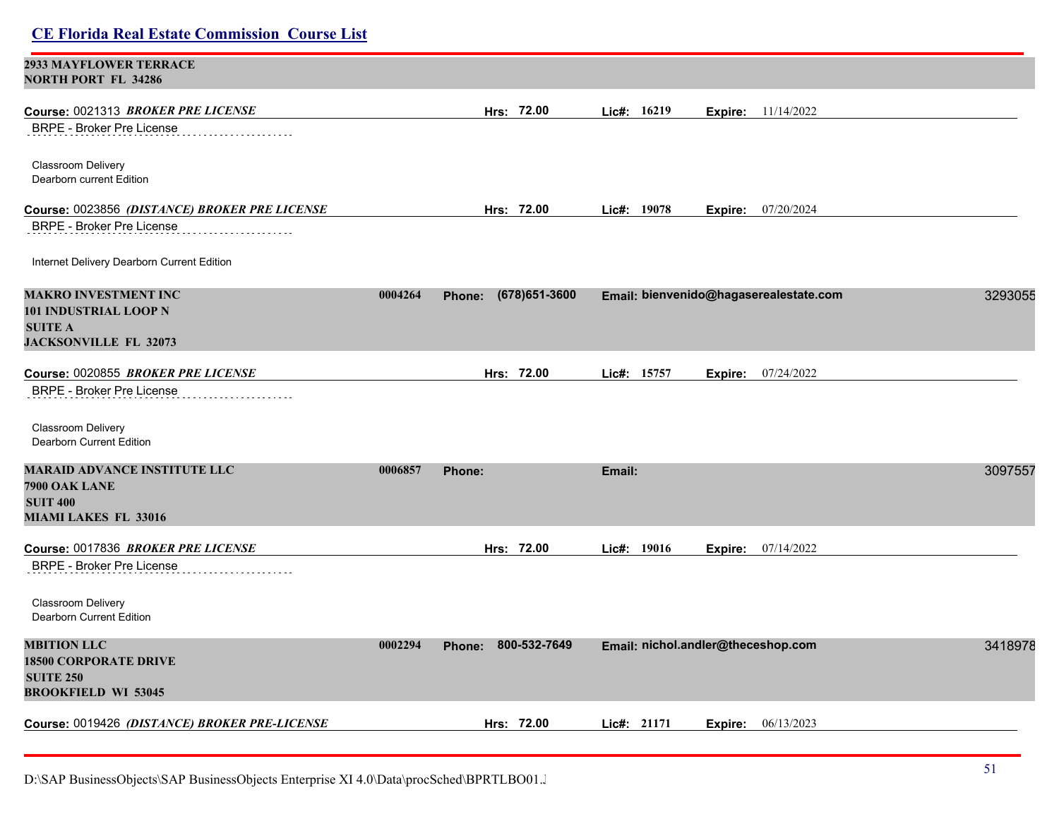| <b>CE Florida Real Estate Commission Course List</b>        |         |                          |               |                                        |         |
|-------------------------------------------------------------|---------|--------------------------|---------------|----------------------------------------|---------|
| <b>2933 MAYFLOWER TERRACE</b><br><b>NORTH PORT FL 34286</b> |         |                          |               |                                        |         |
| Course: 0021313 BROKER PRE LICENSE                          |         | Hrs: 72.00               | Lic#: 16219   | <b>Expire:</b> 11/14/2022              |         |
| <b>BRPE - Broker Pre License</b>                            |         |                          |               |                                        |         |
| Classroom Delivery<br>Dearborn current Edition              |         |                          |               |                                        |         |
| Course: 0023856 (DISTANCE) BROKER PRE LICENSE               |         | Hrs: 72.00               | Lic#: $19078$ | 07/20/2024<br>Expire:                  |         |
| <b>BRPE - Broker Pre License</b>                            |         |                          |               |                                        |         |
| Internet Delivery Dearborn Current Edition                  |         |                          |               |                                        |         |
| <b>MAKRO INVESTMENT INC</b><br>101 INDUSTRIAL LOOP N        | 0004264 | (678) 651-3600<br>Phone: |               | Email: bienvenido@hagaserealestate.com | 3293055 |
| <b>SUITE A</b>                                              |         |                          |               |                                        |         |
| <b>JACKSONVILLE FL 32073</b>                                |         |                          |               |                                        |         |
| Course: 0020855 BROKER PRE LICENSE                          |         | Hrs: 72.00               | Lic#: 15757   | 07/24/2022<br>Expire:                  |         |
| <b>BRPE - Broker Pre License</b>                            |         |                          |               |                                        |         |
| Classroom Delivery                                          |         |                          |               |                                        |         |
| Dearborn Current Edition                                    |         |                          |               |                                        |         |
| <b>MARAID ADVANCE INSTITUTE LLC</b><br>7900 OAK LANE        | 0006857 | Phone:                   | Email:        |                                        | 3097557 |
| <b>SUIT 400</b>                                             |         |                          |               |                                        |         |
| <b>MIAMI LAKES FL 33016</b>                                 |         |                          |               |                                        |         |
| Course: 0017836 BROKER PRE LICENSE                          |         | Hrs: 72.00               | Lic#: $19016$ | <b>Expire:</b> 07/14/2022              |         |
| <b>BRPE - Broker Pre License</b>                            |         |                          |               |                                        |         |
| Classroom Delivery                                          |         |                          |               |                                        |         |
| Dearborn Current Edition                                    |         |                          |               |                                        |         |
| <b>MBITION LLC</b><br><b>18500 CORPORATE DRIVE</b>          | 0002294 | 800-532-7649<br>Phone:   |               | Email: nichol.andler@theceshop.com     | 3418978 |
| <b>SUITE 250</b>                                            |         |                          |               |                                        |         |
| <b>BROOKFIELD WI 53045</b>                                  |         |                          |               |                                        |         |

**Course:** 0019426 *(DISTANCE) BROKER PRE-LICENSE* **Hrs: 72.00 Lic#: 21171 Expire:** 06/13/2023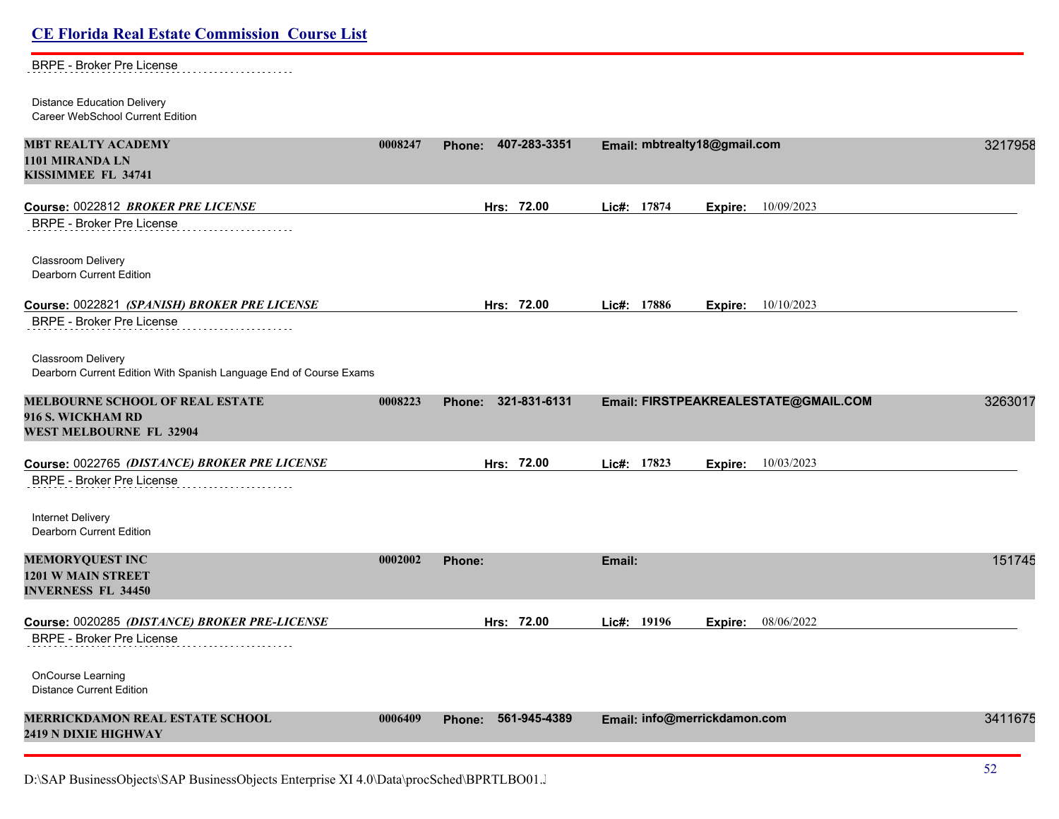BRPE - Broker Pre License

Distance Education Delivery Career WebSchool Current Edition **MBT REALTY ACADEMY 0008247 Phone: 407-283-3351 Email: mbtrealty18@gmail.com** 32179584 **1101 MIRANDA LN KISSIMMEE FL 34741 Course:** 0022812 *BROKER PRE LICENSE* **Hrs: 72.00 Lic#: 17874 Expire:** 10/09/2023 BRPE - Broker Pre License Classroom Delivery Dearborn Current Edition **Course:** 0022821 *(SPANISH) BROKER PRE LICENSE* **Hrs: 72.00 Lic#: 17886 Expire:** 10/10/2023 BRPE - Broker Pre License Classroom Delivery Dearborn Current Edition With Spanish Language End of Course Exams **MELBOURNE SCHOOL OF REAL ESTATE 0008223 Phone: 321-831-6131 Email: FIRSTPEAKREALESTATE@GMAIL.COM** 32630175 **916 S. WICKHAM RD WEST MELBOURNE FL 32904 Course:** 0022765 *(DISTANCE) BROKER PRE LICENSE* **Hrs: 72.00 Lic#: 17823 Expire:** 10/03/2023 BRPE - Broker Pre License Internet Delivery Dearborn Current Edition **MEMORYQUEST INC 0002002 Phone: Email:** 1517455 **1201 W MAIN STREET INVERNESS FL 34450 Course:** 0020285 *(DISTANCE) BROKER PRE-LICENSE* **Hrs: 72.00 Lic#: 19196 Expire:** 08/06/2022 BRPE - Broker Pre License OnCourse Learning Distance Current Edition **MERRICKDAMON REAL ESTATE SCHOOL 0006409 Phone: 561-945-4389 Email: info@merrickdamon.com** 34116750 **2419 N DIXIE HIGHWAY**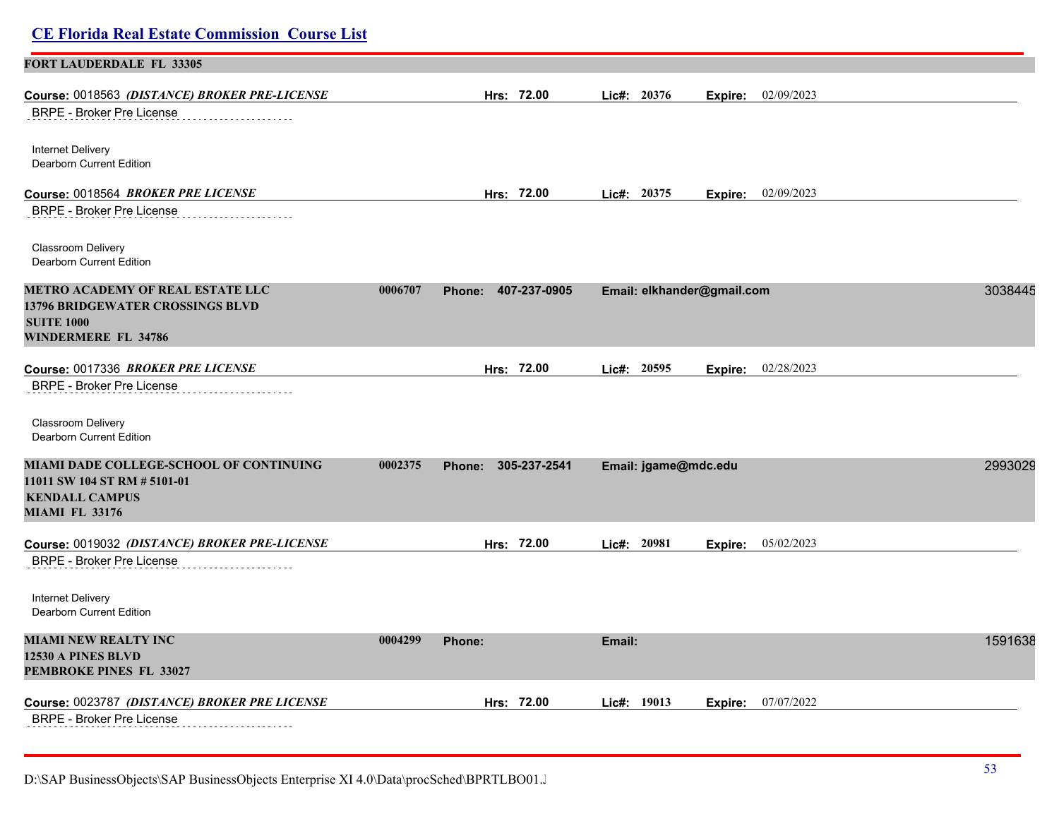# **FORT LAUDERDALE FL 33305 Course:** 0018563 *(DISTANCE) BROKER PRE-LICENSE* **Hrs: 72.00 Lic#: 20376 Expire:** 02/09/2023 BRPE - Broker Pre License Internet Delivery Dearborn Current Edition **Course:** 0018564 *BROKER PRE LICENSE* **Hrs: 72.00 Lic#: 20375 Expire:** 02/09/2023 BRPE - Broker Pre License Classroom Delivery Dearborn Current Edition **METRO ACADEMY OF REAL ESTATE LLC 0006707 Phone: 407-237-0905 Email: elkhander@gmail.com** 30384452 **13796 BRIDGEWATER CROSSINGS BLVD SUITE 1000 WINDERMERE FL 34786 Course:** 0017336 *BROKER PRE LICENSE* **Hrs: 72.00 Lic#: 20595 Expire:** 02/28/2023 BRPE - Broker Pre License Classroom Delivery Dearborn Current Edition **MIAMI DADE COLLEGE-SCHOOL OF CONTINUING 0002375 Phone: 305-237-2541 Email: jgame@mdc.edu** 29930291 **11011 SW 104 ST RM # 5101-01 KENDALL CAMPUS MIAMI FL 33176 Course:** 0019032 *(DISTANCE) BROKER PRE-LICENSE* **Hrs: 72.00 Lic#: 20981 Expire:** 05/02/2023 BRPE - Broker Pre License Internet Delivery Dearborn Current Edition **MIAMI NEW REALTY INC 0004299 Phone: Email:** 15916383 **12530 A PINES BLVD PEMBROKE PINES FL 33027 Course:** 0023787 *(DISTANCE) BROKER PRE LICENSE* **Hrs: 72.00 Lic#: 19013 Expire:** 07/07/2022 BRPE - Broker Pre License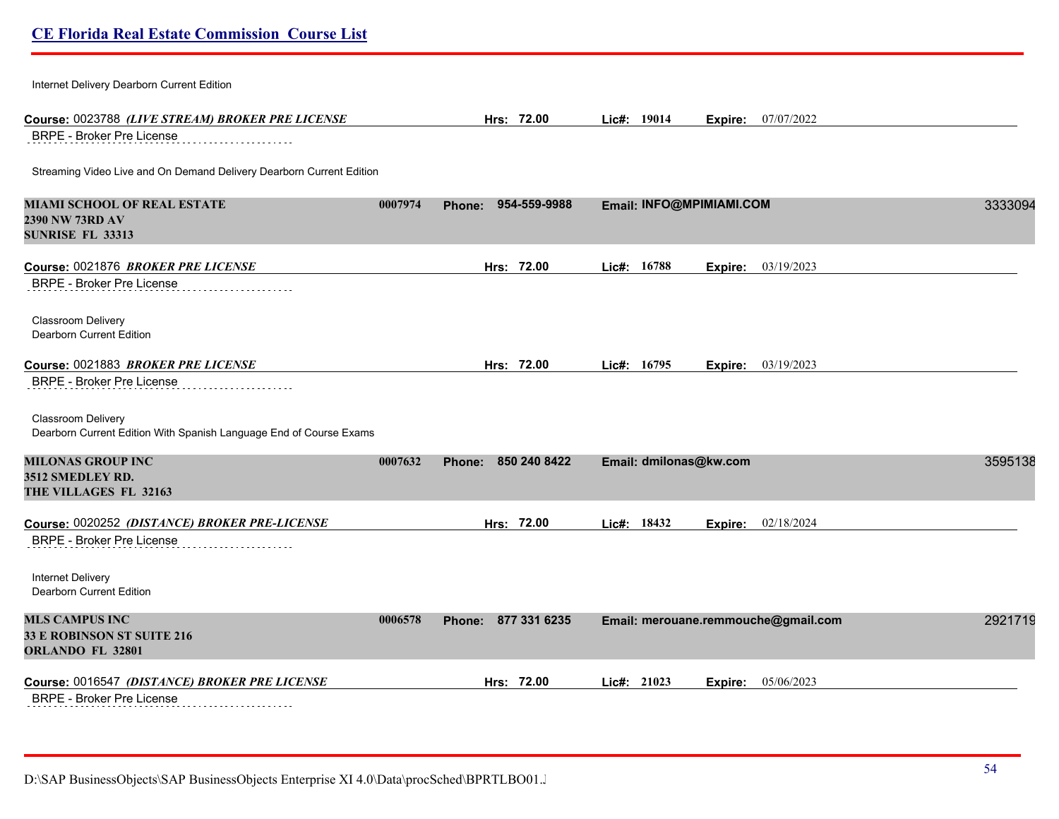| Internet Delivery Dearborn Current Edition                                                  |                        |                                          |         |
|---------------------------------------------------------------------------------------------|------------------------|------------------------------------------|---------|
| Course: 0023788 (LIVE STREAM) BROKER PRE LICENSE<br><b>BRPE - Broker Pre License</b>        | Hrs: 72.00             | Lic#: 19014<br>07/07/2022<br>Expire:     |         |
| Streaming Video Live and On Demand Delivery Dearborn Current Edition                        |                        |                                          |         |
| <b>MIAMI SCHOOL OF REAL ESTATE</b><br>0007974<br>2390 NW 73RD AV<br><b>SUNRISE FL 33313</b> | Phone: 954-559-9988    | Email: INFO@MPIMIAMI.COM                 | 3333094 |
| Course: 0021876 BROKER PRE LICENSE                                                          | Hrs: 72.00             | Lic#: 16788<br><b>Expire:</b> 03/19/2023 |         |
| <b>BRPE - Broker Pre License</b>                                                            |                        |                                          |         |
| Classroom Delivery<br>Dearborn Current Edition                                              |                        |                                          |         |
| Course: 0021883 BROKER PRE LICENSE                                                          | Hrs: 72.00             | Lic#: 16795<br>03/19/2023<br>Expire:     |         |
| <b>BRPE - Broker Pre License</b><br>Classroom Delivery                                      |                        |                                          |         |
| Dearborn Current Edition With Spanish Language End of Course Exams                          |                        |                                          |         |
| <b>MILONAS GROUP INC</b><br>0007632                                                         | 850 240 8422<br>Phone: | Email: dmilonas@kw.com                   | 3595138 |
| 3512 SMEDLEY RD.<br>THE VILLAGES FL 32163                                                   |                        |                                          |         |
| Course: 0020252 (DISTANCE) BROKER PRE-LICENSE                                               | Hrs: 72.00             | Lic#: 18432<br>02/18/2024<br>Expire:     |         |
| <b>BRPE - Broker Pre License</b>                                                            |                        |                                          |         |
| <b>Internet Delivery</b><br>Dearborn Current Edition                                        |                        |                                          |         |
| <b>MLS CAMPUS INC</b><br>0006578<br>33 E ROBINSON ST SUITE 216<br><b>ORLANDO FL 32801</b>   | 877 331 6235<br>Phone: | Email: merouane.remmouche@gmail.com      | 2921719 |
| Course: 0016547 (DISTANCE) BROKER PRE LICENSE                                               | Hrs: 72.00             | Lic#: 21023<br>05/06/2023<br>Expire:     |         |
| <b>BRPE - Broker Pre License</b>                                                            |                        |                                          |         |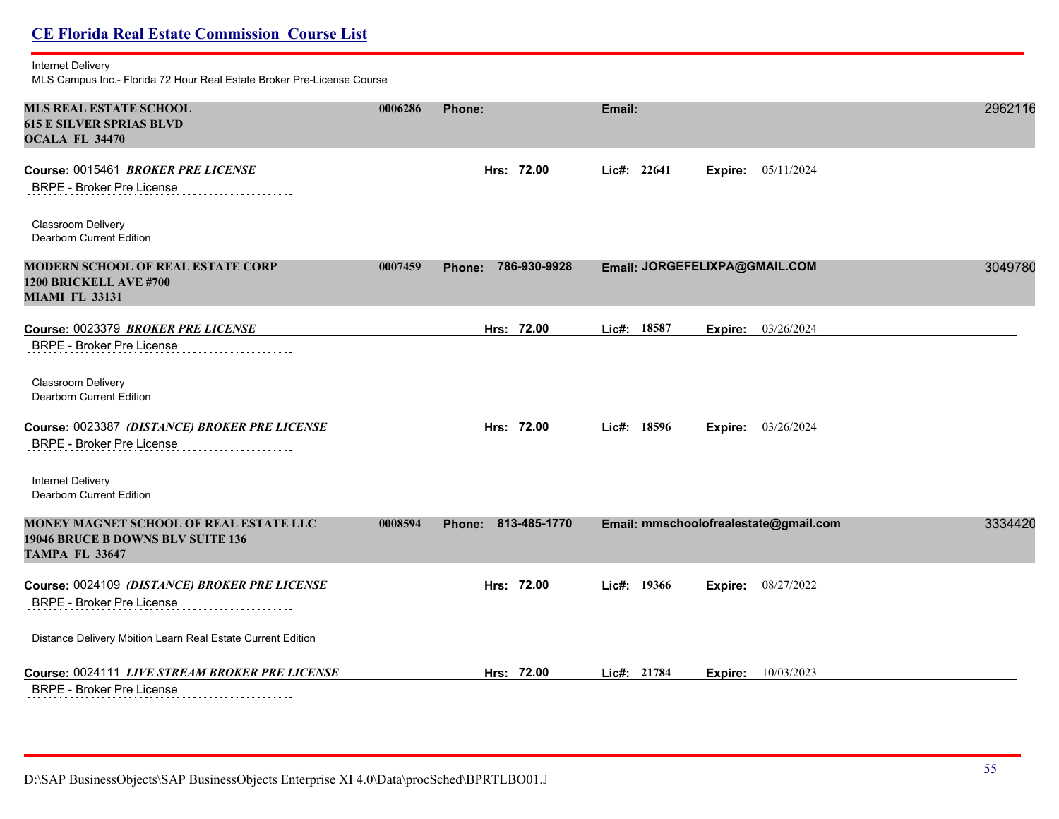# Internet Delivery MLS Campus Inc.- Florida 72 Hour Real Estate Broker Pre-License Course **MLS REAL ESTATE SCHOOL 0006286 Phone: Email:** 29621164 **615 E SILVER SPRIAS BLVD OCALA FL 34470 Course:** 0015461 *BROKER PRE LICENSE* **Hrs: 72.00 Lic#: 22641 Expire:** 05/11/2024 BRPE - Broker Pre License Classroom Delivery Dearborn Current Edition **MODERN SCHOOL OF REAL ESTATE CORP 0007459 Phone: 786-930-9928 Email: JORGEFELIXPA@GMAIL.COM** 30497800 **1200 BRICKELL AVE #700 MIAMI FL 33131 Course:** 0023379 *BROKER PRE LICENSE* **Hrs: 72.00 Lic#: 18587 Expire:** 03/26/2024 BRPE - Broker Pre License Classroom Delivery Dearborn Current Edition **Course:** 0023387 *(DISTANCE) BROKER PRE LICENSE* **Hrs: 72.00 Lic#: 18596 Expire:** 03/26/2024 BRPE - Broker Pre License Internet Delivery Dearborn Current Edition **MONEY MAGNET SCHOOL OF REAL ESTATE LLC 0008594 Phone: 813-485-1770 Email: mmschoolofrealestate@gmail.com** 33344209 **19046 BRUCE B DOWNS BLV SUITE 136 TAMPA FL 33647 Course:** 0024109 *(DISTANCE) BROKER PRE LICENSE* **Hrs: 72.00 Lic#: 19366 Expire:** 08/27/2022 BRPE - Broker Pre License Distance Delivery Mbition Learn Real Estate Current Edition **Course:** 0024111 *LIVE STREAM BROKER PRE LICENSE* **Hrs: 72.00 Lic#: 21784 Expire:** 10/03/2023 BRPE - Broker Pre License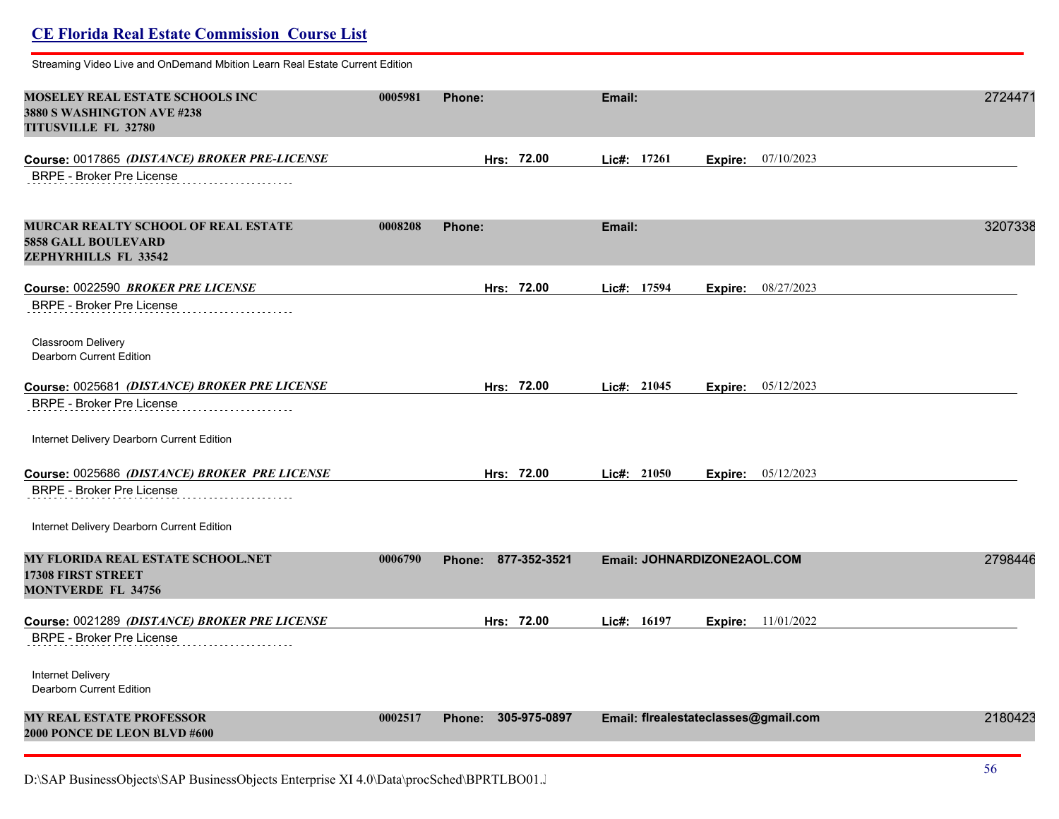| Streaming Video Live and OnDemand Mbition Learn Real Estate Current Edition                               |         |                     |                                              |         |
|-----------------------------------------------------------------------------------------------------------|---------|---------------------|----------------------------------------------|---------|
| <b>MOSELEY REAL ESTATE SCHOOLS INC</b><br><b>3880 S WASHINGTON AVE #238</b><br><b>TITUSVILLE FL 32780</b> | 0005981 | <b>Phone:</b>       | Email:                                       | 2724471 |
| Course: 0017865 <i>(DISTANCE) BROKER PRE-LICENSE</i>                                                      |         | Hrs: 72.00          | Lic#: 17261<br>07/10/2023<br>Expire:         |         |
| <b>BRPE - Broker Pre License</b>                                                                          |         |                     |                                              |         |
| MURCAR REALTY SCHOOL OF REAL ESTATE<br><b>5858 GALL BOULEVARD</b><br><b>ZEPHYRHILLS FL 33542</b>          | 0008208 | <b>Phone:</b>       | Email:                                       | 3207338 |
| Course: 0022590 BROKER PRE LICENSE                                                                        |         | Hrs: 72.00          | Lic#: 17594<br><b>Expire:</b> 08/27/2023     |         |
| <b>BRPE - Broker Pre License</b>                                                                          |         |                     |                                              |         |
| <b>Classroom Delivery</b><br>Dearborn Current Edition                                                     |         |                     |                                              |         |
| Course: 0025681 <i>(DISTANCE) BROKER PRE LICENSE</i>                                                      |         | Hrs: 72.00          | Lic#: $21045$<br><b>Expire:</b> $05/12/2023$ |         |
| <b>BRPE - Broker Pre License</b>                                                                          |         |                     |                                              |         |
| Internet Delivery Dearborn Current Edition                                                                |         |                     |                                              |         |
| Course: 0025686 <i>(DISTANCE) BROKER PRE LICENSE</i>                                                      |         | Hrs: 72.00          | Lic#: $21050$<br><b>Expire:</b> 05/12/2023   |         |
| <b>BRPE - Broker Pre License</b>                                                                          |         |                     |                                              |         |
| Internet Delivery Dearborn Current Edition                                                                |         |                     |                                              |         |
| MY FLORIDA REAL ESTATE SCHOOL.NET<br><b>17308 FIRST STREET</b><br><b>MONTVERDE FL 34756</b>               | 0006790 | Phone: 877-352-3521 | Email: JOHNARDIZONE2AOL.COM                  | 2798446 |
| <b>Course: 0021289 <i>(DISTANCE) BROKER PRE LICENSE</i></b>                                               |         | Hrs: 72.00          | Lic#: 16197<br><b>Expire:</b> 11/01/2022     |         |
| <b>BRPE - Broker Pre License</b>                                                                          |         |                     |                                              |         |
| <b>Internet Delivery</b><br>Dearborn Current Edition                                                      |         |                     |                                              |         |
| <b>MY REAL ESTATE PROFESSOR</b><br><b>2000 PONCE DE LEON BLVD #600</b>                                    | 0002517 | Phone: 305-975-0897 | Email: firealestateclasses@gmail.com         | 2180423 |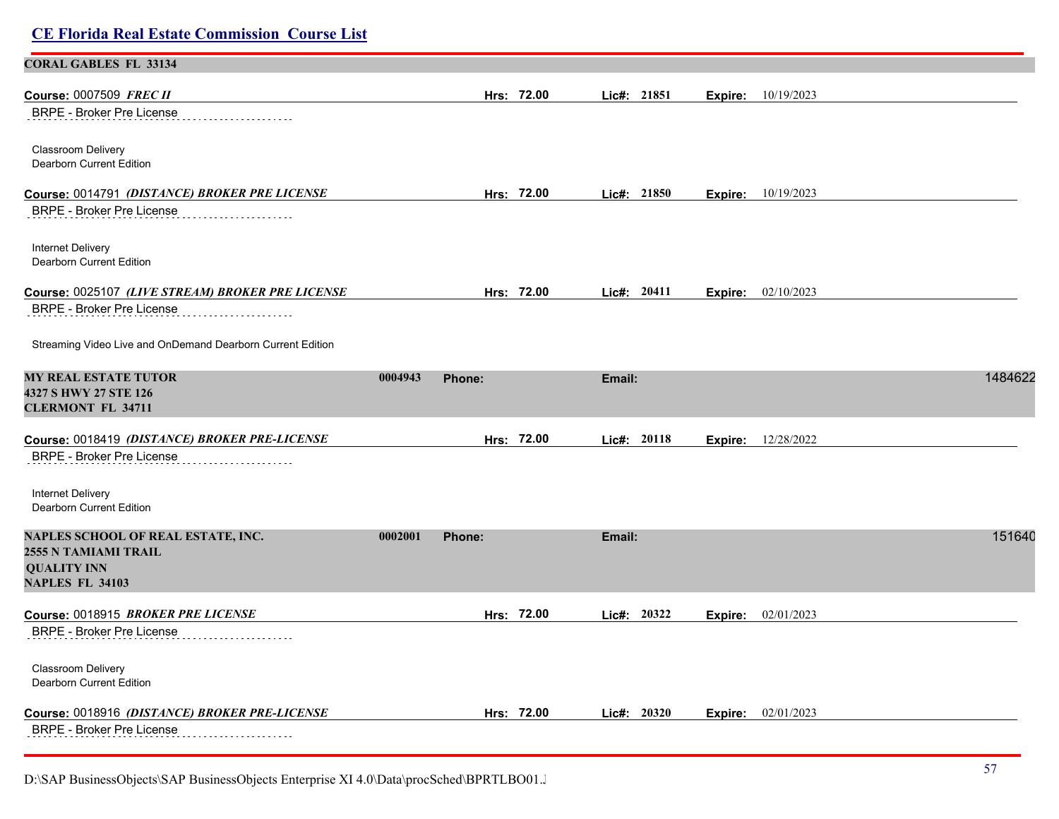| <b>CORAL GABLES FL 33134</b>                                                     |         |        |            |        |               |         |                    |         |
|----------------------------------------------------------------------------------|---------|--------|------------|--------|---------------|---------|--------------------|---------|
| Course: 0007509 FREC II                                                          |         |        | Hrs: 72.00 |        | Lic#: 21851   | Expire: | 10/19/2023         |         |
| BRPE - Broker Pre License                                                        |         |        |            |        |               |         |                    |         |
| Classroom Delivery<br>Dearborn Current Edition                                   |         |        |            |        |               |         |                    |         |
| Course: 0014791 <i>(DISTANCE) BROKER PRE LICENSE</i>                             |         |        | Hrs: 72.00 |        | Lie#: 21850   |         | Expire: 10/19/2023 |         |
| <b>BRPE - Broker Pre License</b>                                                 |         |        |            |        |               |         |                    |         |
| Internet Delivery<br>Dearborn Current Edition                                    |         |        |            |        |               |         |                    |         |
| Course: 0025107 <i>(LIVE STREAM) BROKER PRE LICENSE</i>                          |         |        | Hrs: 72.00 |        | Lic#: $20411$ |         | Expire: 02/10/2023 |         |
| BRPE - Broker Pre License                                                        |         |        |            |        |               |         |                    |         |
| Streaming Video Live and OnDemand Dearborn Current Edition                       |         |        |            |        |               |         |                    |         |
| <b>MY REAL ESTATE TUTOR</b><br>4327 S HWY 27 STE 126<br><b>CLERMONT FL 34711</b> | 0004943 | Phone: |            | Email: |               |         |                    | 1484622 |
| Course: 0018419 (DISTANCE) BROKER PRE-LICENSE                                    |         |        | Hrs: 72.00 |        | Lic#: 20118   | Expire: | 12/28/2022         |         |
| BRPE - Broker Pre License                                                        |         |        |            |        |               |         |                    |         |
| Internet Delivery<br>Dearborn Current Edition                                    |         |        |            |        |               |         |                    |         |
| NAPLES SCHOOL OF REAL ESTATE, INC.                                               | 0002001 | Phone: |            | Email: |               |         |                    | 151640  |
| <b>2555 N TAMIAMI TRAIL</b><br><b>QUALITY INN</b><br><b>NAPLES FL 34103</b>      |         |        |            |        |               |         |                    |         |
| Course: 0018915 BROKER PRE LICENSE                                               |         |        | Hrs: 72.00 |        | Lic#: 20322   | Expire: | 02/01/2023         |         |
| BRPE - Broker Pre License                                                        |         |        |            |        |               |         |                    |         |
| Classroom Delivery<br>Dearborn Current Edition                                   |         |        |            |        |               |         |                    |         |
| Course: 0018916 (DISTANCE) BROKER PRE-LICENSE                                    |         |        | Hrs: 72.00 |        | Lic#: 20320   |         | Expire: 02/01/2023 |         |
| <b>BRPE - Broker Pre License</b>                                                 |         |        |            |        |               |         |                    |         |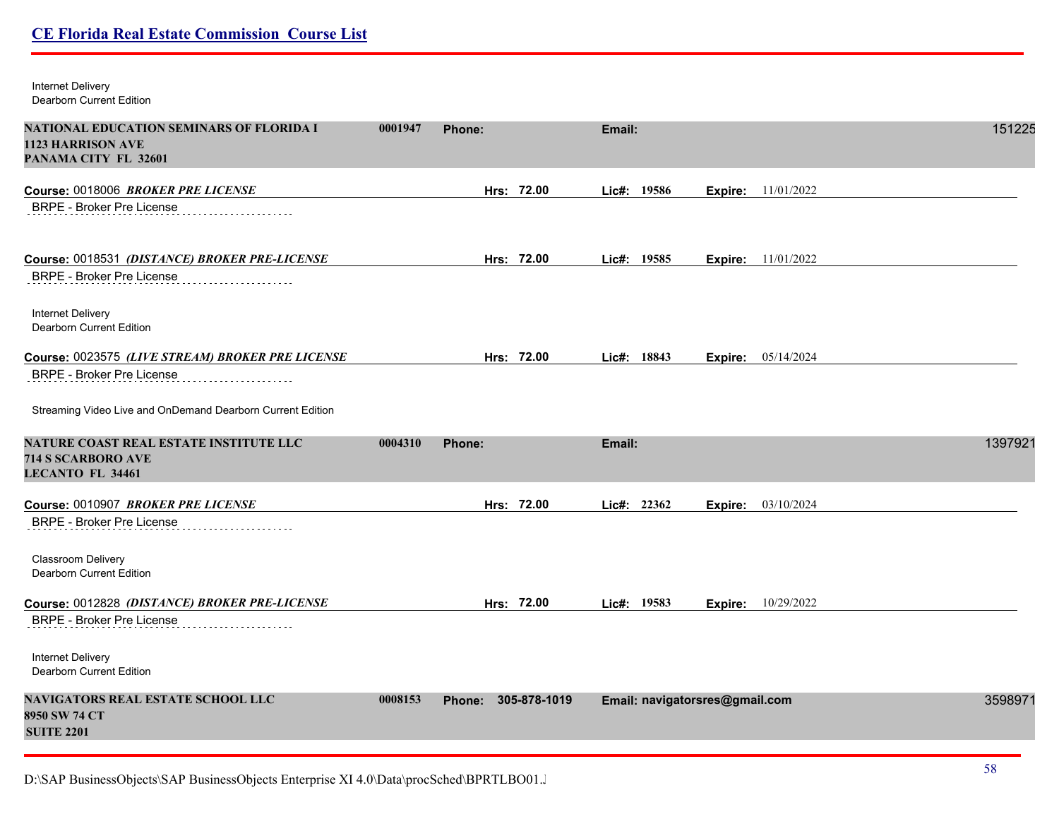### Internet Delivery Dearborn Current Edition

| NATIONAL EDUCATION SEMINARS OF FLORIDA I<br><b>1123 HARRISON AVE</b><br>PANAMA CITY FL 32601   | 0001947 | <b>Phone:</b> |              | Email:      |                                |         |                           | 151225  |
|------------------------------------------------------------------------------------------------|---------|---------------|--------------|-------------|--------------------------------|---------|---------------------------|---------|
| Course: 0018006 BROKER PRE LICENSE                                                             |         | Hrs: 72.00    |              | Lic#: 19586 |                                | Expire: | 11/01/2022                |         |
| <b>BRPE - Broker Pre License</b>                                                               |         |               |              |             |                                |         |                           |         |
| Course: 0018531 (DISTANCE) BROKER PRE-LICENSE<br><b>BRPE - Broker Pre License</b>              |         | Hrs: 72.00    |              | Lic#: 19585 |                                |         | <b>Expire:</b> 11/01/2022 |         |
| Internet Delivery<br>Dearborn Current Edition                                                  |         |               |              |             |                                |         |                           |         |
| Course: 0023575 (LIVE STREAM) BROKER PRE LICENSE<br><b>BRPE - Broker Pre License</b>           |         | Hrs: 72.00    |              | Lic#: 18843 |                                | Expire: | 05/14/2024                |         |
| Streaming Video Live and OnDemand Dearborn Current Edition                                     |         |               |              |             |                                |         |                           |         |
| NATURE COAST REAL ESTATE INSTITUTE LLC<br><b>714 S SCARBORO AVE</b><br><b>LECANTO FL 34461</b> | 0004310 | Phone:        |              | Email:      |                                |         |                           | 1397921 |
| Course: 0010907 BROKER PRE LICENSE                                                             |         | Hrs: 72.00    |              | Lic#: 22362 |                                | Expire: | 03/10/2024                |         |
| <b>BRPE - Broker Pre License</b>                                                               |         |               |              |             |                                |         |                           |         |
| Classroom Delivery<br>Dearborn Current Edition                                                 |         |               |              |             |                                |         |                           |         |
| Course: 0012828 (DISTANCE) BROKER PRE-LICENSE<br><b>BRPE - Broker Pre License</b>              |         | Hrs: 72.00    |              | Lic#: 19583 |                                |         | <b>Expire:</b> 10/29/2022 |         |
| Internet Delivery<br>Dearborn Current Edition                                                  |         |               |              |             |                                |         |                           |         |
| <b>NAVIGATORS REAL ESTATE SCHOOL LLC</b><br>8950 SW 74 CT<br><b>SUITE 2201</b>                 | 0008153 | <b>Phone:</b> | 305-878-1019 |             | Email: navigatorsres@gmail.com |         |                           | 3598971 |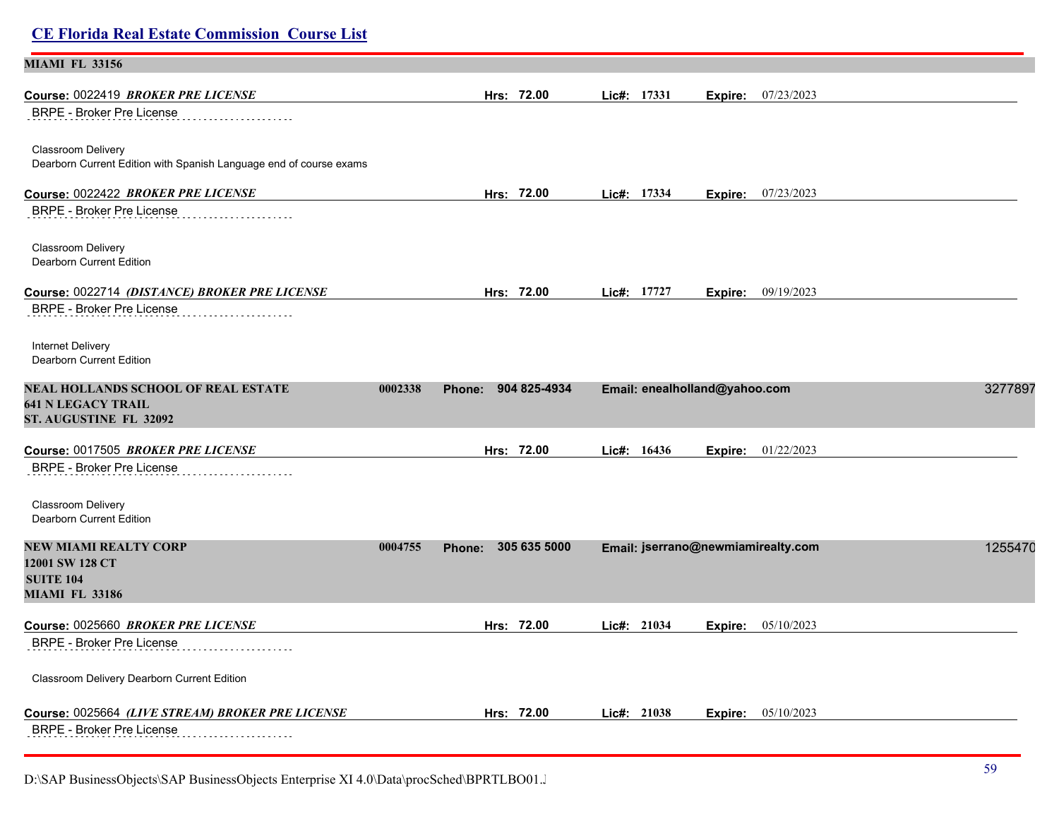| <b>MIAMI FL 33156</b>                                                                    |                   |                     |             |                               |         |                                               |
|------------------------------------------------------------------------------------------|-------------------|---------------------|-------------|-------------------------------|---------|-----------------------------------------------|
| Course: 0022419 BROKER PRE LICENSE                                                       |                   | Hrs: 72.00          | Lie#: 17331 |                               |         | Expire: 07/23/2023                            |
| BRPE - Broker Pre License                                                                |                   |                     |             |                               |         |                                               |
| Classroom Delivery<br>Dearborn Current Edition with Spanish Language end of course exams |                   |                     |             |                               |         |                                               |
|                                                                                          |                   |                     |             |                               |         |                                               |
| Course: 0022422 BROKER PRE LICENSE                                                       |                   | Hrs: 72.00          | Lic#: 17334 |                               |         | Expire: 07/23/2023                            |
| <b>BRPE - Broker Pre License</b>                                                         |                   |                     |             |                               |         |                                               |
| Classroom Delivery<br>Dearborn Current Edition                                           |                   |                     |             |                               |         |                                               |
| Course: 0022714 (DISTANCE) BROKER PRE LICENSE                                            |                   | Hrs: 72.00          | Lic#: 17727 |                               | Expire: | 09/19/2023                                    |
| <b>BRPE - Broker Pre License</b>                                                         |                   |                     |             |                               |         |                                               |
| Internet Delivery<br>Dearborn Current Edition                                            |                   |                     |             |                               |         |                                               |
| NEAL HOLLANDS SCHOOL OF REAL ESTATE                                                      | 0002338<br>Phone: | 904 825-4934        |             | Email: enealholland@yahoo.com |         | 3277897                                       |
| <b>641 N LEGACY TRAIL</b><br><b>ST. AUGUSTINE FL 32092</b>                               |                   |                     |             |                               |         |                                               |
|                                                                                          |                   |                     |             |                               |         |                                               |
| Course: 0017505 BROKER PRE LICENSE                                                       |                   | Hrs: 72.00          | Lie#: 16436 |                               | Expire: | 01/22/2023                                    |
| <b>BRPE - Broker Pre License</b>                                                         |                   |                     |             |                               |         |                                               |
| Classroom Delivery<br><b>Dearborn Current Edition</b>                                    |                   |                     |             |                               |         |                                               |
| NEW MIAMI REALTY CORP                                                                    | 0004755           | Phone: 305 635 5000 |             |                               |         | 1255470<br>Email: jserrano@newmiamirealty.com |
| 12001 SW 128 CT<br><b>SUITE 104</b><br><b>MIAMI FL 33186</b>                             |                   |                     |             |                               |         |                                               |
|                                                                                          |                   |                     |             |                               |         |                                               |
| Course: 0025660 BROKER PRE LICENSE<br><b>BRPE - Broker Pre License</b>                   |                   | Hrs: 72.00          | Lic#: 21034 |                               | Expire: | 05/10/2023                                    |
|                                                                                          |                   |                     |             |                               |         |                                               |
| Classroom Delivery Dearborn Current Edition                                              |                   |                     |             |                               |         |                                               |
| Course: 0025664 (LIVE STREAM) BROKER PRE LICENSE                                         |                   | Hrs: 72.00          | Lic#: 21038 |                               |         | Expire: 05/10/2023                            |
| BRPE - Broker Pre License<br>.                                                           |                   |                     |             |                               |         |                                               |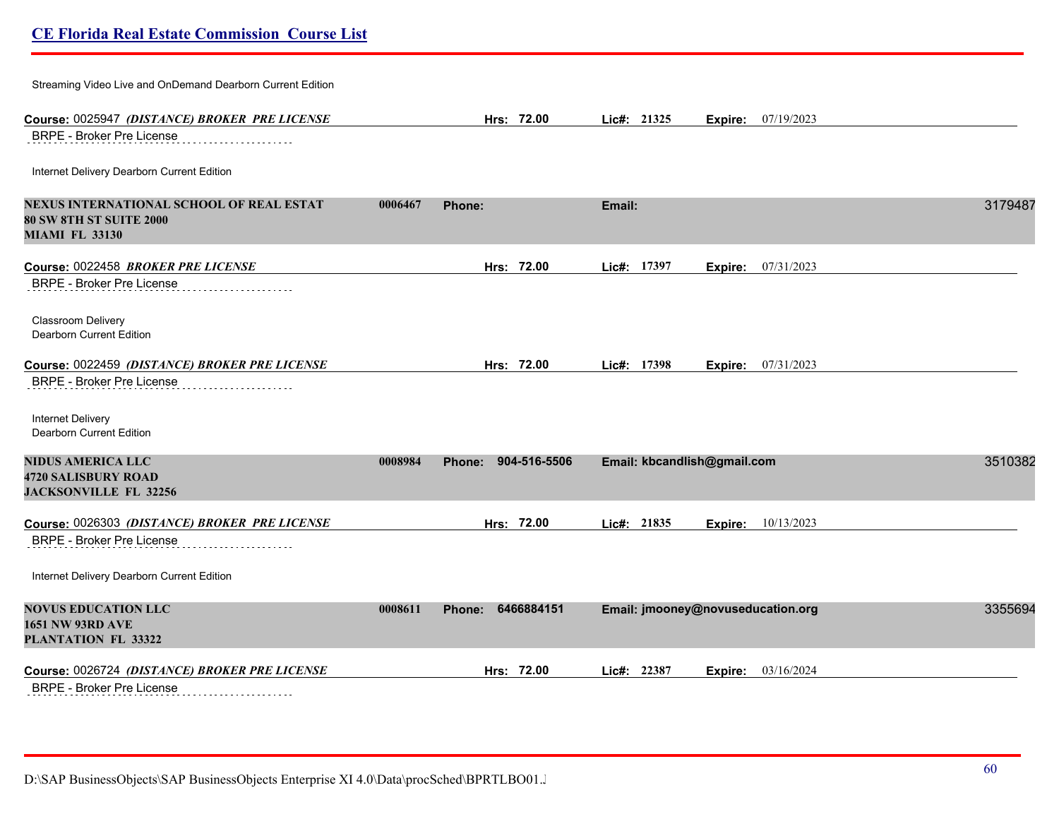| Streaming Video Live and OnDemand Dearborn Current Edition                                          |         |                        |                             |                                   |         |
|-----------------------------------------------------------------------------------------------------|---------|------------------------|-----------------------------|-----------------------------------|---------|
| Course: 0025947 (DISTANCE) BROKER PRE LICENSE                                                       |         | Hrs: 72.00             | Lic#: 21325                 | Expire: 07/19/2023                |         |
| <b>BRPE - Broker Pre License</b>                                                                    |         |                        |                             |                                   |         |
| Internet Delivery Dearborn Current Edition                                                          |         |                        |                             |                                   |         |
| NEXUS INTERNATIONAL SCHOOL OF REAL ESTAT<br><b>80 SW 8TH ST SUITE 2000</b><br><b>MIAMI FL 33130</b> | 0006467 | <b>Phone:</b>          | Email:                      |                                   | 3179487 |
| Course: 0022458 BROKER PRE LICENSE                                                                  |         | Hrs: 72.00             | Lic#: 17397                 | Expire: 07/31/2023                |         |
| <b>BRPE - Broker Pre License</b>                                                                    |         |                        |                             |                                   |         |
| Classroom Delivery<br><b>Dearborn Current Edition</b>                                               |         |                        |                             |                                   |         |
| Course: 0022459 (DISTANCE) BROKER PRE LICENSE                                                       |         | Hrs: 72.00             | Lic#: 17398                 | Expire: 07/31/2023                |         |
| <b>BRPE - Broker Pre License</b>                                                                    |         |                        |                             |                                   |         |
| Internet Delivery<br>Dearborn Current Edition                                                       |         |                        |                             |                                   |         |
| <b>NIDUS AMERICA LLC</b>                                                                            | 0008984 | 904-516-5506<br>Phone: | Email: kbcandlish@gmail.com |                                   | 3510382 |
| <b>4720 SALISBURY ROAD</b><br><b>JACKSONVILLE FL 32256</b>                                          |         |                        |                             |                                   |         |
| Course: 0026303 (DISTANCE) BROKER PRE LICENSE                                                       |         | Hrs: 72.00             | Lic#: 21835                 | 10/13/2023<br>Expire:             |         |
| <b>BRPE - Broker Pre License</b>                                                                    |         |                        |                             |                                   |         |
| Internet Delivery Dearborn Current Edition                                                          |         |                        |                             |                                   |         |
| <b>NOVUS EDUCATION LLC</b>                                                                          | 0008611 | 6466884151<br>Phone:   |                             | Email: jmooney@novuseducation.org | 3355694 |
| <b>1651 NW 93RD AVE</b><br>PLANTATION FL 33322                                                      |         |                        |                             |                                   |         |
| Course: 0026724 (DISTANCE) BROKER PRE LICENSE                                                       |         | Hrs: 72.00             | Lic#: 22387                 | 03/16/2024<br>Expire:             |         |
| <b>BRPE - Broker Pre License</b>                                                                    |         |                        |                             |                                   |         |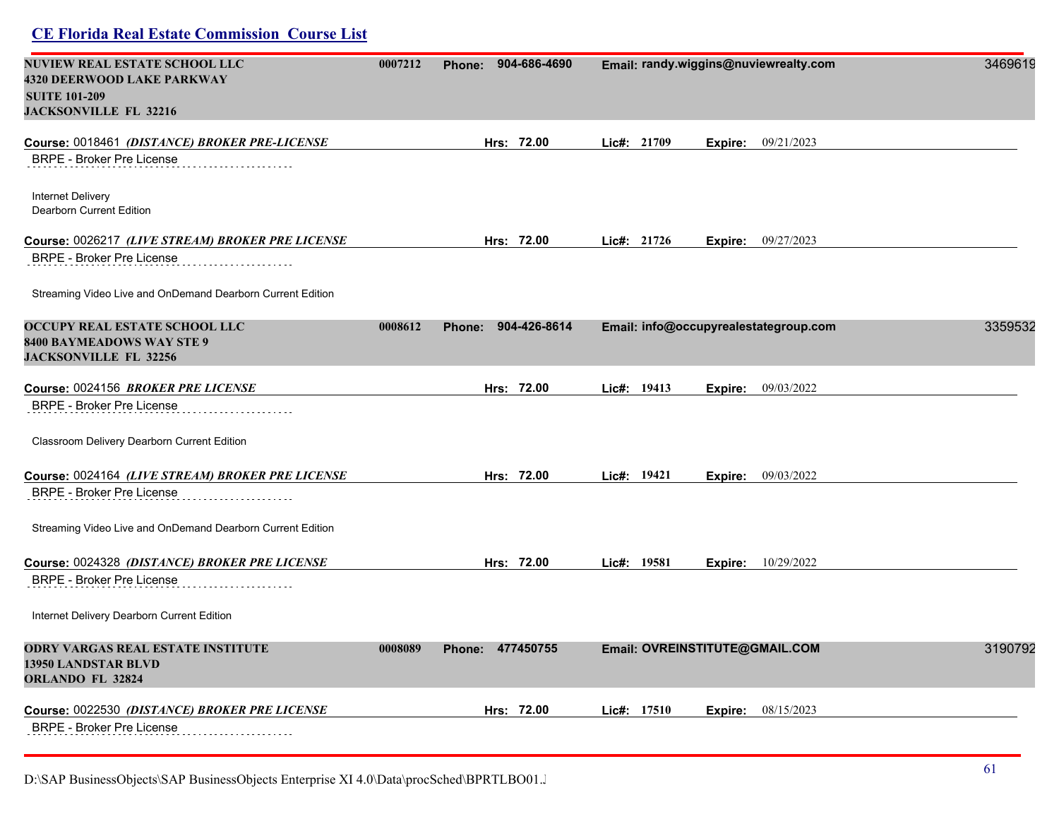| NUVIEW REAL ESTATE SCHOOL LLC<br><b>4320 DEERWOOD LAKE PARKWAY</b><br><b>SUITE 101-209</b>        | 0007212 | 904-686-4690<br>Phone: |             | Email: randy.wiggins@nuviewrealty.com | 3469619 |
|---------------------------------------------------------------------------------------------------|---------|------------------------|-------------|---------------------------------------|---------|
| <b>JACKSONVILLE FL 32216</b>                                                                      |         |                        |             |                                       |         |
| Course: 0018461 (DISTANCE) BROKER PRE-LICENSE                                                     |         | Hrs: 72.00             | Lie#: 21709 | Expire: 09/21/2023                    |         |
| <b>BRPE - Broker Pre License</b>                                                                  |         |                        |             |                                       |         |
| Internet Delivery<br>Dearborn Current Edition                                                     |         |                        |             |                                       |         |
| Course: 0026217 (LIVE STREAM) BROKER PRE LICENSE<br>BRPE - Broker Pre License                     |         | Hrs: 72.00             | Lic#: 21726 | 09/27/2023<br>Expire:                 |         |
| Streaming Video Live and OnDemand Dearborn Current Edition                                        |         |                        |             |                                       |         |
| OCCUPY REAL ESTATE SCHOOL LLC<br><b>8400 BAYMEADOWS WAY STE 9</b><br><b>JACKSONVILLE FL 32256</b> | 0008612 | Phone: 904-426-8614    |             | Email: info@occupyrealestategroup.com | 3359532 |
| Course: 0024156 <i>BROKER PRE LICENSE</i>                                                         |         | Hrs: 72.00             | Lic#: 19413 | 09/03/2022<br>Expire:                 |         |
| <b>BRPE - Broker Pre License</b>                                                                  |         |                        |             |                                       |         |
| Classroom Delivery Dearborn Current Edition                                                       |         |                        |             |                                       |         |
| Course: 0024164 (LIVE STREAM) BROKER PRE LICENSE                                                  |         | Hrs: 72.00             | Lic#: 19421 | <b>Expire:</b> $09/03/2022$           |         |
| <b>BRPE - Broker Pre License</b>                                                                  |         |                        |             |                                       |         |
| Streaming Video Live and OnDemand Dearborn Current Edition                                        |         |                        |             |                                       |         |
| Course: 0024328 (DISTANCE) BROKER PRE LICENSE                                                     |         | Hrs: 72.00             | Lic#: 19581 | <b>Expire:</b> 10/29/2022             |         |
| <b>BRPE - Broker Pre License</b>                                                                  |         |                        |             |                                       |         |
| Internet Delivery Dearborn Current Edition                                                        |         |                        |             |                                       |         |
| <b>ODRY VARGAS REAL ESTATE INSTITUTE</b><br>13950 LANDSTAR BLVD<br><b>ORLANDO FL 32824</b>        | 0008089 | Phone: 477450755       |             | Email: OVREINSTITUTE@GMAIL.COM        | 3190792 |
| <b>Course:</b> 0022530 <i>(DISTANCE) BROKER PRE LICENSE</i>                                       |         | Hrs: 72.00             | Lie#: 17510 | Expire: 08/15/2023                    |         |
| <b>BRPE - Broker Pre License</b>                                                                  |         |                        |             |                                       |         |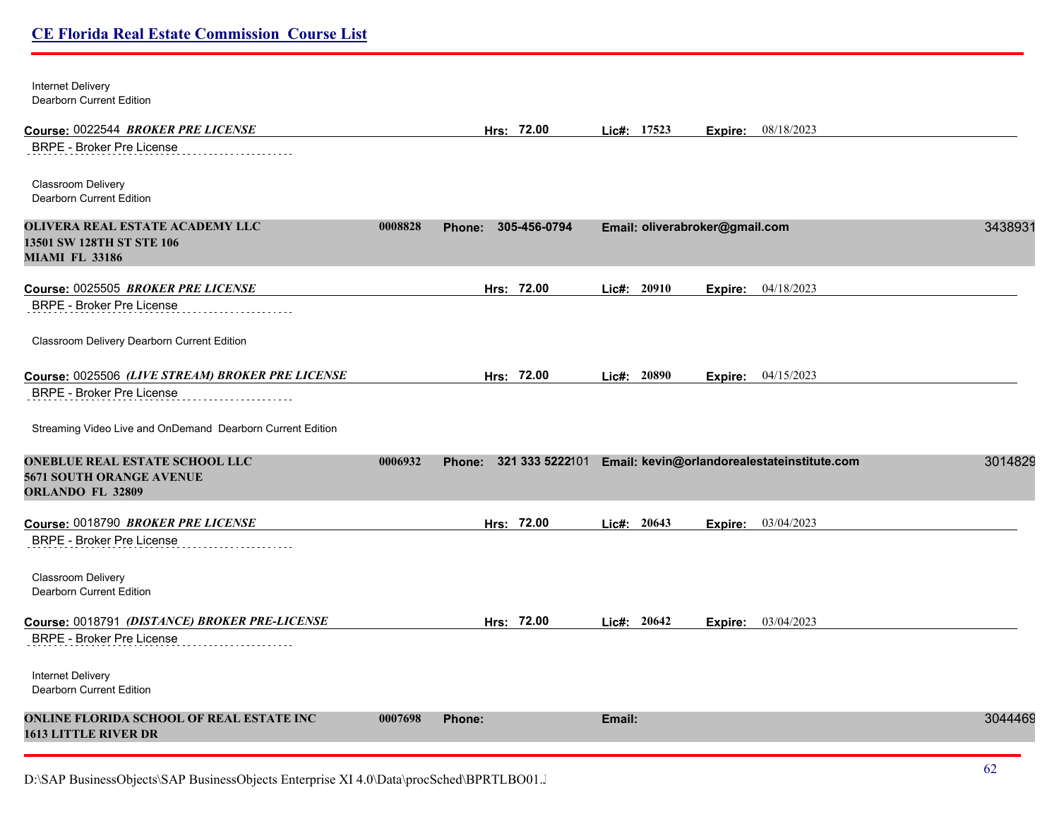Internet Delivery Dearborn Current Edition **Course:** 0022544 *BROKER PRE LICENSE* **Hrs: 72.00 Lic#: 17523 Expire:** 08/18/2023 BRPE - Broker Pre License Classroom Delivery Dearborn Current Edition **OLIVERA REAL ESTATE ACADEMY LLC 0008828 Phone: 305-456-0794 Email: oliverabroker@gmail.com** 34389313 **13501 SW 128TH ST STE 106 MIAMI FL 33186 Course:** 0025505 *BROKER PRE LICENSE* **Hrs: 72.00 Lic#: 20910 Expire:** 04/18/2023 BRPE - Broker Pre License Classroom Delivery Dearborn Current Edition **Course:** 0025506 *(LIVE STREAM) BROKER PRE LICENSE* **Hrs: 72.00 Lic#: 20890 Expire:** 04/15/2023 BRPE - Broker Pre License Streaming Video Live and OnDemand Dearborn Current Edition **ONEBLUE REAL ESTATE SCHOOL LLC 0006932 Phone: 321 333 5222**101 **Email: kevin@orlandorealestateinstitute.com** 30148299 **5671 SOUTH ORANGE AVENUE ORLANDO FL 32809 Course:** 0018790 *BROKER PRE LICENSE* **Hrs: 72.00 Lic#: 20643 Expire:** 03/04/2023 BRPE - Broker Pre License Classroom Delivery Dearborn Current Edition **Course:** 0018791 *(DISTANCE) BROKER PRE-LICENSE* **Hrs: 72.00 Lic#: 20642 Expire:** 03/04/2023 BRPE - Broker Pre License Internet Delivery Dearborn Current Edition **ONLINE FLORIDA SCHOOL OF REAL ESTATE INC 0007698 Phone: Email:** 30444696 **1613 LITTLE RIVER DR**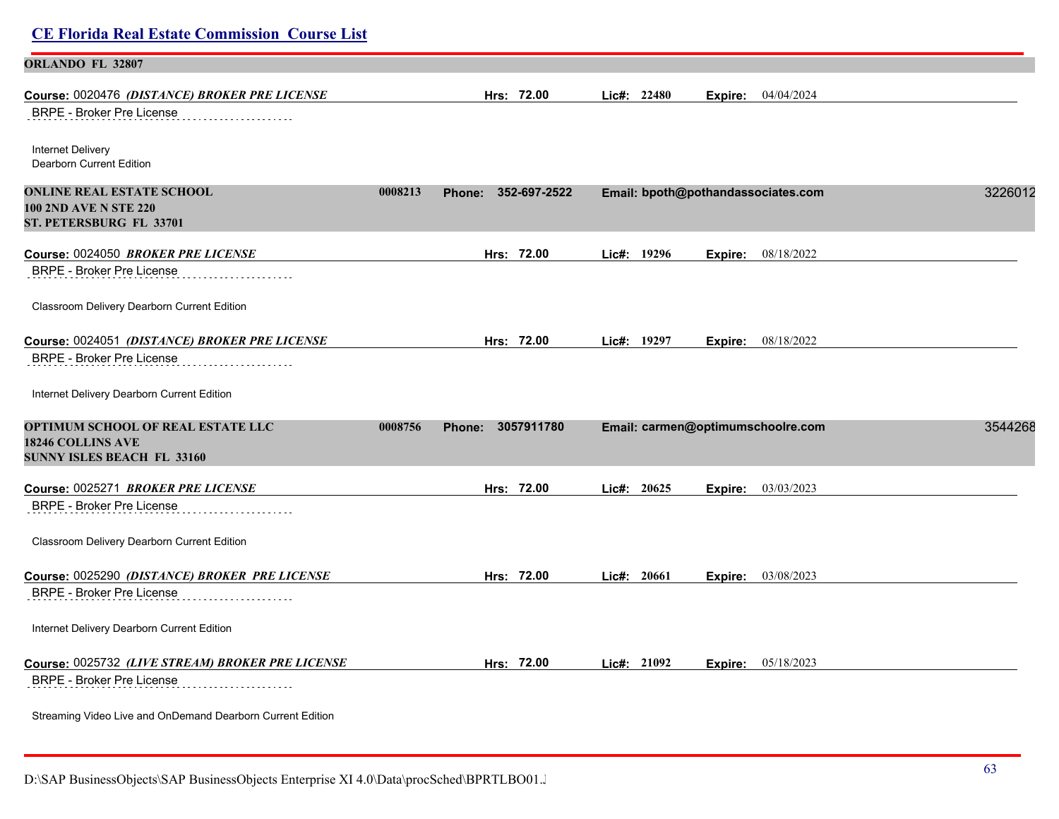|  |  | <b>CE Florida Real Estate Commission Course List</b> |  |
|--|--|------------------------------------------------------|--|
|  |  |                                                      |  |

| <b>ORLANDO FL 32807</b>                                                                            |         |                      |                |         |                                    |         |
|----------------------------------------------------------------------------------------------------|---------|----------------------|----------------|---------|------------------------------------|---------|
| Course: 0020476 (DISTANCE) BROKER PRE LICENSE<br>BRPE - Broker Pre License                         |         | Hrs: 72.00           | $Lic\#: 22480$ | Expire: | 04/04/2024                         |         |
| <b>Internet Delivery</b><br>Dearborn Current Edition                                               |         |                      |                |         |                                    |         |
| ONLINE REAL ESTATE SCHOOL<br><b>100 2ND AVE N STE 220</b><br>ST. PETERSBURG FL 33701               | 0008213 | Phone: 352-697-2522  |                |         | Email: bpoth@pothandassociates.com | 3226012 |
| Course: 0024050 BROKER PRE LICENSE                                                                 |         | Hrs: 72.00           | Lic#: 19296    | Expire: | 08/18/2022                         |         |
| <b>BRPE - Broker Pre License</b>                                                                   |         |                      |                |         |                                    |         |
| Classroom Delivery Dearborn Current Edition                                                        |         |                      |                |         |                                    |         |
| Course: 0024051 (DISTANCE) BROKER PRE LICENSE                                                      |         | Hrs: 72.00           | Lic#: 19297    |         | <b>Expire:</b> 08/18/2022          |         |
| <b>BRPE - Broker Pre License</b>                                                                   |         |                      |                |         |                                    |         |
| Internet Delivery Dearborn Current Edition                                                         |         |                      |                |         |                                    |         |
| OPTIMUM SCHOOL OF REAL ESTATE LLC<br><b>18246 COLLINS AVE</b><br><b>SUNNY ISLES BEACH FL 33160</b> | 0008756 | 3057911780<br>Phone: |                |         | Email: carmen@optimumschoolre.com  | 3544268 |
| Course: 0025271 BROKER PRE LICENSE                                                                 |         | Hrs: 72.00           | Lic#: $20625$  | Expire: | 03/03/2023                         |         |
| <b>BRPE - Broker Pre License</b>                                                                   |         |                      |                |         |                                    |         |
| Classroom Delivery Dearborn Current Edition                                                        |         |                      |                |         |                                    |         |
| Course: 0025290 (DISTANCE) BROKER PRE LICENSE                                                      |         | Hrs: 72.00           | Lic#: 20661    |         | Expire: 03/08/2023                 |         |
| <b>BRPE - Broker Pre License</b>                                                                   |         |                      |                |         |                                    |         |
| Internet Delivery Dearborn Current Edition                                                         |         |                      |                |         |                                    |         |
| Course: 0025732 (LIVE STREAM) BROKER PRE LICENSE                                                   |         | Hrs: 72.00           | Lic#: 21092    |         | Expire: 05/18/2023                 |         |
| <b>BRPE - Broker Pre License</b>                                                                   |         |                      |                |         |                                    |         |
| Streaming Video Live and OnDemand Dearborn Current Edition                                         |         |                      |                |         |                                    |         |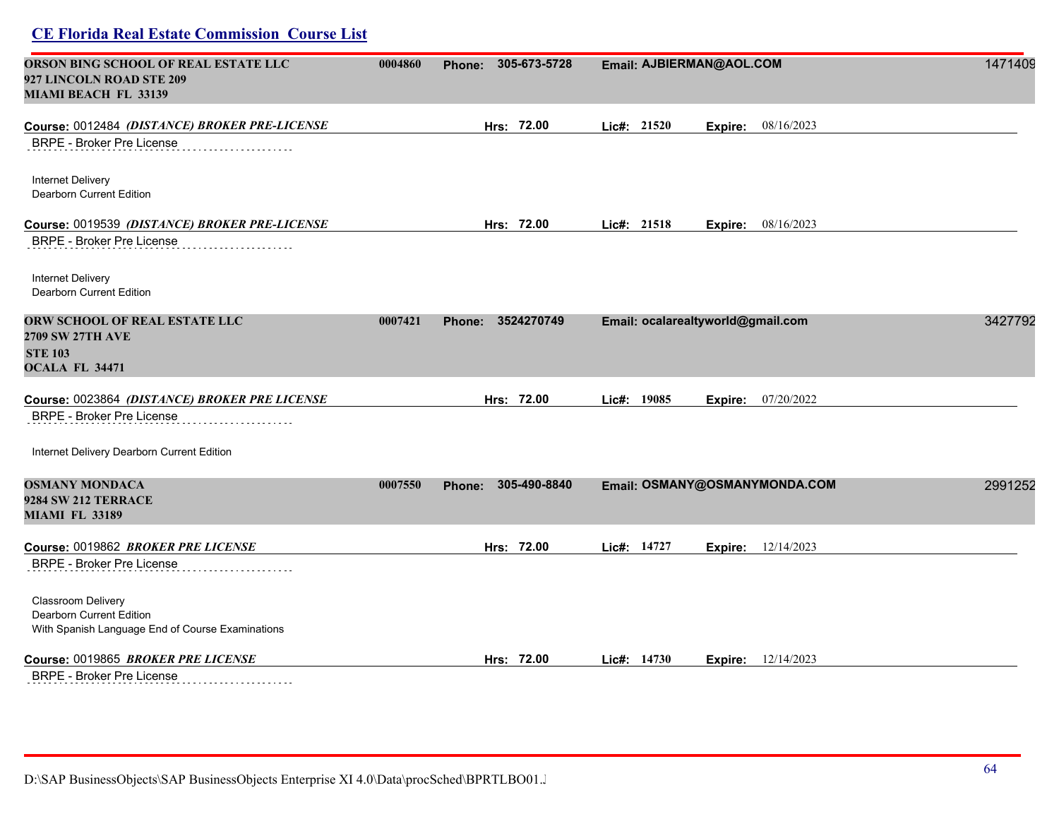| <b>CE Florida Real Estate Commission Course List</b>                                                |         |                               |             |                                   |                               |         |
|-----------------------------------------------------------------------------------------------------|---------|-------------------------------|-------------|-----------------------------------|-------------------------------|---------|
| ORSON BING SCHOOL OF REAL ESTATE LLC<br><b>927 LINCOLN ROAD STE 209</b><br>MIAMI BEACH FL 33139     | 0004860 | 305-673-5728<br>Phone:        |             | Email: AJBIERMAN@AOL.COM          |                               | 1471409 |
| Course: 0012484 (DISTANCE) BROKER PRE-LICENSE<br><b>BRPE - Broker Pre License</b>                   |         | Hrs: 72.00                    | Lic#: 21520 |                                   | Expire: 08/16/2023            |         |
| Internet Delivery<br>Dearborn Current Edition                                                       |         |                               |             |                                   |                               |         |
| Course: 0019539 (DISTANCE) BROKER PRE-LICENSE<br><b>BRPE - Broker Pre License</b>                   |         | Hrs: 72.00                    | Lic#: 21518 | Expire:                           | 08/16/2023                    |         |
| <b>Internet Delivery</b><br>Dearborn Current Edition                                                |         |                               |             |                                   |                               |         |
| ORW SCHOOL OF REAL ESTATE LLC<br><b>2709 SW 27TH AVE</b><br><b>STE 103</b>                          | 0007421 | Phone: 3524270749             |             | Email: ocalarealtyworld@gmail.com |                               | 3427792 |
| OCALA FL 34471<br>Course: 0023864 (DISTANCE) BROKER PRE LICENSE<br><b>BRPE - Broker Pre License</b> |         | Hrs: 72.00                    | Lic#: 19085 | Expire:                           | 07/20/2022                    |         |
| Internet Delivery Dearborn Current Edition                                                          |         |                               |             |                                   |                               |         |
| <b>OSMANY MONDACA</b><br><b>9284 SW 212 TERRACE</b><br><b>MIAMI FL 33189</b>                        | 0007550 | 305-490-8840<br><b>Phone:</b> |             |                                   | Email: OSMANY@OSMANYMONDA.COM | 2991252 |
| Course: 0019862 BROKER PRE LICENSE                                                                  |         | Hrs: 72.00                    | Lic#: 14727 | Expire:                           | 12/14/2023                    |         |
| <b>BRPE - Broker Pre License</b>                                                                    |         |                               |             |                                   |                               |         |
| Classroom Delivery<br>Dearborn Current Edition<br>With Spanish Language End of Course Examinations  |         |                               |             |                                   |                               |         |
| Course: 0019865 BROKER PRE LICENSE                                                                  |         | Hrs: 72.00                    | Lic#: 14730 | Expire:                           | 12/14/2023                    |         |
| <b>BRPE - Broker Pre License</b><br>.                                                               |         |                               |             |                                   |                               |         |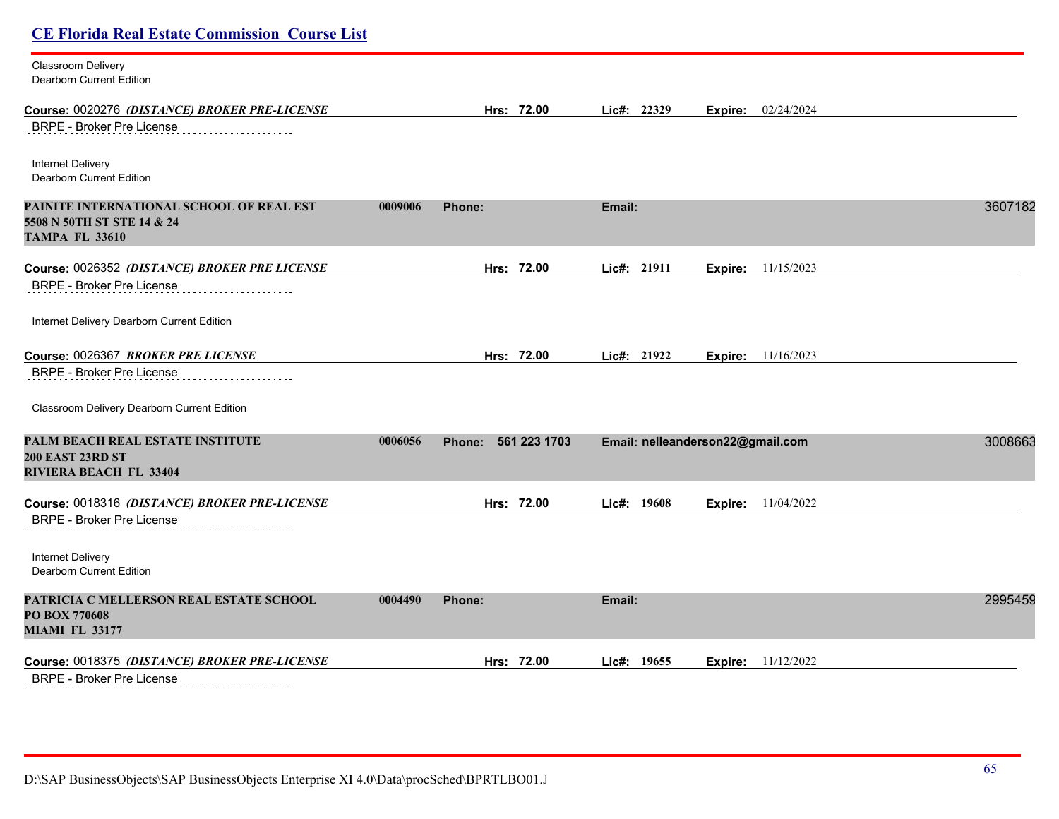| <b>CE Florida Real Estate Commission Course List</b>                                                   |         |                     |             |                                  |         |
|--------------------------------------------------------------------------------------------------------|---------|---------------------|-------------|----------------------------------|---------|
| Classroom Delivery<br>Dearborn Current Edition                                                         |         |                     |             |                                  |         |
| Course: 0020276 (DISTANCE) BROKER PRE-LICENSE<br><b>BRPE - Broker Pre License</b>                      |         | Hrs: 72.00          | Lic#: 22329 | Expire: 02/24/2024               |         |
| Internet Delivery<br><b>Dearborn Current Edition</b>                                                   |         |                     |             |                                  |         |
| <b>PAINITE INTERNATIONAL SCHOOL OF REAL EST</b><br>5508 N 50TH ST STE 14 & 24<br><b>TAMPA FL 33610</b> | 0009006 | Phone:              | Email:      |                                  | 3607182 |
| Course: 0026352 (DISTANCE) BROKER PRE LICENSE                                                          |         | Hrs: 72.00          | Lic#: 21911 | <b>Expire:</b> 11/15/2023        |         |
| <b>BRPE - Broker Pre License</b>                                                                       |         |                     |             |                                  |         |
| Internet Delivery Dearborn Current Edition                                                             |         |                     |             |                                  |         |
| Course: 0026367 BROKER PRE LICENSE                                                                     |         | Hrs: 72.00          | Lic#: 21922 | <b>Expire:</b> 11/16/2023        |         |
| <b>BRPE - Broker Pre License</b>                                                                       |         |                     |             |                                  |         |
| Classroom Delivery Dearborn Current Edition                                                            |         |                     |             |                                  |         |
| PALM BEACH REAL ESTATE INSTITUTE<br><b>200 EAST 23RD ST</b><br>RIVIERA BEACH FL 33404                  | 0006056 | Phone: 561 223 1703 |             | Email: nelleanderson22@gmail.com | 3008663 |
| Course: 0018316 (DISTANCE) BROKER PRE-LICENSE                                                          |         | Hrs: 72.00          | Lic#: 19608 | <b>Expire:</b> 11/04/2022        |         |
| <b>BRPE - Broker Pre License</b><br>Internet Delivery<br>Dearborn Current Edition                      |         |                     |             |                                  |         |
| PATRICIA C MELLERSON REAL ESTATE SCHOOL<br>PO BOX 770608<br><b>MIAMI FL 33177</b>                      | 0004490 | <b>Phone:</b>       | Email:      |                                  | 2995459 |
| Course: 0018375 (DISTANCE) BROKER PRE-LICENSE                                                          |         | Hrs: 72.00          | Lic#: 19655 | 11/12/2022<br>Expire:            |         |
| <b>BRPE - Broker Pre License</b>                                                                       |         |                     |             |                                  |         |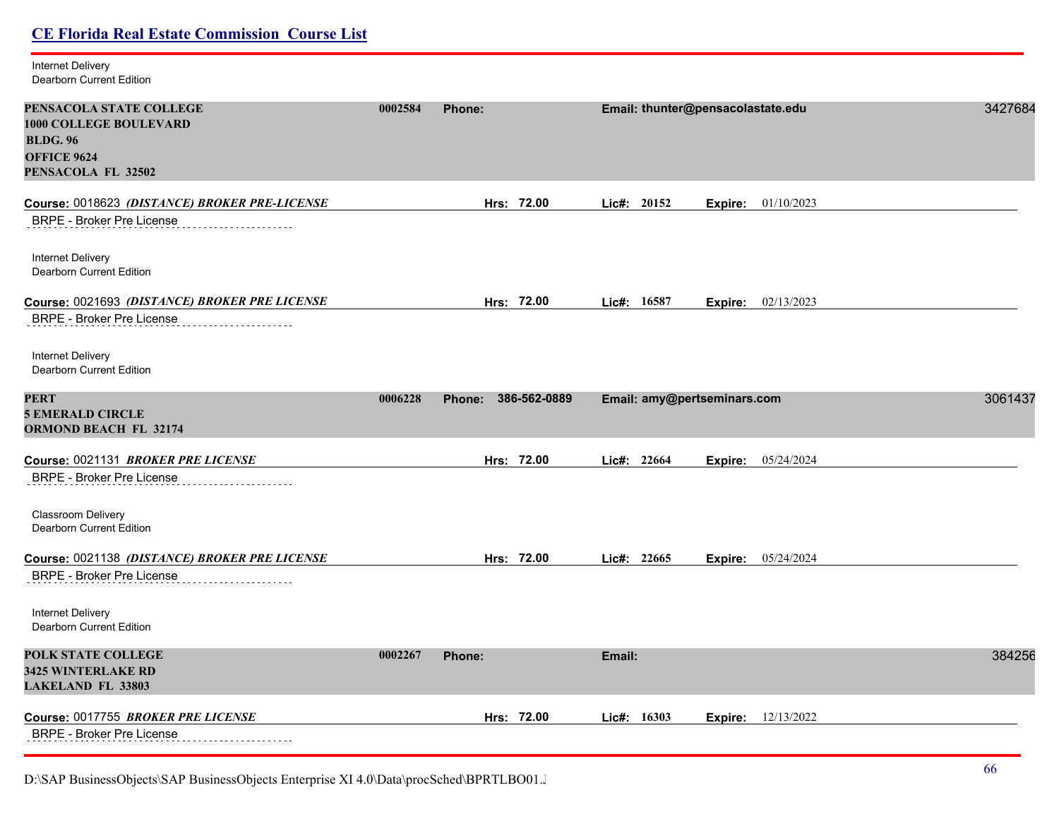| Internet Delivery        |  |
|--------------------------|--|
| Dearborn Current Edition |  |

| PENSACOLA STATE COLLEGE<br><b>1000 COLLEGE BOULEVARD</b><br><b>BLDG.</b> 96<br><b>OFFICE 9624</b><br>PENSACOLA FL 32502 | 0002584 | <b>Phone:</b>                 |                | Email: thunter@pensacolastate.edu | 3427684 |
|-------------------------------------------------------------------------------------------------------------------------|---------|-------------------------------|----------------|-----------------------------------|---------|
| Course: 0018623 (DISTANCE) BROKER PRE-LICENSE<br><b>BRPE - Broker Pre License</b>                                       |         | Hrs: 72.00                    | Lic#: 20152    | 01/10/2023<br>Expire:             |         |
| Internet Delivery<br><b>Dearborn Current Edition</b>                                                                    |         |                               |                |                                   |         |
| Course: 0021693 (DISTANCE) BROKER PRE LICENSE<br><b>BRPE - Broker Pre License</b>                                       |         | Hrs: 72.00                    | Lic#: 16587    | <b>Expire:</b> 02/13/2023         |         |
| <b>Internet Delivery</b><br>Dearborn Current Edition                                                                    |         |                               |                |                                   |         |
| <b>PERT</b><br><b>5 EMERALD CIRCLE</b><br><b>ORMOND BEACH FL 32174</b>                                                  | 0006228 | 386-562-0889<br><b>Phone:</b> |                | Email: amy@pertseminars.com       | 3061437 |
| Course: 0021131 BROKER PRE LICENSE                                                                                      |         | Hrs: 72.00                    | $Lic\#: 22664$ | 05/24/2024<br>Expire:             |         |
| <b>BRPE - Broker Pre License</b>                                                                                        |         |                               |                |                                   |         |
| Classroom Delivery<br>Dearborn Current Edition                                                                          |         |                               |                |                                   |         |
| Course: 0021138 (DISTANCE) BROKER PRE LICENSE                                                                           |         | Hrs: 72.00                    | Lic#: 22665    | 05/24/2024<br>Expire:             |         |
| <b>BRPE - Broker Pre License</b>                                                                                        |         |                               |                |                                   |         |
| Internet Delivery<br>Dearborn Current Edition                                                                           |         |                               |                |                                   |         |
| POLK STATE COLLEGE<br><b>3425 WINTERLAKE RD</b><br><b>LAKELAND FL 33803</b>                                             | 0002267 | Phone:                        | Email:         |                                   | 384256  |
| Course: 0017755 BROKER PRE LICENSE                                                                                      |         | Hrs: 72.00                    | Lic#: 16303    | 12/13/2022<br>Expire:             |         |
| <b>BRPE - Broker Pre License</b>                                                                                        |         |                               |                |                                   |         |

D:\SAP BusinessObjects\SAP BusinessObjects Enterprise XI 4.0\Data\procSched\BPRTLBO01.Jobserver2\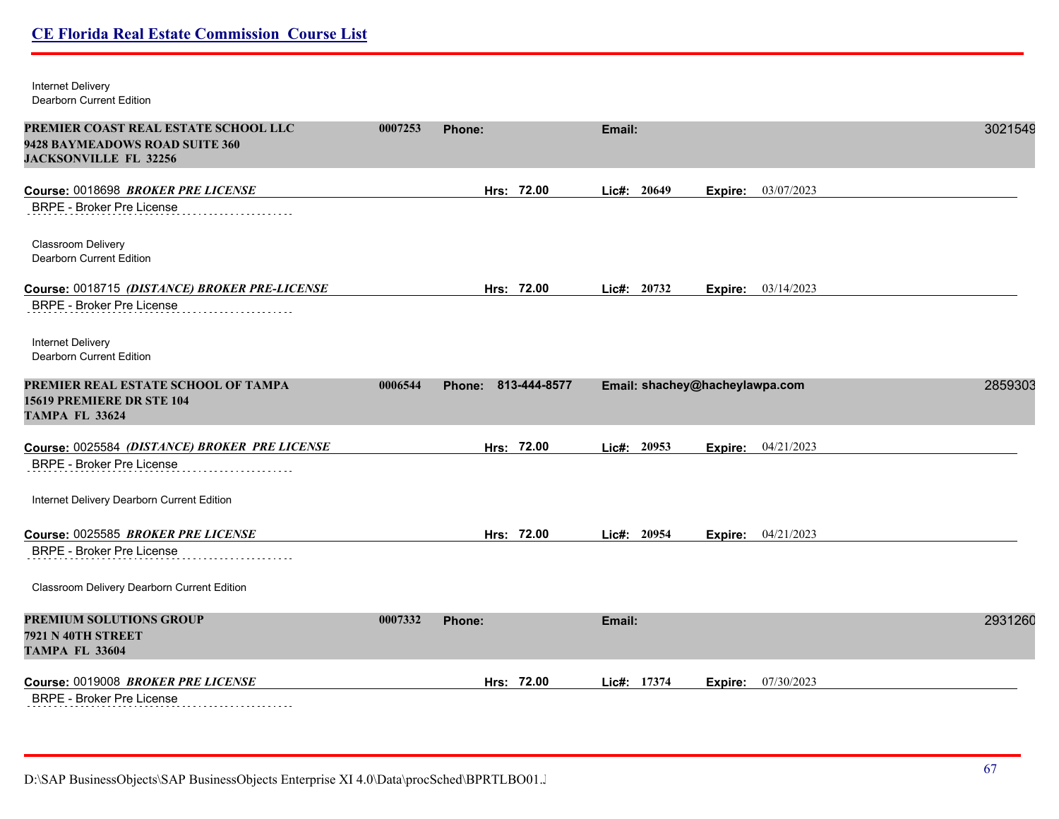### Internet Delivery Dearborn Current Edition

| PREMIER COAST REAL ESTATE SCHOOL LLC<br>9428 BAYMEADOWS ROAD SUITE 360<br><b>JACKSONVILLE FL 32256</b> | 0007253 | Phone:                 | Email:                         |         |                           | 3021549 |
|--------------------------------------------------------------------------------------------------------|---------|------------------------|--------------------------------|---------|---------------------------|---------|
| Course: 0018698 BROKER PRE LICENSE                                                                     |         | Hrs: 72.00             | Lic#: 20649                    | Expire: | 03/07/2023                |         |
| <b>BRPE - Broker Pre License</b>                                                                       |         |                        |                                |         |                           |         |
| Classroom Delivery<br><b>Dearborn Current Edition</b>                                                  |         |                        |                                |         |                           |         |
| Course: 0018715 (DISTANCE) BROKER PRE-LICENSE                                                          |         | Hrs: 72.00             | Lic#: 20732                    | Expire: | 03/14/2023                |         |
| <b>BRPE - Broker Pre License</b>                                                                       |         |                        |                                |         |                           |         |
| Internet Delivery<br><b>Dearborn Current Edition</b>                                                   |         |                        |                                |         |                           |         |
| PREMIER REAL ESTATE SCHOOL OF TAMPA                                                                    | 0006544 | 813-444-8577<br>Phone: | Email: shachey@hacheylawpa.com |         |                           | 2859303 |
| 15619 PREMIERE DR STE 104<br><b>TAMPA FL 33624</b>                                                     |         |                        |                                |         |                           |         |
| Course: 0025584 (DISTANCE) BROKER PRE LICENSE                                                          |         | Hrs: 72.00             | Lic#: 20953                    |         | <b>Expire:</b> 04/21/2023 |         |
| <b>BRPE - Broker Pre License</b>                                                                       |         |                        |                                |         |                           |         |
| Internet Delivery Dearborn Current Edition                                                             |         |                        |                                |         |                           |         |
| Course: 0025585 BROKER PRE LICENSE                                                                     |         | Hrs: 72.00             | Lic#: 20954                    | Expire: | 04/21/2023                |         |
| <b>BRPE - Broker Pre License</b>                                                                       |         |                        |                                |         |                           |         |
| Classroom Delivery Dearborn Current Edition                                                            |         |                        |                                |         |                           |         |
| PREMIUM SOLUTIONS GROUP                                                                                | 0007332 | Phone:                 | Email:                         |         |                           | 2931260 |
| 7921 N 40TH STREET<br><b>TAMPA FL 33604</b>                                                            |         |                        |                                |         |                           |         |
| Course: 0019008 BROKER PRE LICENSE                                                                     |         | Hrs: 72.00             | Lic#: 17374                    | Expire: | 07/30/2023                |         |
| <b>BRPE - Broker Pre License</b>                                                                       |         |                        |                                |         |                           |         |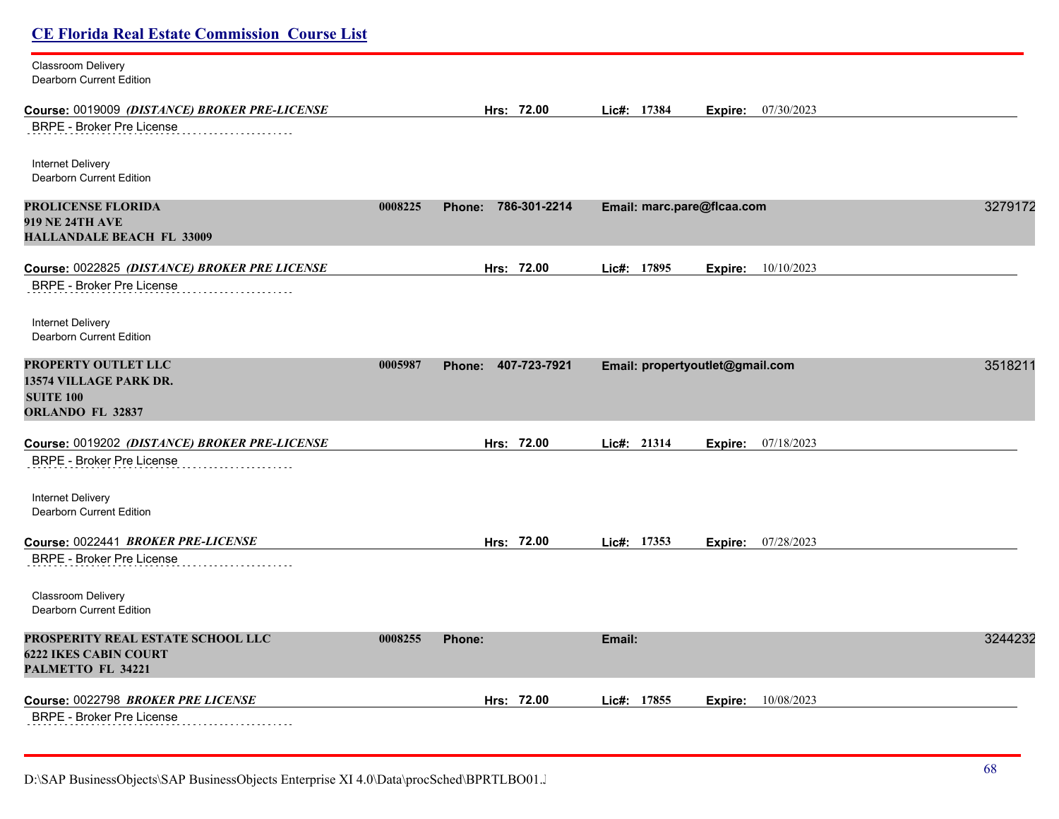| <b>CE Florida Real Estate Commission Course List</b>                                    |         |                        |                            |                                 |         |
|-----------------------------------------------------------------------------------------|---------|------------------------|----------------------------|---------------------------------|---------|
| Classroom Delivery<br>Dearborn Current Edition                                          |         |                        |                            |                                 |         |
| Course: 0019009 (DISTANCE) BROKER PRE-LICENSE                                           |         | Hrs: 72.00             | Lic#: 17384                | 07/30/2023<br>Expire:           |         |
| <b>BRPE - Broker Pre License</b>                                                        |         |                        |                            |                                 |         |
| Internet Delivery<br>Dearborn Current Edition                                           |         |                        |                            |                                 |         |
| <b>PROLICENSE FLORIDA</b><br><b>919 NE 24TH AVE</b><br><b>HALLANDALE BEACH FL 33009</b> | 0008225 | 786-301-2214<br>Phone: | Email: marc.pare@flcaa.com |                                 | 3279172 |
| Course: 0022825 (DISTANCE) BROKER PRE LICENSE                                           |         | Hrs: 72.00             | Lic#: 17895                | 10/10/2023<br>Expire:           |         |
| <b>BRPE - Broker Pre License</b>                                                        |         |                        |                            |                                 |         |
| Internet Delivery<br><b>Dearborn Current Edition</b>                                    |         |                        |                            |                                 |         |
| PROPERTY OUTLET LLC                                                                     | 0005987 | Phone: 407-723-7921    |                            | Email: propertyoutlet@gmail.com | 3518211 |
| 13574 VILLAGE PARK DR.<br><b>SUITE 100</b>                                              |         |                        |                            |                                 |         |
| ORLANDO FL 32837                                                                        |         |                        |                            |                                 |         |
| Course: 0019202 (DISTANCE) BROKER PRE-LICENSE                                           |         | Hrs: 72.00             | Lic#: 21314                | 07/18/2023<br>Expire:           |         |
| BRPE - Broker Pre License                                                               |         |                        |                            |                                 |         |
| Internet Delivery<br>Dearborn Current Edition                                           |         |                        |                            |                                 |         |
| Course: 0022441 BROKER PRE-LICENSE                                                      |         | Hrs: 72.00             | Lic#: 17353                | 07/28/2023<br>Expire:           |         |
| BRPE - Broker Pre License                                                               |         |                        |                            |                                 |         |
| Classroom Delivery<br>Dearborn Current Edition                                          |         |                        |                            |                                 |         |
| PROSPERITY REAL ESTATE SCHOOL LLC                                                       | 0008255 | Phone:                 | Email:                     |                                 | 3244232 |
| <b>6222 IKES CABIN COURT</b><br>PALMETTO FL 34221                                       |         |                        |                            |                                 |         |
| Course: 0022798 BROKER PRE LICENSE                                                      |         | Hrs: 72.00             | Lic#: 17855                | 10/08/2023<br>Expire:           |         |
| <b>BRPE - Broker Pre License</b>                                                        |         |                        |                            |                                 |         |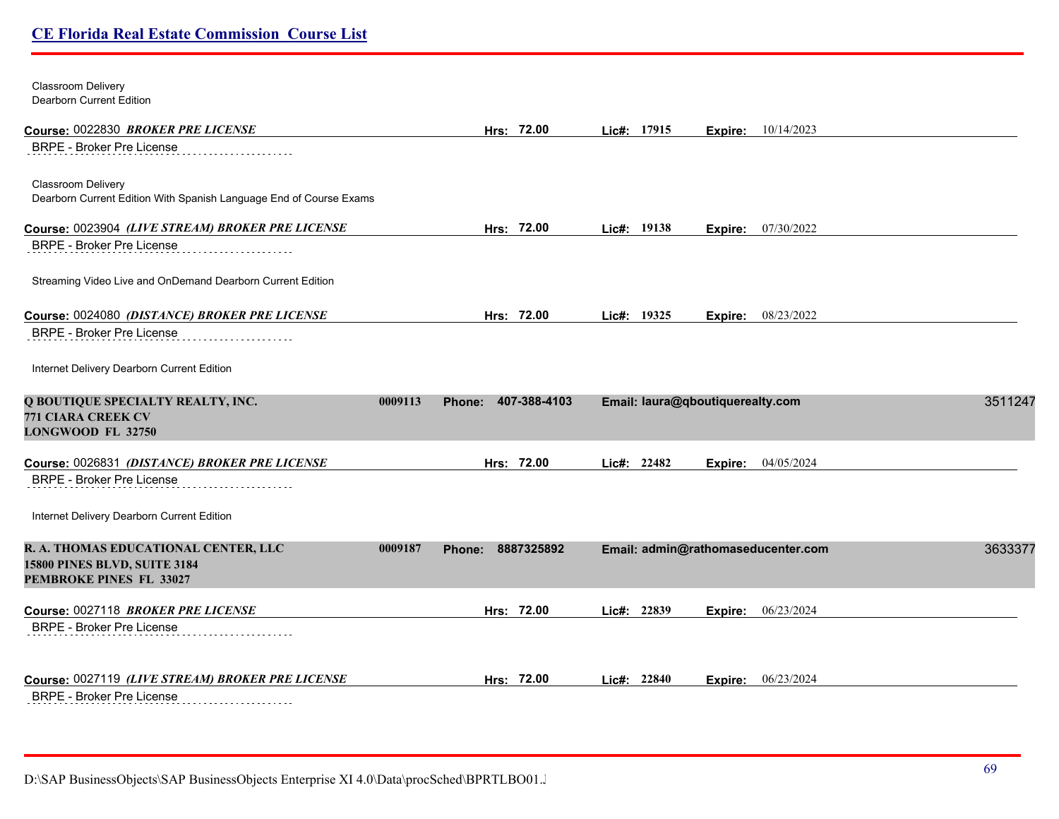Classroom Delivery Dearborn Current Edition

| Course: 0022830 BROKER PRE LICENSE                                     |         | Hrs: 72.00           | Lic#: 17915   | Expire:                          | 10/14/2023                         |         |
|------------------------------------------------------------------------|---------|----------------------|---------------|----------------------------------|------------------------------------|---------|
| <b>BRPE - Broker Pre License</b>                                       |         |                      |               |                                  |                                    |         |
| Classroom Delivery                                                     |         |                      |               |                                  |                                    |         |
| Dearborn Current Edition With Spanish Language End of Course Exams     |         |                      |               |                                  |                                    |         |
| Course: 0023904 (LIVE STREAM) BROKER PRE LICENSE                       |         | Hrs: 72.00           | Lic#: 19138   | Expire:                          | 07/30/2022                         |         |
| <b>BRPE - Broker Pre License</b>                                       |         |                      |               |                                  |                                    |         |
| Streaming Video Live and OnDemand Dearborn Current Edition             |         |                      |               |                                  |                                    |         |
| Course: 0024080 (DISTANCE) BROKER PRE LICENSE                          |         | Hrs: 72.00           | Lic#: $19325$ |                                  | <b>Expire:</b> 08/23/2022          |         |
| <b>BRPE - Broker Pre License</b>                                       |         |                      |               |                                  |                                    |         |
| Internet Delivery Dearborn Current Edition                             |         |                      |               |                                  |                                    |         |
|                                                                        | 0009113 | 407-388-4103         |               |                                  |                                    | 3511247 |
| Q BOUTIQUE SPECIALTY REALTY, INC.<br>771 CIARA CREEK CV                |         | Phone:               |               | Email: laura@qboutiquerealty.com |                                    |         |
| <b>LONGWOOD FL 32750</b>                                               |         |                      |               |                                  |                                    |         |
| Course: 0026831 (DISTANCE) BROKER PRE LICENSE                          |         | Hrs: 72.00           | Lic#: 22482   | Expire:                          | 04/05/2024                         |         |
| <b>BRPE - Broker Pre License</b>                                       |         |                      |               |                                  |                                    |         |
| Internet Delivery Dearborn Current Edition                             |         |                      |               |                                  |                                    |         |
| R. A. THOMAS EDUCATIONAL CENTER, LLC<br>15800 PINES BLVD, SUITE 3184   | 0009187 | 8887325892<br>Phone: |               |                                  | Email: admin@rathomaseducenter.com | 3633377 |
| <b>PEMBROKE PINES FL 33027</b>                                         |         |                      |               |                                  |                                    |         |
|                                                                        |         |                      |               |                                  |                                    |         |
| Course: 0027118 BROKER PRE LICENSE<br><b>BRPE - Broker Pre License</b> |         | Hrs: 72.00           | Lic#: 22839   | Expire:                          | 06/23/2024                         |         |
|                                                                        |         |                      |               |                                  |                                    |         |
|                                                                        |         |                      |               |                                  |                                    |         |
| Course: 0027119 (LIVE STREAM) BROKER PRE LICENSE                       |         | Hrs: 72.00           | Lic#: 22840   | Expire:                          | 06/23/2024                         |         |
| <b>BRPE - Broker Pre License</b><br>.                                  |         |                      |               |                                  |                                    |         |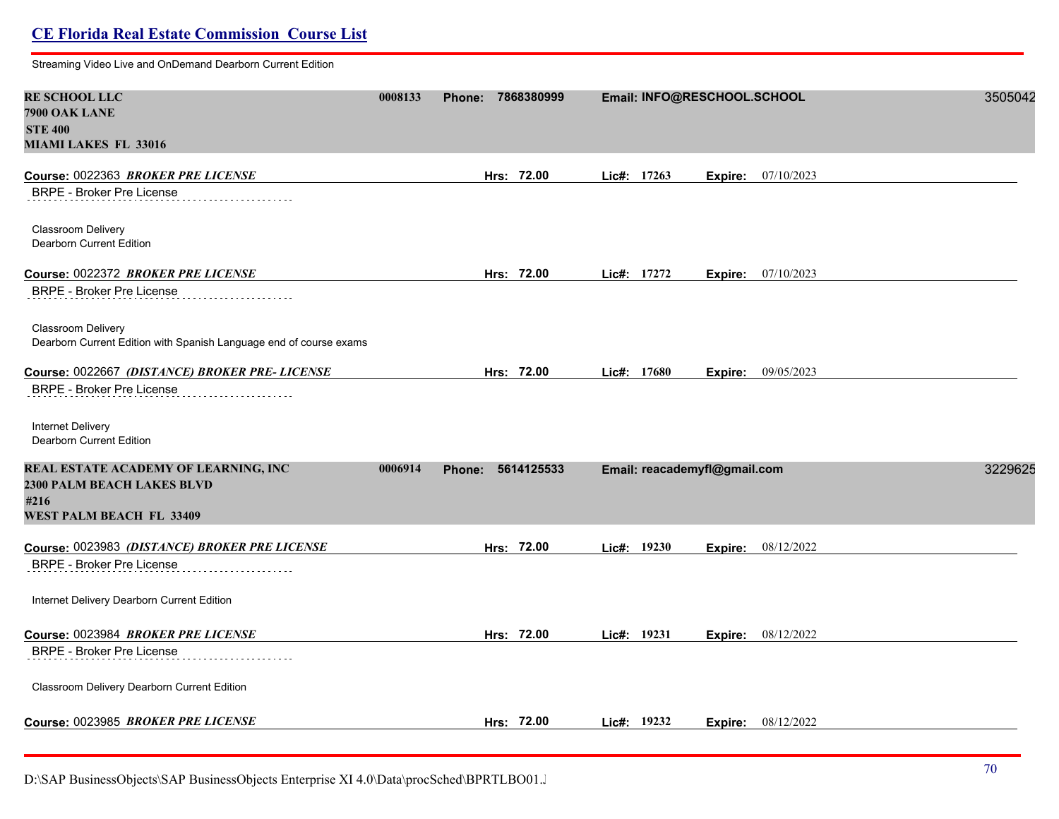Streaming Video Live and OnDemand Dearborn Current Edition

| <b>RE SCHOOL LLC</b><br><b>7900 OAK LANE</b><br><b>STE 400</b><br><b>MIAMI LAKES FL 33016</b> | 0008133 | <b>Phone:</b> | 7868380999        |             | Email: INFO@RESCHOOL.SCHOOL  |         |                           | 3505042 |
|-----------------------------------------------------------------------------------------------|---------|---------------|-------------------|-------------|------------------------------|---------|---------------------------|---------|
| Course: 0022363 BROKER PRE LICENSE                                                            |         |               | Hrs: 72.00        |             | Lic#: 17263                  | Expire: | 07/10/2023                |         |
| <b>BRPE - Broker Pre License</b>                                                              |         |               |                   |             |                              |         |                           |         |
| Classroom Delivery<br>Dearborn Current Edition                                                |         |               |                   |             |                              |         |                           |         |
| Course: 0022372 BROKER PRE LICENSE                                                            |         |               | Hrs: 72.00        |             | Lic#: 17272                  | Expire: | 07/10/2023                |         |
| <b>BRPE - Broker Pre License</b>                                                              |         |               |                   |             |                              |         |                           |         |
| Classroom Delivery<br>Dearborn Current Edition with Spanish Language end of course exams      |         |               |                   |             |                              |         |                           |         |
| Course: 0022667 (DISTANCE) BROKER PRE-LICENSE                                                 |         |               | Hrs: 72.00        |             | Lic#: 17680                  |         | Expire: 09/05/2023        |         |
| <b>BRPE - Broker Pre License</b>                                                              |         |               |                   |             |                              |         |                           |         |
| Internet Delivery<br>Dearborn Current Edition                                                 |         |               |                   |             |                              |         |                           |         |
| REAL ESTATE ACADEMY OF LEARNING, INC<br><b>2300 PALM BEACH LAKES BLVD</b>                     | 0006914 |               | Phone: 5614125533 |             | Email: reacademyfl@gmail.com |         |                           | 3229625 |
| #216<br>WEST PALM BEACH FL 33409                                                              |         |               |                   |             |                              |         |                           |         |
| Course: 0023983 (DISTANCE) BROKER PRE LICENSE                                                 |         |               | Hrs: 72.00        |             | Lic#: 19230                  | Expire: | 08/12/2022                |         |
| <b>BRPE - Broker Pre License</b>                                                              |         |               |                   |             |                              |         |                           |         |
| Internet Delivery Dearborn Current Edition                                                    |         |               |                   |             |                              |         |                           |         |
| Course: 0023984 BROKER PRE LICENSE                                                            |         |               | Hrs: 72.00        | Lic#: 19231 |                              |         | <b>Expire:</b> 08/12/2022 |         |
| <b>BRPE - Broker Pre License</b>                                                              |         |               |                   |             |                              |         |                           |         |
| Classroom Delivery Dearborn Current Edition                                                   |         |               |                   |             |                              |         |                           |         |
| Course: 0023985 BROKER PRE LICENSE                                                            |         |               | Hrs: 72.00        |             | Lic#: 19232                  | Expire: | 08/12/2022                |         |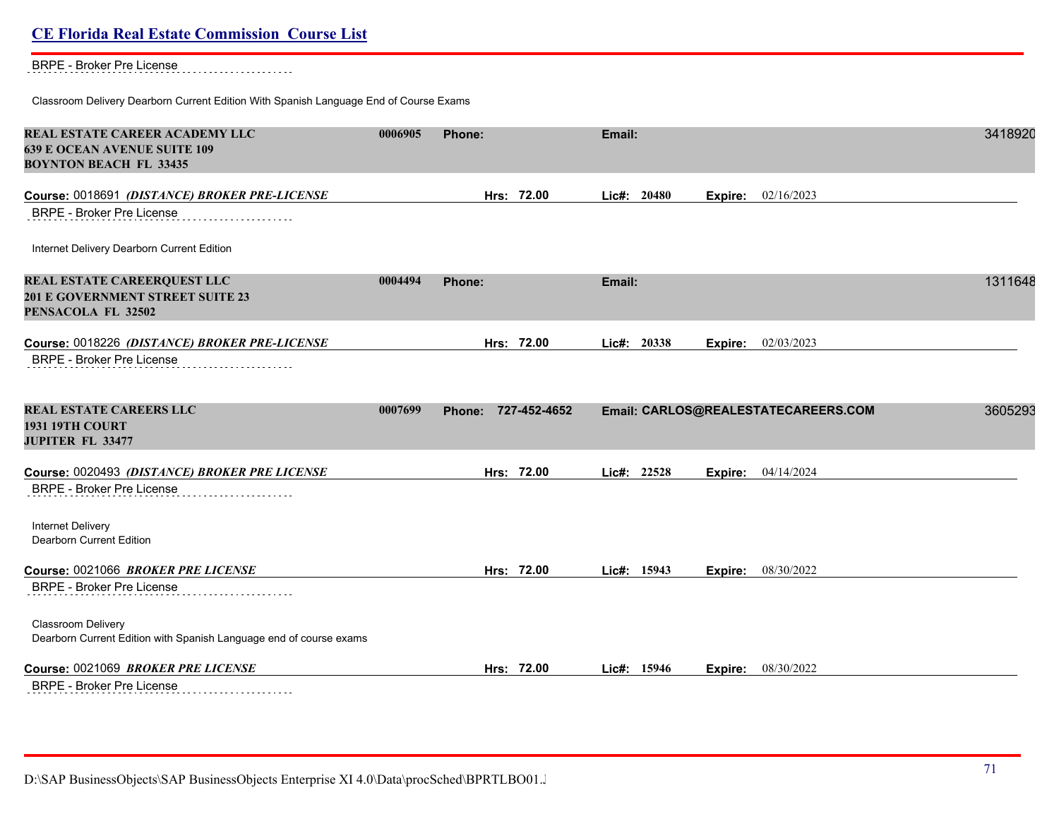#### BRPE - Broker Pre License . . . . . . . . . . . . . . . . . .

Classroom Delivery Dearborn Current Edition With Spanish Language End of Course Exams

| REAL ESTATE CAREER ACADEMY LLC<br><b>639 E OCEAN AVENUE SUITE 109</b><br><b>BOYNTON BEACH FL 33435</b> | 0006905 | Phone:              | Email:      |                                     | 3418920 |
|--------------------------------------------------------------------------------------------------------|---------|---------------------|-------------|-------------------------------------|---------|
| Course: 0018691 (DISTANCE) BROKER PRE-LICENSE<br><b>BRPE - Broker Pre License</b>                      |         | Hrs: 72.00          | Lic#: 20480 | <b>Expire:</b> 02/16/2023           |         |
| Internet Delivery Dearborn Current Edition                                                             |         |                     |             |                                     |         |
| REAL ESTATE CAREERQUEST LLC<br>201 E GOVERNMENT STREET SUITE 23<br>PENSACOLA FL 32502                  | 0004494 | Phone:              | Email:      |                                     | 1311648 |
| Course: 0018226 (DISTANCE) BROKER PRE-LICENSE                                                          |         | Hrs: 72.00          | Lic#: 20338 | 02/03/2023<br>Expire:               |         |
| <b>BRPE - Broker Pre License</b>                                                                       |         |                     |             |                                     |         |
| <b>REAL ESTATE CAREERS LLC</b><br><b>1931 19TH COURT</b><br><b>JUPITER FL 33477</b>                    | 0007699 | Phone: 727-452-4652 |             | Email: CARLOS@REALESTATECAREERS.COM | 3605293 |
| Course: 0020493 (DISTANCE) BROKER PRE LICENSE                                                          |         | Hrs: 72.00          | Lic#: 22528 | 04/14/2024<br>Expire:               |         |
| <b>BRPE - Broker Pre License</b>                                                                       |         |                     |             |                                     |         |
| Internet Delivery<br>Dearborn Current Edition                                                          |         |                     |             |                                     |         |
| Course: 0021066 BROKER PRE LICENSE                                                                     |         | Hrs: 72.00          | Lic#: 15943 | Expire: 08/30/2022                  |         |
| <b>BRPE - Broker Pre License</b>                                                                       |         |                     |             |                                     |         |
| Classroom Delivery<br>Dearborn Current Edition with Spanish Language end of course exams               |         |                     |             |                                     |         |
| Course: 0021069 BROKER PRE LICENSE                                                                     |         | Hrs: 72.00          | Lic#: 15946 | 08/30/2022<br>Expire:               |         |
| <b>BRPE - Broker Pre License</b><br>.                                                                  |         |                     |             |                                     |         |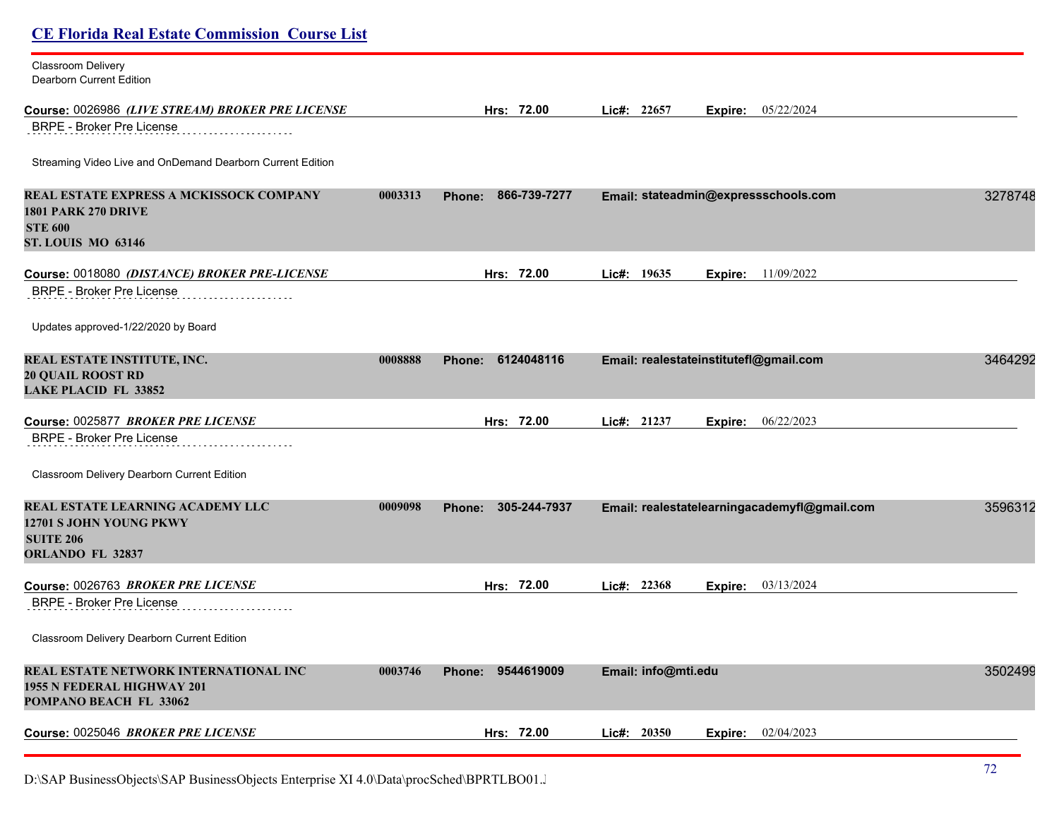| <b>CE Florida Real Estate Commission Course List</b>                                                                 |         |                               |                                              |         |
|----------------------------------------------------------------------------------------------------------------------|---------|-------------------------------|----------------------------------------------|---------|
| Classroom Delivery<br>Dearborn Current Edition                                                                       |         |                               |                                              |         |
| Course: 0026986 (LIVE STREAM) BROKER PRE LICENSE<br><b>BRPE - Broker Pre License</b>                                 |         | Hrs: 72.00                    | 05/22/2024<br>Lic#: $22657$<br>Expire:       |         |
| Streaming Video Live and OnDemand Dearborn Current Edition                                                           |         |                               |                                              |         |
| REAL ESTATE EXPRESS A MCKISSOCK COMPANY<br><b>1801 PARK 270 DRIVE</b><br><b>STE 600</b><br><b>ST. LOUIS MO 63146</b> | 0003313 | 866-739-7277<br>Phone:        | Email: stateadmin@expressschools.com         | 3278748 |
| Course: 0018080 (DISTANCE) BROKER PRE-LICENSE<br><b>BRPE - Broker Pre License</b>                                    |         | Hrs: 72.00                    | 11/09/2022<br>Lic#: 19635<br>Expire:         |         |
| Updates approved-1/22/2020 by Board                                                                                  |         |                               |                                              |         |
| REAL ESTATE INSTITUTE, INC.<br><b>20 QUAIL ROOST RD</b><br><b>LAKE PLACID FL 33852</b>                               | 0008888 | Phone: 6124048116             | Email: realestateinstitutefl@gmail.com       | 3464292 |
| Course: 0025877 BROKER PRE LICENSE                                                                                   |         | Hrs: 72.00                    | Lic#: 21237<br>06/22/2023<br>Expire:         |         |
| <b>BRPE - Broker Pre License</b><br>Classroom Delivery Dearborn Current Edition                                      |         |                               |                                              |         |
| REAL ESTATE LEARNING ACADEMY LLC<br>12701 S JOHN YOUNG PKWY<br><b>SUITE 206</b><br><b>ORLANDO FL 32837</b>           | 0009098 | 305-244-7937<br><b>Phone:</b> | Email: realestatelearningacademyfl@gmail.com | 3596312 |
| Course: 0026763 BROKER PRE LICENSE<br><b>BRPE - Broker Pre License</b>                                               |         | Hrs: 72.00                    | Lic#: 22368<br>03/13/2024<br>Expire:         |         |
| Classroom Delivery Dearborn Current Edition                                                                          |         |                               |                                              |         |
| REAL ESTATE NETWORK INTERNATIONAL INC<br>1955 N FEDERAL HIGHWAY 201<br>POMPANO BEACH FL 33062                        | 0003746 | Phone: 9544619009             | Email: info@mti.edu                          | 3502499 |
| Course: 0025046 BROKER PRE LICENSE                                                                                   |         | Hrs: 72.00                    | Lic#: 20350<br>02/04/2023<br>Expire:         |         |

D:\SAP BusinessObjects\SAP BusinessObjects Enterprise XI 4.0\Data\procSched\BPRTLBO01.Jobserver2\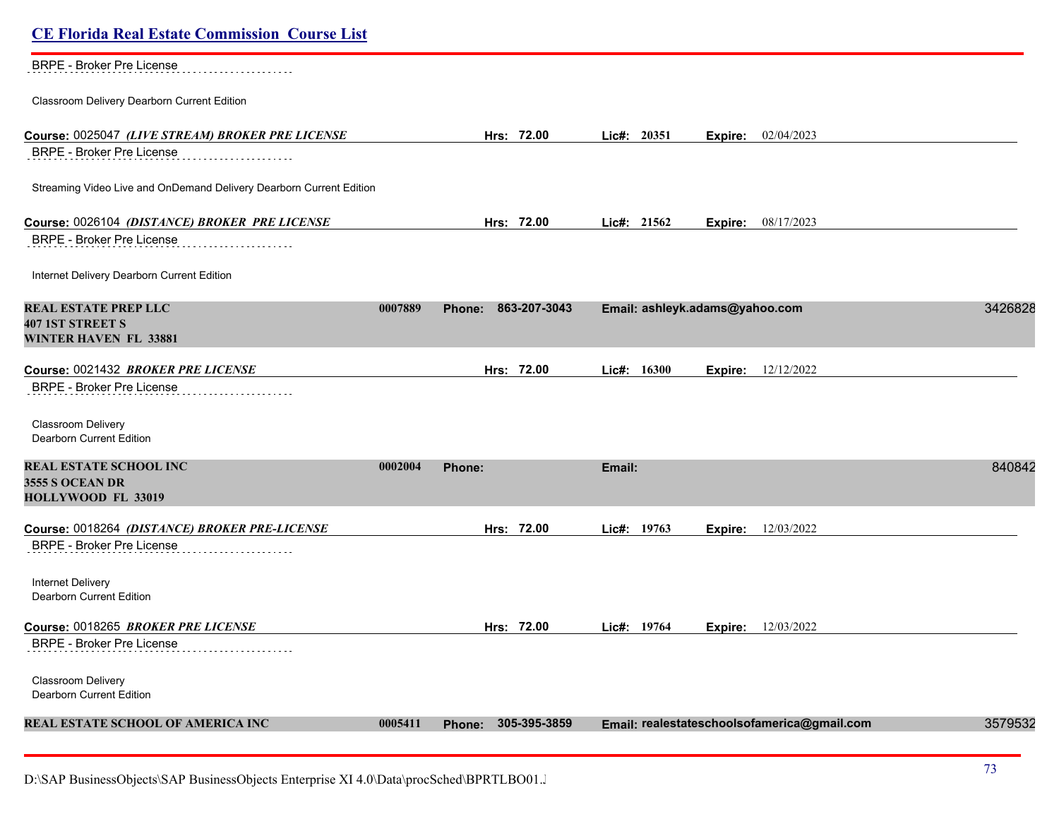| REAL ESTATE SCHOOL OF AMERICA INC                                                      | 0005411 | Phone: 305-395-3859    |        |               |                                | Email: realestateschoolsofamerica@gmail.com | 3579532 |
|----------------------------------------------------------------------------------------|---------|------------------------|--------|---------------|--------------------------------|---------------------------------------------|---------|
| Classroom Delivery<br>Dearborn Current Edition                                         |         |                        |        |               |                                |                                             |         |
| <b>BRPE - Broker Pre License</b>                                                       |         |                        |        |               |                                |                                             |         |
| Course: 0018265 BROKER PRE LICENSE                                                     |         | Hrs: 72.00             |        |               |                                | Lic#: 19764 Expire: 12/03/2022              |         |
| Internet Delivery<br>Dearborn Current Edition                                          |         |                        |        |               |                                |                                             |         |
| Course: 0018264 (DISTANCE) BROKER PRE-LICENSE<br><b>BRPE - Broker Pre License</b>      |         | Hrs: 72.00             |        | Lic#: 19763   | Expire:                        | 12/03/2022                                  |         |
| <b>3555 S OCEAN DR</b><br>HOLLYWOOD FL 33019                                           |         |                        |        |               |                                |                                             |         |
| Classroom Delivery<br><b>Dearborn Current Edition</b><br><b>REAL ESTATE SCHOOL INC</b> | 0002004 | <b>Phone:</b>          | Email: |               |                                |                                             | 840842  |
| <b>BRPE - Broker Pre License</b>                                                       |         |                        |        |               |                                |                                             |         |
| Course: 0021432 BROKER PRE LICENSE                                                     |         | Hrs: 72.00             |        | Lic#: 16300   | Expire:                        | 12/12/2022                                  |         |
| <b>407 1ST STREET S</b><br>WINTER HAVEN FL 33881                                       |         |                        |        |               |                                |                                             |         |
| <b>REAL ESTATE PREP LLC</b>                                                            | 0007889 | 863-207-3043<br>Phone: |        |               | Email: ashleyk.adams@yahoo.com |                                             | 3426828 |
| Internet Delivery Dearborn Current Edition                                             |         |                        |        |               |                                |                                             |         |
| Course: 0026104 (DISTANCE) BROKER PRE LICENSE<br><b>BRPE - Broker Pre License</b>      |         | Hrs: 72.00             |        | Lic#: 21562   |                                | <b>Expire:</b> 08/17/2023                   |         |
| Streaming Video Live and OnDemand Delivery Dearborn Current Edition                    |         |                        |        |               |                                |                                             |         |
|                                                                                        |         |                        |        |               |                                |                                             |         |
| Course: 0025047 (LIVE STREAM) BROKER PRE LICENSE<br><b>BRPE - Broker Pre License</b>   |         | Hrs: 72.00             |        | Lic#: $20351$ |                                | <b>Expire:</b> 02/04/2023                   |         |
| Classroom Delivery Dearborn Current Edition                                            |         |                        |        |               |                                |                                             |         |
| <b>BRPE - Broker Pre License</b>                                                       |         |                        |        |               |                                |                                             |         |
|                                                                                        |         |                        |        |               |                                |                                             |         |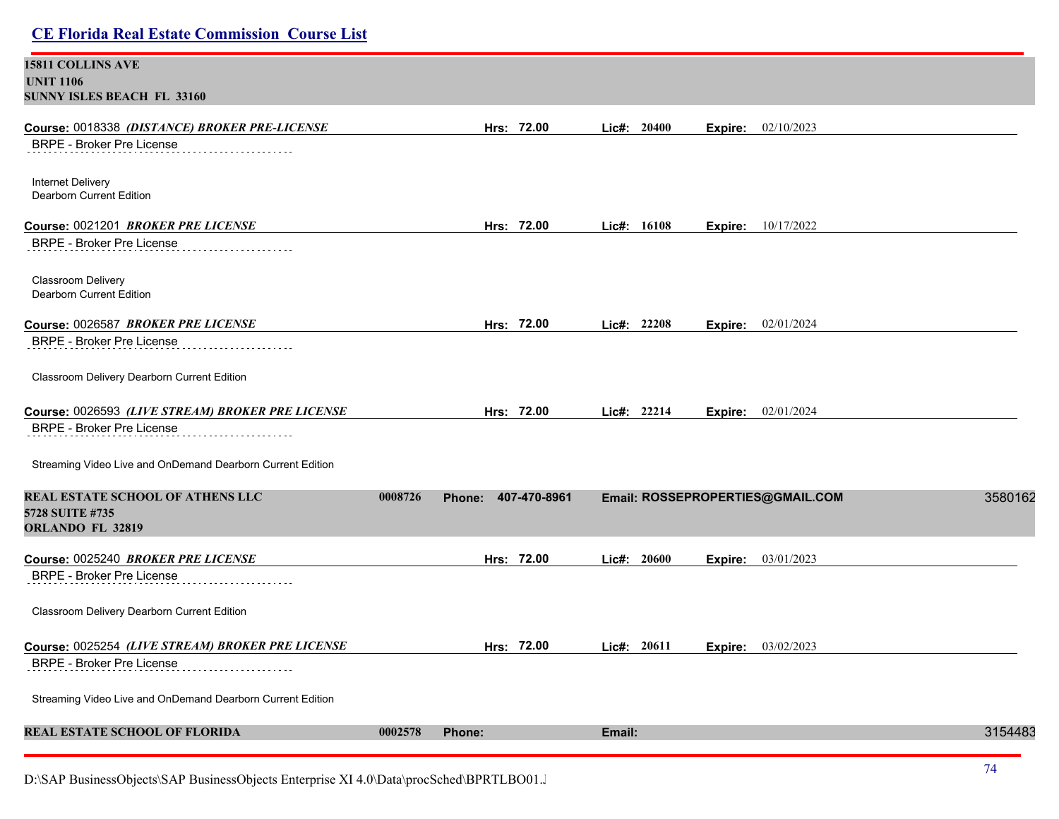# **CE Florida Real Estate Commission Course List 15811 COLLINS AVE UNIT 1106 SUNNY ISLES BEACH FL 33160 Course:** 0018338 *(DISTANCE) BROKER PRE-LICENSE* **Hrs: 72.00 Lic#: 20400 Expire:** 02/10/2023 BRPE - Broker Pre License Internet Delivery Dearborn Current Edition **Course:** 0021201 *BROKER PRE LICENSE* **Hrs: 72.00 Lic#: 16108 Expire:** 10/17/2022 BRPE - Broker Pre License Classroom Delivery Dearborn Current Edition **Course:** 0026587 *BROKER PRE LICENSE* **Hrs: 72.00 Lic#: 22208 Expire:** 02/01/2024 BRPE - Broker Pre License . . . . . . . . . . . . . . . . . . . . Classroom Delivery Dearborn Current Edition **Course:** 0026593 *(LIVE STREAM) BROKER PRE LICENSE* **Hrs: 72.00 Lic#: 22214 Expire:** 02/01/2024 BRPE - Broker Pre License Streaming Video Live and OnDemand Dearborn Current Edition **REAL ESTATE SCHOOL OF ATHENS LLC 0008726 Phone: 407-470-8961 Email: ROSSEPROPERTIES@GMAIL.COM** 35801628 **5728 SUITE #735 ORLANDO FL 32819 Course:** 0025240 *BROKER PRE LICENSE* **Hrs: 72.00 Lic#: 20600 Expire:** 03/01/2023 BRPE - Broker Pre License Classroom Delivery Dearborn Current Edition **Course:** 0025254 *(LIVE STREAM) BROKER PRE LICENSE* **Hrs: 72.00 Lic#: 20611 Expire:** 03/02/2023 BRPE - Broker Pre License Streaming Video Live and OnDemand Dearborn Current Edition **REAL ESTATE SCHOOL OF FLORIDA 0002578 Phone: Email:** 31544834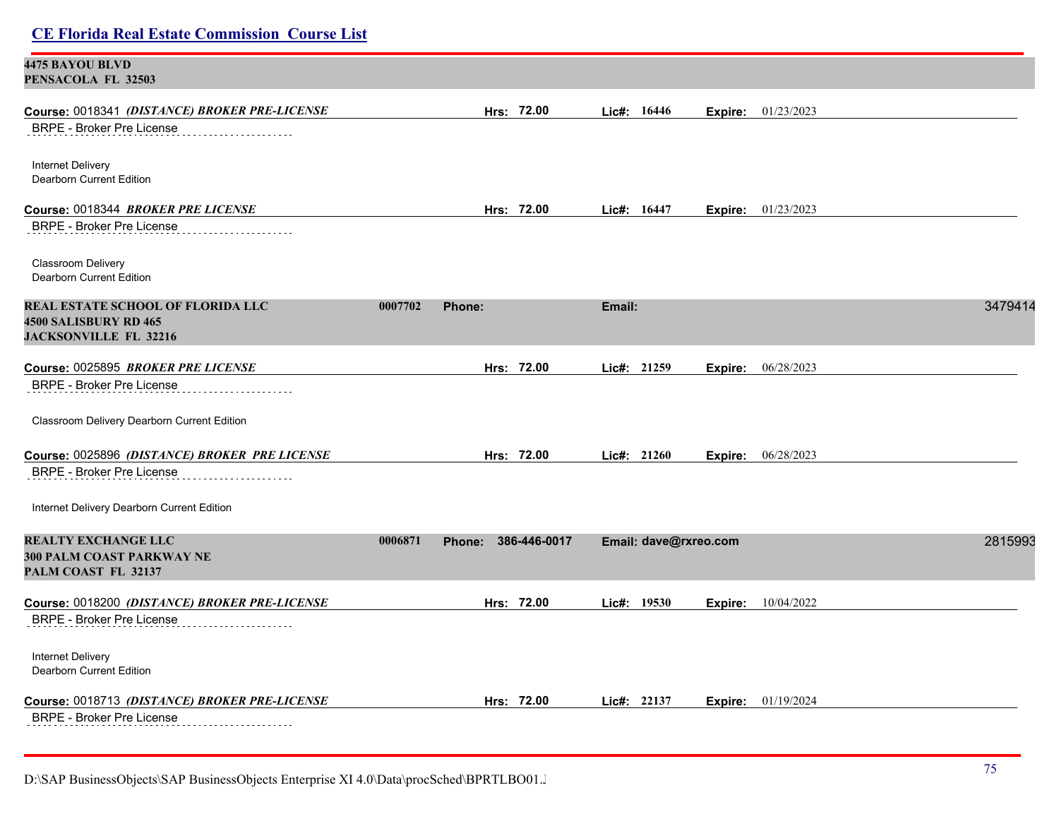## **CE Florida Real Estate Commission Course List 4475 BAYOU BLVD PENSACOLA FL 32503 Course:** 0018341 *(DISTANCE) BROKER PRE-LICENSE* **Hrs: 72.00 Lic#: 16446 Expire:** 01/23/2023 BRPE - Broker Pre License Internet Delivery Dearborn Current Edition **Course:** 0018344 *BROKER PRE LICENSE* **Hrs: 72.00 Lic#: 16447 Expire:** 01/23/2023 BRPE - Broker Pre License Classroom Delivery Dearborn Current Edition **REAL ESTATE SCHOOL OF FLORIDA LLC 0007702 Phone: Email:** 34794144 **4500 SALISBURY RD 465 JACKSONVILLE FL 32216 Course:** 0025895 *BROKER PRE LICENSE* **Hrs: 72.00 Lic#: 21259 Expire:** 06/28/2023 BRPE - Broker Pre License Classroom Delivery Dearborn Current Edition **Course:** 0025896 *(DISTANCE) BROKER PRE LICENSE* **Hrs: 72.00 Lic#: 21260 Expire:** 06/28/2023 BRPE - Broker Pre License Internet Delivery Dearborn Current Edition **REALTY EXCHANGE LLC 0006871 Phone: 386-446-0017 Email: dave@rxreo.com** 28159938 **300 PALM COAST PARKWAY NE PALM COAST FL 32137 Course:** 0018200 *(DISTANCE) BROKER PRE-LICENSE* **Hrs: 72.00 Lic#: 19530 Expire:** 10/04/2022 BRPE - Broker Pre License . . . . . . . . . . . . . . . . . . . Internet Delivery Dearborn Current Edition **Course:** 0018713 *(DISTANCE) BROKER PRE-LICENSE* **Hrs: 72.00 Lic#: 22137 Expire:** 01/19/2024 BRPE - Broker Pre License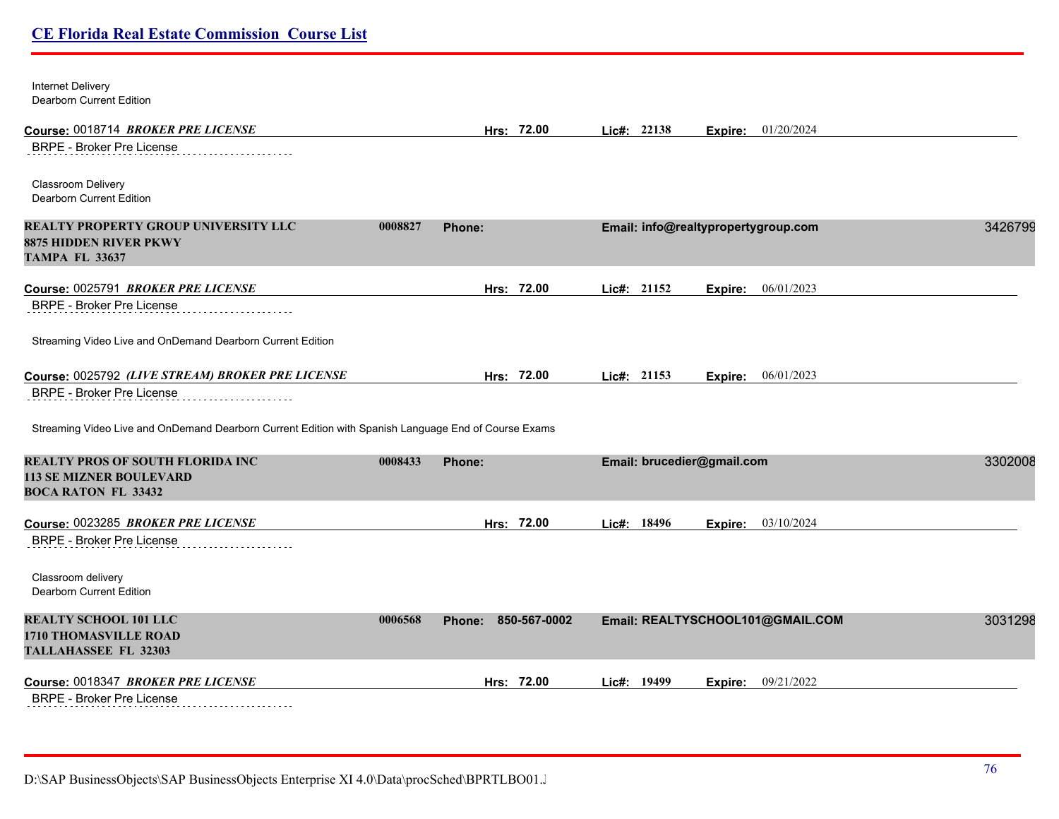Internet Delivery Dearborn Current Edition **Course:** 0018714 *BROKER PRE LICENSE* **Hrs: 72.00 Lic#: 22138 Expire:** 01/20/2024 BRPE - Broker Pre License Classroom Delivery Dearborn Current Edition **REALTY PROPERTY GROUP UNIVERSITY LLC 0008827 Phone: Email: info@realtypropertygroup.com** 34267999 **8875 HIDDEN RIVER PKWY TAMPA FL 33637 Course:** 0025791 *BROKER PRE LICENSE* **Hrs: 72.00 Lic#: 21152 Expire:** 06/01/2023 BRPE - Broker Pre License Streaming Video Live and OnDemand Dearborn Current Edition **Course:** 0025792 *(LIVE STREAM) BROKER PRE LICENSE* **Hrs: 72.00 Lic#: 21153 Expire:** 06/01/2023 BRPE - Broker Pre License Streaming Video Live and OnDemand Dearborn Current Edition with Spanish Language End of Course Exams **REALTY PROS OF SOUTH FLORIDA INC 0008433 Phone: Email: brucedier@gmail.com** 33020083 **113 SE MIZNER BOULEVARD BOCA RATON FL 33432 Course:** 0023285 *BROKER PRE LICENSE* **Hrs: 72.00 Lic#: 18496 Expire:** 03/10/2024 BRPE - Broker Pre License Classroom delivery Dearborn Current Edition **REALTY SCHOOL 101 LLC 0006568 Phone: 850-567-0002 Email: REALTYSCHOOL101@GMAIL.COM** 30312987 **1710 THOMASVILLE ROAD TALLAHASSEE FL 32303 Course:** 0018347 *BROKER PRE LICENSE* **Hrs: 72.00 Lic#: 19499 Expire:** 09/21/2022 BRPE - Broker Pre License . . . . . . . . . . .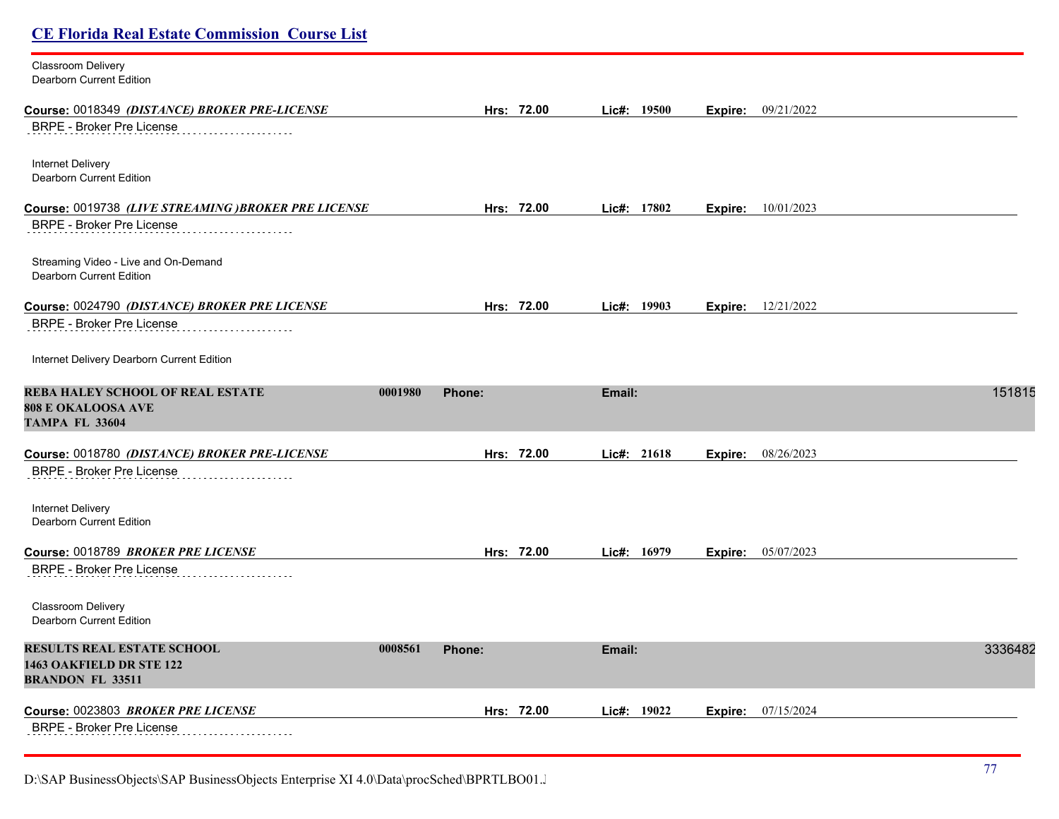| <b>CE Florida Real Estate Commission Course List</b>                                   |                          |            |        |             |         |                    |         |
|----------------------------------------------------------------------------------------|--------------------------|------------|--------|-------------|---------|--------------------|---------|
| Classroom Delivery<br>Dearborn Current Edition                                         |                          |            |        |             |         |                    |         |
| Course: 0018349 (DISTANCE) BROKER PRE-LICENSE                                          |                          | Hrs: 72.00 |        | Lic#: 19500 | Expire: | 09/21/2022         |         |
| <b>BRPE - Broker Pre License</b>                                                       |                          |            |        |             |         |                    |         |
| Internet Delivery<br>Dearborn Current Edition                                          |                          |            |        |             |         |                    |         |
| Course: 0019738 (LIVE STREAMING) BROKER PRE LICENSE                                    |                          | Hrs: 72.00 |        | Lic#: 17802 | Expire: | 10/01/2023         |         |
| <b>BRPE - Broker Pre License</b>                                                       |                          |            |        |             |         |                    |         |
| Streaming Video - Live and On-Demand<br>Dearborn Current Edition                       |                          |            |        |             |         |                    |         |
| Course: 0024790 (DISTANCE) BROKER PRE LICENSE                                          |                          | Hrs: 72.00 |        | Lic#: 19903 | Expire: | 12/21/2022         |         |
| <b>BRPE - Broker Pre License</b>                                                       |                          |            |        |             |         |                    |         |
| Internet Delivery Dearborn Current Edition                                             |                          |            |        |             |         |                    |         |
| REBA HALEY SCHOOL OF REAL ESTATE<br><b>808 E OKALOOSA AVE</b><br><b>TAMPA FL 33604</b> | 0001980<br><b>Phone:</b> |            | Email: |             |         |                    | 151815  |
| Course: 0018780 (DISTANCE) BROKER PRE-LICENSE                                          |                          | Hrs: 72.00 |        | Lic#: 21618 | Expire: | 08/26/2023         |         |
| <b>BRPE - Broker Pre License</b>                                                       |                          |            |        |             |         |                    |         |
| Internet Delivery<br>Dearborn Current Edition                                          |                          |            |        |             |         |                    |         |
| Course: 0018789 BROKER PRE LICENSE                                                     |                          | Hrs: 72.00 |        | Lic#: 16979 |         | Expire: 05/07/2023 |         |
| <b>BRPE - Broker Pre License</b>                                                       |                          |            |        |             |         |                    |         |
| Classroom Delivery<br>Dearborn Current Edition                                         |                          |            |        |             |         |                    |         |
| <b>RESULTS REAL ESTATE SCHOOL</b>                                                      | 0008561<br><b>Phone:</b> |            | Email: |             |         |                    | 3336482 |
| 1463 OAKFIELD DR STE 122<br><b>BRANDON FL 33511</b>                                    |                          |            |        |             |         |                    |         |
| Course: 0023803 BROKER PRE LICENSE                                                     |                          | Hrs: 72.00 |        | Lic#: 19022 | Expire: | 07/15/2024         |         |
| <b>BRPE - Broker Pre License</b>                                                       |                          |            |        |             |         |                    |         |

D:\SAP BusinessObjects\SAP BusinessObjects Enterprise XI 4.0\Data\procSched\BPRTLBO01.J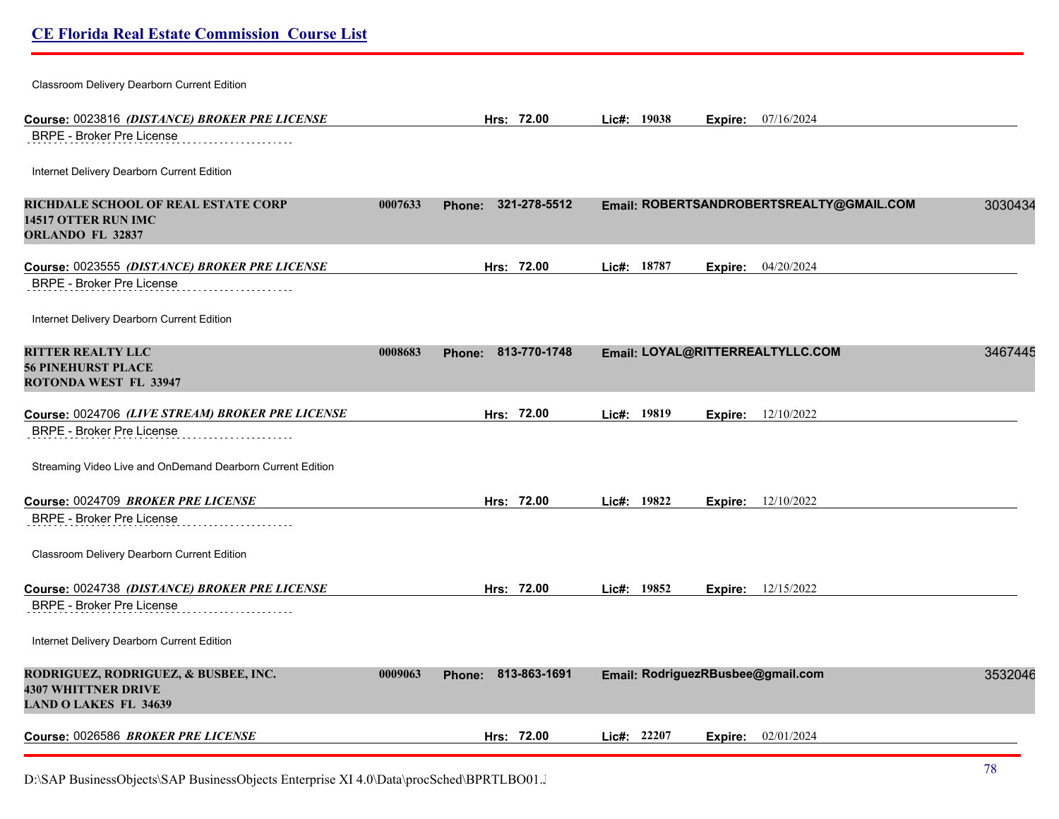| Classroom Delivery Dearborn Current Edition                                                        |         |                               |                |         |                                          |         |
|----------------------------------------------------------------------------------------------------|---------|-------------------------------|----------------|---------|------------------------------------------|---------|
| Course: 0023816 <i>(DISTANCE) BROKER PRE LICENSE</i>                                               |         | Hrs: 72.00                    | Lic#: 19038    | Expire: | 07/16/2024                               |         |
| <b>BRPE - Broker Pre License</b>                                                                   |         |                               |                |         |                                          |         |
| Internet Delivery Dearborn Current Edition                                                         |         |                               |                |         |                                          |         |
| RICHDALE SCHOOL OF REAL ESTATE CORP<br>14517 OTTER RUN IMC<br><b>ORLANDO FL 32837</b>              | 0007633 | 321-278-5512<br><b>Phone:</b> |                |         | Email: ROBERTSANDROBERTSREALTY@GMAIL.COM | 3030434 |
| Course: 0023555 (DISTANCE) BROKER PRE LICENSE                                                      |         | Hrs: 72.00                    | Lic#: 18787    |         | Expire: 04/20/2024                       |         |
| <b>BRPE - Broker Pre License</b>                                                                   |         |                               |                |         |                                          |         |
| Internet Delivery Dearborn Current Edition                                                         |         |                               |                |         |                                          |         |
| <b>RITTER REALTY LLC</b><br><b>56 PINEHURST PLACE</b><br>ROTONDA WEST FL 33947                     | 0008683 | Phone: 813-770-1748           |                |         | Email: LOYAL@RITTERREALTYLLC.COM         | 3467445 |
| Course: 0024706 (LIVE STREAM) BROKER PRE LICENSE<br><b>BRPE - Broker Pre License</b>               |         | Hrs: 72.00                    | Lic#: 19819    | Expire: | 12/10/2022                               |         |
| Streaming Video Live and OnDemand Dearborn Current Edition                                         |         |                               |                |         |                                          |         |
| Course: 0024709 BROKER PRE LICENSE                                                                 |         | Hrs: 72.00                    | Lic#: 19822    |         | <b>Expire:</b> $12/10/2022$              |         |
| <b>BRPE - Broker Pre License</b>                                                                   |         |                               |                |         |                                          |         |
| Classroom Delivery Dearborn Current Edition                                                        |         |                               |                |         |                                          |         |
| Course: 0024738 <i>(DISTANCE) BROKER PRE LICENSE</i>                                               |         | Hrs: 72.00                    | Lic#: $19852$  |         | <b>Expire:</b> 12/15/2022                |         |
| <b>BRPE - Broker Pre License</b>                                                                   |         |                               |                |         |                                          |         |
| Internet Delivery Dearborn Current Edition                                                         |         |                               |                |         |                                          |         |
| RODRIGUEZ, RODRIGUEZ, & BUSBEE, INC.<br><b>4307 WHITTNER DRIVE</b><br><b>LAND O LAKES FL 34639</b> | 0009063 | 813-863-1691<br><b>Phone:</b> |                |         | Email: RodriguezRBusbee@gmail.com        | 3532046 |
| Course: 0026586 <i>BROKER PRE LICENSE</i>                                                          |         | Hrs: 72.00                    | $Lic\#: 22207$ |         | Expire: 02/01/2024                       |         |

D:\SAP BusinessObjects\SAP BusinessObjects Enterprise XI 4.0\Data\procSched\BPRTLBO01.Jobserver2\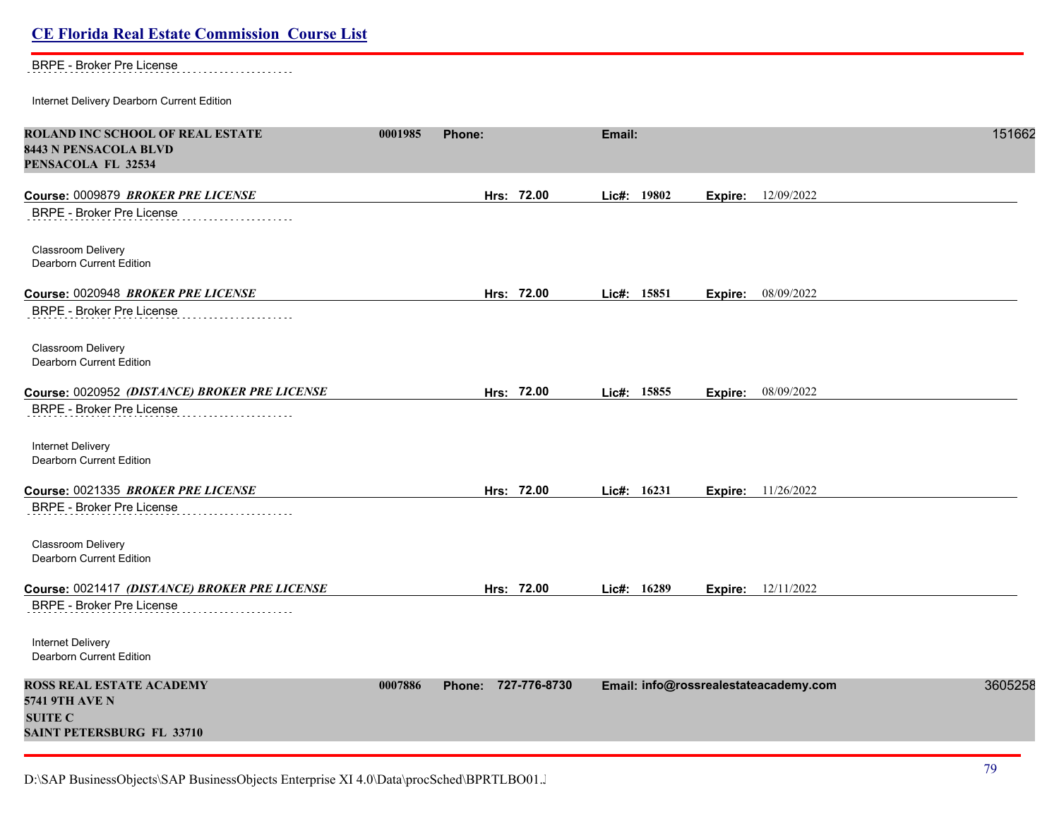#### BRPE - Broker Pre License . . . . . . . . . . . . . . . .

Internet Delivery Dearborn Current Edition

| <b>ROLAND INC SCHOOL OF REAL ESTATE</b><br>8443 N PENSACOLA BLVD<br>PENSACOLA FL 32534 | 0001985 | <b>Phone:</b>       | Email:      |         |                                       | 151662  |
|----------------------------------------------------------------------------------------|---------|---------------------|-------------|---------|---------------------------------------|---------|
| Course: 0009879 BROKER PRE LICENSE                                                     |         | Hrs: 72.00          | Lic#: 19802 | Expire: | 12/09/2022                            |         |
| <b>BRPE - Broker Pre License</b>                                                       |         |                     |             |         |                                       |         |
| Classroom Delivery<br>Dearborn Current Edition                                         |         |                     |             |         |                                       |         |
| Course: 0020948 BROKER PRE LICENSE                                                     |         | Hrs: 72.00          | Lic#: 15851 | Expire: | 08/09/2022                            |         |
| <b>BRPE - Broker Pre License</b>                                                       |         |                     |             |         |                                       |         |
| Classroom Delivery<br>Dearborn Current Edition                                         |         |                     |             |         |                                       |         |
| Course: 0020952 (DISTANCE) BROKER PRE LICENSE                                          |         | Hrs: 72.00          | Lic#: 15855 | Expire: | 08/09/2022                            |         |
| <b>BRPE - Broker Pre License</b>                                                       |         |                     |             |         |                                       |         |
| Internet Delivery<br>Dearborn Current Edition                                          |         |                     |             |         |                                       |         |
| Course: 0021335 BROKER PRE LICENSE                                                     |         | Hrs: 72.00          | Lic#: 16231 | Expire: | 11/26/2022                            |         |
| <b>BRPE - Broker Pre License</b>                                                       |         |                     |             |         |                                       |         |
| Classroom Delivery<br>Dearborn Current Edition                                         |         |                     |             |         |                                       |         |
| Course: 0021417 (DISTANCE) BROKER PRE LICENSE                                          |         | Hrs: 72.00          | Lic#: 16289 | Expire: | 12/11/2022                            |         |
| <b>BRPE - Broker Pre License</b>                                                       |         |                     |             |         |                                       |         |
| Internet Delivery<br><b>Dearborn Current Edition</b>                                   |         |                     |             |         |                                       |         |
| <b>ROSS REAL ESTATE ACADEMY</b>                                                        | 0007886 | Phone: 727-776-8730 |             |         | Email: info@rossrealestateacademy.com | 3605258 |
| 5741 9TH AVE N<br><b>SUITE C</b>                                                       |         |                     |             |         |                                       |         |
| <b>SAINT PETERSBURG FL 33710</b>                                                       |         |                     |             |         |                                       |         |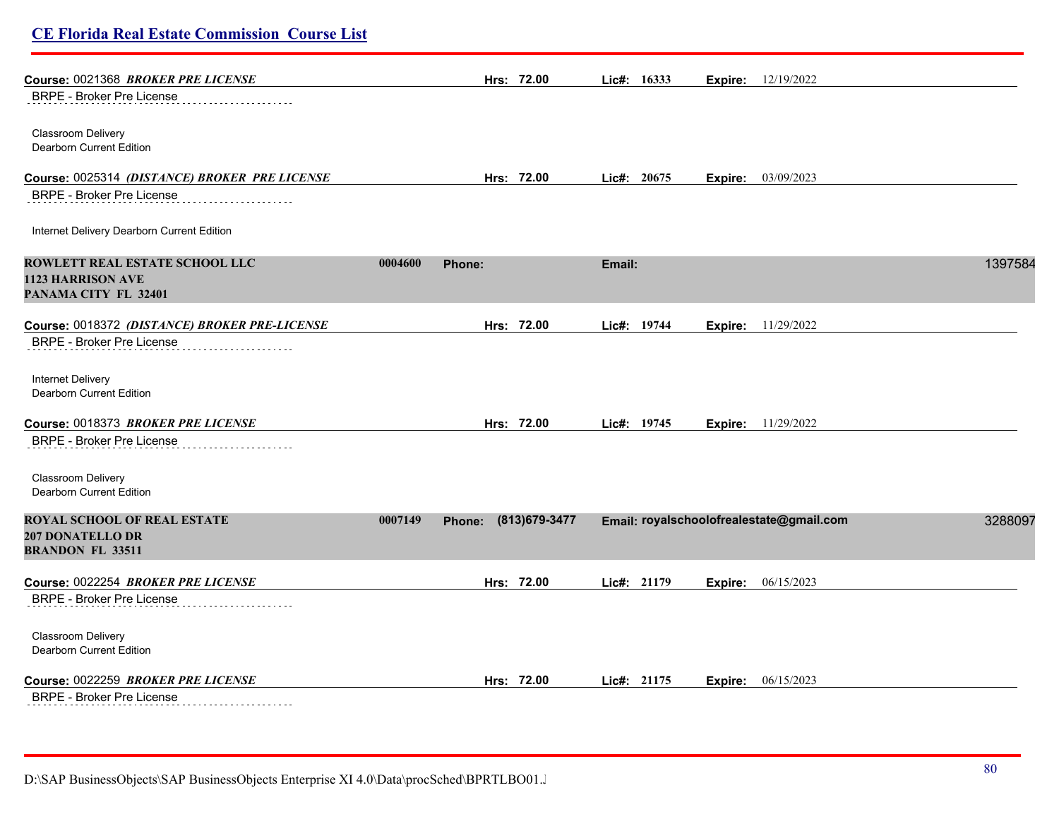| <b>CE Florida Real Estate Commission Course List</b>                               |         |                          |             |                                          |         |
|------------------------------------------------------------------------------------|---------|--------------------------|-------------|------------------------------------------|---------|
| Course: 0021368 BROKER PRE LICENSE                                                 |         | Hrs: 72.00               | Lic#: 16333 | <b>Expire:</b> 12/19/2022                |         |
| <b>BRPE - Broker Pre License</b>                                                   |         |                          |             |                                          |         |
| Classroom Delivery<br>Dearborn Current Edition                                     |         |                          |             |                                          |         |
| Course: 0025314 <i>(DISTANCE) BROKER PRE LICENSE</i>                               |         | Hrs: 72.00               | Lic#: 20675 | <b>Expire:</b> 03/09/2023                |         |
| <b>BRPE - Broker Pre License</b>                                                   |         |                          |             |                                          |         |
| Internet Delivery Dearborn Current Edition                                         |         |                          |             |                                          |         |
| ROWLETT REAL ESTATE SCHOOL LLC<br><b>1123 HARRISON AVE</b><br>PANAMA CITY FL 32401 | 0004600 | <b>Phone:</b>            | Email:      |                                          | 1397584 |
| Course: 0018372 (DISTANCE) BROKER PRE-LICENSE                                      |         | Hrs: 72.00               | Lic#: 19744 | <b>Expire:</b> 11/29/2022                |         |
| <b>BRPE - Broker Pre License</b>                                                   |         |                          |             |                                          |         |
| <b>Internet Delivery</b><br>Dearborn Current Edition                               |         |                          |             |                                          |         |
| Course: 0018373 BROKER PRE LICENSE                                                 |         | Hrs: 72.00               | Lic#: 19745 | <b>Expire:</b> 11/29/2022                |         |
| <b>BRPE - Broker Pre License</b>                                                   |         |                          |             |                                          |         |
| Classroom Delivery<br>Dearborn Current Edition                                     |         |                          |             |                                          |         |
| ROYAL SCHOOL OF REAL ESTATE<br><b>207 DONATELLO DR</b><br><b>BRANDON FL 33511</b>  | 0007149 | (813) 679-3477<br>Phone: |             | Email: royalschoolofrealestate@gmail.com | 3288097 |
| Course: 0022254 BROKER PRE LICENSE                                                 |         | Hrs: 72.00               | Lie#: 21179 | Expire: 06/15/2023                       |         |
| <b>BRPE - Broker Pre License</b>                                                   |         |                          |             |                                          |         |
| <b>Classroom Delivery</b><br>Dearborn Current Edition                              |         |                          |             |                                          |         |
| Course: 0022259 BROKER PRE LICENSE                                                 |         | Hrs: 72.00               | Lic#: 21175 | <b>Expire:</b> 06/15/2023                |         |
| <b>BRPE - Broker Pre License</b><br>.                                              |         |                          |             |                                          |         |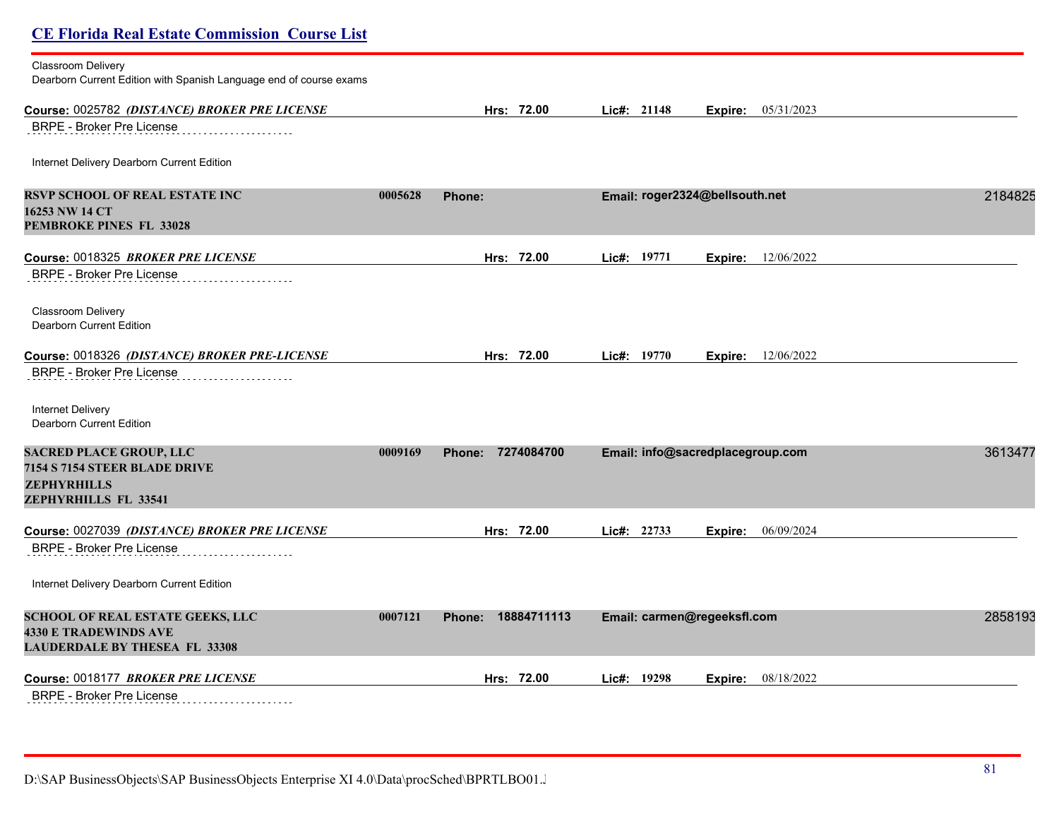| <b>CE Florida Real Estate Commission Course List</b>                                                            |         |                       |                             |                                  |         |
|-----------------------------------------------------------------------------------------------------------------|---------|-----------------------|-----------------------------|----------------------------------|---------|
| Classroom Delivery<br>Dearborn Current Edition with Spanish Language end of course exams                        |         |                       |                             |                                  |         |
| Course: 0025782 (DISTANCE) BROKER PRE LICENSE<br><b>BRPE - Broker Pre License</b>                               |         | Hrs: 72.00            | Lie#: 21148                 | 05/31/2023<br>Expire:            |         |
| Internet Delivery Dearborn Current Edition                                                                      |         |                       |                             |                                  |         |
| <b>RSVP SCHOOL OF REAL ESTATE INC</b><br>16253 NW 14 CT<br><b>PEMBROKE PINES FL 33028</b>                       | 0005628 | Phone:                |                             | Email: roger2324@bellsouth.net   | 2184825 |
| Course: 0018325 BROKER PRE LICENSE                                                                              |         | Hrs: 72.00            | Lic#: 19771                 | 12/06/2022<br>Expire:            |         |
| <b>BRPE - Broker Pre License</b><br>Classroom Delivery<br>Dearborn Current Edition                              |         |                       |                             |                                  |         |
| Course: 0018326 (DISTANCE) BROKER PRE-LICENSE                                                                   |         | Hrs: 72.00            | Lic#: $19770$               | 12/06/2022<br>Expire:            |         |
| <b>BRPE - Broker Pre License</b>                                                                                |         |                       |                             |                                  |         |
| <b>Internet Delivery</b><br>Dearborn Current Edition                                                            |         |                       |                             |                                  |         |
| <b>SACRED PLACE GROUP, LLC</b>                                                                                  | 0009169 | Phone: 7274084700     |                             | Email: info@sacredplacegroup.com | 3613477 |
| 7154 S 7154 STEER BLADE DRIVE<br><b>ZEPHYRHILLS</b><br><b>ZEPHYRHILLS FL 33541</b>                              |         |                       |                             |                                  |         |
| Course: 0027039 (DISTANCE) BROKER PRE LICENSE                                                                   |         | Hrs: 72.00            | Lic#: 22733                 | <b>Expire:</b> 06/09/2024        |         |
| <b>BRPE - Broker Pre License</b>                                                                                |         |                       |                             |                                  |         |
| Internet Delivery Dearborn Current Edition                                                                      |         |                       |                             |                                  |         |
| <b>SCHOOL OF REAL ESTATE GEEKS, LLC</b><br><b>4330 E TRADEWINDS AVE</b><br><b>LAUDERDALE BY THESEA FL 33308</b> | 0007121 | 18884711113<br>Phone: | Email: carmen@regeeksfl.com |                                  | 2858193 |
| Course: 0018177 BROKER PRE LICENSE<br><b>BRPE - Broker Pre License</b>                                          |         | Hrs: 72.00            | Lic#: 19298                 | 08/18/2022<br>Expire:            |         |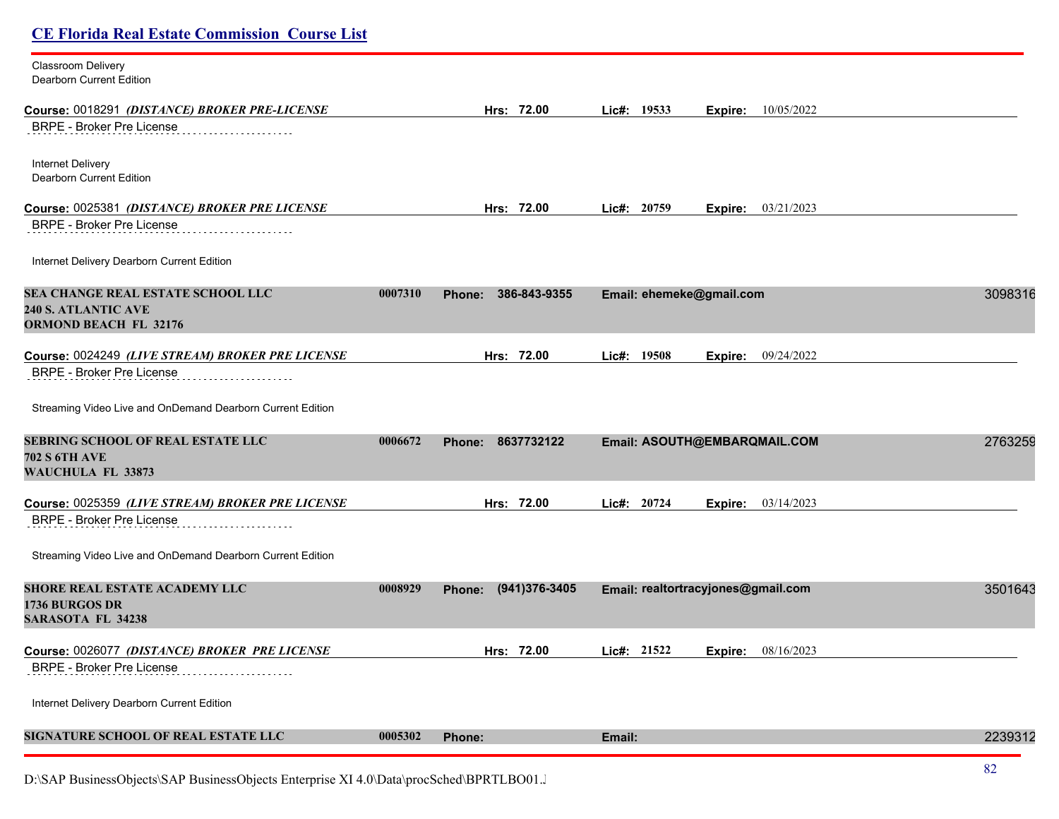# **CE Florida Real Estate Commission Course List** Classroom Delivery Dearborn Current Edition **Course:** 0018291 *(DISTANCE) BROKER PRE-LICENSE* **Hrs: 72.00 Lic#: 19533 Expire:** 10/05/2022 BRPE - Broker Pre License Internet Delivery Dearborn Current Edition **Course:** 0025381 *(DISTANCE) BROKER PRE LICENSE* **Hrs: 72.00 Lic#: 20759 Expire:** 03/21/2023 BRPE - Broker Pre License Internet Delivery Dearborn Current Edition **SEA CHANGE REAL ESTATE SCHOOL LLC 0007310 Phone: 386-843-9355 Email: ehemeke@gmail.com** 30983167 **240 S. ATLANTIC AVE ORMOND BEACH FL 32176 Course:** 0024249 *(LIVE STREAM) BROKER PRE LICENSE* **Hrs: 72.00 Lic#: 19508 Expire:** 09/24/2022 BRPE - Broker Pre License Streaming Video Live and OnDemand Dearborn Current Edition **SEBRING SCHOOL OF REAL ESTATE LLC 0006672 Phone: 8637732122 Email: ASOUTH@EMBARQMAIL.COM** 27632597 **702 S 6TH AVE WAUCHULA FL 33873 Course:** 0025359 *(LIVE STREAM) BROKER PRE LICENSE* **Hrs: 72.00 Lic#: 20724 Expire:** 03/14/2023 BRPE - Broker Pre License Streaming Video Live and OnDemand Dearborn Current Edition **SHORE REAL ESTATE ACADEMY LLC 0008929 Phone: (941)376-3405 Email: realtortracyjones@gmail.com** 35016434 **1736 BURGOS DR SARASOTA FL 34238 Course:** 0026077 *(DISTANCE) BROKER PRE LICENSE* **Hrs: 72.00 Lic#: 21522 Expire:** 08/16/2023 BRPE - Broker Pre License Internet Delivery Dearborn Current Edition **SIGNATURE SCHOOL OF REAL ESTATE LLC 0005302 Phone: Email:** 22393128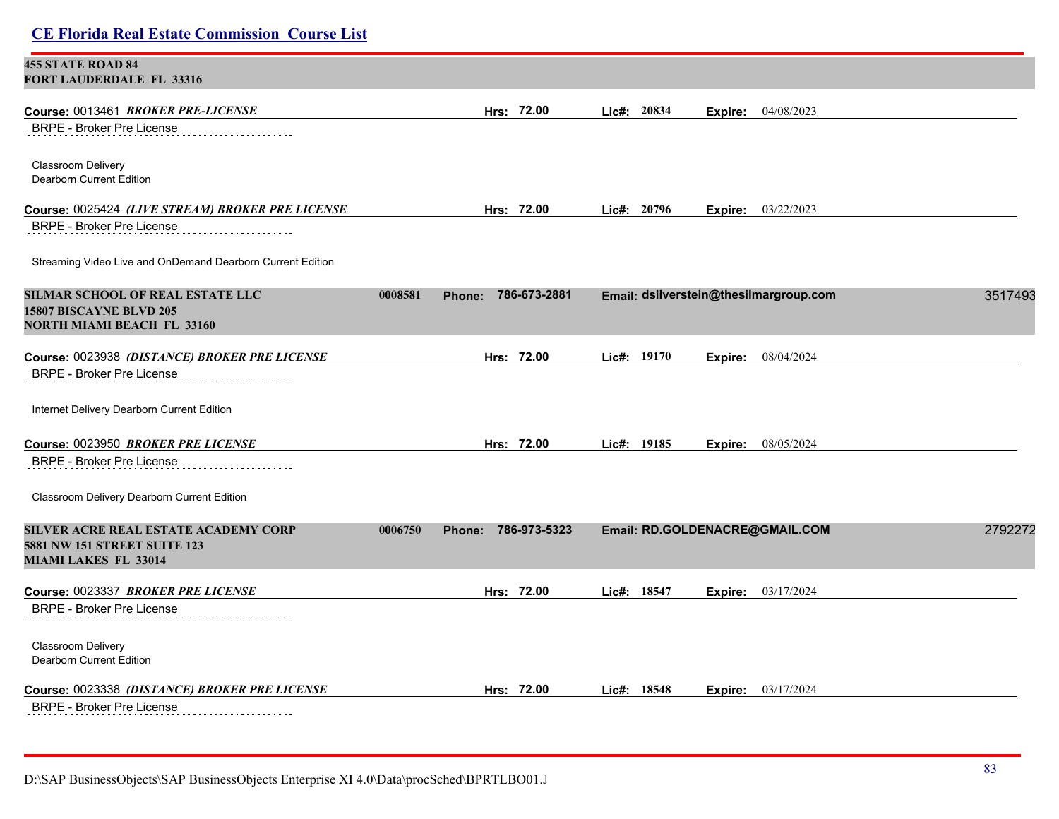| <b>455 STATE ROAD 84</b><br><b>FORT LAUDERDALE FL 33316</b>                                         |         |                               |               |         |                                        |         |
|-----------------------------------------------------------------------------------------------------|---------|-------------------------------|---------------|---------|----------------------------------------|---------|
| Course: 0013461 BROKER PRE-LICENSE                                                                  |         | Hrs: 72.00                    | Lic#: 20834   | Expire: | 04/08/2023                             |         |
| <b>BRPE - Broker Pre License</b>                                                                    |         |                               |               |         |                                        |         |
| Classroom Delivery<br>Dearborn Current Edition                                                      |         |                               |               |         |                                        |         |
| Course: 0025424 <i>(LIVE STREAM) BROKER PRE LICENSE</i>                                             |         | Hrs: 72.00                    | Lic#: $20796$ |         | <b>Expire:</b> $03/22/2023$            |         |
| <b>BRPE - Broker Pre License</b>                                                                    |         |                               |               |         |                                        |         |
| Streaming Video Live and OnDemand Dearborn Current Edition                                          |         |                               |               |         |                                        |         |
| SILMAR SCHOOL OF REAL ESTATE LLC<br><b>15807 BISCAYNE BLVD 205</b><br>NORTH MIAMI BEACH FL 33160    | 0008581 | 786-673-2881<br><b>Phone:</b> |               |         | Email: dsilverstein@thesilmargroup.com | 3517493 |
| Course: 0023938 (DISTANCE) BROKER PRE LICENSE                                                       |         | Hrs: 72.00                    | Lic#: 19170   | Expire: | 08/04/2024                             |         |
| <b>BRPE - Broker Pre License</b>                                                                    |         |                               |               |         |                                        |         |
| Internet Delivery Dearborn Current Edition                                                          |         |                               |               |         |                                        |         |
| Course: 0023950 BROKER PRE LICENSE                                                                  |         | Hrs: 72.00                    | Lic#: 19185   |         | <b>Expire:</b> $08/05/2024$            |         |
| <b>BRPE - Broker Pre License</b>                                                                    |         |                               |               |         |                                        |         |
| Classroom Delivery Dearborn Current Edition                                                         |         |                               |               |         |                                        |         |
| SILVER ACRE REAL ESTATE ACADEMY CORP<br>5881 NW 151 STREET SUITE 123<br><b>MIAMI LAKES FL 33014</b> | 0006750 | 786-973-5323<br><b>Phone:</b> |               |         | Email: RD.GOLDENACRE@GMAIL.COM         | 2792272 |
| Course: 0023337 BROKER PRE LICENSE                                                                  |         | Hrs: 72.00                    | Lic#: 18547   | Expire: | 03/17/2024                             |         |
| <b>BRPE - Broker Pre License</b>                                                                    |         |                               |               |         |                                        |         |
| Classroom Delivery<br>Dearborn Current Edition                                                      |         |                               |               |         |                                        |         |
| Course: 0023338 (DISTANCE) BROKER PRE LICENSE                                                       |         | Hrs: 72.00                    | Lic#: 18548   |         | <b>Expire:</b> 03/17/2024              |         |
| <b>BRPE - Broker Pre License</b>                                                                    |         |                               |               |         |                                        |         |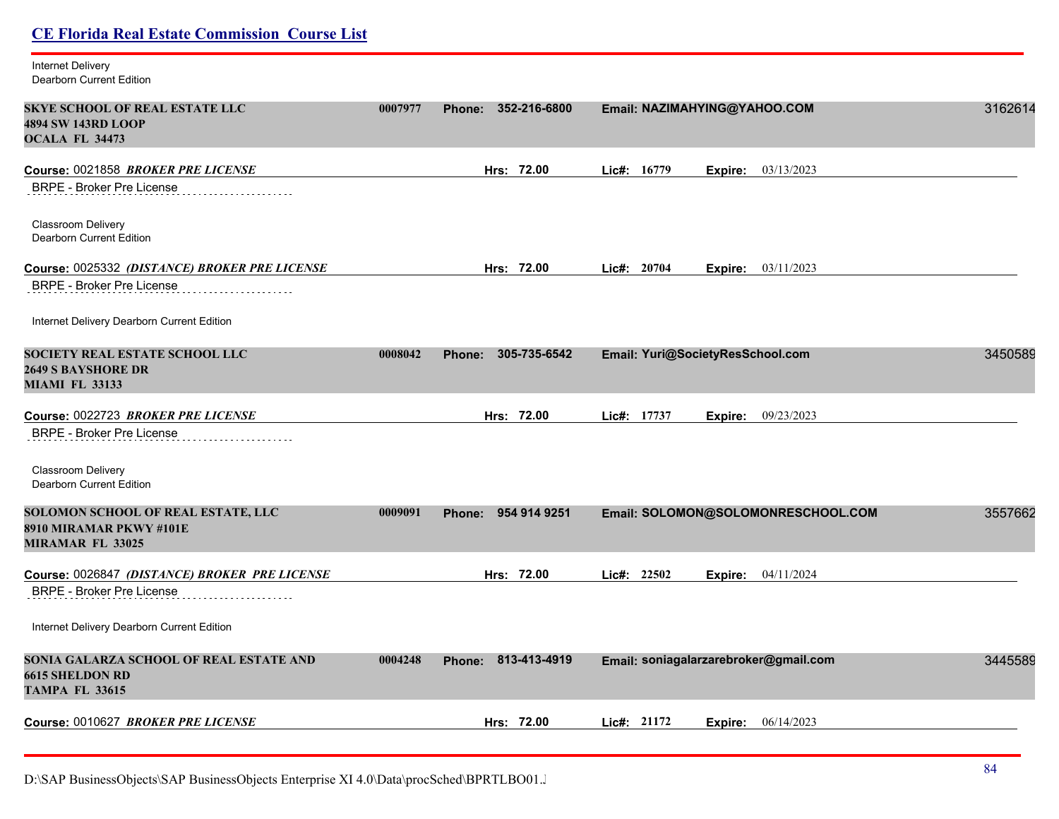| <b>CE Florida Real Estate Commission Course List</b>                                       |         |                               |                                       |         |
|--------------------------------------------------------------------------------------------|---------|-------------------------------|---------------------------------------|---------|
| Internet Delivery<br><b>Dearborn Current Edition</b>                                       |         |                               |                                       |         |
| <b>SKYE SCHOOL OF REAL ESTATE LLC</b><br><b>4894 SW 143RD LOOP</b><br>OCALA FL 34473       | 0007977 | 352-216-6800<br><b>Phone:</b> | Email: NAZIMAHYING@YAHOO.COM          | 3162614 |
| Course: 0021858 BROKER PRE LICENSE                                                         |         | Hrs: 72.00                    | Lic#: 16779<br>03/13/2023<br>Expire:  |         |
| <b>BRPE - Broker Pre License</b>                                                           |         |                               |                                       |         |
| Classroom Delivery<br>Dearborn Current Edition                                             |         |                               |                                       |         |
| Course: 0025332 (DISTANCE) BROKER PRE LICENSE                                              |         | Hrs: 72.00                    | Lic#: 20704<br>03/11/2023<br>Expire:  |         |
| <b>BRPE - Broker Pre License</b>                                                           |         |                               |                                       |         |
| Internet Delivery Dearborn Current Edition                                                 |         |                               |                                       |         |
| SOCIETY REAL ESTATE SCHOOL LLC<br><b>2649 S BAYSHORE DR</b><br><b>MIAMI FL 33133</b>       | 0008042 | Phone: 305-735-6542           | Email: Yuri@SocietyResSchool.com      | 3450589 |
| Course: 0022723 BROKER PRE LICENSE                                                         |         | Hrs: 72.00                    | Lic#: 17737<br>09/23/2023<br>Expire:  |         |
| BRPE - Broker Pre License                                                                  |         |                               |                                       |         |
| Classroom Delivery<br><b>Dearborn Current Edition</b>                                      |         |                               |                                       |         |
| SOLOMON SCHOOL OF REAL ESTATE, LLC<br>8910 MIRAMAR PKWY #101E<br><b>MIRAMAR FL 33025</b>   | 0009091 | Phone: 954 914 9251           | Email: SOLOMON@SOLOMONRESCHOOL.COM    | 3557662 |
| Course: 0026847 (DISTANCE) BROKER PRE LICENSE                                              |         | Hrs: 72.00                    | Lic#: 22502<br>04/11/2024<br>Expire:  |         |
| <b>BRPE - Broker Pre License</b>                                                           |         |                               |                                       |         |
| Internet Delivery Dearborn Current Edition                                                 |         |                               |                                       |         |
| SONIA GALARZA SCHOOL OF REAL ESTATE AND<br><b>6615 SHELDON RD</b><br><b>TAMPA FL 33615</b> | 0004248 | 813-413-4919<br>Phone:        | Email: soniagalarzarebroker@gmail.com | 3445589 |
| Course: 0010627 BROKER PRE LICENSE                                                         |         | Hrs: 72.00                    | Lic#: 21172<br>06/14/2023<br>Expire:  |         |
|                                                                                            |         |                               |                                       |         |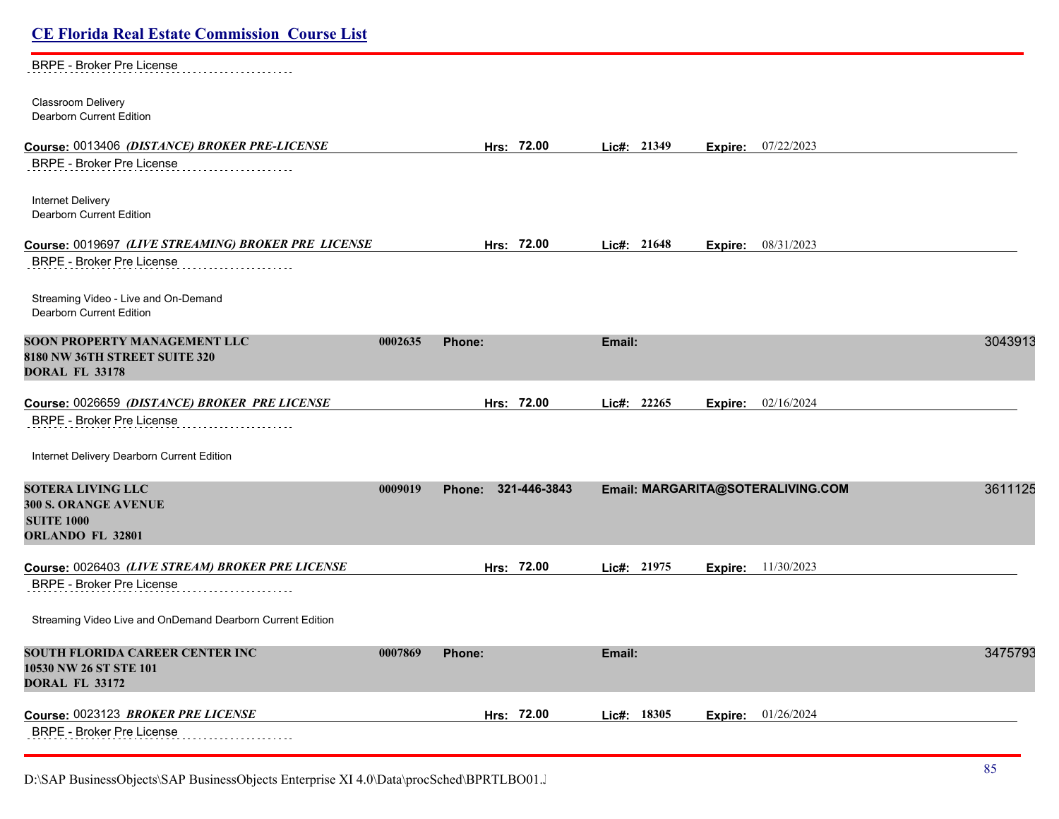| <b>CE Florida Real Estate Commission Course List</b>                                          |         |                     |               |         |                                   |         |
|-----------------------------------------------------------------------------------------------|---------|---------------------|---------------|---------|-----------------------------------|---------|
| <b>BRPE - Broker Pre License</b>                                                              |         |                     |               |         |                                   |         |
| Classroom Delivery<br>Dearborn Current Edition                                                |         |                     |               |         |                                   |         |
| Course: 0013406 (DISTANCE) BROKER PRE-LICENSE<br><b>BRPE - Broker Pre License</b>             |         | Hrs: 72.00          | Lic#: 21349   | Expire: | 07/22/2023                        |         |
| Internet Delivery<br><b>Dearborn Current Edition</b>                                          |         |                     |               |         |                                   |         |
| Course: 0019697 (LIVE STREAMING) BROKER PRE LICENSE<br><b>BRPE - Broker Pre License</b>       |         | Hrs: 72.00          | Lic#: $21648$ |         | <b>Expire:</b> 08/31/2023         |         |
| Streaming Video - Live and On-Demand<br>Dearborn Current Edition                              |         |                     |               |         |                                   |         |
| <b>SOON PROPERTY MANAGEMENT LLC</b><br>8180 NW 36TH STREET SUITE 320<br><b>DORAL FL 33178</b> | 0002635 | Phone:              | Email:        |         |                                   | 3043913 |
| Course: 0026659 (DISTANCE) BROKER PRE LICENSE<br><b>BRPE - Broker Pre License</b>             |         | Hrs: 72.00          | Lic#: 22265   | Expire: | 02/16/2024                        |         |
| Internet Delivery Dearborn Current Edition                                                    |         |                     |               |         |                                   |         |
| <b>SOTERA LIVING LLC</b><br>300 S. ORANGE AVENUE<br><b>SUITE 1000</b><br>ORLANDO FL 32801     | 0009019 | Phone: 321-446-3843 |               |         | Email: MARGARITA@SOTERALIVING.COM | 3611125 |
| Course: 0026403 (LIVE STREAM) BROKER PRE LICENSE<br><b>BRPE - Broker Pre License</b>          |         | Hrs: 72.00          | Lic#: 21975   | Expire: | 11/30/2023                        |         |
| Streaming Video Live and OnDemand Dearborn Current Edition                                    |         |                     |               |         |                                   |         |
| SOUTH FLORIDA CAREER CENTER INC<br>10530 NW 26 ST STE 101<br><b>DORAL FL 33172</b>            | 0007869 | <b>Phone:</b>       | Email:        |         |                                   | 3475793 |
| Course: 0023123 BROKER PRE LICENSE<br>BRPE - Broker Pre License                               |         | Hrs: 72.00          | Lic#: 18305   |         | <b>Expire:</b> 01/26/2024         |         |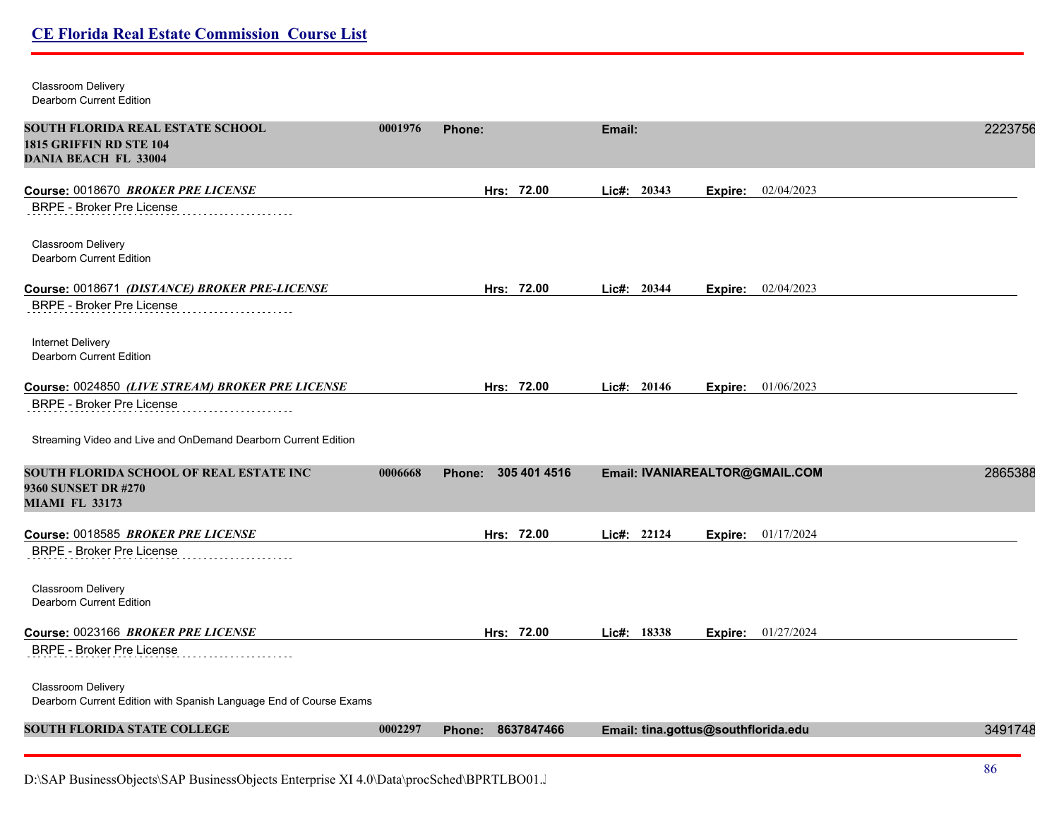#### Classroom Delivery Dearborn Current Edition

| <b>SOUTH FLORIDA REAL ESTATE SCHOOL</b><br>1815 GRIFFIN RD STE 104<br><b>DANIA BEACH FL 33004</b> | 0001976 | Phone:                        | Email:                               | 2223756 |
|---------------------------------------------------------------------------------------------------|---------|-------------------------------|--------------------------------------|---------|
| Course: 0018670 BROKER PRE LICENSE                                                                |         | Hrs: 72.00                    | Lic#: 20343<br>02/04/2023<br>Expire: |         |
| <b>BRPE - Broker Pre License</b>                                                                  |         |                               |                                      |         |
| Classroom Delivery<br><b>Dearborn Current Edition</b>                                             |         |                               |                                      |         |
| Course: 0018671 (DISTANCE) BROKER PRE-LICENSE                                                     |         | Hrs: 72.00                    | Lic#: 20344<br>02/04/2023<br>Expire: |         |
| <b>BRPE - Broker Pre License</b>                                                                  |         |                               |                                      |         |
| Internet Delivery<br><b>Dearborn Current Edition</b>                                              |         |                               |                                      |         |
| Course: 0024850 (LIVE STREAM) BROKER PRE LICENSE                                                  |         | Hrs: 72.00                    | Lic#: 20146<br>01/06/2023<br>Expire: |         |
| <b>BRPE - Broker Pre License</b>                                                                  |         |                               |                                      |         |
| Streaming Video and Live and OnDemand Dearborn Current Edition                                    |         |                               |                                      |         |
| <b>SOUTH FLORIDA SCHOOL OF REAL ESTATE INC</b><br>9360 SUNSET DR #270<br><b>MIAMI FL 33173</b>    | 0006668 | 305 401 4516<br><b>Phone:</b> | Email: IVANIAREALTOR@GMAIL.COM       | 2865388 |
| Course: 0018585 BROKER PRE LICENSE                                                                |         | 72.00<br>Hrs:                 | Lic#: 22124<br>01/17/2024<br>Expire: |         |
| <b>BRPE - Broker Pre License</b>                                                                  |         |                               |                                      |         |
| Classroom Delivery<br>Dearborn Current Edition                                                    |         |                               |                                      |         |
| Course: 0023166 BROKER PRE LICENSE                                                                |         | Hrs: 72.00                    | Lic#: 18338<br>Expire: 01/27/2024    |         |
| <b>BRPE - Broker Pre License</b>                                                                  |         |                               |                                      |         |
| Classroom Delivery<br>Dearborn Current Edition with Spanish Language End of Course Exams          |         |                               |                                      |         |
| <b>SOUTH FLORIDA STATE COLLEGE</b>                                                                | 0002297 | Phone: 8637847466             | Email: tina.gottus@southflorida.edu  | 3491748 |
|                                                                                                   |         |                               |                                      |         |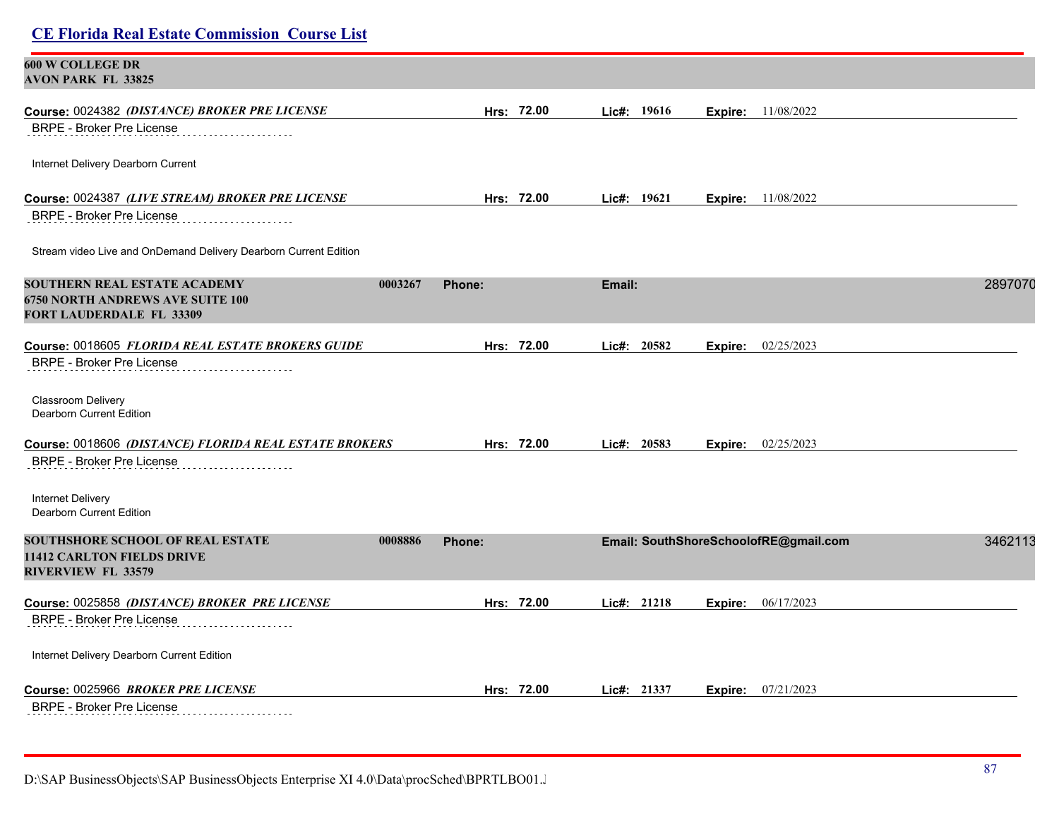## **CE Florida Real Estate Commission Course List 600 W COLLEGE DR AVON PARK FL 33825 Course:** 0024382 *(DISTANCE) BROKER PRE LICENSE* **Hrs: 72.00 Lic#: 19616 Expire:** 11/08/2022 BRPE - Broker Pre License Internet Delivery Dearborn Current **Course:** 0024387 *(LIVE STREAM) BROKER PRE LICENSE* **Hrs: 72.00 Lic#: 19621 Expire:** 11/08/2022 BRPE - Broker Pre License Stream video Live and OnDemand Delivery Dearborn Current Edition **SOUTHERN REAL ESTATE ACADEMY 0003267 Phone: Email:** 28970704 **6750 NORTH ANDREWS AVE SUITE 100 FORT LAUDERDALE FL 33309 Course:** 0018605 *FLORIDA REAL ESTATE BROKERS GUIDE* **Hrs: 72.00 Lic#: 20582 Expire:** 02/25/2023 BRPE - Broker Pre License Classroom Delivery Dearborn Current Edition **Course:** 0018606 *(DISTANCE) FLORIDA REAL ESTATE BROKERS* **Hrs: 72.00 Lic#: 20583 Expire:** 02/25/2023 BRPE - Broker Pre License Internet Delivery Dearborn Current Edition **SOUTHSHORE SCHOOL OF REAL ESTATE 0008886 Phone: Email: SouthShoreSchoolofRE@gmail.com** 34621132 **11412 CARLTON FIELDS DRIVE RIVERVIEW FL 33579 Course:** 0025858 *(DISTANCE) BROKER PRE LICENSE* **Hrs: 72.00 Lic#: 21218 Expire:** 06/17/2023 BRPE - Broker Pre License . . . . . . . . . . . . . . . . . . Internet Delivery Dearborn Current Edition **Course:** 0025966 *BROKER PRE LICENSE* **Hrs: 72.00 Lic#: 21337 Expire:** 07/21/2023 BRPE - Broker Pre License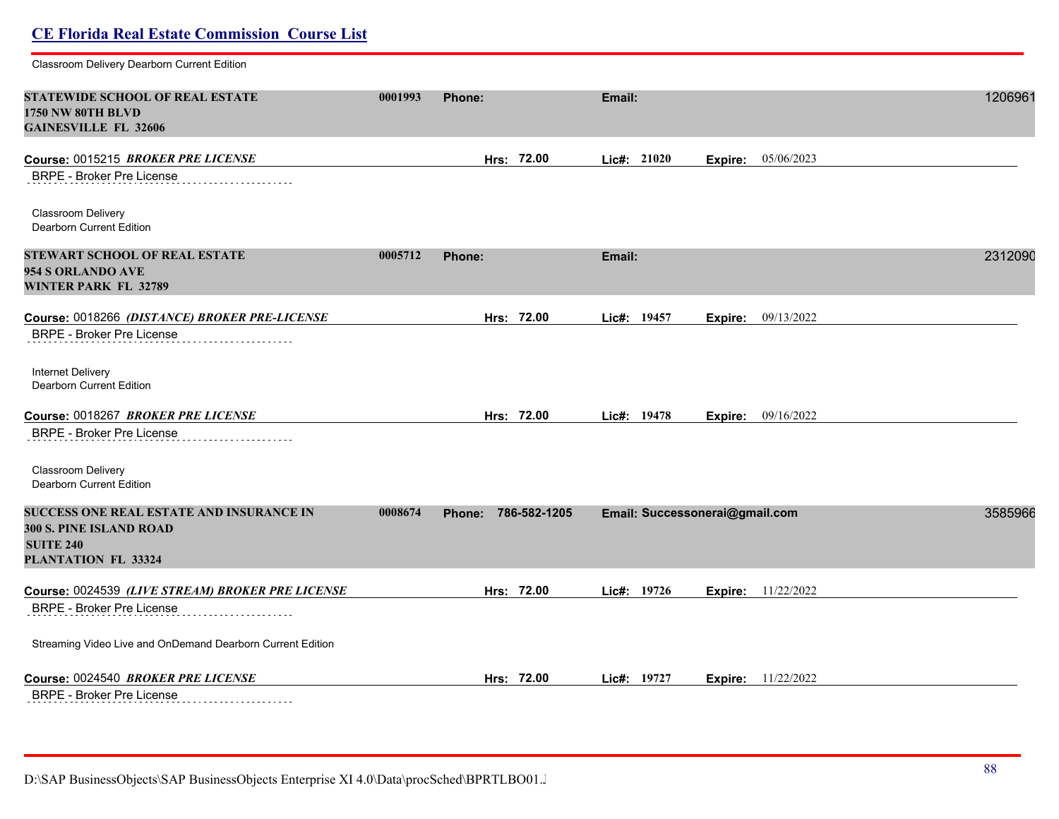| Classroom Delivery Dearborn Current Edition                                                       |         |                        |                                |         |                           |         |
|---------------------------------------------------------------------------------------------------|---------|------------------------|--------------------------------|---------|---------------------------|---------|
| <b>STATEWIDE SCHOOL OF REAL ESTATE</b><br><b>1750 NW 80TH BLVD</b><br><b>GAINESVILLE FL 32606</b> | 0001993 | <b>Phone:</b>          | Email:                         |         |                           | 1206961 |
| Course: 0015215 BROKER PRE LICENSE                                                                |         | Hrs: 72.00             | Lic#: $21020$                  | Expire: | 05/06/2023                |         |
| <b>BRPE - Broker Pre License</b>                                                                  |         |                        |                                |         |                           |         |
| Classroom Delivery<br>Dearborn Current Edition                                                    |         |                        |                                |         |                           |         |
| <b>STEWART SCHOOL OF REAL ESTATE</b>                                                              | 0005712 | <b>Phone:</b>          | Email:                         |         |                           | 2312090 |
| 954 S ORLANDO AVE<br><b>WINTER PARK FL 32789</b>                                                  |         |                        |                                |         |                           |         |
| Course: 0018266 (DISTANCE) BROKER PRE-LICENSE                                                     |         | Hrs: 72.00             | Lic#: 19457                    | Expire: | 09/13/2022                |         |
| <b>BRPE - Broker Pre License</b>                                                                  |         |                        |                                |         |                           |         |
| Internet Delivery<br>Dearborn Current Edition                                                     |         |                        |                                |         |                           |         |
| Course: 0018267 BROKER PRE LICENSE                                                                |         | Hrs: 72.00             | Lic#: 19478                    | Expire: | 09/16/2022                |         |
| <b>BRPE - Broker Pre License</b>                                                                  |         |                        |                                |         |                           |         |
| Classroom Delivery<br><b>Dearborn Current Edition</b>                                             |         |                        |                                |         |                           |         |
| SUCCESS ONE REAL ESTATE AND INSURANCE IN                                                          | 0008674 | 786-582-1205<br>Phone: | Email: Successonerai@gmail.com |         |                           | 3585966 |
| <b>300 S. PINE ISLAND ROAD</b><br><b>SUITE 240</b><br>PLANTATION FL 33324                         |         |                        |                                |         |                           |         |
| Course: 0024539 (LIVE STREAM) BROKER PRE LICENSE                                                  |         | Hrs: 72.00             | Lic#: 19726                    |         | <b>Expire:</b> 11/22/2022 |         |
| <b>BRPE - Broker Pre License</b>                                                                  |         |                        |                                |         |                           |         |
| Streaming Video Live and OnDemand Dearborn Current Edition                                        |         |                        |                                |         |                           |         |
| Course: 0024540 BROKER PRE LICENSE                                                                |         | Hrs: 72.00             | Lic#: 19727                    |         | <b>Expire:</b> 11/22/2022 |         |
| <b>BRPE - Broker Pre License</b><br>.                                                             |         |                        |                                |         |                           |         |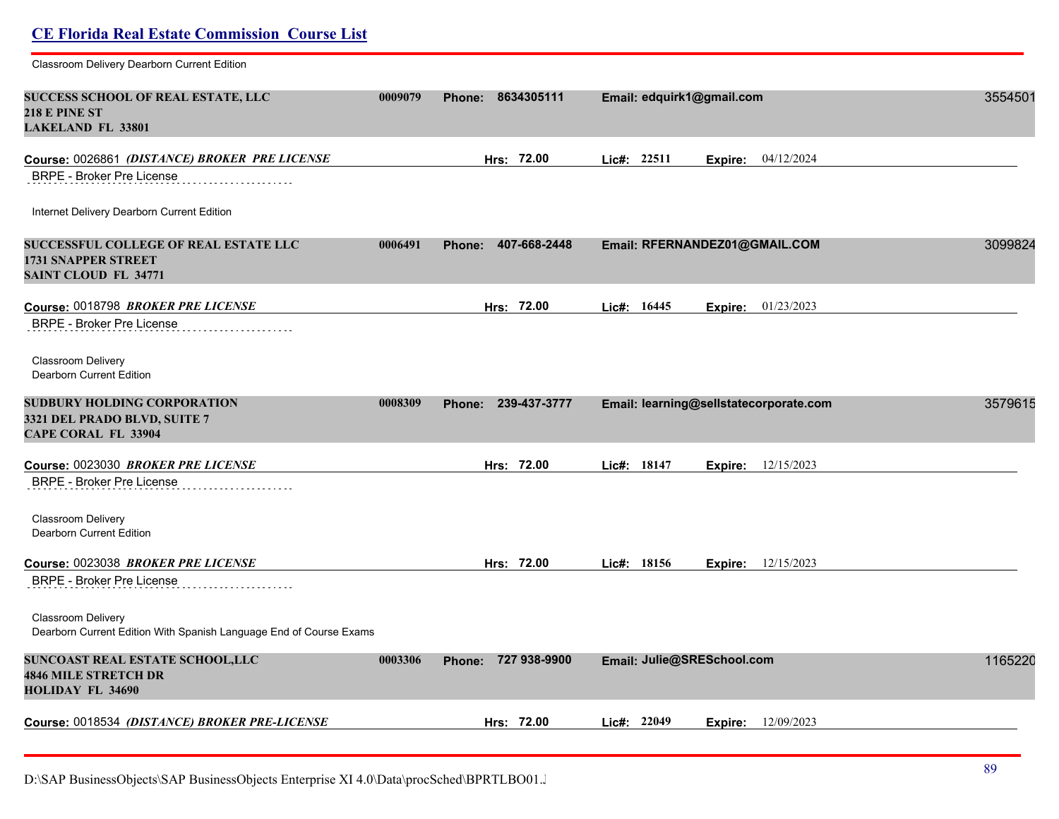| <b>CE Florida Real Estate Commission Course List</b>                                               |         |                               |                                        |         |
|----------------------------------------------------------------------------------------------------|---------|-------------------------------|----------------------------------------|---------|
| Classroom Delivery Dearborn Current Edition                                                        |         |                               |                                        |         |
| <b>SUCCESS SCHOOL OF REAL ESTATE, LLC</b><br><b>218 E PINE ST</b><br><b>LAKELAND FL 33801</b>      | 0009079 | 8634305111<br>Phone:          | Email: edquirk1@gmail.com              | 3554501 |
| Course: 0026861 (DISTANCE) BROKER PRE LICENSE<br>BRPE - Broker Pre License                         |         | Hrs: 72.00                    | 04/12/2024<br>Lic#: 22511<br>Expire:   |         |
| Internet Delivery Dearborn Current Edition                                                         |         |                               |                                        |         |
| SUCCESSFUL COLLEGE OF REAL ESTATE LLC<br><b>1731 SNAPPER STREET</b><br><b>SAINT CLOUD FL 34771</b> | 0006491 | 407-668-2448<br><b>Phone:</b> | Email: RFERNANDEZ01@GMAIL.COM          | 3099824 |
| Course: 0018798 BROKER PRE LICENSE                                                                 |         | Hrs: 72.00                    | Lic#: 16445<br>01/23/2023<br>Expire:   |         |
| <b>BRPE - Broker Pre License</b><br>Classroom Delivery<br><b>Dearborn Current Edition</b>          |         |                               |                                        |         |
| <b>SUDBURY HOLDING CORPORATION</b>                                                                 | 0008309 | 239-437-3777<br><b>Phone:</b> | Email: learning@sellstatecorporate.com | 3579615 |
| 3321 DEL PRADO BLVD, SUITE 7<br><b>CAPE CORAL FL 33904</b>                                         |         |                               |                                        |         |
| Course: 0023030 BROKER PRE LICENSE                                                                 |         | Hrs: 72.00                    | Lic#: 18147<br>12/15/2023<br>Expire:   |         |
| <b>BRPE - Broker Pre License</b>                                                                   |         |                               |                                        |         |
| Classroom Delivery<br><b>Dearborn Current Edition</b>                                              |         |                               |                                        |         |
| Course: 0023038 BROKER PRE LICENSE                                                                 |         | Hrs: 72.00                    | Lic#: 18156<br>12/15/2023<br>Expire:   |         |
| <b>BRPE - Broker Pre License</b><br>.                                                              |         |                               |                                        |         |
| Classroom Delivery<br>Dearborn Current Edition With Spanish Language End of Course Exams           |         |                               |                                        |         |
| SUNCOAST REAL ESTATE SCHOOL, LLC<br><b>4846 MILE STRETCH DR</b><br><b>HOLIDAY FL 34690</b>         | 0003306 | Phone: 727 938-9900           | Email: Julie@SRESchool.com             | 1165220 |
| Course: 0018534 (DISTANCE) BROKER PRE-LICENSE                                                      |         | Hrs: 72.00                    | Lic#: 22049<br>12/09/2023<br>Expire:   |         |
|                                                                                                    |         |                               |                                        |         |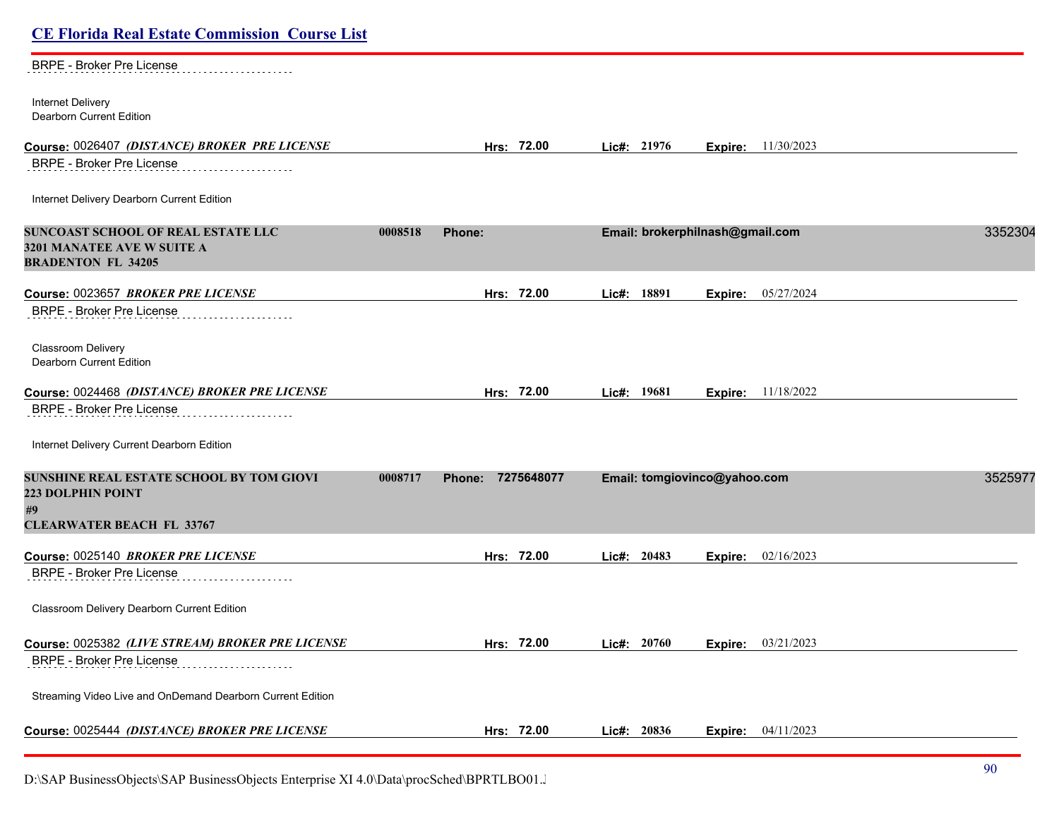| <b>CE Florida Real Estate Commission Course List</b>                                          |         |                      |             |                                 |                           |         |
|-----------------------------------------------------------------------------------------------|---------|----------------------|-------------|---------------------------------|---------------------------|---------|
| <b>BRPE - Broker Pre License</b>                                                              |         |                      |             |                                 |                           |         |
| Internet Delivery<br>Dearborn Current Edition                                                 |         |                      |             |                                 |                           |         |
| Course: 0026407 (DISTANCE) BROKER PRE LICENSE                                                 |         | Hrs: 72.00           | Lic#: 21976 |                                 | <b>Expire:</b> 11/30/2023 |         |
| <b>BRPE - Broker Pre License</b>                                                              |         |                      |             |                                 |                           |         |
| Internet Delivery Dearborn Current Edition                                                    |         |                      |             |                                 |                           |         |
| SUNCOAST SCHOOL OF REAL ESTATE LLC<br>3201 MANATEE AVE W SUITE A<br><b>BRADENTON FL 34205</b> | 0008518 | <b>Phone:</b>        |             | Email: brokerphilnash@gmail.com |                           | 3352304 |
| Course: 0023657 BROKER PRE LICENSE                                                            |         | Hrs: 72.00           | Lic#: 18891 |                                 | <b>Expire:</b> 05/27/2024 |         |
| <b>BRPE - Broker Pre License</b>                                                              |         |                      |             |                                 |                           |         |
| Classroom Delivery<br><b>Dearborn Current Edition</b>                                         |         |                      |             |                                 |                           |         |
| Course: 0024468 (DISTANCE) BROKER PRE LICENSE                                                 |         | Hrs: 72.00           | Lic#: 19681 |                                 | <b>Expire:</b> 11/18/2022 |         |
| <b>BRPE - Broker Pre License</b>                                                              |         |                      |             |                                 |                           |         |
| Internet Delivery Current Dearborn Edition                                                    |         |                      |             |                                 |                           |         |
| SUNSHINE REAL ESTATE SCHOOL BY TOM GIOVI<br>223 DOLPHIN POINT<br>#9                           | 0008717 | 7275648077<br>Phone: |             | Email: tomgiovinco@yahoo.com    |                           | 3525977 |
| <b>CLEARWATER BEACH FL 33767</b>                                                              |         |                      |             |                                 |                           |         |
| Course: 0025140 BROKER PRE LICENSE<br><b>BRPE - Broker Pre License</b>                        |         | Hrs: 72.00           | Lic#: 20483 | Expire:                         | 02/16/2023                |         |
|                                                                                               |         |                      |             |                                 |                           |         |
| Classroom Delivery Dearborn Current Edition                                                   |         |                      |             |                                 |                           |         |
| Course: 0025382 (LIVE STREAM) BROKER PRE LICENSE<br><b>BRPE - Broker Pre License</b>          |         | Hrs: 72.00           | Lic#: 20760 |                                 | Expire: 03/21/2023        |         |
| Streaming Video Live and OnDemand Dearborn Current Edition                                    |         |                      |             |                                 |                           |         |
| Course: 0025444 (DISTANCE) BROKER PRE LICENSE                                                 |         | Hrs: 72.00           | Lic#: 20836 |                                 | Expire: 04/11/2023        |         |

D:\SAP BusinessObjects\SAP BusinessObjects Enterprise XI 4.0\Data\procSched\BPRTLBO01.Jobserver2\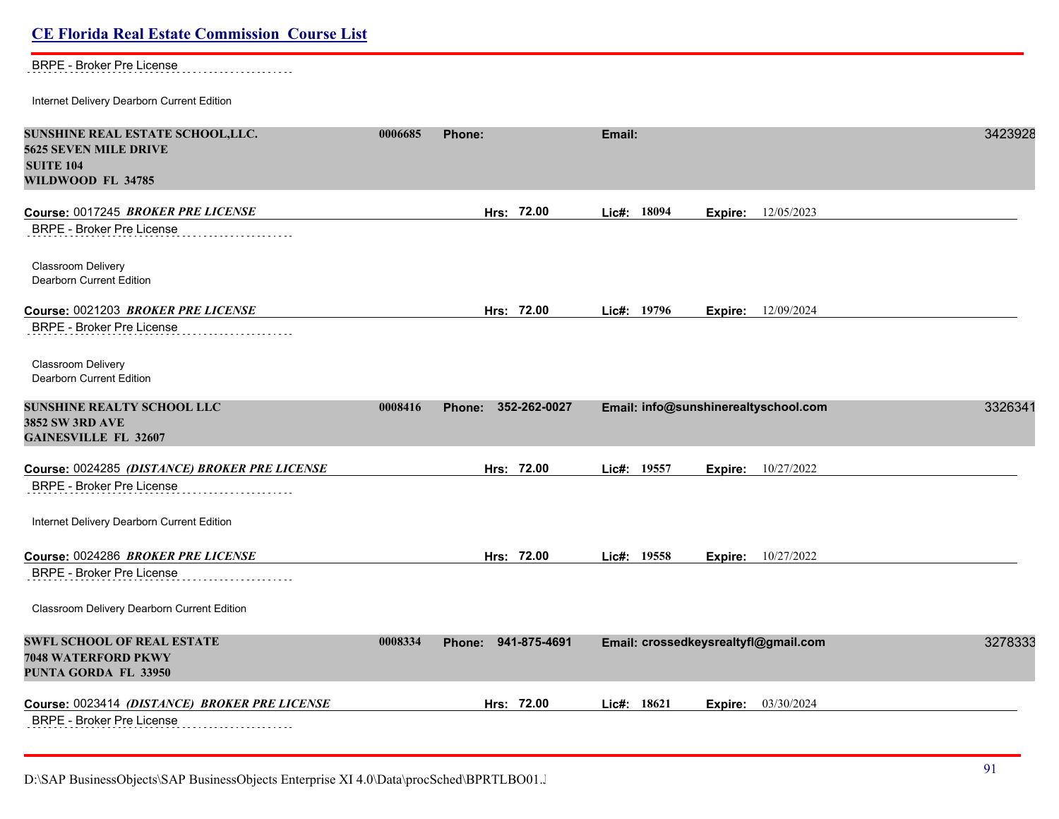#### BRPE - Broker Pre License . . . . . . . . . . . . . . . . .

Internet Delivery Dearborn Current Edition

| SUNSHINE REAL ESTATE SCHOOL, LLC.<br><b>5625 SEVEN MILE DRIVE</b><br><b>SUITE 104</b><br>WILDWOOD FL 34785 | 0006685 | Phone:              | Email: |               |         |                                      | 3423928 |
|------------------------------------------------------------------------------------------------------------|---------|---------------------|--------|---------------|---------|--------------------------------------|---------|
| Course: 0017245 BROKER PRE LICENSE<br><b>BRPE - Broker Pre License</b>                                     |         | Hrs: 72.00          |        | Lic#: 18094   | Expire: | 12/05/2023                           |         |
| Classroom Delivery<br>Dearborn Current Edition                                                             |         |                     |        |               |         |                                      |         |
| Course: 0021203 BROKER PRE LICENSE                                                                         |         | Hrs: 72.00          |        | Lic#: $19796$ |         | <b>Expire:</b> 12/09/2024            |         |
| <b>BRPE - Broker Pre License</b>                                                                           |         |                     |        |               |         |                                      |         |
| Classroom Delivery<br><b>Dearborn Current Edition</b>                                                      |         |                     |        |               |         |                                      |         |
| <b>SUNSHINE REALTY SCHOOL LLC</b>                                                                          | 0008416 | Phone: 352-262-0027 |        |               |         | Email: info@sunshinerealtyschool.com | 3326341 |
| <b>3852 SW 3RD AVE</b><br><b>GAINESVILLE FL 32607</b>                                                      |         |                     |        |               |         |                                      |         |
| Course: 0024285 (DISTANCE) BROKER PRE LICENSE<br><b>BRPE - Broker Pre License</b>                          |         | Hrs: 72.00          |        | Lic#: 19557   | Expire: | 10/27/2022                           |         |
| Internet Delivery Dearborn Current Edition                                                                 |         |                     |        |               |         |                                      |         |
| Course: 0024286 BROKER PRE LICENSE                                                                         |         | Hrs: 72.00          |        | Lic#: 19558   | Expire: | 10/27/2022                           |         |
| <b>BRPE - Broker Pre License</b>                                                                           |         |                     |        |               |         |                                      |         |
| Classroom Delivery Dearborn Current Edition                                                                |         |                     |        |               |         |                                      |         |
| <b>SWFL SCHOOL OF REAL ESTATE</b><br><b>7048 WATERFORD PKWY</b><br>PUNTA GORDA FL 33950                    | 0008334 | Phone: 941-875-4691 |        |               |         | Email: crossedkeysrealtyfl@gmail.com | 3278333 |
| Course: 0023414 (DISTANCE) BROKER PRE LICENSE<br><b>BRPE - Broker Pre License</b>                          |         | Hrs: 72.00          |        | Lic#: 18621   | Expire: | 03/30/2024                           |         |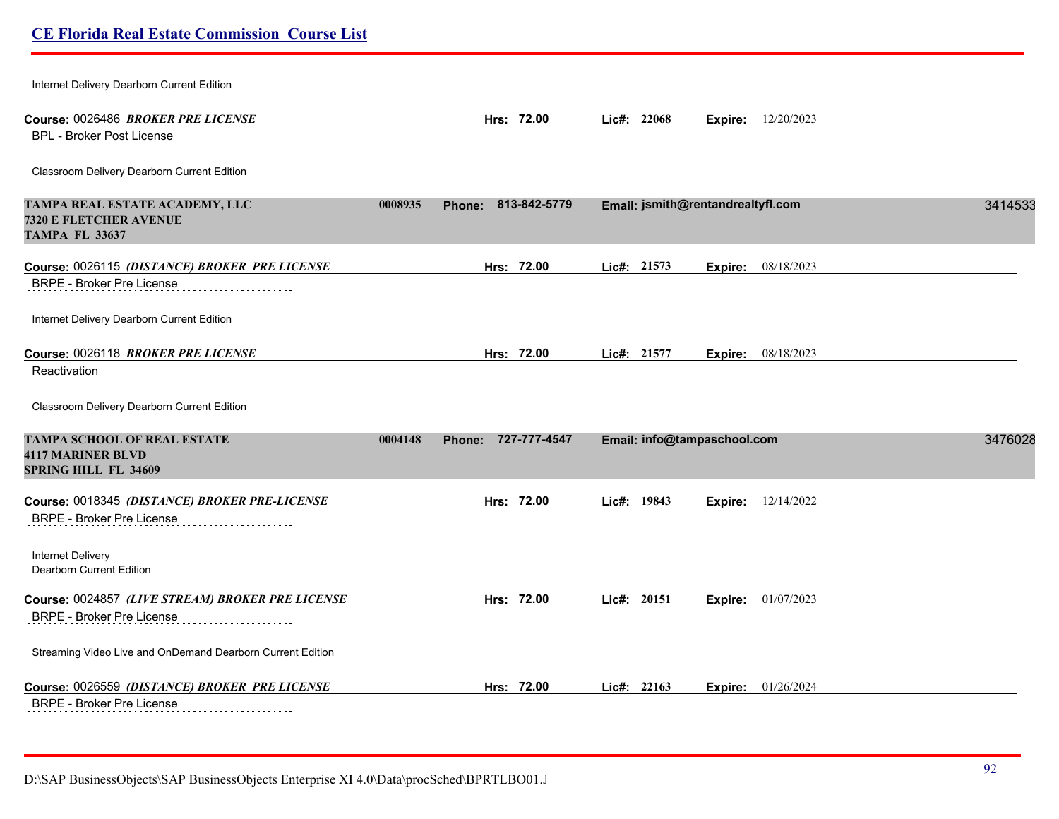| Internet Delivery Dearborn Current Edition                 |         |                        |                             |                                   |         |
|------------------------------------------------------------|---------|------------------------|-----------------------------|-----------------------------------|---------|
| Course: 0026486 BROKER PRE LICENSE                         |         | Hrs: 72.00             | Lic#: 22068                 | 12/20/2023<br>Expire:             |         |
| <b>BPL - Broker Post License</b>                           |         |                        |                             |                                   |         |
| Classroom Delivery Dearborn Current Edition                |         |                        |                             |                                   |         |
| TAMPA REAL ESTATE ACADEMY, LLC                             | 0008935 | Phone: 813-842-5779    |                             | Email: jsmith@rentandrealtyfl.com | 3414533 |
| <b>7320 E FLETCHER AVENUE</b><br><b>TAMPA FL 33637</b>     |         |                        |                             |                                   |         |
| Course: 0026115 (DISTANCE) BROKER PRE LICENSE              |         | Hrs: 72.00             | Lic#: 21573                 | 08/18/2023<br>Expire:             |         |
| <b>BRPE - Broker Pre License</b>                           |         |                        |                             |                                   |         |
| Internet Delivery Dearborn Current Edition                 |         |                        |                             |                                   |         |
| Course: 0026118 BROKER PRE LICENSE                         |         | Hrs: 72.00             | Lic#: 21577                 | 08/18/2023<br>Expire:             |         |
| Reactivation                                               |         |                        |                             |                                   |         |
| Classroom Delivery Dearborn Current Edition                |         |                        |                             |                                   |         |
| <b>TAMPA SCHOOL OF REAL ESTATE</b>                         | 0004148 | 727-777-4547<br>Phone: | Email: info@tampaschool.com |                                   | 3476028 |
| <b>4117 MARINER BLVD</b><br><b>SPRING HILL FL 34609</b>    |         |                        |                             |                                   |         |
| Course: 0018345 (DISTANCE) BROKER PRE-LICENSE              |         | Hrs: 72.00             | Lic#: 19843                 | <b>Expire:</b> 12/14/2022         |         |
| <b>BRPE - Broker Pre License</b>                           |         |                        |                             |                                   |         |
| Internet Delivery                                          |         |                        |                             |                                   |         |
| Dearborn Current Edition                                   |         |                        |                             |                                   |         |
| Course: 0024857 (LIVE STREAM) BROKER PRE LICENSE           |         | Hrs: 72.00             | Lic#: 20151                 | <b>Expire:</b> 01/07/2023         |         |
| <b>BRPE - Broker Pre License</b>                           |         |                        |                             |                                   |         |
| Streaming Video Live and OnDemand Dearborn Current Edition |         |                        |                             |                                   |         |
| Course: 0026559 (DISTANCE) BROKER PRE LICENSE              |         | Hrs: 72.00             | Lic#: $22163$               | <b>Expire:</b> 01/26/2024         |         |
| <b>BRPE - Broker Pre License</b>                           |         |                        |                             |                                   |         |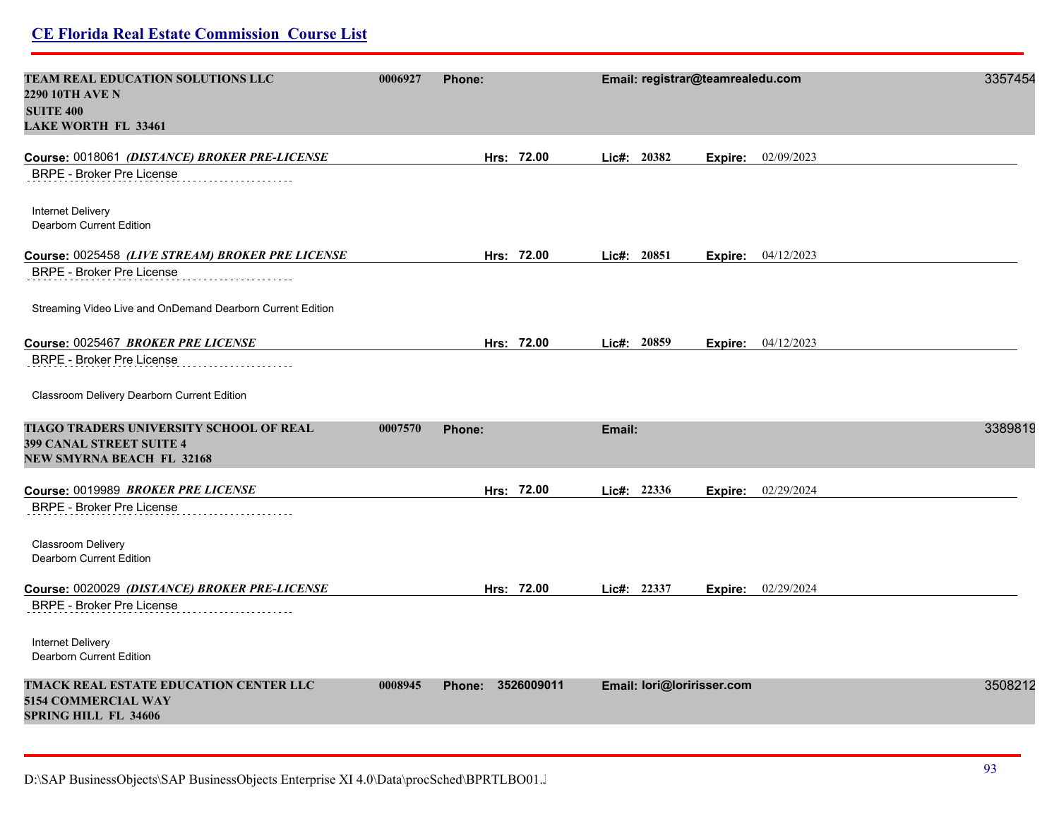| TEAM REAL EDUCATION SOLUTIONS LLC<br><b>2290 10TH AVE N</b><br><b>SUITE 400</b><br><b>LAKE WORTH FL 33461</b> | 0006927 | <b>Phone:</b>        | Email: registrar@teamrealedu.com     | 3357454 |
|---------------------------------------------------------------------------------------------------------------|---------|----------------------|--------------------------------------|---------|
| Course: 0018061 (DISTANCE) BROKER PRE-LICENSE                                                                 |         | Hrs: 72.00           | Lic#: 20382<br>02/09/2023<br>Expire: |         |
| <b>BRPE - Broker Pre License</b>                                                                              |         |                      |                                      |         |
| <b>Internet Delivery</b><br>Dearborn Current Edition                                                          |         |                      |                                      |         |
| Course: 0025458 (LIVE STREAM) BROKER PRE LICENSE                                                              |         | Hrs: 72.00           | Lic#: 20851<br>Expire: 04/12/2023    |         |
| <b>BRPE - Broker Pre License</b>                                                                              |         |                      |                                      |         |
| Streaming Video Live and OnDemand Dearborn Current Edition                                                    |         |                      |                                      |         |
| Course: 0025467 BROKER PRE LICENSE                                                                            |         | Hrs: 72.00           | Lie#: 20859<br>Expire: 04/12/2023    |         |
| <b>BRPE - Broker Pre License</b>                                                                              |         |                      |                                      |         |
| Classroom Delivery Dearborn Current Edition                                                                   |         |                      |                                      |         |
| TIAGO TRADERS UNIVERSITY SCHOOL OF REAL<br><b>399 CANAL STREET SUITE 4</b><br>NEW SMYRNA BEACH FL 32168       | 0007570 | <b>Phone:</b>        | Email:                               | 3389819 |
| Course: 0019989 BROKER PRE LICENSE                                                                            |         | Hrs: 72.00           | Lic#: 22336<br>02/29/2024<br>Expire: |         |
| <b>BRPE - Broker Pre License</b>                                                                              |         |                      |                                      |         |
| Classroom Delivery<br>Dearborn Current Edition                                                                |         |                      |                                      |         |
| Course: 0020029 (DISTANCE) BROKER PRE-LICENSE                                                                 |         | Hrs: 72.00           | Lic#: 22337<br>02/29/2024<br>Expire: |         |
| <b>BRPE - Broker Pre License</b>                                                                              |         |                      |                                      |         |
| <b>Internet Delivery</b><br>Dearborn Current Edition                                                          |         |                      |                                      |         |
| TMACK REAL ESTATE EDUCATION CENTER LLC<br><b>5154 COMMERCIAL WAY</b><br><b>SPRING HILL FL 34606</b>           | 0008945 | 3526009011<br>Phone: | Email: lori@loririsser.com           | 3508212 |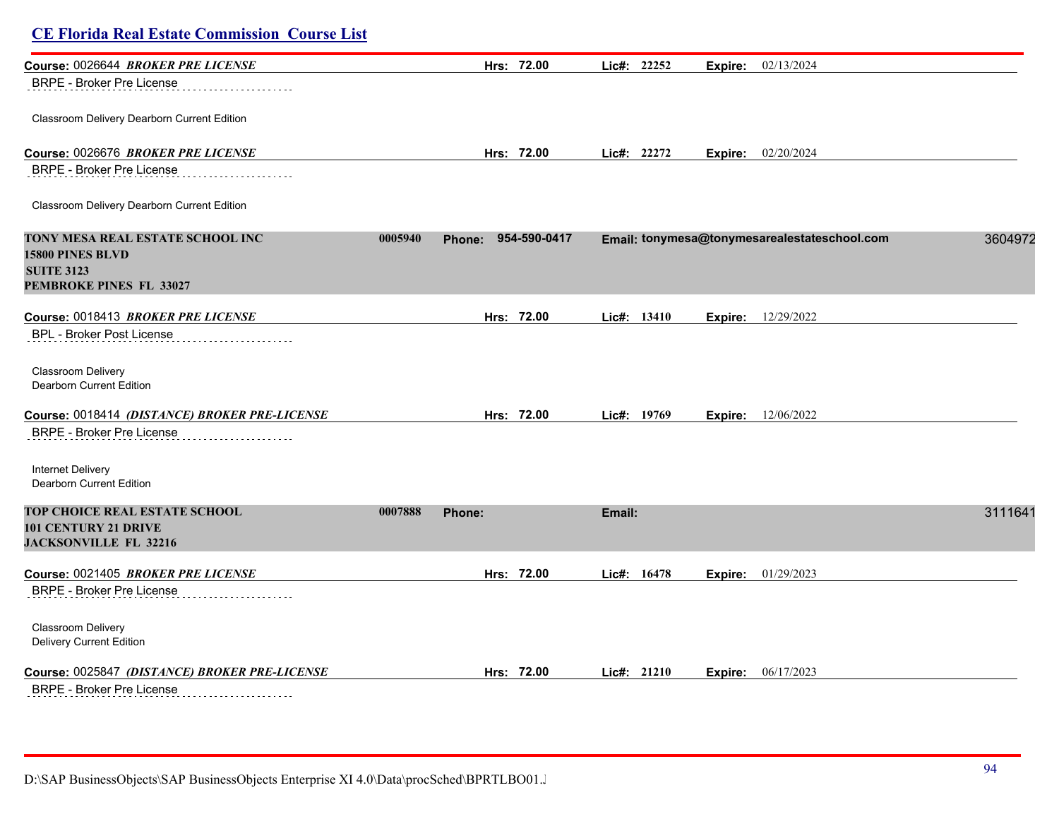| Course: 0026644 BROKER PRE LICENSE                                                           |         | Hrs: 72.00          | Lic#: 22252 | Expire: 02/13/2024                           |         |
|----------------------------------------------------------------------------------------------|---------|---------------------|-------------|----------------------------------------------|---------|
| <b>BRPE - Broker Pre License</b>                                                             |         |                     |             |                                              |         |
| Classroom Delivery Dearborn Current Edition                                                  |         |                     |             |                                              |         |
| Course: 0026676 BROKER PRE LICENSE                                                           |         | Hrs: 72.00          | Lic#: 22272 | Expire: 02/20/2024                           |         |
| <b>BRPE - Broker Pre License</b>                                                             |         |                     |             |                                              |         |
| Classroom Delivery Dearborn Current Edition                                                  |         |                     |             |                                              |         |
| TONY MESA REAL ESTATE SCHOOL INC<br><b>15800 PINES BLVD</b><br><b>SUITE 3123</b>             | 0005940 | Phone: 954-590-0417 |             | Email: tonymesa@tonymesarealestateschool.com | 3604972 |
| PEMBROKE PINES FL 33027                                                                      |         |                     |             |                                              |         |
| Course: 0018413 BROKER PRE LICENSE                                                           |         | Hrs: 72.00          | Lic#: 13410 | 12/29/2022<br>Expire:                        |         |
| <b>BPL - Broker Post License</b>                                                             |         |                     |             |                                              |         |
| Classroom Delivery<br>Dearborn Current Edition                                               |         |                     |             |                                              |         |
| Course: 0018414 (DISTANCE) BROKER PRE-LICENSE                                                |         | Hrs: 72.00          | Lic#: 19769 | 12/06/2022<br>Expire:                        |         |
| <b>BRPE - Broker Pre License</b>                                                             |         |                     |             |                                              |         |
| Internet Delivery<br>Dearborn Current Edition                                                |         |                     |             |                                              |         |
| TOP CHOICE REAL ESTATE SCHOOL<br><b>101 CENTURY 21 DRIVE</b><br><b>JACKSONVILLE FL 32216</b> | 0007888 | <b>Phone:</b>       | Email:      |                                              | 3111641 |
| Course: 0021405 BROKER PRE LICENSE                                                           |         | Hrs: 72.00          | Lic#: 16478 | 01/29/2023<br>Expire:                        |         |
| <b>BRPE - Broker Pre License</b>                                                             |         |                     |             |                                              |         |
| Classroom Delivery<br>Delivery Current Edition                                               |         |                     |             |                                              |         |
| Course: 0025847 (DISTANCE) BROKER PRE-LICENSE                                                |         | Hrs: 72.00          | Lic#: 21210 | 06/17/2023<br>Expire:                        |         |
| RRPF - Rroker Pre License                                                                    |         |                     |             |                                              |         |

BRPE - Broker Pre License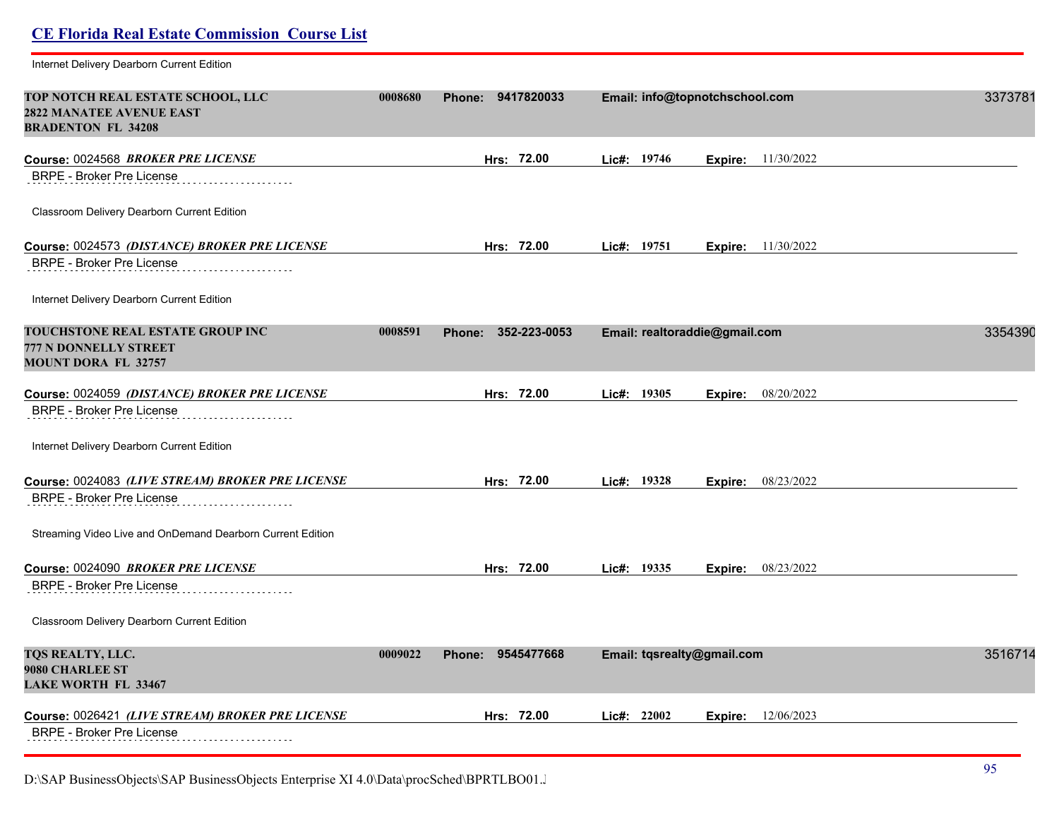| <b>CE Florida Real Estate Commission Course List</b>                                       |         |                             |                            |                                |         |
|--------------------------------------------------------------------------------------------|---------|-----------------------------|----------------------------|--------------------------------|---------|
| Internet Delivery Dearborn Current Edition                                                 |         |                             |                            |                                |         |
| TOP NOTCH REAL ESTATE SCHOOL, LLC<br>2822 MANATEE AVENUE EAST<br><b>BRADENTON FL 34208</b> | 0008680 | 9417820033<br><b>Phone:</b> |                            | Email: info@topnotchschool.com | 3373781 |
| Course: 0024568 BROKER PRE LICENSE                                                         |         | 72.00<br>Hrs:               | Lic#: 19746                | 11/30/2022<br>Expire:          |         |
| <b>BRPE - Broker Pre License</b>                                                           |         |                             |                            |                                |         |
| Classroom Delivery Dearborn Current Edition                                                |         |                             |                            |                                |         |
| Course: 0024573 (DISTANCE) BROKER PRE LICENSE                                              |         | Hrs: 72.00                  | Lic#: $19751$              | 11/30/2022<br>Expire:          |         |
| <b>BRPE - Broker Pre License</b>                                                           |         |                             |                            |                                |         |
| Internet Delivery Dearborn Current Edition                                                 |         |                             |                            |                                |         |
| TOUCHSTONE REAL ESTATE GROUP INC<br>777 N DONNELLY STREET<br><b>MOUNT DORA FL 32757</b>    | 0008591 | Phone:<br>352-223-0053      |                            | Email: realtoraddie@gmail.com  | 3354390 |
| Course: 0024059 (DISTANCE) BROKER PRE LICENSE                                              |         | Hrs: 72.00                  | Lic#: 19305                | 08/20/2022<br>Expire:          |         |
| <b>BRPE - Broker Pre License</b>                                                           |         |                             |                            |                                |         |
| Internet Delivery Dearborn Current Edition                                                 |         |                             |                            |                                |         |
| Course: 0024083 (LIVE STREAM) BROKER PRE LICENSE                                           |         | 72.00<br>Hrs:               | Lic#: 19328                | 08/23/2022<br>Expire:          |         |
| <b>BRPE - Broker Pre License</b>                                                           |         |                             |                            |                                |         |
| Streaming Video Live and OnDemand Dearborn Current Edition                                 |         |                             |                            |                                |         |
| Course: 0024090 BROKER PRE LICENSE                                                         |         | Hrs: 72.00                  | Lic#: 19335                | 08/23/2022<br>Expire:          |         |
| <b>BRPE - Broker Pre License</b>                                                           |         |                             |                            |                                |         |
| Classroom Delivery Dearborn Current Edition                                                |         |                             |                            |                                |         |
| TQS REALTY, LLC.                                                                           | 0009022 | Phone: 9545477668           | Email: tqsrealty@gmail.com |                                | 3516714 |
| 9080 CHARLEE ST<br><b>LAKE WORTH FL 33467</b>                                              |         |                             |                            |                                |         |
| Course: 0026421 (LIVE STREAM) BROKER PRE LICENSE                                           |         | Hrs: 72.00                  | Lic#: 22002                | 12/06/2023<br>Expire:          |         |
| <b>BRPE - Broker Pre License</b>                                                           |         |                             |                            |                                |         |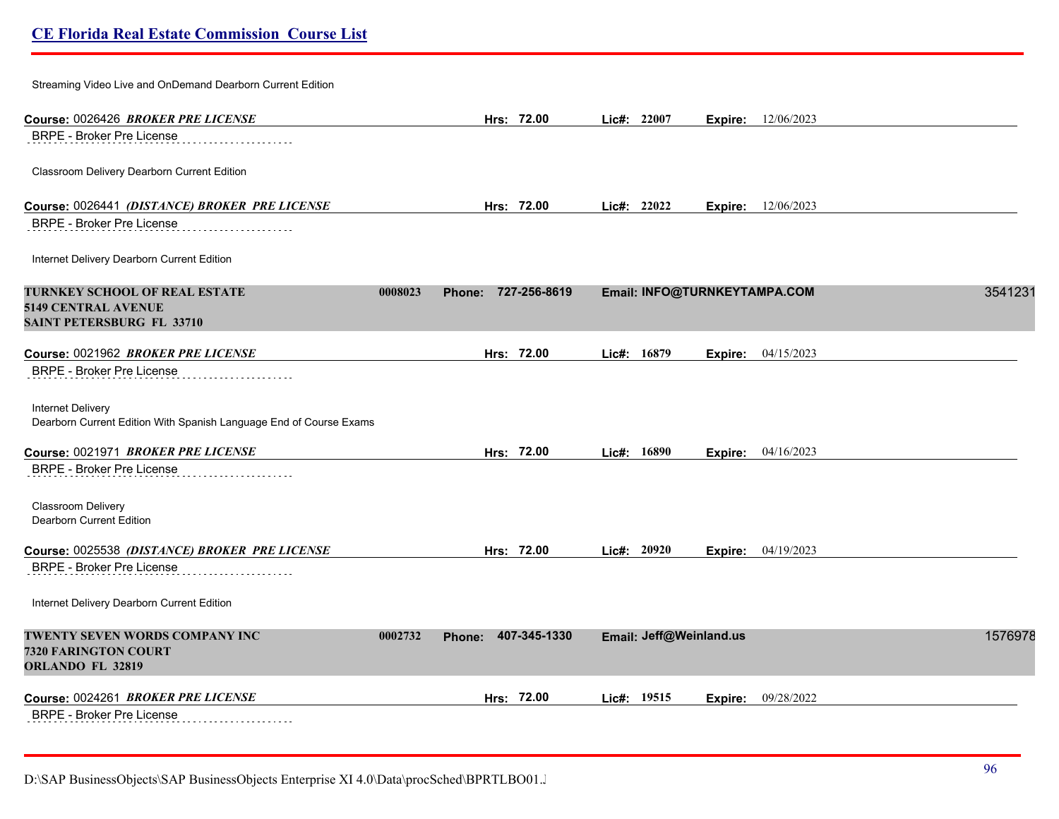| Streaming Video Live and OnDemand Dearborn Current Edition                              |         |                        |                         |         |                              |         |
|-----------------------------------------------------------------------------------------|---------|------------------------|-------------------------|---------|------------------------------|---------|
| Course: 0026426 BROKER PRE LICENSE                                                      |         | Hrs: 72.00             | Lic#: 22007             | Expire: | 12/06/2023                   |         |
| <b>BRPE - Broker Pre License</b>                                                        |         |                        |                         |         |                              |         |
| Classroom Delivery Dearborn Current Edition                                             |         |                        |                         |         |                              |         |
| Course: 0026441 (DISTANCE) BROKER PRE LICENSE                                           |         | Hrs: 72.00             | Lie#: 22022             | Expire: | 12/06/2023                   |         |
| <b>BRPE - Broker Pre License</b>                                                        |         |                        |                         |         |                              |         |
| Internet Delivery Dearborn Current Edition                                              |         |                        |                         |         |                              |         |
| TURNKEY SCHOOL OF REAL ESTATE                                                           | 0008023 | Phone: 727-256-8619    |                         |         | Email: INFO@TURNKEYTAMPA.COM | 3541231 |
| <b>5149 CENTRAL AVENUE</b><br>SAINT PETERSBURG FL 33710                                 |         |                        |                         |         |                              |         |
| Course: 0021962 BROKER PRE LICENSE                                                      |         | Hrs: 72.00             | Lic#: 16879             |         | Expire: 04/15/2023           |         |
| <b>BRPE - Broker Pre License</b>                                                        |         |                        |                         |         |                              |         |
| Internet Delivery<br>Dearborn Current Edition With Spanish Language End of Course Exams |         |                        |                         |         |                              |         |
| Course: 0021971 BROKER PRE LICENSE                                                      |         | Hrs: 72.00             | Lic#: 16890             |         | Expire: 04/16/2023           |         |
| <b>BRPE - Broker Pre License</b>                                                        |         |                        |                         |         |                              |         |
| Classroom Delivery<br>Dearborn Current Edition                                          |         |                        |                         |         |                              |         |
| Course: 0025538 (DISTANCE) BROKER PRE LICENSE                                           |         | Hrs: 72.00             | Lic#: 20920             |         | Expire: 04/19/2023           |         |
| <b>BRPE - Broker Pre License</b>                                                        |         |                        |                         |         |                              |         |
| Internet Delivery Dearborn Current Edition                                              |         |                        |                         |         |                              |         |
| TWENTY SEVEN WORDS COMPANY INC<br>7320 FARINGTON COURT<br><b>ORLANDO FL 32819</b>       | 0002732 | 407-345-1330<br>Phone: | Email: Jeff@Weinland.us |         |                              | 1576978 |
| Course: 0024261 BROKER PRE LICENSE                                                      |         | Hrs: 72.00             | Lic#: 19515             | Expire: | 09/28/2022                   |         |
| <b>BRPE - Broker Pre License</b><br>.                                                   |         |                        |                         |         |                              |         |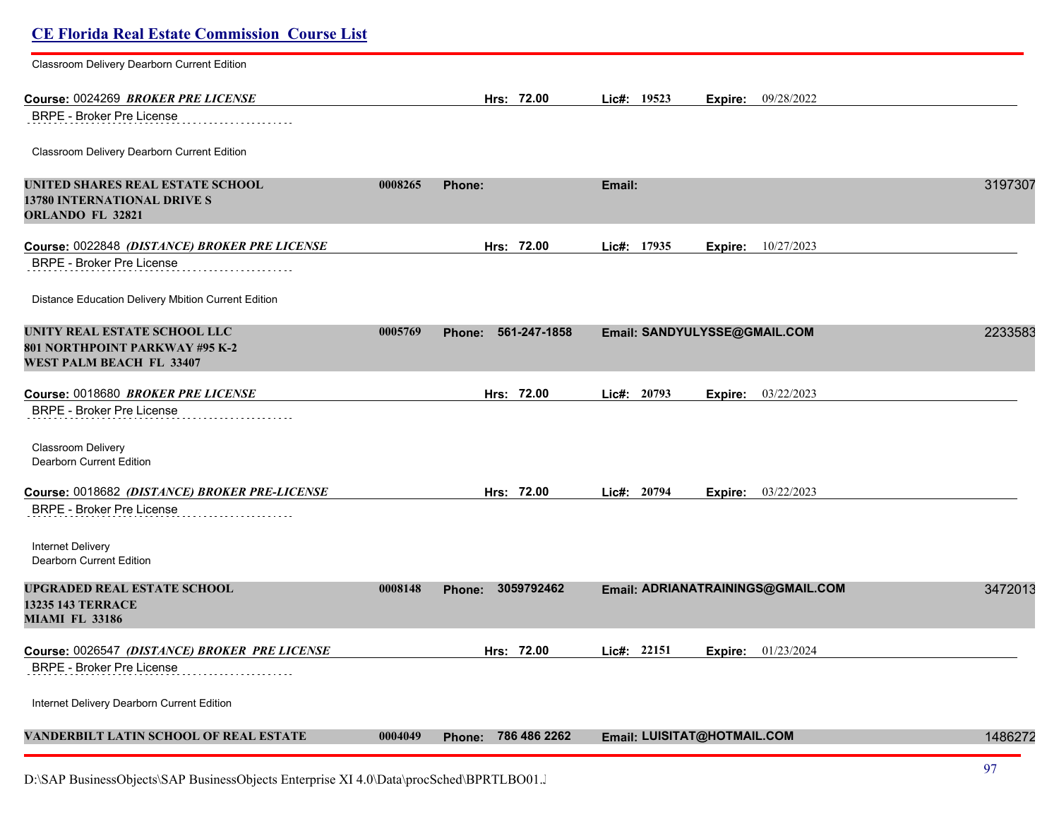# **CE Florida Real Estate Commission Course List** Classroom Delivery Dearborn Current Edition **Course:** 0024269 *BROKER PRE LICENSE* **Hrs: 72.00 Lic#: 19523 Expire:** 09/28/2022 BRPE - Broker Pre License Classroom Delivery Dearborn Current Edition **UNITED SHARES REAL ESTATE SCHOOL 0008265 Phone: Email:** 31973072 **13780 INTERNATIONAL DRIVE S ORLANDO FL 32821 Course:** 0022848 *(DISTANCE) BROKER PRE LICENSE* **Hrs: 72.00 Lic#: 17935 Expire:** 10/27/2023 BRPE - Broker Pre License Distance Education Delivery Mbition Current Edition **UNITY REAL ESTATE SCHOOL LLC 0005769 Phone: 561-247-1858 Email: SANDYULYSSE@GMAIL.COM** 22335836 **801 NORTHPOINT PARKWAY #95 K-2 WEST PALM BEACH FL 33407 Course:** 0018680 *BROKER PRE LICENSE* **Hrs: 72.00 Lic#: 20793 Expire:** 03/22/2023 BRPE - Broker Pre License Classroom Delivery Dearborn Current Edition **Course:** 0018682 *(DISTANCE) BROKER PRE-LICENSE* **Hrs: 72.00 Lic#: 20794 Expire:** 03/22/2023 BRPE - Broker Pre License Internet Delivery Dearborn Current Edition **UPGRADED REAL ESTATE SCHOOL 0008148 Phone: 3059792462 Email: ADRIANATRAININGS@GMAIL.COM** 34720131 **13235 143 TERRACE MIAMI FL 33186 Course:** 0026547 *(DISTANCE) BROKER PRE LICENSE* **Hrs: 72.00 Lic#: 22151 Expire:** 01/23/2024 BRPE - Broker Pre License Internet Delivery Dearborn Current Edition **VANDERBILT LATIN SCHOOL OF REAL ESTATE 0004049 Phone: 786 486 2262 Email: LUISITAT@HOTMAIL.COM** 14862723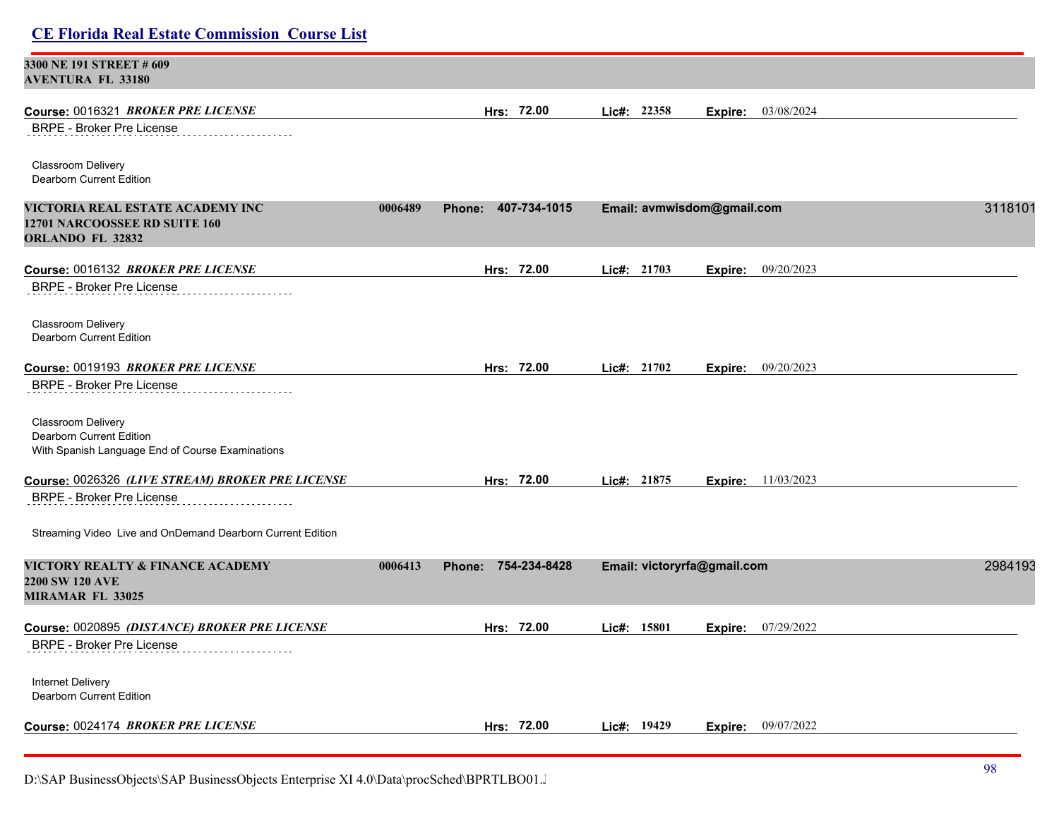| 3300 NE 191 STREET # 609                                                                           |         |                     |                             |         |                             |         |
|----------------------------------------------------------------------------------------------------|---------|---------------------|-----------------------------|---------|-----------------------------|---------|
| <b>AVENTURA FL 33180</b>                                                                           |         |                     |                             |         |                             |         |
| Course: 0016321 BROKER PRE LICENSE                                                                 |         | Hrs: 72.00          | Lic#: 22358                 | Expire: | 03/08/2024                  |         |
| <b>BRPE - Broker Pre License</b>                                                                   |         |                     |                             |         |                             |         |
| Classroom Delivery<br>Dearborn Current Edition                                                     |         |                     |                             |         |                             |         |
| VICTORIA REAL ESTATE ACADEMY INC                                                                   | 0006489 | Phone: 407-734-1015 | Email: avmwisdom@gmail.com  |         | 3118101                     |         |
| 12701 NARCOOSSEE RD SUITE 160<br><b>ORLANDO FL 32832</b>                                           |         |                     |                             |         |                             |         |
| Course: 0016132 BROKER PRE LICENSE                                                                 |         | Hrs: 72.00          | Lic#: 21703                 |         | Expire: 09/20/2023          |         |
| <b>BRPE - Broker Pre License</b>                                                                   |         |                     |                             |         |                             |         |
| Classroom Delivery<br>Dearborn Current Edition                                                     |         |                     |                             |         |                             |         |
| Course: 0019193 BROKER PRE LICENSE                                                                 |         | Hrs: 72.00          | Lie#: 21702                 | Expire: | 09/20/2023                  |         |
| <b>BRPE - Broker Pre License</b>                                                                   |         |                     |                             |         |                             |         |
| Classroom Delivery<br>Dearborn Current Edition<br>With Spanish Language End of Course Examinations |         |                     |                             |         |                             |         |
| Course: 0026326 (LIVE STREAM) BROKER PRE LICENSE                                                   |         | Hrs: 72.00          | Lic#: $21875$               |         | <b>Expire:</b> $11/03/2023$ |         |
| <b>BRPE - Broker Pre License</b>                                                                   |         |                     |                             |         |                             |         |
| Streaming Video Live and OnDemand Dearborn Current Edition                                         |         |                     |                             |         |                             |         |
| VICTORY REALTY & FINANCE ACADEMY<br><b>2200 SW 120 AVE</b><br><b>MIRAMAR FL 33025</b>              | 0006413 | Phone: 754-234-8428 | Email: victoryrfa@gmail.com |         |                             | 2984193 |
| Course: 0020895 (DISTANCE) BROKER PRE LICENSE                                                      |         | Hrs: 72.00          | Lic#: 15801                 | Expire: | 07/29/2022                  |         |
| <b>BRPE - Broker Pre License</b>                                                                   |         |                     |                             |         |                             |         |
| Internet Delivery<br>Dearborn Current Edition                                                      |         |                     |                             |         |                             |         |
| Course: 0024174 BROKER PRE LICENSE                                                                 |         | Hrs: 72.00          | Lic#: 19429                 |         | Expire: 09/07/2022          |         |
|                                                                                                    |         |                     |                             |         |                             |         |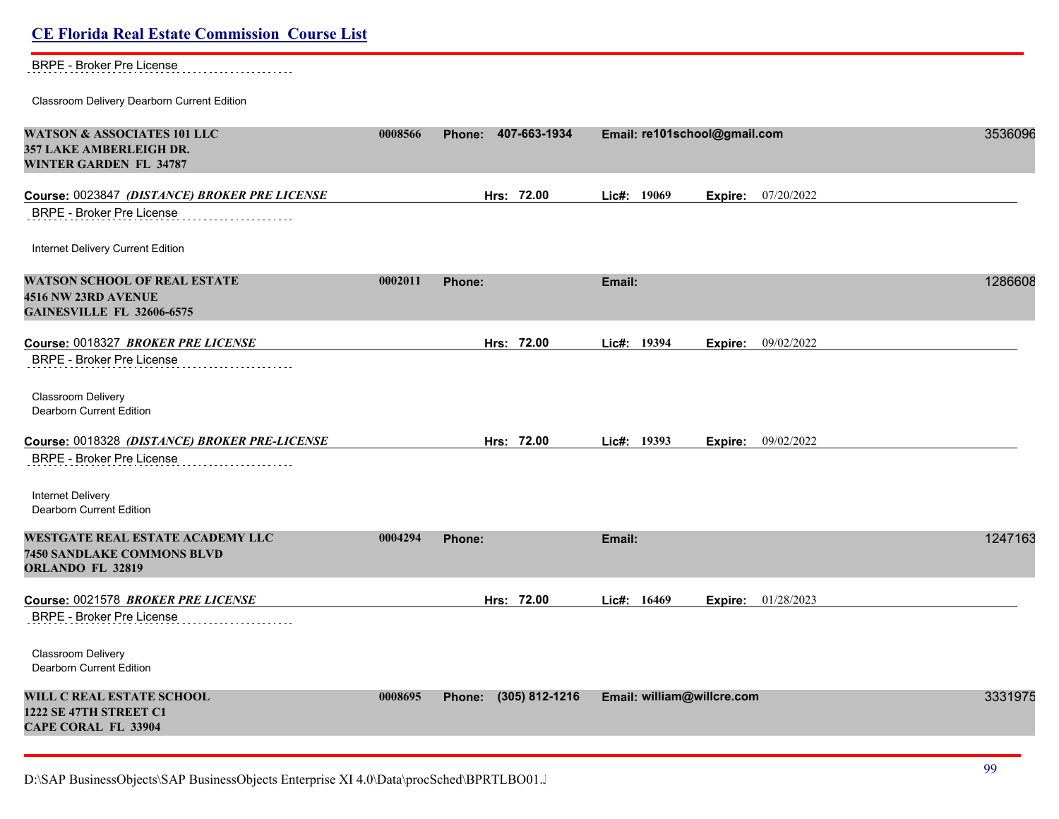| <b>CE Florida Real Estate Commission Course List</b>                                               |         |                               |                                          |         |
|----------------------------------------------------------------------------------------------------|---------|-------------------------------|------------------------------------------|---------|
| <b>BRPE - Broker Pre License</b>                                                                   |         |                               |                                          |         |
| Classroom Delivery Dearborn Current Edition                                                        |         |                               |                                          |         |
| <b>WATSON &amp; ASSOCIATES 101 LLC</b><br>357 LAKE AMBERLEIGH DR.<br><b>WINTER GARDEN FL 34787</b> | 0008566 | 407-663-1934<br><b>Phone:</b> | Email: re101school@gmail.com             | 3536096 |
| Course: 0023847 (DISTANCE) BROKER PRE LICENSE<br><b>BRPE - Broker Pre License</b>                  |         | Hrs: 72.00                    | Lic#: 19069<br><b>Expire:</b> 07/20/2022 |         |
| Internet Delivery Current Edition                                                                  |         |                               |                                          |         |
| <b>WATSON SCHOOL OF REAL ESTATE</b><br>4516 NW 23RD AVENUE<br><b>GAINESVILLE FL 32606-6575</b>     | 0002011 | Phone:                        | Email:                                   | 1286608 |
| Course: 0018327 BROKER PRE LICENSE<br><b>BRPE - Broker Pre License</b>                             |         | Hrs: 72.00                    | Lic#: 19394<br>Expire: 09/02/2022        |         |
| Classroom Delivery<br>Dearborn Current Edition                                                     |         |                               |                                          |         |
| Course: 0018328 (DISTANCE) BROKER PRE-LICENSE                                                      |         | Hrs: 72.00                    | Lic#: 19393<br>Expire: 09/02/2022        |         |
| <b>BRPE - Broker Pre License</b>                                                                   |         |                               |                                          |         |
| Internet Delivery<br>Dearborn Current Edition                                                      |         |                               |                                          |         |
| WESTGATE REAL ESTATE ACADEMY LLC<br><b>7450 SANDLAKE COMMONS BLVD</b><br><b>ORLANDO FL 32819</b>   | 0004294 | Phone:                        | Email:                                   | 1247163 |
| Course: 0021578 BROKER PRE LICENSE<br><b>BRPE - Broker Pre License</b>                             |         | Hrs: 72.00                    | 01/28/2023<br>Lic#: 16469<br>Expire:     |         |
| Classroom Delivery<br>Dearborn Current Edition                                                     |         |                               |                                          |         |
| WILL C REAL ESTATE SCHOOL<br>1222 SE 47TH STREET C1<br><b>CAPE CORAL FL 33904</b>                  | 0008695 | $(305)$ 812-1216<br>Phone:    | Email: william@willcre.com               | 3331975 |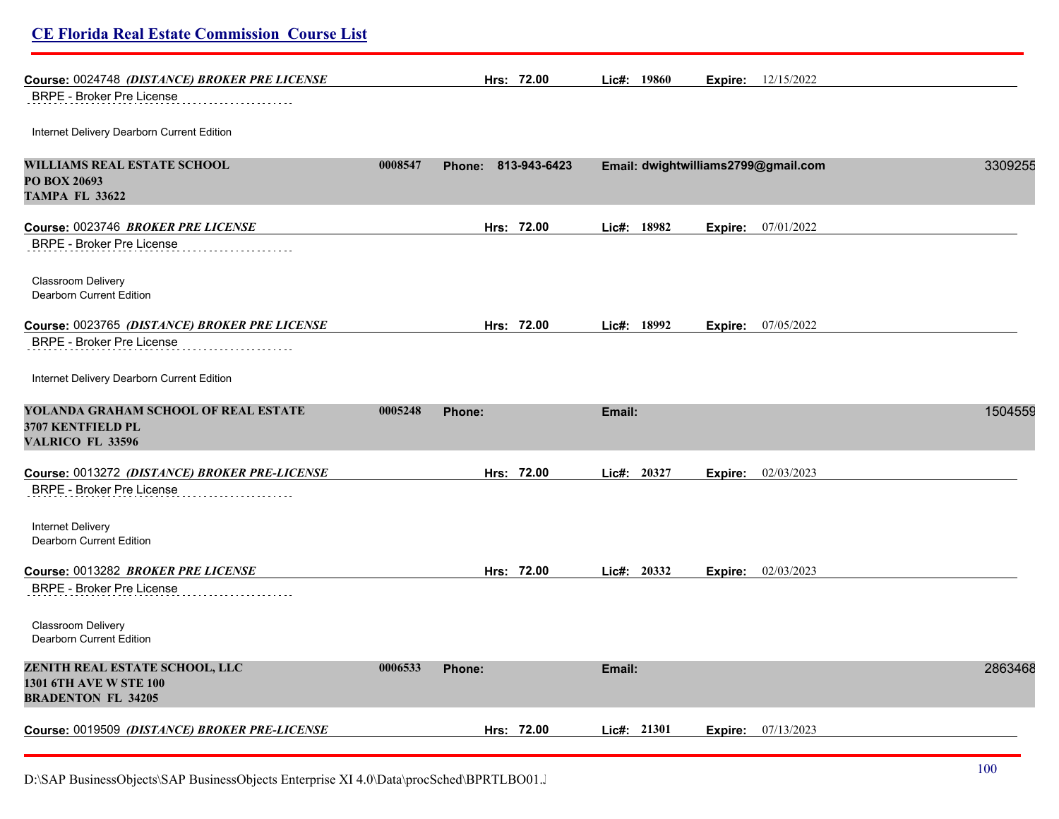| <b>CE Florida Real Estate Commission Course List</b>                                  |         |                               |             |                                     |         |
|---------------------------------------------------------------------------------------|---------|-------------------------------|-------------|-------------------------------------|---------|
| Course: 0024748 (DISTANCE) BROKER PRE LICENSE                                         |         | Hrs: 72.00                    | Lic#: 19860 | 12/15/2022<br>Expire:               |         |
| <b>BRPE - Broker Pre License</b>                                                      |         |                               |             |                                     |         |
| Internet Delivery Dearborn Current Edition                                            |         |                               |             |                                     |         |
| <b>WILLIAMS REAL ESTATE SCHOOL</b><br>PO BOX 20693<br><b>TAMPA FL 33622</b>           | 0008547 | 813-943-6423<br><b>Phone:</b> |             | Email: dwightwilliams2799@gmail.com | 3309255 |
| Course: 0023746 BROKER PRE LICENSE                                                    |         | Hrs: 72.00                    | Lic#: 18982 | 07/01/2022<br>Expire:               |         |
| <b>BRPE - Broker Pre License</b>                                                      |         |                               |             |                                     |         |
| Classroom Delivery<br><b>Dearborn Current Edition</b>                                 |         |                               |             |                                     |         |
| Course: 0023765 (DISTANCE) BROKER PRE LICENSE                                         |         | Hrs: 72.00                    | Lic#: 18992 | <b>Expire:</b> 07/05/2022           |         |
| BRPE - Broker Pre License                                                             |         |                               |             |                                     |         |
| Internet Delivery Dearborn Current Edition                                            |         |                               |             |                                     |         |
| YOLANDA GRAHAM SCHOOL OF REAL ESTATE<br>3707 KENTFIELD PL<br>VALRICO FL 33596         | 0005248 | Phone:                        | Email:      |                                     | 1504559 |
| Course: 0013272 (DISTANCE) BROKER PRE-LICENSE                                         |         | Hrs: 72.00                    | Lic#: 20327 | 02/03/2023<br>Expire:               |         |
| <b>BRPE - Broker Pre License</b>                                                      |         |                               |             |                                     |         |
| Internet Delivery<br>Dearborn Current Edition                                         |         |                               |             |                                     |         |
| Course: 0013282 BROKER PRE LICENSE                                                    |         | Hrs: 72.00                    | Lic#: 20332 | 02/03/2023<br>Expire:               |         |
| <b>BRPE - Broker Pre License</b>                                                      |         |                               |             |                                     |         |
| Classroom Delivery<br>Dearborn Current Edition                                        |         |                               |             |                                     |         |
| ZENITH REAL ESTATE SCHOOL, LLC<br>1301 6TH AVE W STE 100<br><b>BRADENTON FL 34205</b> | 0006533 | Phone:                        | Email:      |                                     | 2863468 |
| Course: 0019509 (DISTANCE) BROKER PRE-LICENSE                                         |         | Hrs: 72.00                    | Lic#: 21301 | 07/13/2023<br>Expire:               |         |
|                                                                                       |         |                               |             |                                     |         |

D:\SAP BusinessObjects\SAP BusinessObjects Enterprise XI 4.0\Data\procSched\BPRTLBO01.J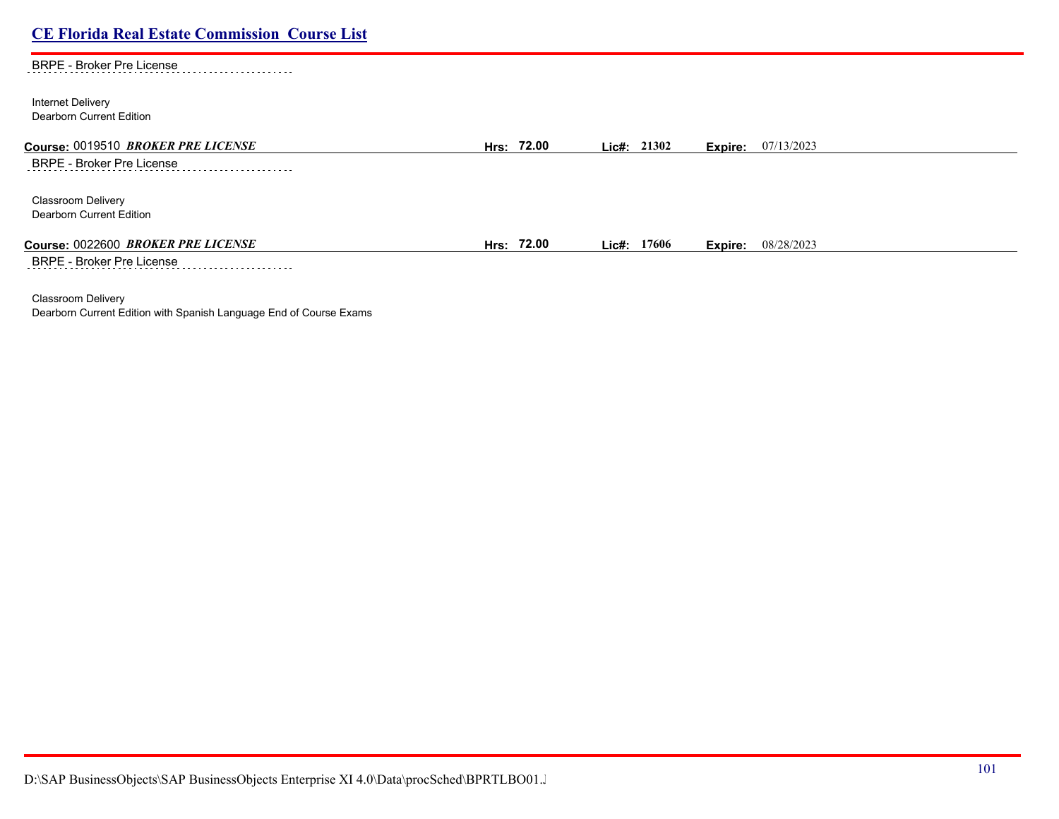BRPE - Broker Pre License . . . . . . . . . . . . . . . . .

Internet Delivery Dearborn Current Edition

| Course: 0019510 <i>BROKER PRE LICENSE</i>      | Hrs: 72.00 | Lic#: $21302$  | <b>Expire:</b> $07/13/2023$ |  |
|------------------------------------------------|------------|----------------|-----------------------------|--|
| BRPE - Broker Pre License                      |            |                |                             |  |
| Classroom Delivery<br>Dearborn Current Edition |            |                |                             |  |
| Course: 0022600 BROKER PRE LICENSE             | Hrs: 72.00 | 17606<br>Lic#: | 08/28/2023<br>Expire:       |  |
| BRPE - Broker Pre License                      |            |                |                             |  |

Classroom Delivery

Dearborn Current Edition with Spanish Language End of Course Exams